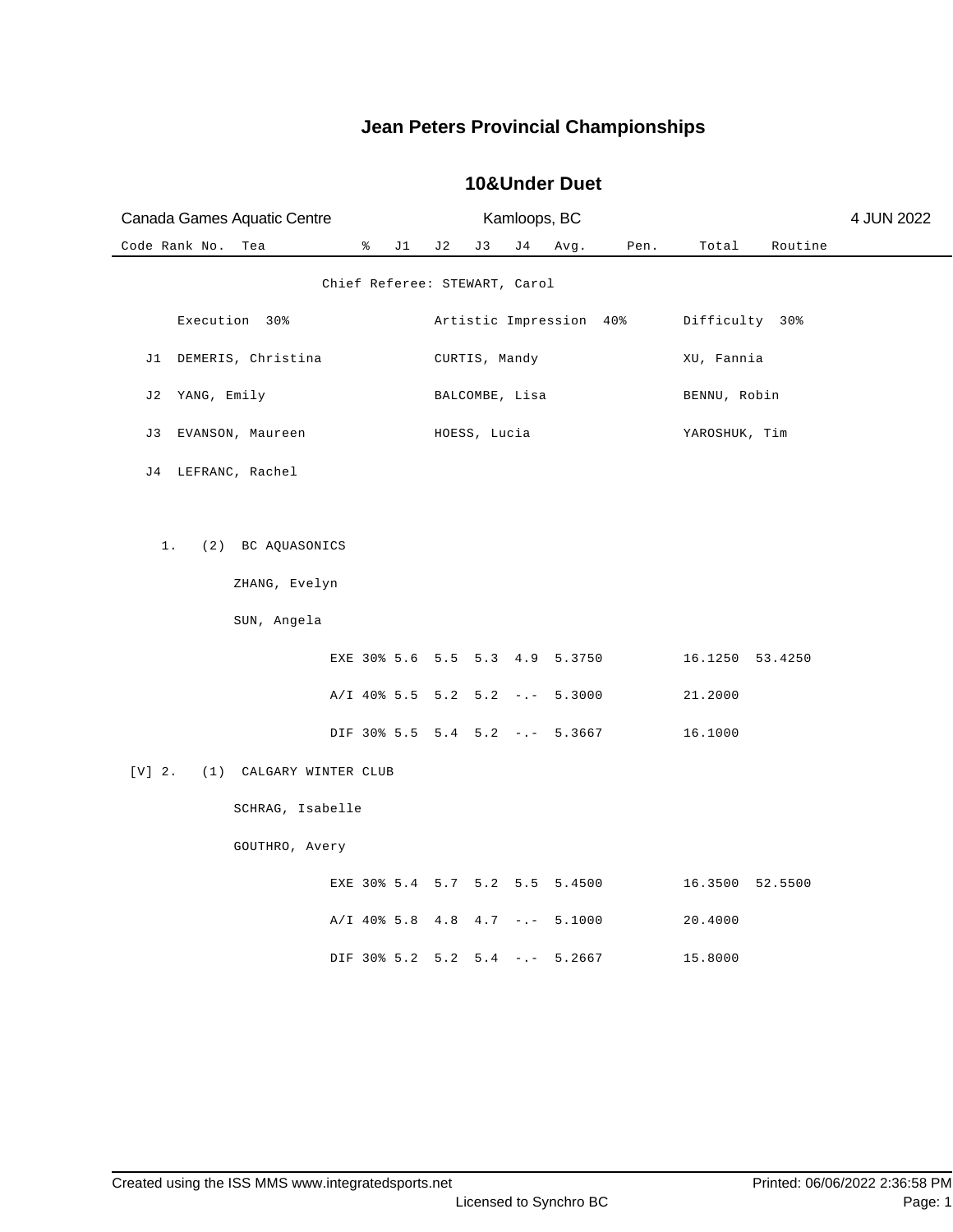| Canada Games Aquatic Centre         |                                  |     |                | Kamloops, BC |      |                         |                 |         | 4 JUN 2022 |
|-------------------------------------|----------------------------------|-----|----------------|--------------|------|-------------------------|-----------------|---------|------------|
| Code Rank No.<br>Tea                | ႜ<br>J1                          | J 2 | J3             | J 4          | Avg. | Pen.                    | Total           | Routine |            |
|                                     | Chief Referee: STEWART, Carol    |     |                |              |      |                         |                 |         |            |
| Execution 30%                       |                                  |     |                |              |      | Artistic Impression 40% | Difficulty 30%  |         |            |
| J1 DEMERIS, Christina               |                                  |     | CURTIS, Mandy  |              |      |                         | XU, Fannia      |         |            |
| J2 YANG, Emily                      |                                  |     | BALCOMBE, Lisa |              |      |                         | BENNU, Robin    |         |            |
| J3 EVANSON, Maureen                 |                                  |     | HOESS, Lucia   |              |      |                         | YAROSHUK, Tim   |         |            |
| J4 LEFRANC, Rachel                  |                                  |     |                |              |      |                         |                 |         |            |
|                                     |                                  |     |                |              |      |                         |                 |         |            |
| $1$ .<br>(2) BC AQUASONICS          |                                  |     |                |              |      |                         |                 |         |            |
| ZHANG, Evelyn                       |                                  |     |                |              |      |                         |                 |         |            |
| SUN, Angela                         |                                  |     |                |              |      |                         |                 |         |            |
|                                     | EXE 30% 5.6 5.5 5.3 4.9 5.3750   |     |                |              |      |                         | 16.1250 53.4250 |         |            |
|                                     | $A/I$ 40% 5.5 5.2 5.2 -.- 5.3000 |     |                |              |      |                         | 21.2000         |         |            |
|                                     | DIF 30% 5.5 5.4 5.2 -.- 5.3667   |     |                |              |      |                         | 16.1000         |         |            |
| $[V]$ 2.<br>(1) CALGARY WINTER CLUB |                                  |     |                |              |      |                         |                 |         |            |
| SCHRAG, Isabelle                    |                                  |     |                |              |      |                         |                 |         |            |
| GOUTHRO, Avery                      |                                  |     |                |              |      |                         |                 |         |            |
|                                     | EXE 30% 5.4 5.7 5.2 5.5 5.4500   |     |                |              |      |                         | 16.3500 52.5500 |         |            |
|                                     | $A/I$ 40% 5.8 4.8 4.7 -.- 5.1000 |     |                |              |      |                         | 20.4000         |         |            |
|                                     | DIF 30% 5.2 5.2 5.4 -.- 5.2667   |     |                |              |      |                         | 15.8000         |         |            |

#### **10&Under Duet**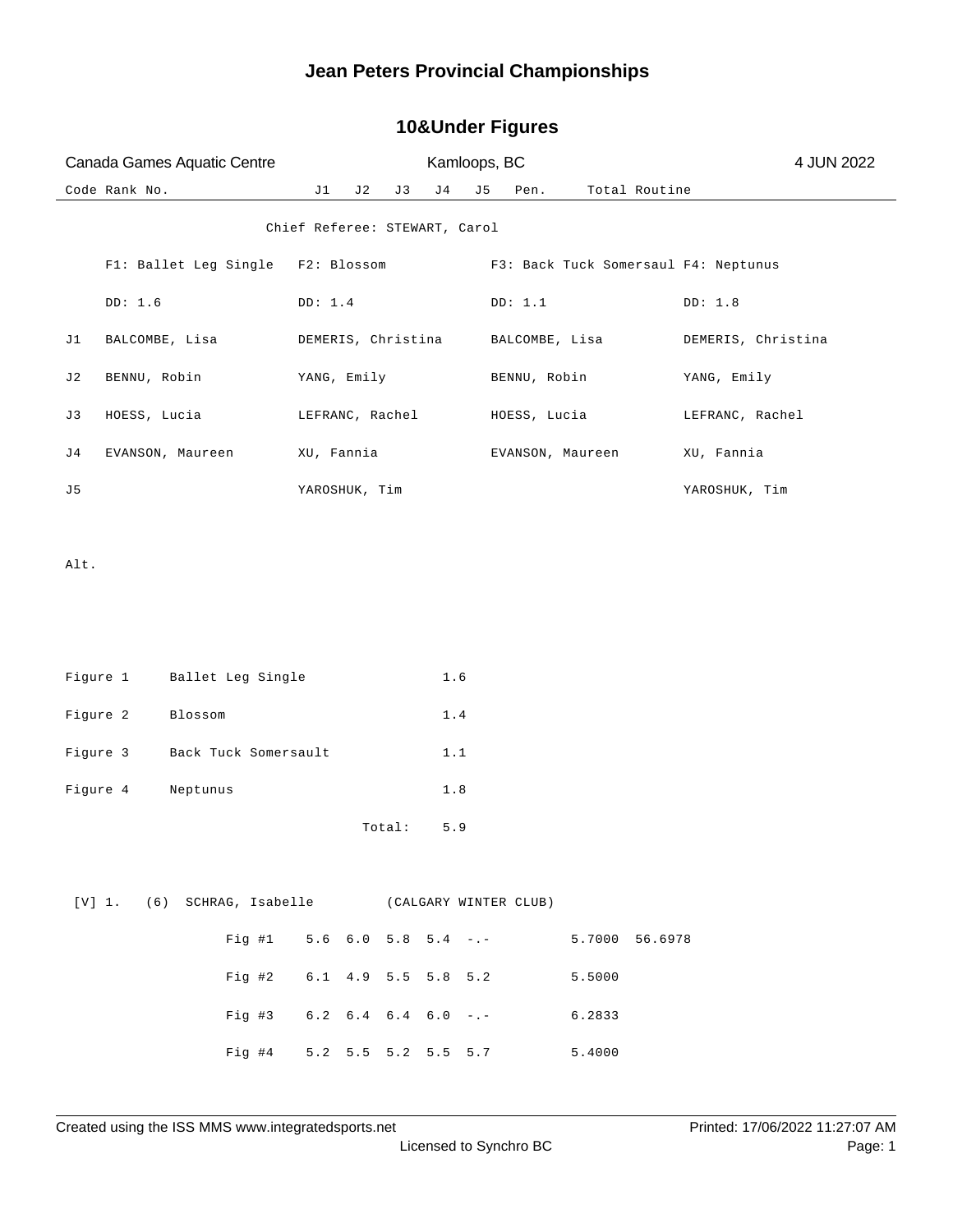# Code Rank No. J1 J2 J3 J4 J5 Pen. Total Routine Canada Games Aquatic Centre **Kamloops, BC** 6 Anada Games Aquatic Centre 4 A 4 JUN 2022 Chief Referee: STEWART, Carol F1: Ballet Leg Single F2: Blossom F3: Back Tuck Somersaul F4: Neptunus DD: 1.6 DD: 1.4 DD: 1.1 DD: 1.8 J1 BALCOMBE, Lisa DEMERIS, Christina BALCOMBE, Lisa DEMERIS, Christina J2 BENNU, Robin YANG, Emily BENNU, Robin YANG, Emily J3 HOESS, Lucia LEFRANC, Rachel HOESS, Lucia LEFRANC, Rachel J4 EVANSON, Maureen XU, Fannia EVANSON, Maureen XU, Fannia J5 YAROSHUK, Tim YAROSHUK, Tim Alt. Figure 1 Ballet Leg Single 1.6 Figure 2 Blossom 1.4 Figure 3 Back Tuck Somersault 1.1 Figure 4 Neptunus 1.8 Total: 5.9 [V] 1. (6) SCHRAG, Isabelle (CALGARY WINTER CLUB) Fig #1 5.6 6.0 5.8 5.4 -.- 5.7000 56.6978 Fig #2 6.1 4.9 5.5 5.8 5.2 5.5000 Fig #3 6.2 6.4 6.4 6.0 -.- 6.2833 Fig #4 5.2 5.5 5.2 5.5 5.7 5.4000

#### **10&Under Figures**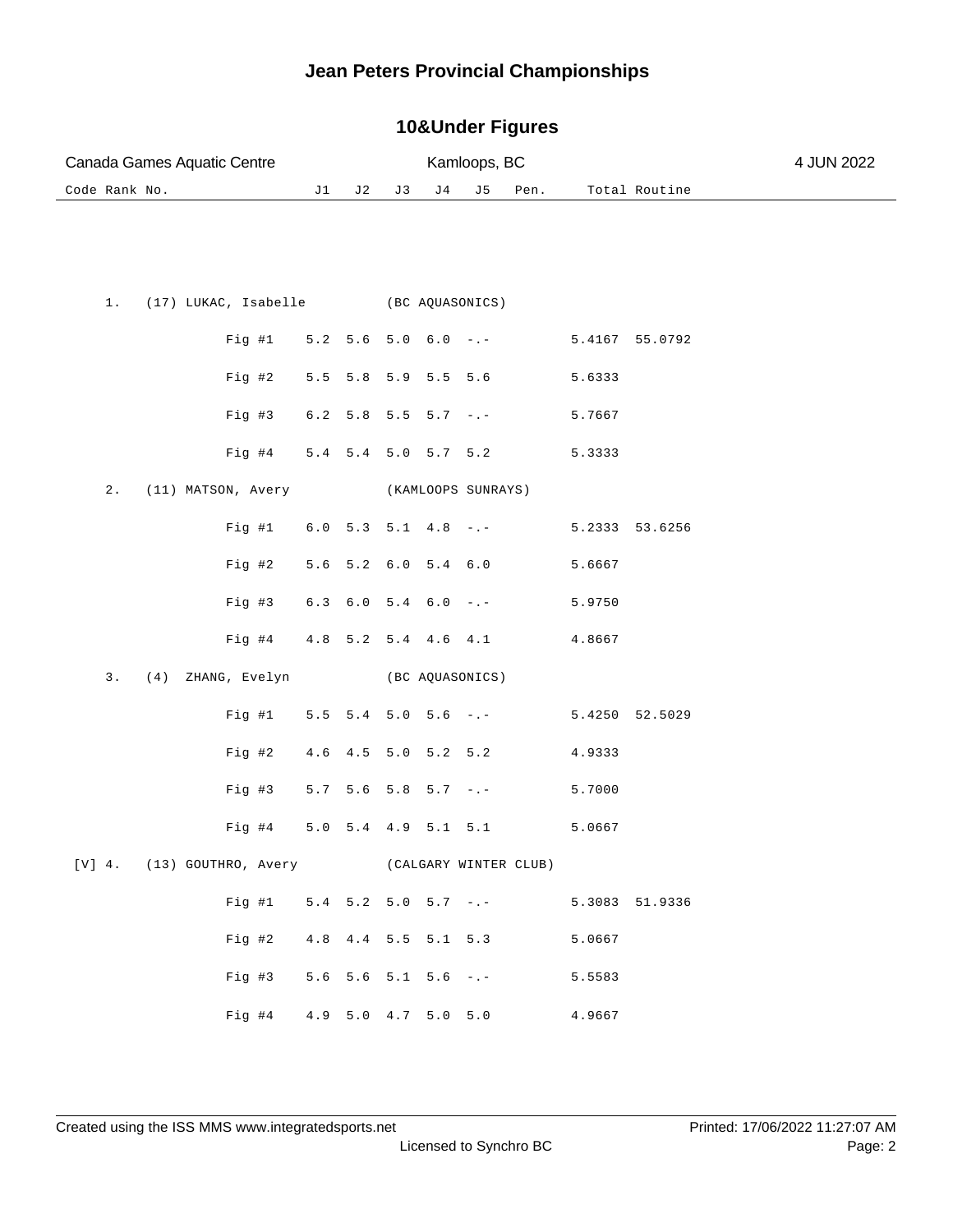#### **10&Under Figures**

|               | Canada Games Aquatic Centre                      |     |                               |     |                 | Kamloops, BC        |      |        |                | 4 JUN 2022 |
|---------------|--------------------------------------------------|-----|-------------------------------|-----|-----------------|---------------------|------|--------|----------------|------------|
| Code Rank No. |                                                  | J1  | J 2                           | J 3 | J 4             | J5                  | Pen. |        | Total Routine  |            |
|               |                                                  |     |                               |     |                 |                     |      |        |                |            |
|               |                                                  |     |                               |     |                 |                     |      |        |                |            |
| $1$ .         | (17) LUKAC, Isabelle (BC AQUASONICS)             |     |                               |     |                 |                     |      |        |                |            |
|               |                                                  |     |                               |     |                 |                     |      |        |                |            |
|               | Fig  #1                                          |     | $5.2$ $5.6$ $5.0$ $6.0$ $-:-$ |     |                 |                     |      |        | 5.4167 55.0792 |            |
|               | Fig #2                                           | 5.5 |                               |     | 5.8 5.9 5.5 5.6 |                     |      | 5.6333 |                |            |
|               | Fig #3                                           |     | $6.2$ 5.8 5.5 5.7 -.-         |     |                 |                     |      | 5.7667 |                |            |
|               | Fig #4                                           |     | 5.4 5.4 5.0 5.7 5.2           |     |                 |                     |      | 5.3333 |                |            |
| $2$ .         | (11) MATSON, Avery                               |     |                               |     |                 | (KAMLOOPS SUNRAYS)  |      |        |                |            |
|               | Fig #1                                           |     | $6.0$ $5.3$ $5.1$ $4.8$ $-:-$ |     |                 |                     |      |        | 5.2333 53.6256 |            |
|               | Fig #2                                           |     | 5.6 5.2 6.0 5.4 6.0           |     |                 |                     |      | 5.6667 |                |            |
|               | Fig #3                                           |     | $6.3$ $6.0$ $5.4$ $6.0$ $-.-$ |     |                 |                     |      | 5.9750 |                |            |
|               | Fig #4                                           |     | 4.8 5.2 5.4 4.6 4.1           |     |                 |                     |      | 4.8667 |                |            |
| 3.            | (4) ZHANG, Evelyn                                |     |                               |     |                 | (BC AQUASONICS)     |      |        |                |            |
|               | Fig #1                                           |     | $5.5$ $5.4$ $5.0$ $5.6$ $-:-$ |     |                 |                     |      |        | 5.4250 52.5029 |            |
|               | Fig #2                                           |     | 4.6 4.5 5.0 5.2 5.2           |     |                 |                     |      | 4.9333 |                |            |
|               | Fig. #3                                          |     | $5.7$ $5.6$ $5.8$ $5.7$ $-.-$ |     |                 |                     |      | 5.7000 |                |            |
|               | $Fig. \#4$                                       |     | 5.0 5.4 4.9 5.1 5.1           |     |                 |                     |      | 5.0667 |                |            |
|               |                                                  |     |                               |     |                 |                     |      |        |                |            |
|               | [V] 4. (13) GOUTHRO, Avery (CALGARY WINTER CLUB) |     |                               |     |                 |                     |      |        |                |            |
|               | Fig #1 $5.4$ 5.2 5.0 5.7 -.-                     |     |                               |     |                 |                     |      |        | 5.3083 51.9336 |            |
|               | Fig #2                                           |     |                               |     |                 | 4.8 4.4 5.5 5.1 5.3 |      | 5.0667 |                |            |
|               | Fig #3 $5.6$ 5.6 5.1 5.6 -.-                     |     |                               |     |                 |                     |      | 5.5583 |                |            |
|               | Fig #4                                           |     | 4.9 5.0 4.7 5.0 5.0           |     |                 |                     |      | 4.9667 |                |            |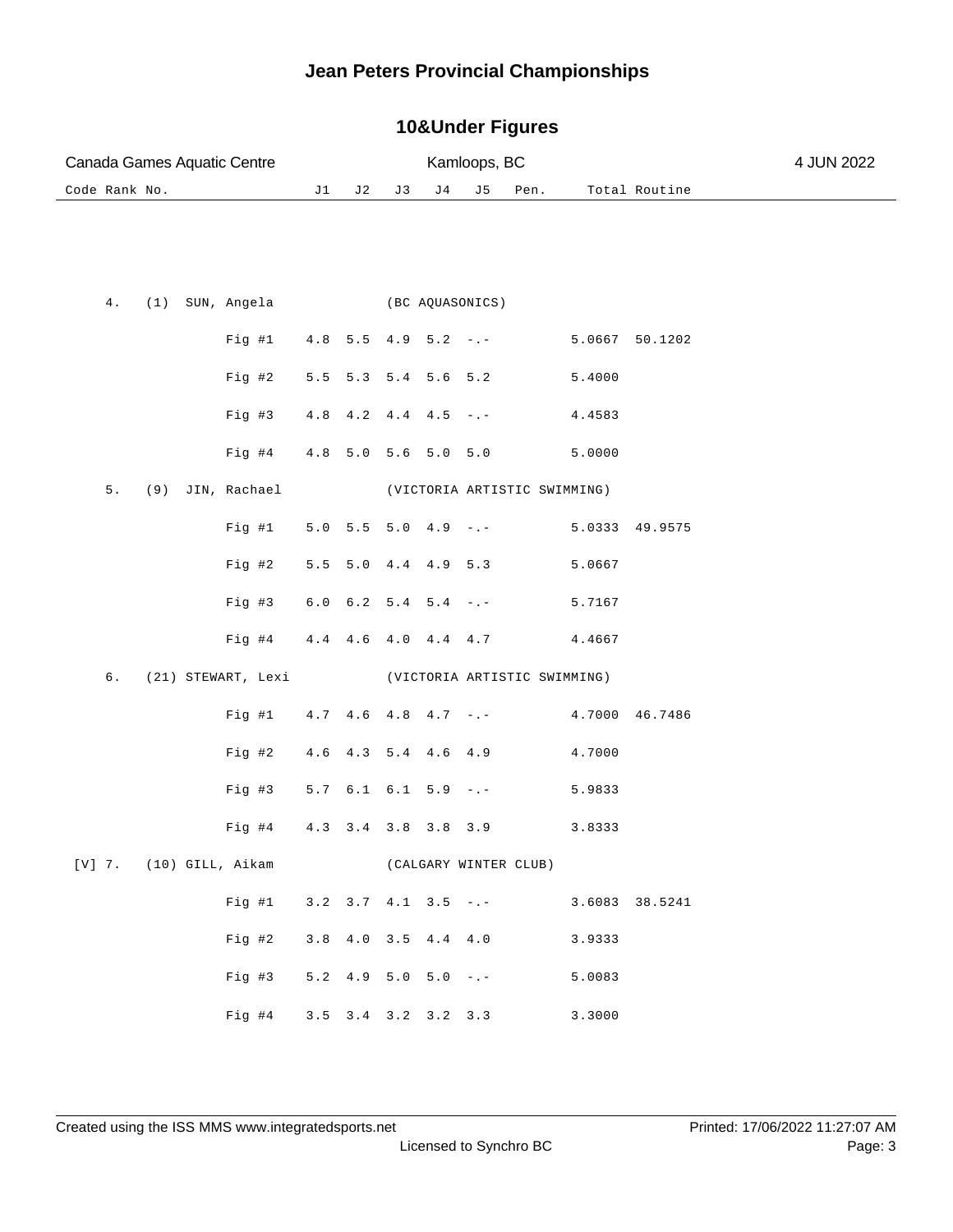#### **10&Under Figures**

|               |       |  | Canada Games Aquatic Centre        |     |                               |    |                   | Kamloops, BC                                 |                              |        |                | 4 JUN 2022 |
|---------------|-------|--|------------------------------------|-----|-------------------------------|----|-------------------|----------------------------------------------|------------------------------|--------|----------------|------------|
| Code Rank No. |       |  |                                    | J1  | J 2                           | J3 | ${\rm J\,4}$      | J 5                                          | Pen.                         |        | Total Routine  |            |
|               |       |  |                                    |     |                               |    |                   |                                              |                              |        |                |            |
|               | $4$ . |  | (1) SUN, Angela                    |     |                               |    |                   | (BC AQUASONICS)                              |                              |        |                |            |
|               |       |  | Fig #1                             |     | $4.8$ 5.5 4.9 5.2 -.-         |    |                   |                                              |                              |        | 5.0667 50.1202 |            |
|               |       |  | Fig #2                             |     | $5.5$ $5.3$ $5.4$ $5.6$ $5.2$ |    |                   |                                              |                              | 5.4000 |                |            |
|               |       |  | Fig #3                             |     | 4.8 4.2 4.4 4.5               |    |                   | $-$ . $-$                                    |                              | 4.4583 |                |            |
|               |       |  | Fig #4                             |     | 4.8 5.0 5.6 5.0 5.0           |    |                   |                                              |                              | 5.0000 |                |            |
|               | $5.$  |  | (9) JIN, Rachael                   |     |                               |    |                   |                                              | (VICTORIA ARTISTIC SWIMMING) |        |                |            |
|               |       |  | Fig #1                             |     | $5.0$ $5.5$ $5.0$ $4.9$ $-:-$ |    |                   |                                              |                              |        | 5.0333 49.9575 |            |
|               |       |  | Fig #2                             | 5.5 |                               |    | $5.0$ 4.4 4.9 5.3 |                                              |                              | 5.0667 |                |            |
|               |       |  | Fig #3                             |     | $6.0$ $6.2$ $5.4$ $5.4$ $-.-$ |    |                   |                                              |                              | 5.7167 |                |            |
|               |       |  | Fig #4                             |     | 4.4 4.6 4.0 4.4 4.7           |    |                   |                                              |                              | 4.4667 |                |            |
|               | б.    |  | (21) STEWART, Lexi                 |     |                               |    |                   |                                              | (VICTORIA ARTISTIC SWIMMING) |        |                |            |
|               |       |  | Fig  #1                            |     | $4.7$ $4.6$ $4.8$ $4.7$ $-.-$ |    |                   |                                              |                              |        | 4.7000 46.7486 |            |
|               |       |  | Fig #2                             |     | 4.6 4.3 5.4 4.6 4.9           |    |                   |                                              |                              | 4.7000 |                |            |
|               |       |  | $Fig. \#3$                         |     | $5.7$ $6.1$ $6.1$ $5.9$ $-:-$ |    |                   |                                              |                              | 5.9833 |                |            |
|               |       |  | Fig #4                             |     | 4.3 3.4 3.8 3.8 3.9           |    |                   |                                              |                              | 3.8333 |                |            |
|               |       |  | $[V]$ 7. (10) GILL, Aikam          |     |                               |    |                   |                                              | (CALGARY WINTER CLUB)        |        |                |            |
|               |       |  | Fig #1 $3.2$ $3.7$ $4.1$ $3.5$ -.- |     |                               |    |                   |                                              |                              |        | 3.6083 38.5241 |            |
|               |       |  | Fig #2                             |     |                               |    |                   | $3.8$ 4.0 3.5 4.4 4.0                        |                              | 3.9333 |                |            |
|               |       |  | Fig #3                             |     |                               |    |                   | $5.2 \quad 4.9 \quad 5.0 \quad 5.0 \quad -1$ |                              | 5.0083 |                |            |
|               |       |  | Fig #4                             |     | 3.5 3.4 3.2 3.2 3.3           |    |                   |                                              |                              | 3.3000 |                |            |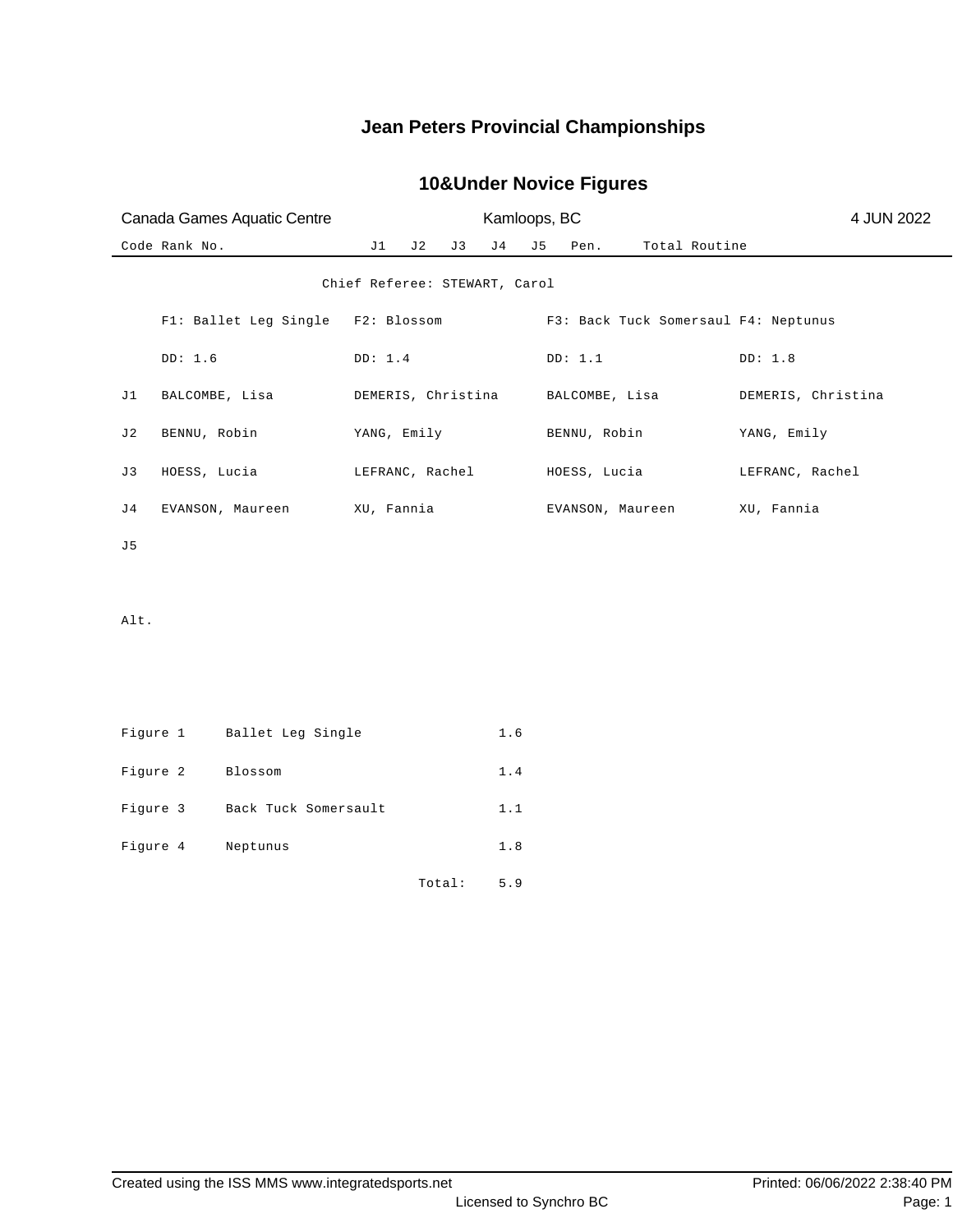### **10&Under Novice Figures**

|      | Canada Games Aquatic Centre |                       |                               |    |        |              |     | Kamloops, BC   |                  |               | 4 JUN 2022                           |
|------|-----------------------------|-----------------------|-------------------------------|----|--------|--------------|-----|----------------|------------------|---------------|--------------------------------------|
|      | Code Rank No.               |                       | J1                            | J2 | J 3    | ${\rm J\,4}$ | J 5 | Pen.           |                  | Total Routine |                                      |
|      |                             |                       | Chief Referee: STEWART, Carol |    |        |              |     |                |                  |               |                                      |
|      |                             | F1: Ballet Leg Single | F2: Blossom                   |    |        |              |     |                |                  |               | F3: Back Tuck Somersaul F4: Neptunus |
|      | DD: 1.6                     |                       | DD: 1.4                       |    |        |              |     | DD: 1.1        |                  |               | DD: 1.8                              |
| J1   |                             | BALCOMBE, Lisa        | DEMERIS, Christina            |    |        |              |     | BALCOMBE, Lisa |                  |               | DEMERIS, Christina                   |
| J2   | BENNU, Robin                |                       | YANG, Emily                   |    |        |              |     | BENNU, Robin   |                  |               | YANG, Emily                          |
| J 3  | HOESS, Lucia                |                       | LEFRANC, Rachel               |    |        |              |     | HOESS, Lucia   |                  |               | LEFRANC, Rachel                      |
| J4   |                             | EVANSON, Maureen      | XU, Fannia                    |    |        |              |     |                | EVANSON, Maureen |               | XU, Fannia                           |
| J5   |                             |                       |                               |    |        |              |     |                |                  |               |                                      |
| Alt. |                             |                       |                               |    |        |              |     |                |                  |               |                                      |
|      | Figure 1                    | Ballet Leg Single     |                               |    |        | 1.6          |     |                |                  |               |                                      |
|      | Figure 2                    | Blossom               |                               |    |        | $1\,.$ $4\,$ |     |                |                  |               |                                      |
|      | Figure 3                    | Back Tuck Somersault  |                               |    |        | 1.1          |     |                |                  |               |                                      |
|      | Figure 4                    | Neptunus              |                               |    |        | $1.8$        |     |                |                  |               |                                      |
|      |                             |                       |                               |    | Total: | 5.9          |     |                |                  |               |                                      |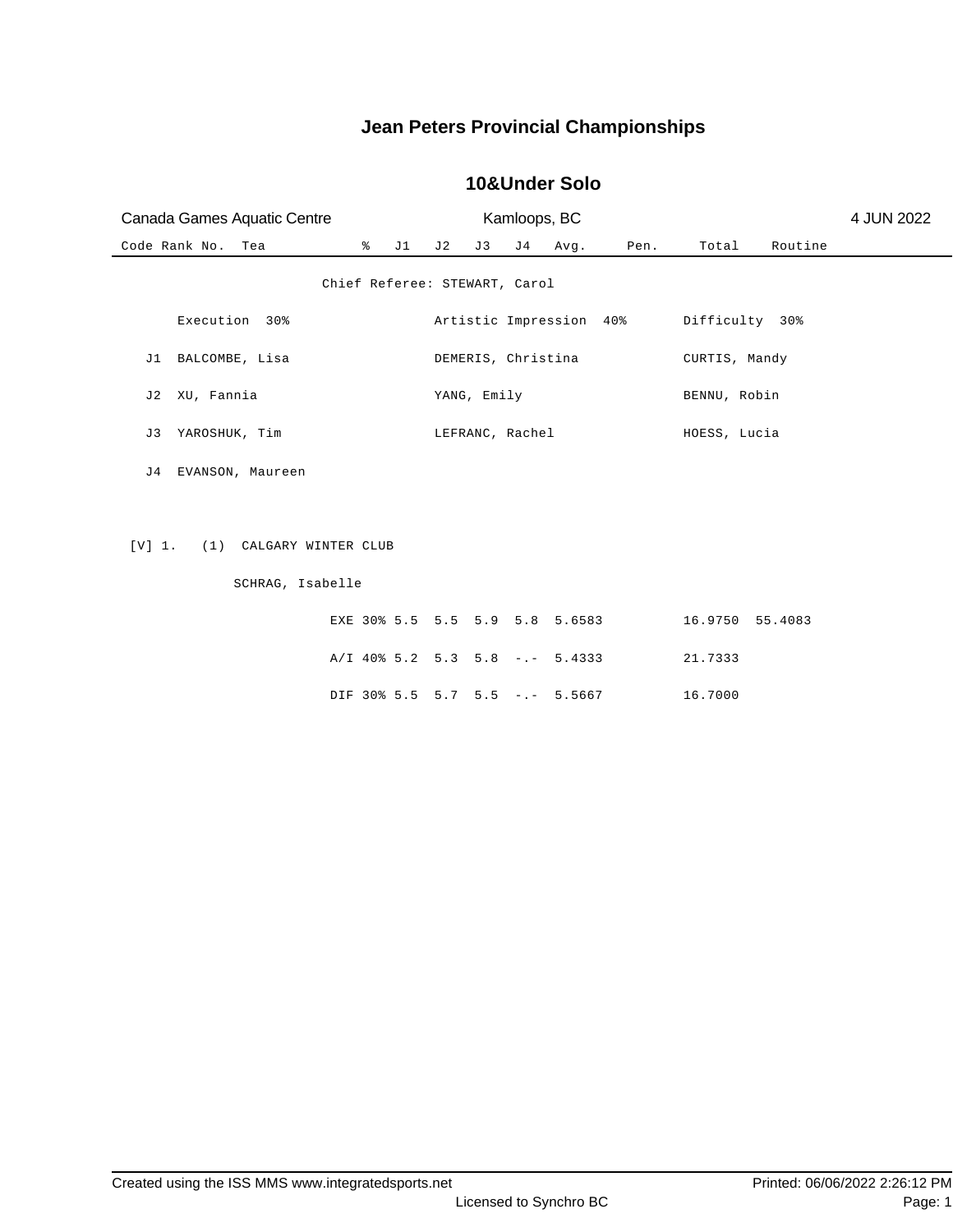| Canada Games Aquatic Centre                           |    | Kamloops, BC |             |  |                         | 4 JUN 2022 |                 |         |  |
|-------------------------------------------------------|----|--------------|-------------|--|-------------------------|------------|-----------------|---------|--|
| Code Rank No. Tea<br>$\frac{8}{6}$                    | J1 | J 2          | J3          |  | J4 Avg.                 | Pen.       | Total           | Routine |  |
| Chief Referee: STEWART, Carol                         |    |              |             |  |                         |            |                 |         |  |
| Execution 30%                                         |    |              |             |  | Artistic Impression 40% |            | Difficulty 30%  |         |  |
| J1 BALCOMBE, Lisa                                     |    |              |             |  | DEMERIS, Christina      |            | CURTIS, Mandy   |         |  |
| XU, Fannia<br>J 2                                     |    |              | YANG, Emily |  |                         |            | BENNU, Robin    |         |  |
| YAROSHUK, Tim<br>J3                                   |    |              |             |  | LEFRANC, Rachel         |            | HOESS, Lucia    |         |  |
| J4 EVANSON, Maureen                                   |    |              |             |  |                         |            |                 |         |  |
| [V] 1.<br>(1) CALGARY WINTER CLUB<br>SCHRAG, Isabelle |    |              |             |  |                         |            |                 |         |  |
|                                                       |    |              |             |  |                         |            |                 |         |  |
| EXE 30% 5.5 5.5 5.9 5.8 5.6583                        |    |              |             |  |                         |            | 16.9750 55.4083 |         |  |
| $A/I$ 40% 5.2 5.3 5.8 -.- 5.4333                      |    |              |             |  |                         |            | 21.7333         |         |  |
| DIF 30% 5.5 5.7 5.5 -.- 5.5667                        |    |              |             |  |                         |            | 16.7000         |         |  |
|                                                       |    |              |             |  |                         |            |                 |         |  |

#### **10&Under Solo**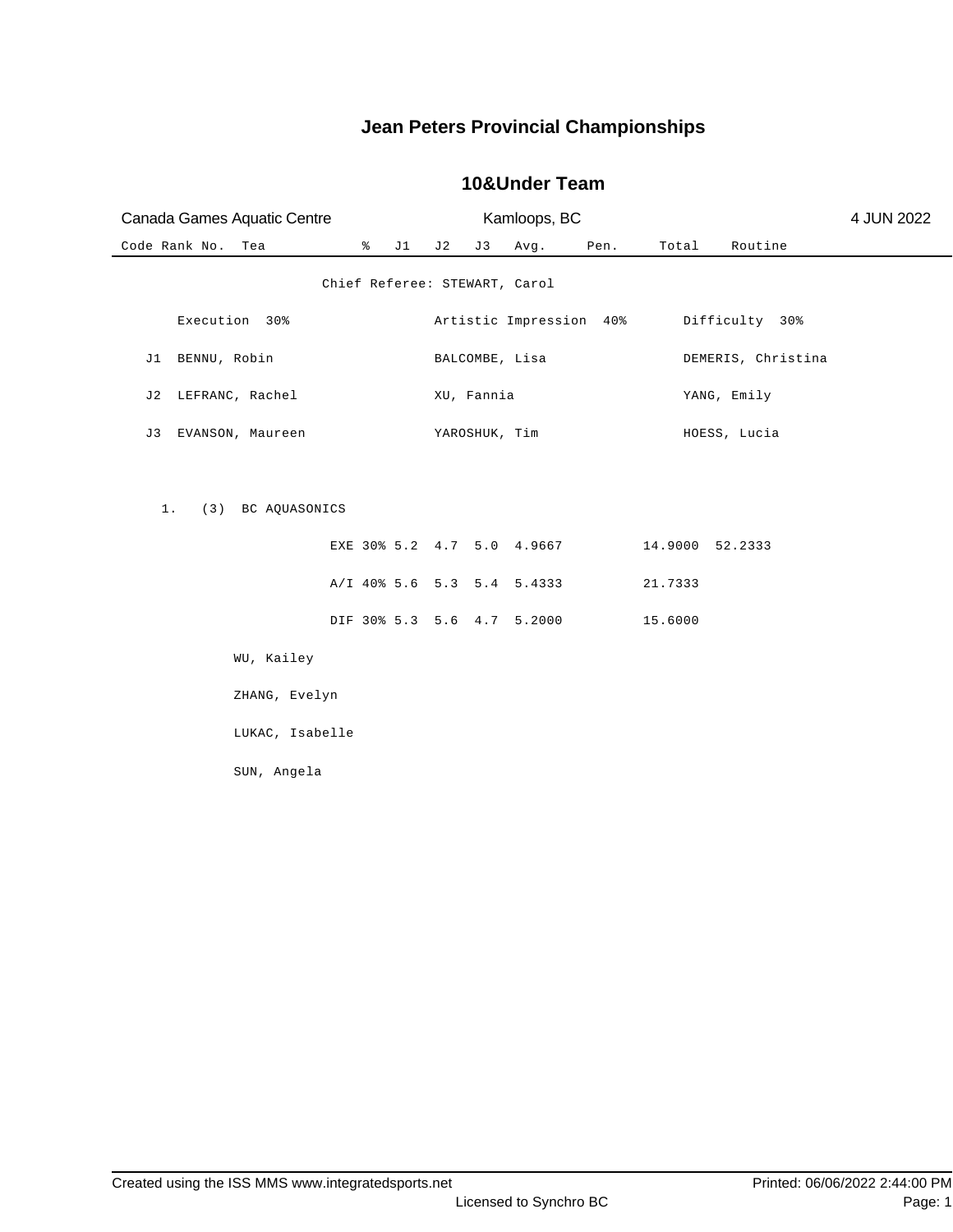| Canada Games Aquatic Centre |                               |    |    |               | Kamloops, BC               |      |                 |                    | 4 JUN 2022 |
|-----------------------------|-------------------------------|----|----|---------------|----------------------------|------|-----------------|--------------------|------------|
| Code Rank No.<br>Tea        | $\frac{8}{6}$                 | J1 | J2 | J3            | Avg.                       | Pen. | Total           | Routine            |            |
|                             | Chief Referee: STEWART, Carol |    |    |               |                            |      |                 |                    |            |
| Execution 30%               |                               |    |    |               | Artistic Impression 40%    |      |                 | Difficulty 30%     |            |
| J1 BENNU, Robin             |                               |    |    |               | BALCOMBE, Lisa             |      |                 | DEMERIS, Christina |            |
| LEFRANC, Rachel<br>J 2      |                               |    |    | XU, Fannia    |                            |      |                 | YANG, Emily        |            |
| EVANSON, Maureen<br>J3      |                               |    |    | YAROSHUK, Tim |                            |      |                 | HOESS, Lucia       |            |
|                             |                               |    |    |               |                            |      |                 |                    |            |
| (3) BC AQUASONICS<br>$1$ .  |                               |    |    |               |                            |      |                 |                    |            |
|                             |                               |    |    |               | EXE 30% 5.2 4.7 5.0 4.9667 |      | 14.9000 52.2333 |                    |            |
|                             |                               |    |    |               | A/I 40% 5.6 5.3 5.4 5.4333 |      | 21.7333         |                    |            |
|                             |                               |    |    |               | DIF 30% 5.3 5.6 4.7 5.2000 |      | 15.6000         |                    |            |
| WU, Kailey                  |                               |    |    |               |                            |      |                 |                    |            |
| ZHANG, Evelyn               |                               |    |    |               |                            |      |                 |                    |            |
| LUKAC, Isabelle             |                               |    |    |               |                            |      |                 |                    |            |
| SUN, Angela                 |                               |    |    |               |                            |      |                 |                    |            |
|                             |                               |    |    |               |                            |      |                 |                    |            |

#### **10&Under Team**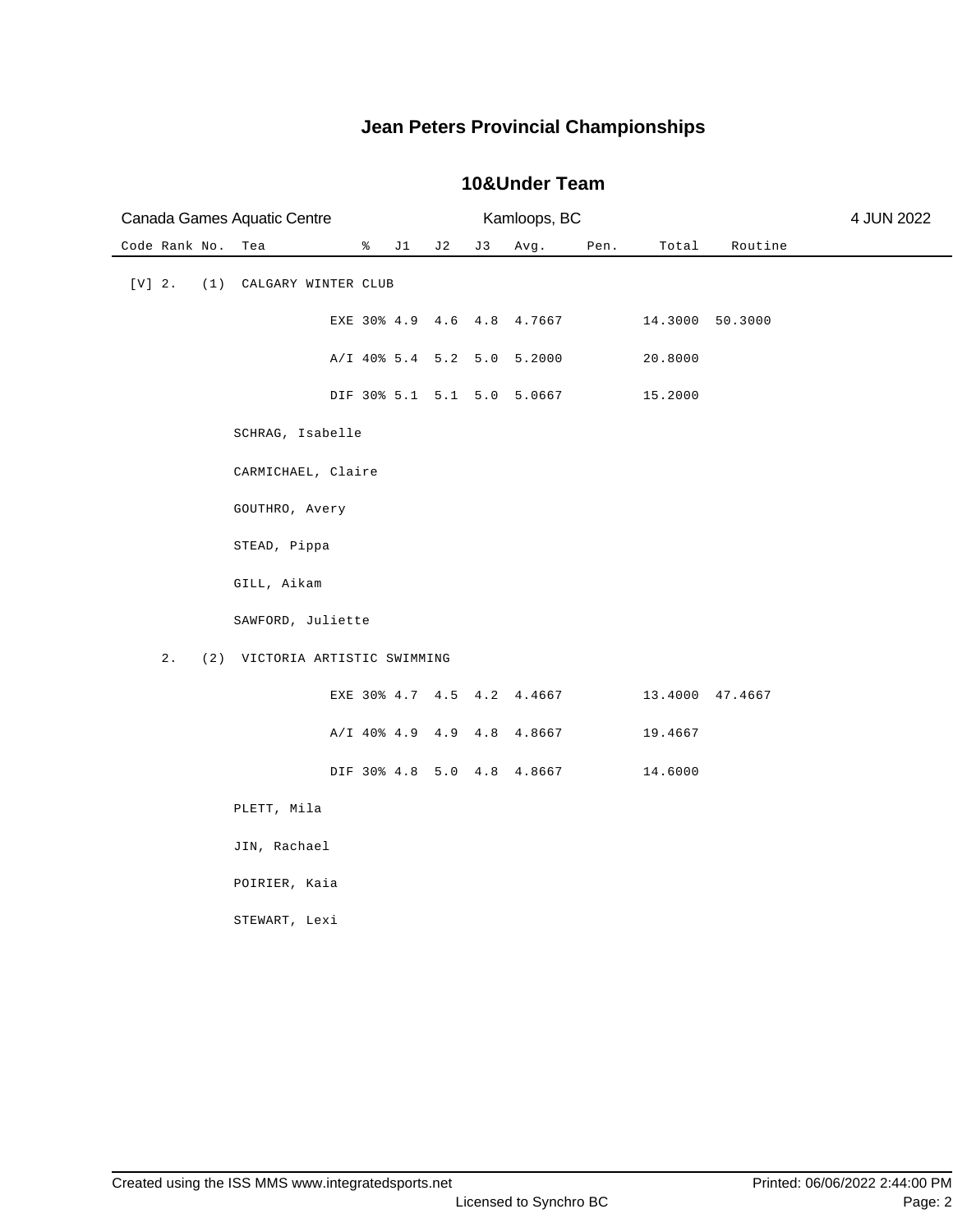| Canada Games Aquatic Centre            |      |    |    |    | Kamloops, BC                 |      |         | 4 JUN 2022      |  |
|----------------------------------------|------|----|----|----|------------------------------|------|---------|-----------------|--|
| Code Rank No.<br>Tea                   | ፟፟፟፟ | J1 | J2 | J3 | Avg.                         | Pen. | Total   | Routine         |  |
| $[V]$ 2.<br>(1)<br>CALGARY WINTER CLUB |      |    |    |    |                              |      |         |                 |  |
|                                        |      |    |    |    | EXE 30% 4.9 4.6 4.8 4.7667   |      |         | 14.3000 50.3000 |  |
|                                        |      |    |    |    | A/I 40% 5.4 5.2 5.0 5.2000   |      | 20.8000 |                 |  |
|                                        |      |    |    |    | DIF 30% 5.1 5.1 5.0 5.0667   |      | 15.2000 |                 |  |
| SCHRAG, Isabelle                       |      |    |    |    |                              |      |         |                 |  |
| CARMICHAEL, Claire                     |      |    |    |    |                              |      |         |                 |  |
| GOUTHRO, Avery                         |      |    |    |    |                              |      |         |                 |  |
| STEAD, Pippa                           |      |    |    |    |                              |      |         |                 |  |
| GILL, Aikam                            |      |    |    |    |                              |      |         |                 |  |
| SAWFORD, Juliette                      |      |    |    |    |                              |      |         |                 |  |
| 2.<br>(2) VICTORIA ARTISTIC SWIMMING   |      |    |    |    |                              |      |         |                 |  |
|                                        |      |    |    |    | EXE 30% 4.7 4.5 4.2 4.4667   |      |         | 13.4000 47.4667 |  |
|                                        |      |    |    |    | $A/I$ 40% 4.9 4.9 4.8 4.8667 |      | 19.4667 |                 |  |
|                                        |      |    |    |    | DIF 30% 4.8 5.0 4.8 4.8667   |      | 14.6000 |                 |  |
| PLETT, Mila                            |      |    |    |    |                              |      |         |                 |  |
| JIN, Rachael                           |      |    |    |    |                              |      |         |                 |  |
| POIRIER, Kaia                          |      |    |    |    |                              |      |         |                 |  |
| STEWART, Lexi                          |      |    |    |    |                              |      |         |                 |  |
|                                        |      |    |    |    |                              |      |         |                 |  |

#### **10&Under Team**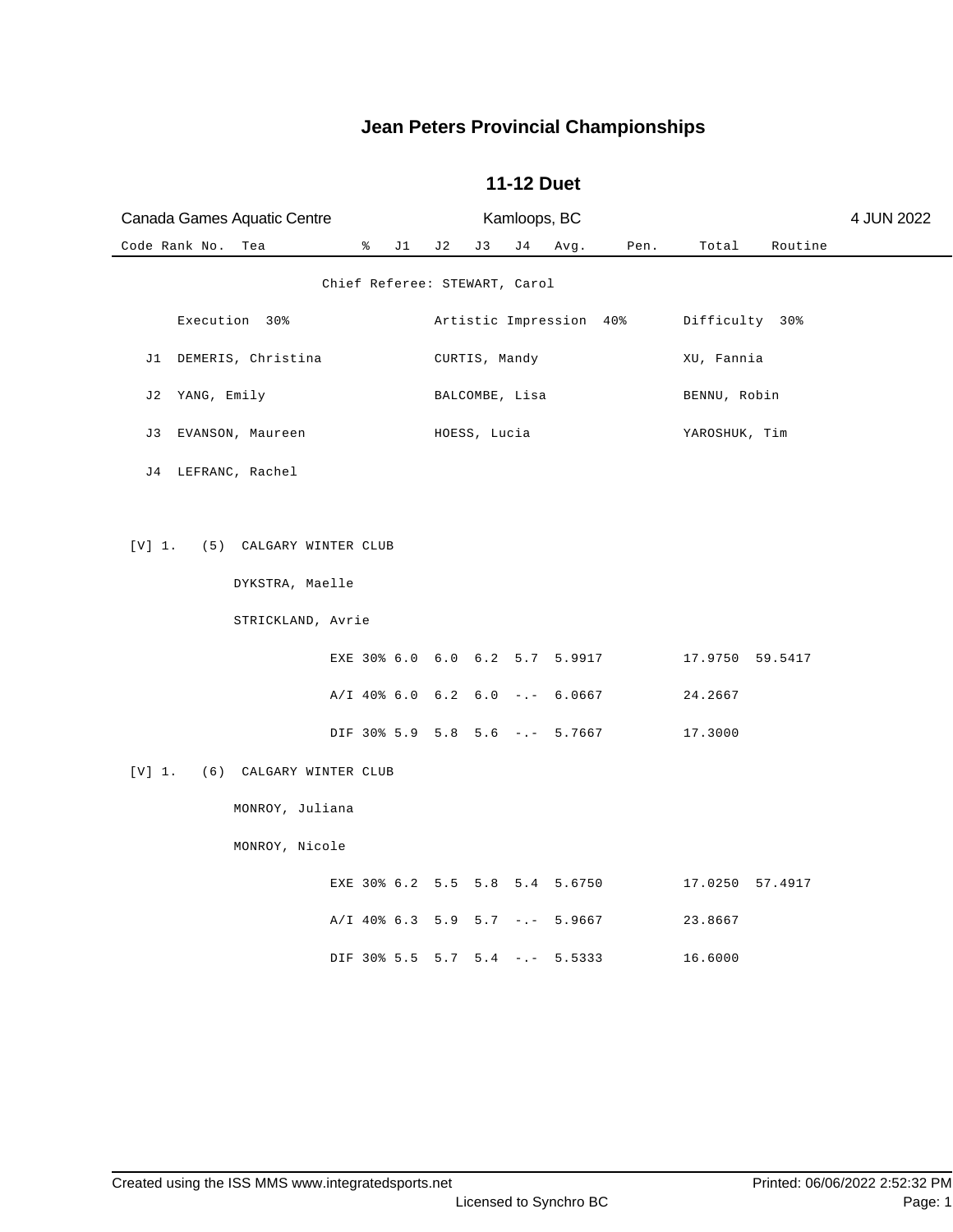| Canada Games Aquatic Centre                                            |                               |     | Kamloops, BC   |                                                                    |                                |                                       |         | 4 JUN 2022 |
|------------------------------------------------------------------------|-------------------------------|-----|----------------|--------------------------------------------------------------------|--------------------------------|---------------------------------------|---------|------------|
| Code Rank No.<br>Tea                                                   | $\sqrt[3]{}$ J1 J2            | J 3 | J 4            | Avg.                                                               | Pen.                           | Total                                 | Routine |            |
|                                                                        | Chief Referee: STEWART, Carol |     |                |                                                                    |                                |                                       |         |            |
| Execution 30%                                                          |                               |     |                |                                                                    | Artistic Impression 40%        | Difficulty 30%                        |         |            |
| J1 DEMERIS, Christina                                                  |                               |     | CURTIS, Mandy  |                                                                    |                                | XU, Fannia                            |         |            |
| J2 YANG, Emily                                                         |                               |     | BALCOMBE, Lisa |                                                                    |                                | BENNU, Robin                          |         |            |
| EVANSON, Maureen<br>J 3                                                |                               |     | HOESS, Lucia   |                                                                    |                                | YAROSHUK, Tim                         |         |            |
| J4 LEFRANC, Rachel                                                     |                               |     |                |                                                                    |                                |                                       |         |            |
| [V] 1. (5) CALGARY WINTER CLUB<br>DYKSTRA, Maelle<br>STRICKLAND, Avrie |                               |     |                | EXE 30% 6.0 6.0 6.2 5.7 5.9917<br>$A/I$ 40% 6.0 6.2 6.0 -.- 6.0667 | DIF 30% 5.9 5.8 5.6 -.- 5.7667 | 17.9750 59.5417<br>24.2667<br>17.3000 |         |            |
| [V] 1.<br>(6) CALGARY WINTER CLUB                                      |                               |     |                |                                                                    |                                |                                       |         |            |
| MONROY, Juliana                                                        |                               |     |                |                                                                    |                                |                                       |         |            |
| MONROY, Nicole                                                         |                               |     |                |                                                                    |                                |                                       |         |            |
|                                                                        |                               |     |                | EXE 30% 6.2 5.5 5.8 5.4 5.6750                                     |                                | 17.0250 57.4917                       |         |            |
|                                                                        |                               |     |                | $A/I$ 40% 6.3 5.9 5.7 -.- 5.9667                                   |                                | 23.8667                               |         |            |
|                                                                        |                               |     |                | DIF 30% 5.5 5.7 5.4 -.- 5.5333                                     |                                | 16.6000                               |         |            |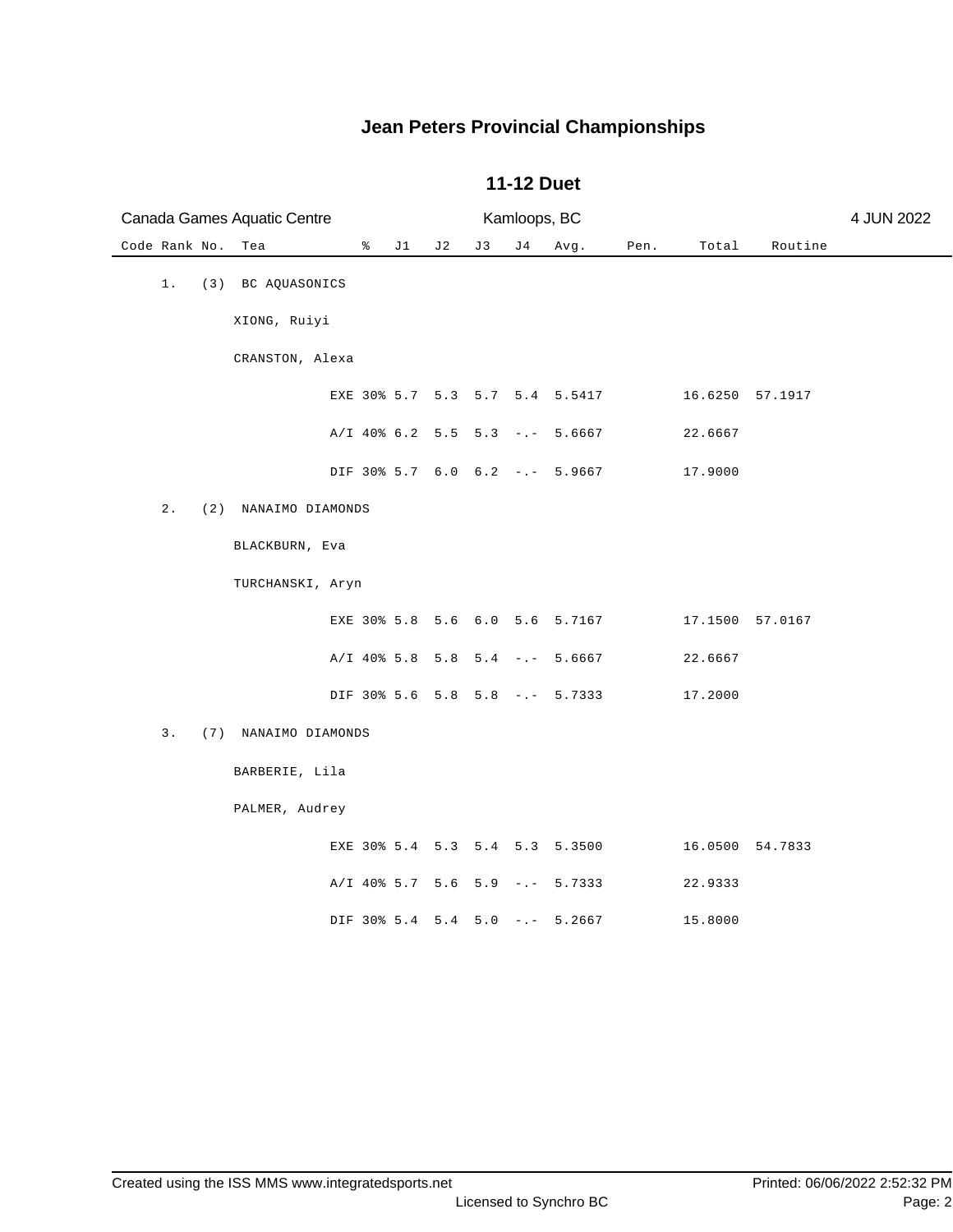| Canada Games Aquatic Centre |                      |   |    | Kamloops, BC |    |     | 4 JUN 2022                       |      |         |                 |  |
|-----------------------------|----------------------|---|----|--------------|----|-----|----------------------------------|------|---------|-----------------|--|
| Code Rank No.               | Tea                  | ိ | J1 | J2           | J3 | J 4 | Avg.                             | Pen. | Total   | Routine         |  |
| $1$ .                       | (3) BC AQUASONICS    |   |    |              |    |     |                                  |      |         |                 |  |
|                             | XIONG, Ruiyi         |   |    |              |    |     |                                  |      |         |                 |  |
|                             | CRANSTON, Alexa      |   |    |              |    |     |                                  |      |         |                 |  |
|                             |                      |   |    |              |    |     | EXE 30% 5.7 5.3 5.7 5.4 5.5417   |      |         | 16.6250 57.1917 |  |
|                             |                      |   |    |              |    |     | A/I 40% 6.2 5.5 5.3 -.- 5.6667   |      | 22.6667 |                 |  |
|                             |                      |   |    |              |    |     | DIF 30% 5.7 6.0 6.2 -.- 5.9667   |      | 17.9000 |                 |  |
| $2$ .                       | (2) NANAIMO DIAMONDS |   |    |              |    |     |                                  |      |         |                 |  |
|                             | BLACKBURN, Eva       |   |    |              |    |     |                                  |      |         |                 |  |
|                             | TURCHANSKI, Aryn     |   |    |              |    |     |                                  |      |         |                 |  |
|                             |                      |   |    |              |    |     | EXE 30% 5.8 5.6 6.0 5.6 5.7167   |      |         | 17.1500 57.0167 |  |
|                             |                      |   |    |              |    |     | A/I 40% 5.8 5.8 5.4 -.- 5.6667   |      | 22.6667 |                 |  |
|                             |                      |   |    |              |    |     | DIF 30% 5.6 5.8 5.8 -.- 5.7333   |      | 17.2000 |                 |  |
| 3.                          | (7) NANAIMO DIAMONDS |   |    |              |    |     |                                  |      |         |                 |  |
|                             | BARBERIE, Lila       |   |    |              |    |     |                                  |      |         |                 |  |
|                             | PALMER, Audrey       |   |    |              |    |     |                                  |      |         |                 |  |
|                             |                      |   |    |              |    |     | EXE 30% 5.4 5.3 5.4 5.3 5.3500   |      |         | 16.0500 54.7833 |  |
|                             |                      |   |    |              |    |     | $A/I$ 40% 5.7 5.6 5.9 -.- 5.7333 |      | 22.9333 |                 |  |
|                             |                      |   |    |              |    |     | DIF 30% 5.4 5.4 5.0 -.- 5.2667   |      | 15.8000 |                 |  |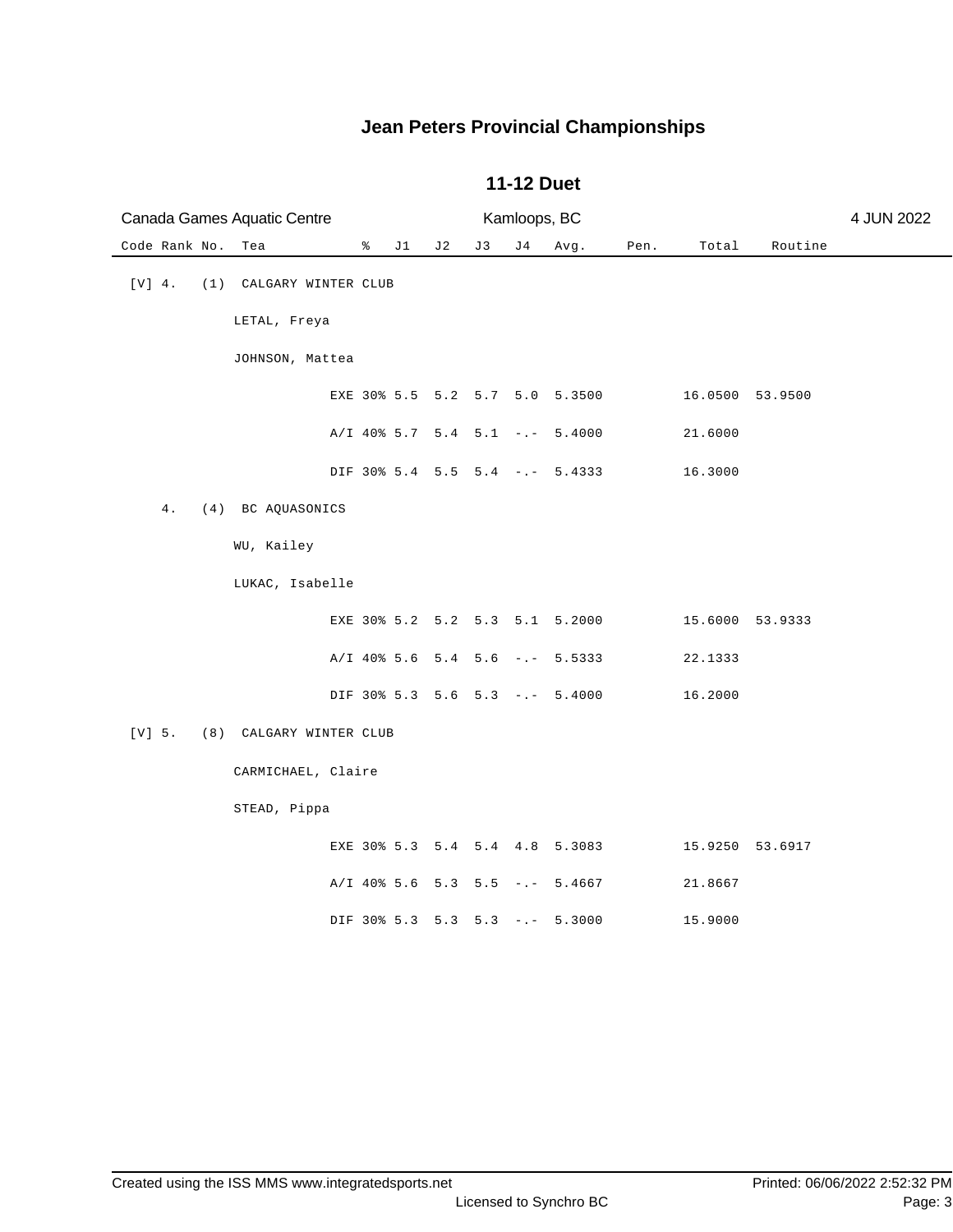| Canada Games Aquatic Centre |                         |              |    |    | Kamloops, BC |                                |      |                 |         | 4 JUN 2022 |
|-----------------------------|-------------------------|--------------|----|----|--------------|--------------------------------|------|-----------------|---------|------------|
| Code Rank No.<br>Tea        |                         | $\approx$ J1 | J2 | J3 | J 4          | Avg.                           | Pen. | Total           | Routine |            |
| $[V]$ 4.                    | (1) CALGARY WINTER CLUB |              |    |    |              |                                |      |                 |         |            |
|                             | LETAL, Freya            |              |    |    |              |                                |      |                 |         |            |
|                             | JOHNSON, Mattea         |              |    |    |              |                                |      |                 |         |            |
|                             |                         |              |    |    |              | EXE 30% 5.5 5.2 5.7 5.0 5.3500 |      | 16.0500 53.9500 |         |            |
|                             |                         |              |    |    |              | A/I 40% 5.7 5.4 5.1 -.- 5.4000 |      | 21.6000         |         |            |
|                             |                         |              |    |    |              | DIF 30% 5.4 5.5 5.4 -.- 5.4333 |      | 16.3000         |         |            |
| $4$ .                       | (4) BC AQUASONICS       |              |    |    |              |                                |      |                 |         |            |
|                             | WU, Kailey              |              |    |    |              |                                |      |                 |         |            |
|                             | LUKAC, Isabelle         |              |    |    |              |                                |      |                 |         |            |
|                             |                         |              |    |    |              | EXE 30% 5.2 5.2 5.3 5.1 5.2000 |      | 15.6000 53.9333 |         |            |
|                             |                         |              |    |    |              | A/I 40% 5.6 5.4 5.6 -.- 5.5333 |      | 22.1333         |         |            |
|                             |                         |              |    |    |              | DIF 30% 5.3 5.6 5.3 -.- 5.4000 |      | 16.2000         |         |            |
| $[V] 5.$                    | (8) CALGARY WINTER CLUB |              |    |    |              |                                |      |                 |         |            |
|                             | CARMICHAEL, Claire      |              |    |    |              |                                |      |                 |         |            |
|                             | STEAD, Pippa            |              |    |    |              |                                |      |                 |         |            |
|                             |                         |              |    |    |              | EXE 30% 5.3 5.4 5.4 4.8 5.3083 |      | 15.9250 53.6917 |         |            |
|                             |                         |              |    |    |              | A/I 40% 5.6 5.3 5.5 -.- 5.4667 |      | 21.8667         |         |            |
|                             |                         |              |    |    |              | DIF 30% 5.3 5.3 5.3 -.- 5.3000 |      | 15.9000         |         |            |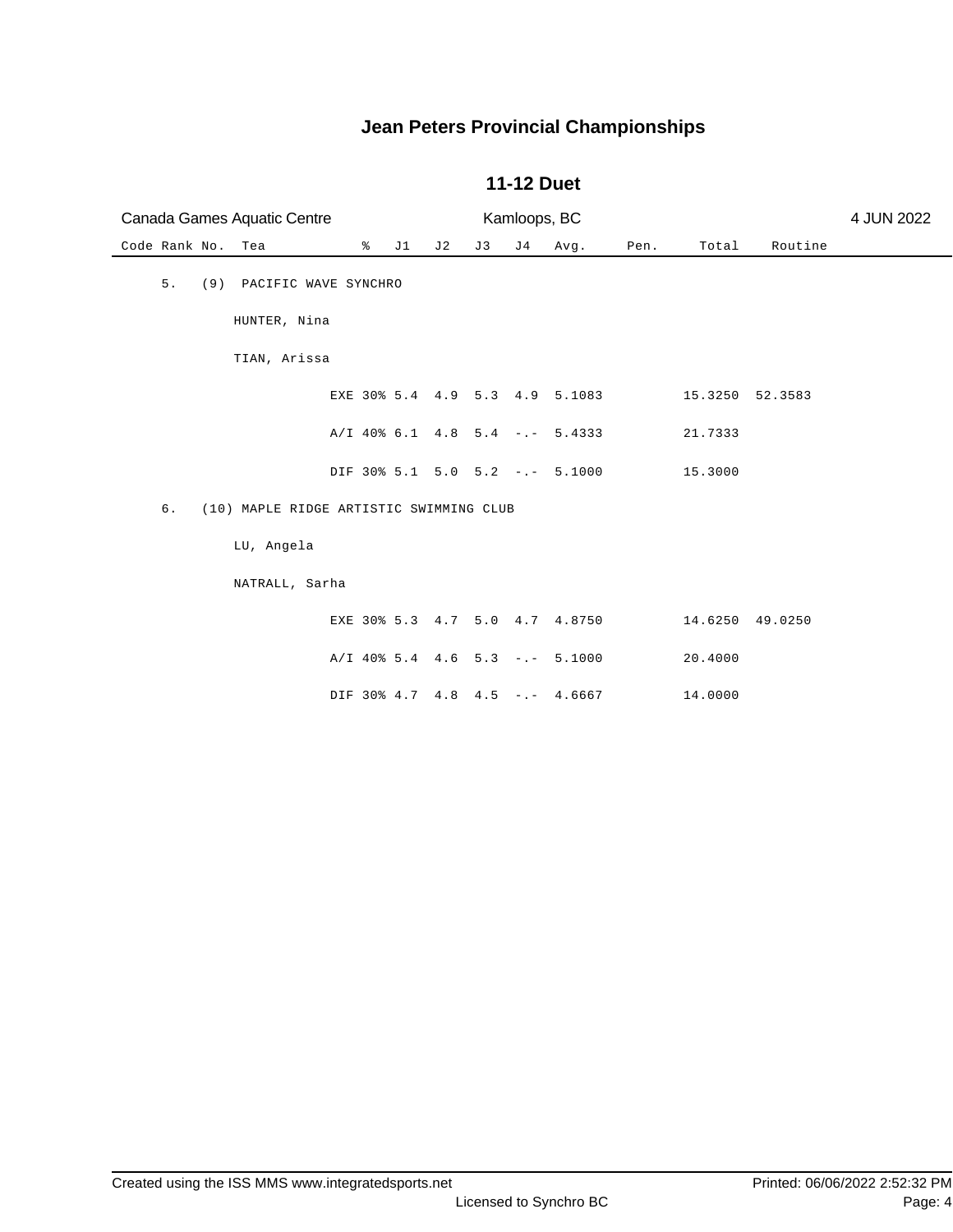| Canada Games Aquatic Centre                   |                                |     | Kamloops, BC |     | 4 JUN 2022 |      |                 |         |  |
|-----------------------------------------------|--------------------------------|-----|--------------|-----|------------|------|-----------------|---------|--|
| Code Rank No.<br>Tea                          | % $\sim$<br>J1                 | J 2 | J 3          | J 4 | Avg.       | Pen. | Total           | Routine |  |
| 5.<br>(9) PACIFIC WAVE SYNCHRO                |                                |     |              |     |            |      |                 |         |  |
| HUNTER, Nina                                  |                                |     |              |     |            |      |                 |         |  |
| TIAN, Arissa                                  |                                |     |              |     |            |      |                 |         |  |
|                                               | EXE 30% 5.4 4.9 5.3 4.9 5.1083 |     |              |     |            |      | 15.3250 52.3583 |         |  |
|                                               | A/I 40% 6.1 4.8 5.4 -.- 5.4333 |     |              |     |            |      | 21.7333         |         |  |
|                                               | DIF 30% 5.1 5.0 5.2 -.- 5.1000 |     |              |     |            |      | 15.3000         |         |  |
| 6.<br>(10) MAPLE RIDGE ARTISTIC SWIMMING CLUB |                                |     |              |     |            |      |                 |         |  |
| LU, Angela                                    |                                |     |              |     |            |      |                 |         |  |
| NATRALL, Sarha                                |                                |     |              |     |            |      |                 |         |  |
|                                               | EXE 30% 5.3 4.7 5.0 4.7 4.8750 |     |              |     |            |      | 14.6250 49.0250 |         |  |
|                                               | A/I 40% 5.4 4.6 5.3 -.- 5.1000 |     |              |     |            |      | 20.4000         |         |  |
|                                               | DIF 30% 4.7 4.8 4.5 -.- 4.6667 |     |              |     |            |      | 14.0000         |         |  |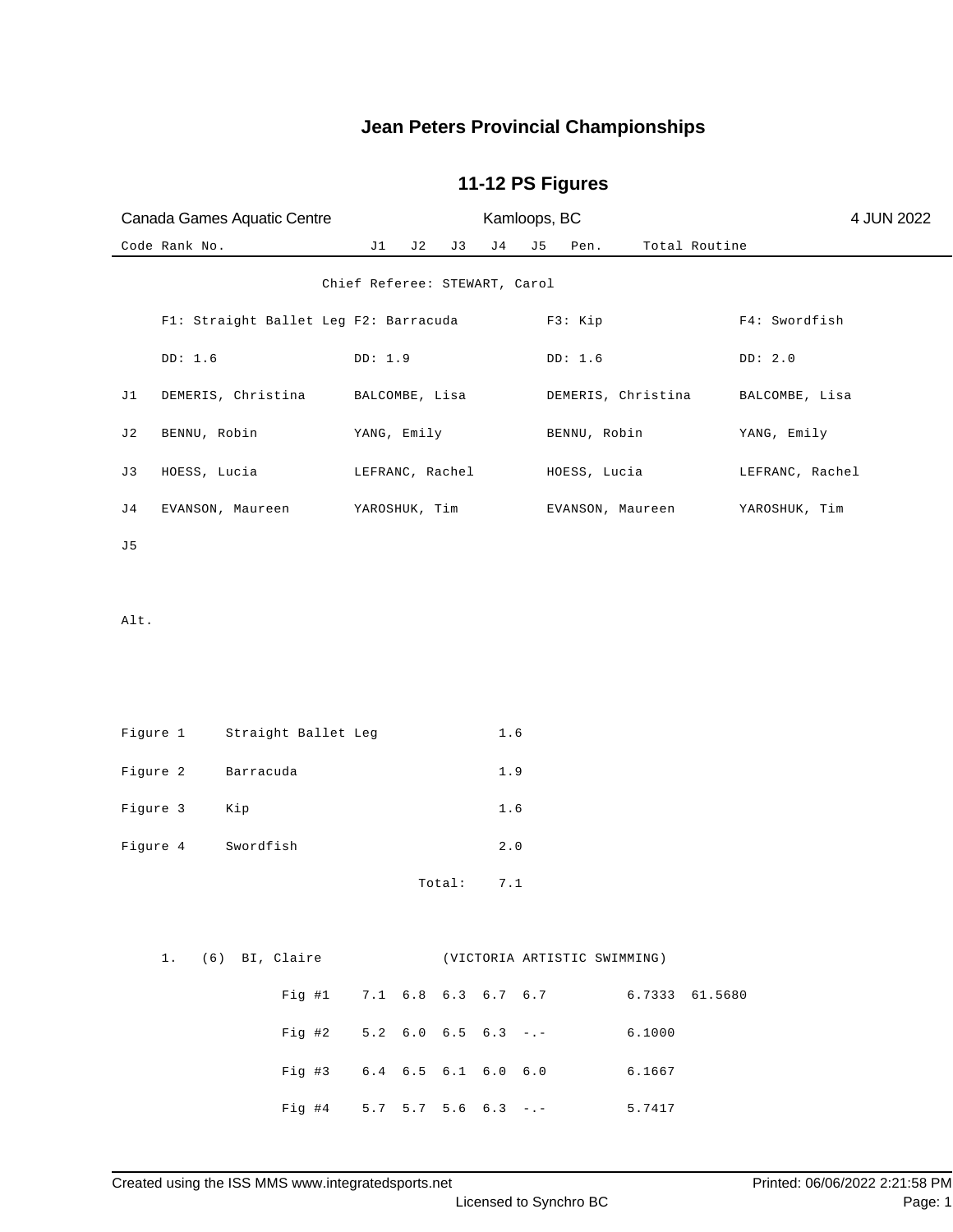| Canada Games Aquatic Centre |               |                                                |                               |     |        | Kamloops, BC                  |                               |                                              | 4 JUN 2022         |                 |
|-----------------------------|---------------|------------------------------------------------|-------------------------------|-----|--------|-------------------------------|-------------------------------|----------------------------------------------|--------------------|-----------------|
|                             | Code Rank No. |                                                | J1                            | J 2 | J 3    | J <sub>4</sub>                | J 5                           | Pen.                                         |                    | Total Routine   |
|                             |               |                                                | Chief Referee: STEWART, Carol |     |        |                               |                               |                                              |                    |                 |
|                             |               | Fl: Straight Ballet Leg F2: Barracuda          |                               |     |        |                               |                               | F3: Kip                                      |                    | F4: Swordfish   |
|                             | DD: 1.6       |                                                | DD: 1.9                       |     |        |                               |                               | DD: 1.6                                      |                    | DD: 2.0         |
| J 1                         |               | DEMERIS, Christina                             | BALCOMBE, Lisa                |     |        |                               |                               |                                              | DEMERIS, Christina | BALCOMBE, Lisa  |
| J 2                         | BENNU, Robin  |                                                | YANG, Emily                   |     |        |                               |                               | BENNU, Robin                                 |                    | YANG, Emily     |
| J3                          | HOESS, Lucia  |                                                | LEFRANC, Rachel               |     |        |                               |                               | HOESS, Lucia                                 |                    | LEFRANC, Rachel |
| J 4                         |               | EVANSON, Maureen                               | YAROSHUK, Tim                 |     |        |                               |                               |                                              | EVANSON, Maureen   | YAROSHUK, Tim   |
| J 5                         |               |                                                |                               |     |        |                               |                               |                                              |                    |                 |
|                             |               |                                                |                               |     |        |                               |                               |                                              |                    |                 |
| Alt.                        |               |                                                |                               |     |        |                               |                               |                                              |                    |                 |
|                             |               |                                                |                               |     |        |                               |                               |                                              |                    |                 |
|                             |               |                                                |                               |     |        |                               |                               |                                              |                    |                 |
| Figure 1                    |               | Straight Ballet Leg                            |                               |     |        | 1.6                           |                               |                                              |                    |                 |
| Figure 2                    |               | Barracuda                                      |                               |     |        | $1.9$                         |                               |                                              |                    |                 |
| Figure 3                    |               | Kip                                            |                               |     |        | 1.6                           |                               |                                              |                    |                 |
| Figure 4                    |               | Swordfish                                      |                               |     |        | $2.0$                         |                               |                                              |                    |                 |
|                             |               |                                                |                               |     | Total: | 7.1                           |                               |                                              |                    |                 |
|                             |               |                                                |                               |     |        |                               |                               |                                              |                    |                 |
|                             |               | 1. (6) BI, Claire (VICTORIA ARTISTIC SWIMMING) |                               |     |        |                               |                               |                                              |                    |                 |
|                             |               | Fig #1 7.1 6.8 6.3 6.7 6.7 6.7 6.7333 61.5680  |                               |     |        |                               |                               |                                              |                    |                 |
|                             |               | Fig 42                                         |                               |     |        |                               |                               | $5.2 \quad 6.0 \quad 6.5 \quad 6.3 \quad -1$ | 6.1000             |                 |
|                             |               | Fig 43                                         |                               |     |        | $6.4$ $6.5$ $6.1$ $6.0$ $6.0$ |                               |                                              | 6.1667             |                 |
|                             |               | Fig #4                                         |                               |     |        |                               | $5.7$ $5.7$ $5.6$ $6.3$ $-$ . |                                              | 5.7417             |                 |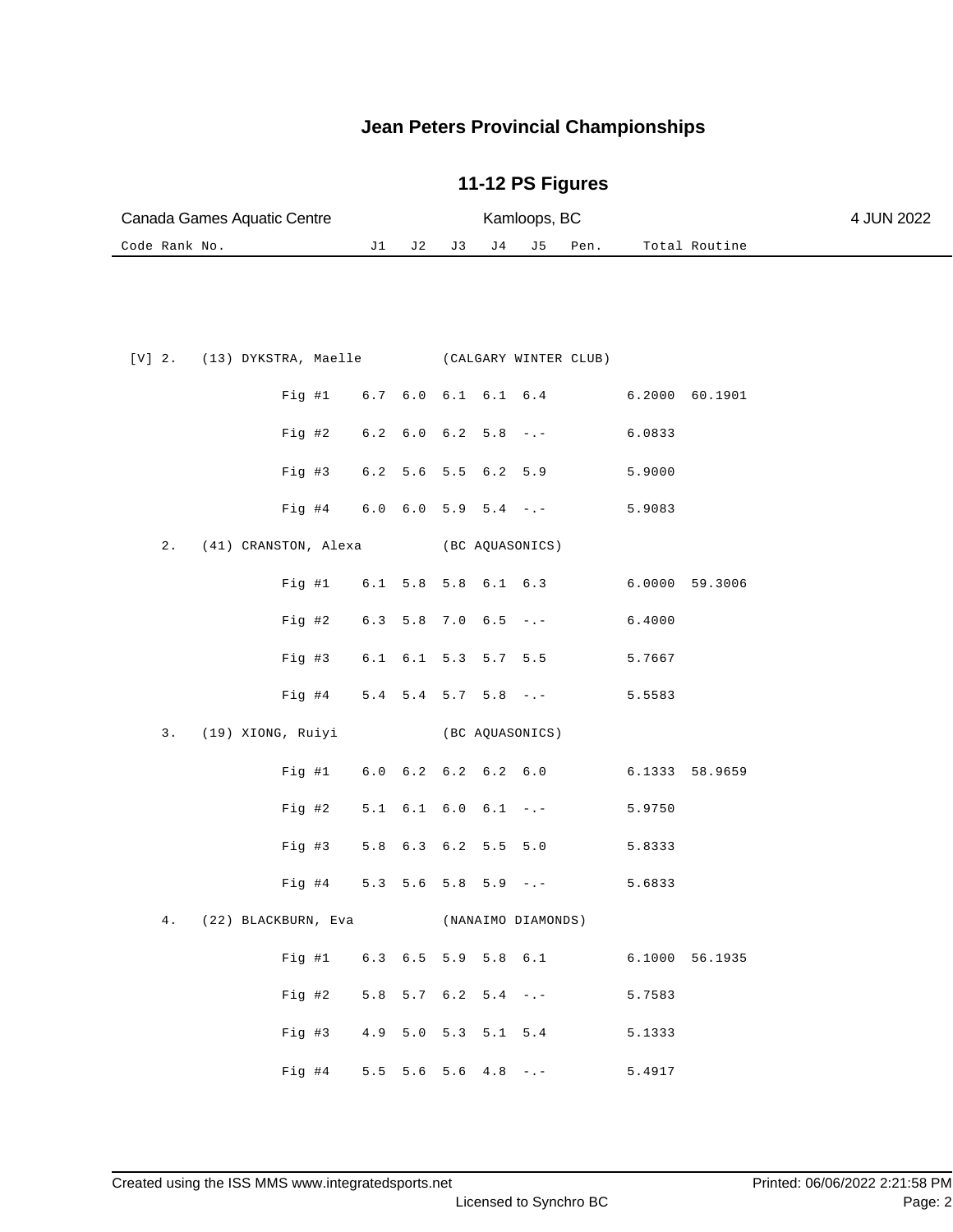| Canada Games Aquatic Centre      |                               |                     | Kamloops, BC          |                                    | 4 JUN 2022 |
|----------------------------------|-------------------------------|---------------------|-----------------------|------------------------------------|------------|
| Code Rank No.                    | J1<br>J 2                     | J 3<br>J 4          | J 5<br>Pen.           | Total Routine                      |            |
|                                  |                               |                     |                       |                                    |            |
| $[V]$ 2.<br>(13) DYKSTRA, Maelle |                               |                     | (CALGARY WINTER CLUB) |                                    |            |
| Fig  #1                          |                               |                     |                       | 6.7 6.0 6.1 6.1 6.4 6.2000 60.1901 |            |
| Fig 42                           | $6.2$ $6.0$ $6.2$ $5.8$ $-:-$ |                     |                       | 6.0833                             |            |
| $Fig. \#3$                       | 6.2 5.6 5.5 6.2 5.9           |                     |                       | 5.9000                             |            |
| $Fig. \#4$                       | $6.0$ $6.0$ $5.9$ $5.4$ $-:-$ |                     |                       | 5.9083                             |            |
| 2.<br>(41) CRANSTON, Alexa       |                               | (BC AQUASONICS)     |                       |                                    |            |
| Fig  #1                          |                               |                     |                       | 6.1 5.8 5.8 6.1 6.3 6.0000 59.3006 |            |
| Fig 42                           | $6.3$ 5.8 7.0 6.5 -.-         |                     |                       | 6.4000                             |            |
| $Fig. \#3$                       |                               | 6.1 6.1 5.3 5.7 5.5 |                       | 5.7667                             |            |

|  | Fig #4 $5.4$ 5.4 5.7 5.8 -.-               |  |  |                 | 5.5583 |                |
|--|--------------------------------------------|--|--|-----------------|--------|----------------|
|  | 3. (19) XIONG, Ruiyi                       |  |  | (BC AQUASONICS) |        |                |
|  | Fig #1 $6.0$ $6.2$ $6.2$ $6.2$ $6.2$ $6.0$ |  |  |                 |        | 6.1333 58.9659 |
|  | Fig #2 $5.1$ 6.1 6.0 6.1 -.-               |  |  |                 | 5.9750 |                |
|  | Fig #3 5.8 6.3 6.2 5.5 5.0                 |  |  |                 | 5.8333 |                |
|  | Fig #4 $5.3$ 5.6 5.8 5.9 -.-               |  |  |                 | 5.6833 |                |

|  | 4. (22) BLACKBURN, Eva          |  | (NANAIMO DIAMONDS) |  |                              |        |                |  |
|--|---------------------------------|--|--------------------|--|------------------------------|--------|----------------|--|
|  |                                 |  |                    |  | Fig #1 $6.3$ 6.5 5.9 5.8 6.1 |        | 6.1000 56.1935 |  |
|  | Fig #2 $5.8$ 5.7 $6.2$ 5.4 $-.$ |  |                    |  |                              | 5.7583 |                |  |
|  | Fig #3 $4.9$ 5.0 5.3 5.1 5.4    |  |                    |  |                              | 5.1333 |                |  |
|  | Fig #4 $5.5$ 5.6 5.6 4.8 -.-    |  |                    |  |                              | 5.4917 |                |  |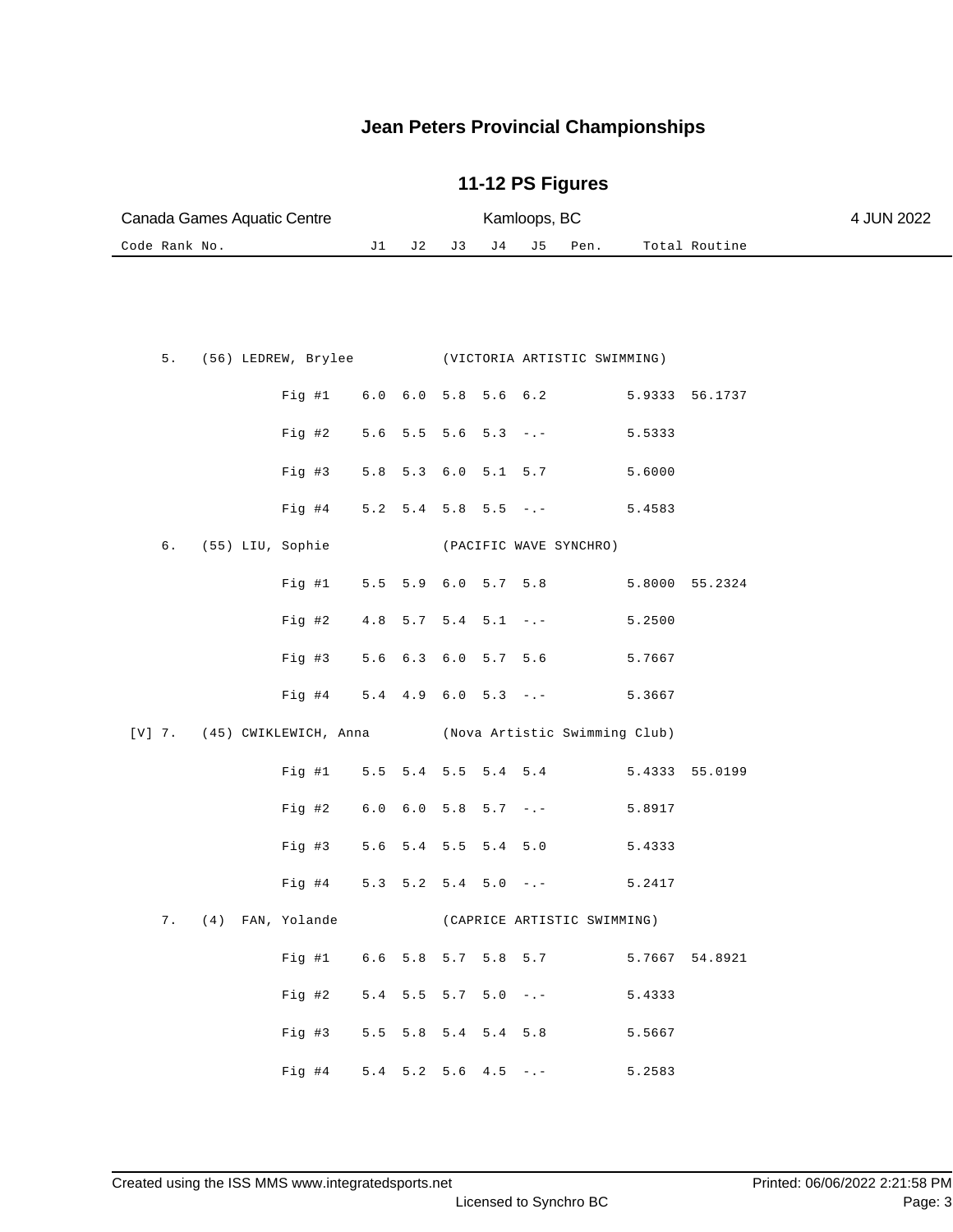| Canada Games Aquatic Centre |  |  | Kamloops, BC | 4 JUN 2022       |               |  |
|-----------------------------|--|--|--------------|------------------|---------------|--|
| Code Rank No.               |  |  |              | J2 J3 J4 J5 Pen. | Total Routine |  |

|  |  |                                      |  |  | 5. (56) LEDREW, Brylee (VICTORIA ARTISTIC SWIMMING)        |        |                |
|--|--|--------------------------------------|--|--|------------------------------------------------------------|--------|----------------|
|  |  |                                      |  |  | Fig #1 6.0 6.0 5.8 5.6 6.2 5.9333 56.1737                  |        |                |
|  |  |                                      |  |  | Fig #2 $5.6$ 5.5 5.6 5.3 -.-                               | 5.5333 |                |
|  |  |                                      |  |  | Fig #3 $5.8$ 5.3 6.0 5.1 5.7                               | 5.6000 |                |
|  |  |                                      |  |  | Fig #4 $5.2$ 5.4 5.8 5.5 -.-                               | 5.4583 |                |
|  |  | 6. (55) LIU, Sophie                  |  |  | (PACIFIC WAVE SYNCHRO)                                     |        |                |
|  |  |                                      |  |  | Fig #1 5.5 5.9 6.0 5.7 5.8 5.8000 55.2324                  |        |                |
|  |  |                                      |  |  | Fig #2 $4.8$ 5.7 5.4 5.1 -.- 5.2500                        |        |                |
|  |  | Fig #3 $5.6$ $6.3$ $6.0$ $5.7$ $5.6$ |  |  |                                                            | 5.7667 |                |
|  |  |                                      |  |  | Fig #4 5.4 4.9 6.0 5.3 -.- 5.3667                          |        |                |
|  |  |                                      |  |  | [V] 7. (45) CWIKLEWICH, Anna (Nova Artistic Swimming Club) |        |                |
|  |  |                                      |  |  | Fig #1 $5.5$ 5.4 5.5 5.4 5.4                               |        | 5.4333 55.0199 |
|  |  |                                      |  |  |                                                            |        |                |
|  |  |                                      |  |  | Fig #2 $6.0$ $6.0$ $5.8$ $5.7$ $-$ .                       | 5.8917 |                |
|  |  |                                      |  |  | Fig #3 $5.6$ 5.4 5.5 5.4 5.0                               | 5.4333 |                |
|  |  |                                      |  |  | Fig #4 $5.3$ 5.2 5.4 5.0 -.-                               | 5.2417 |                |
|  |  | 7. (4) FAN, Yolande                  |  |  | (CAPRICE ARTISTIC SWIMMING)                                |        |                |
|  |  |                                      |  |  | Fig #1 $6.6$ 5.8 5.7 5.8 5.7                               |        | 5.7667 54.8921 |
|  |  |                                      |  |  | Fig #2 $5.4$ 5.5 5.7 5.0 -.-                               | 5.4333 |                |
|  |  | Fig #3 $5.5$ 5.8 5.4 5.4 5.8         |  |  |                                                            | 5.5667 |                |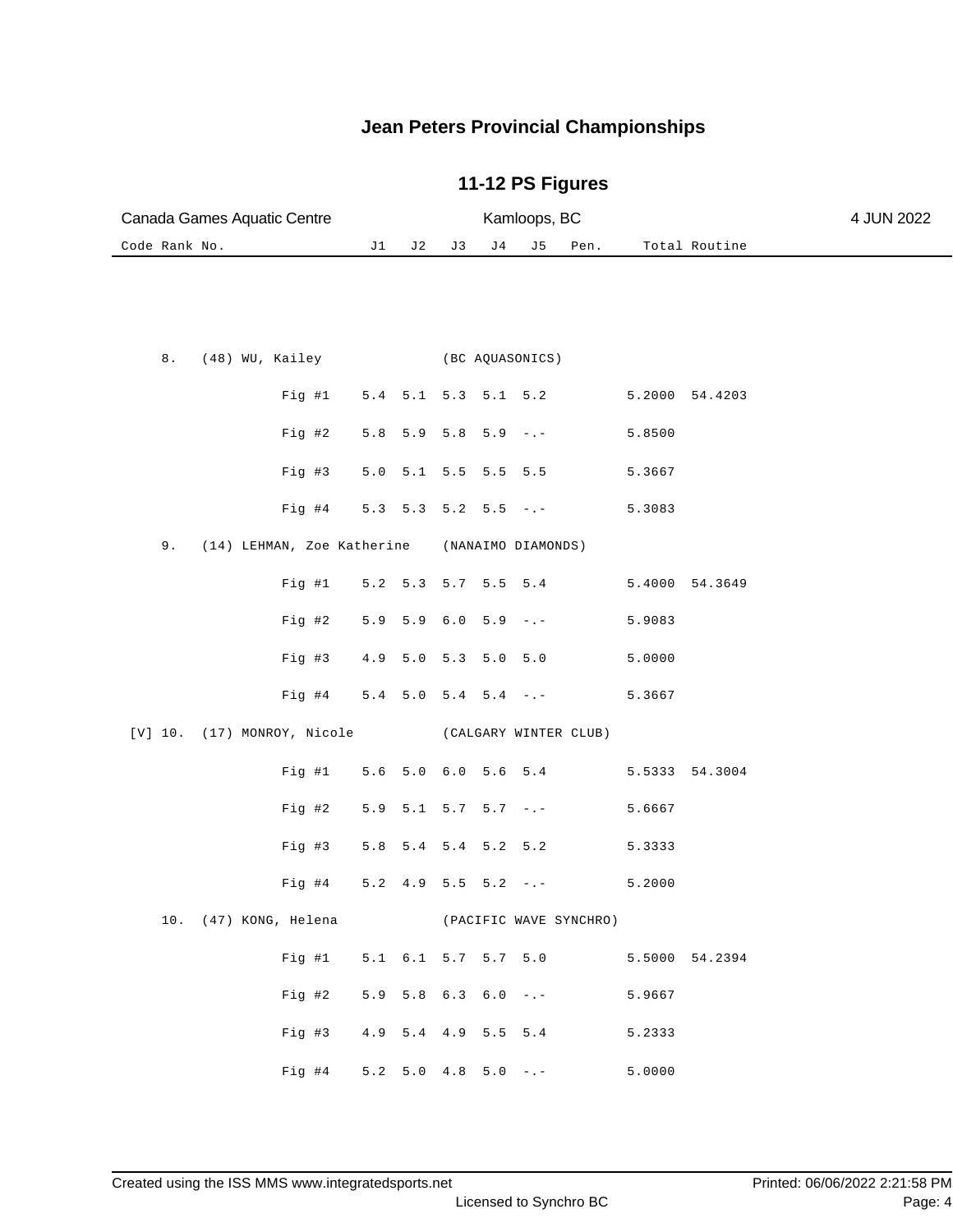| Canada Games Aquatic Centre      |       |         | 4 JUN 2022 |                               |                    |                        |        |                |  |
|----------------------------------|-------|---------|------------|-------------------------------|--------------------|------------------------|--------|----------------|--|
| Code Rank No.                    | J1    | J 2     | J 3        | J 4                           | J 5                | Pen.                   |        | Total Routine  |  |
|                                  |       |         |            |                               |                    |                        |        |                |  |
| 8.<br>(48) WU, Kailey            |       |         |            |                               | (BC AQUASONICS)    |                        |        |                |  |
| Fig #1                           |       |         |            | 5.4 5.1 5.3 5.1 5.2           |                    |                        |        | 5.2000 54.4203 |  |
| Fig #2                           | 5.8   |         |            | 5.9 5.8 5.9                   | $-$ , $-$          |                        | 5.8500 |                |  |
| $Fig. \#3$                       | $5.0$ |         |            | 5.1 5.5 5.5 5.5               |                    |                        | 5.3667 |                |  |
| Fig #4                           |       |         |            | $5.3$ $5.3$ $5.2$ $5.5$ $-.-$ |                    |                        | 5.3083 |                |  |
| 9.<br>(14) LEHMAN, Zoe Katherine |       |         |            |                               | (NANAIMO DIAMONDS) |                        |        |                |  |
| Fig  #1                          |       |         |            | 5.2 5.3 5.7 5.5 5.4           |                    |                        | 5.4000 | 54.3649        |  |
| Fig 42                           | 5.9   |         |            | $5.9$ 6.0 5.9 -.-             |                    |                        | 5.9083 |                |  |
| Fig #3                           | 4.9   | 5.0 5.3 |            |                               | 5.0 5.0            |                        | 5.0000 |                |  |
| Fig #4                           |       |         |            | $5.4$ $5.0$ $5.4$ $5.4$ $-:-$ |                    |                        | 5.3667 |                |  |
| (17) MONROY, Nicole<br>[V] 10.   |       |         |            |                               |                    | (CALGARY WINTER CLUB)  |        |                |  |
| Fig #1                           |       |         |            | 5.6 5.0 6.0 5.6 5.4           |                    |                        | 5.5333 | 54.3004        |  |
| Fig #2                           | 5.9   |         |            | $5.1$ $5.7$ $5.7$ $-.-$       |                    |                        | 5.6667 |                |  |
| Fig #3                           | 5.8   |         |            | $5.4$ $5.4$ $5.2$ $5.2$       |                    |                        | 5.3333 |                |  |
| Fig #4                           | 5.2   | 4.9     | $5.5$      |                               | $5.2 - - -$        |                        | 5.2000 |                |  |
| 10. (47) KONG, Helena            |       |         |            |                               |                    | (PACIFIC WAVE SYNCHRO) |        |                |  |
| Fig #1                           |       |         |            | 5.1 6.1 5.7 5.7 5.0           |                    |                        |        | 5.5000 54.2394 |  |
| Fig #2                           |       |         |            | $5.9$ $5.8$ $6.3$ $6.0$ $-:-$ |                    |                        | 5.9667 |                |  |
| Fig #3                           |       |         |            | 4.9 5.4 4.9 5.5 5.4           |                    |                        | 5.2333 |                |  |
| Fig #4                           |       |         |            | $5.2$ $5.0$ $4.8$ $5.0$ $-:-$ |                    |                        | 5.0000 |                |  |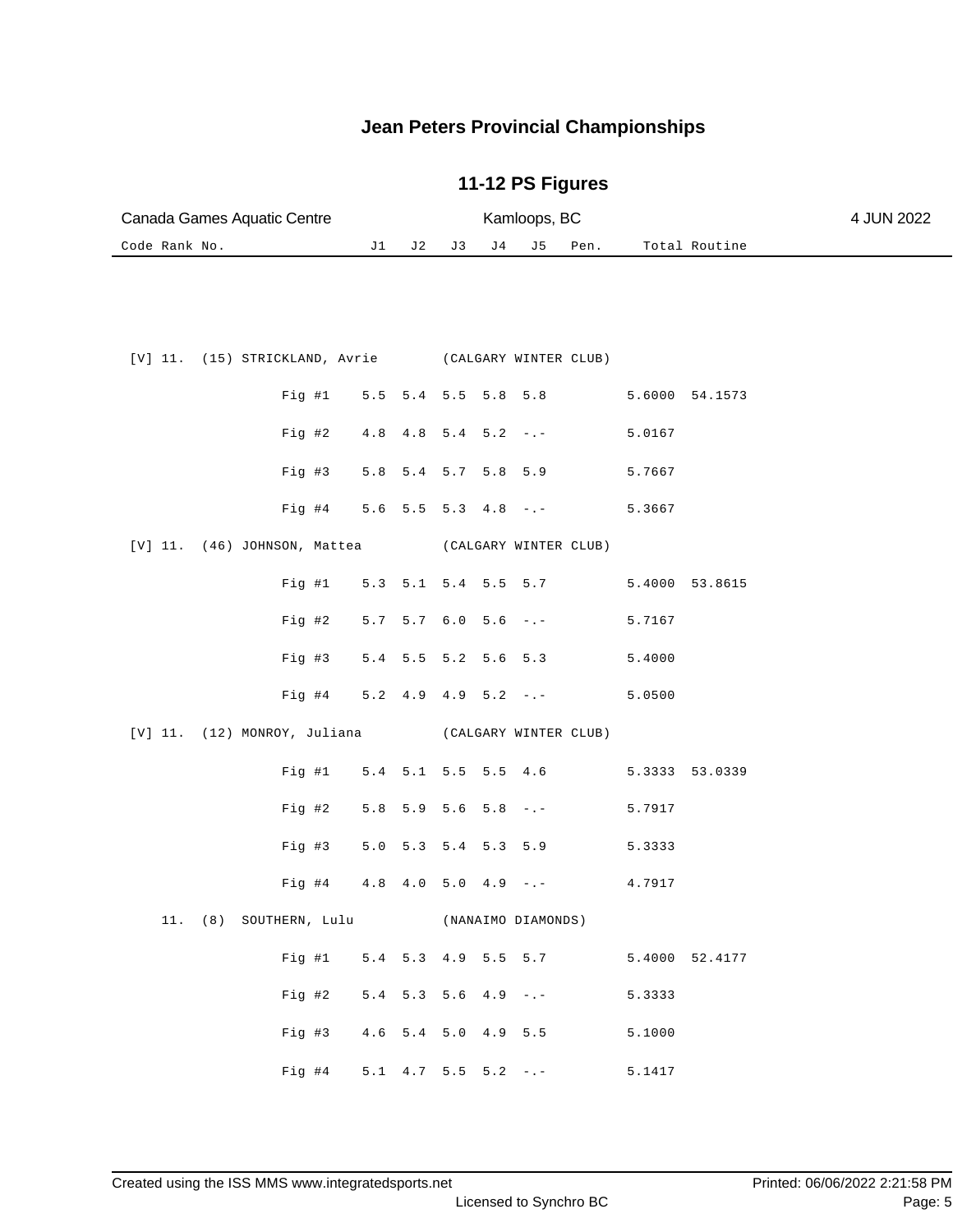| Canada Games Aquatic Centre                             |                     |                               |             | 4 JUN 2022       |           |                       |        |                |  |
|---------------------------------------------------------|---------------------|-------------------------------|-------------|------------------|-----------|-----------------------|--------|----------------|--|
| Code Rank No.                                           | J1                  | J 2                           | J3          | J 4              | J5        | Pen.                  |        | Total Routine  |  |
|                                                         |                     |                               |             |                  |           |                       |        |                |  |
| [V] 11.<br>(15) STRICKLAND, Avrie (CALGARY WINTER CLUB) |                     |                               |             |                  |           |                       |        |                |  |
| Fig #1                                                  | 5.5                 | 5.4 5.5 5.8                   |             |                  | 5.8       |                       |        | 5.6000 54.1573 |  |
| Fig 42                                                  | 4.8                 |                               | 4.8 5.4 5.2 |                  | $ -$      |                       | 5.0167 |                |  |
| Fig #3                                                  | 5.8                 | 5.4 5.7 5.8                   |             |                  | 5.9       |                       | 5.7667 |                |  |
| Fig #4                                                  |                     | $5.6$ $5.5$ $5.3$ $4.8$       |             |                  | $-$ , $-$ |                       | 5.3667 |                |  |
| $[V]$ 11. (46) JOHNSON, Mattea                          |                     |                               |             |                  |           | (CALGARY WINTER CLUB) |        |                |  |
| Fig  #1                                                 |                     | 5.3 5.1 5.4 5.5 5.7           |             |                  |           |                       |        | 5.4000 53.8615 |  |
| $Fig. \#2$                                              |                     | $5.7$ $5.7$ $6.0$ $5.6$ $-:-$ |             |                  |           |                       | 5.7167 |                |  |
| Fig #3                                                  | 5.4                 | 5.5 5.2 5.6 5.3               |             |                  |           |                       | 5.4000 |                |  |
| Fig #4                                                  |                     | $5.2 \quad 4.9$               |             | $4.9$ $5.2$ $-1$ |           |                       | 5.0500 |                |  |
| $[V]$ 11.<br>(12) MONROY, Juliana                       |                     |                               |             |                  |           | (CALGARY WINTER CLUB) |        |                |  |
| Fig  #1                                                 |                     | 5.4 5.1 5.5 5.5 4.6           |             |                  |           |                       |        | 5.3333 53.0339 |  |
| Fig #2                                                  | $5.8$               |                               | 5.9 5.6     | 5.8              | $-$ . $-$ |                       | 5.7917 |                |  |
| $Fig. \#3$                                              | 5.0                 | 5.3 5.4 5.3 5.9               |             |                  |           |                       | 5.3333 |                |  |
| $Fig. \#4$                                              | $4.8$               | 4.0 5.0 4.9                   |             |                  | $-$ , $-$ |                       | 4.7917 |                |  |
| 11. (8) SOUTHERN, Lulu (NANAIMO DIAMONDS)               |                     |                               |             |                  |           |                       |        |                |  |
| Fig #1 5.4 5.3 4.9 5.5 5.7                              |                     |                               |             |                  |           |                       |        | 5.4000 52.4177 |  |
| Fig #2                                                  |                     | $5.4$ $5.3$ $5.6$ $4.9$ $-:-$ |             |                  |           |                       | 5.3333 |                |  |
| Fig #3                                                  | 4.6 5.4 5.0 4.9 5.5 |                               |             |                  |           |                       | 5.1000 |                |  |
| Fig #4 $5.1$ 4.7 5.5 5.2 -.-                            |                     |                               |             |                  |           |                       | 5.1417 |                |  |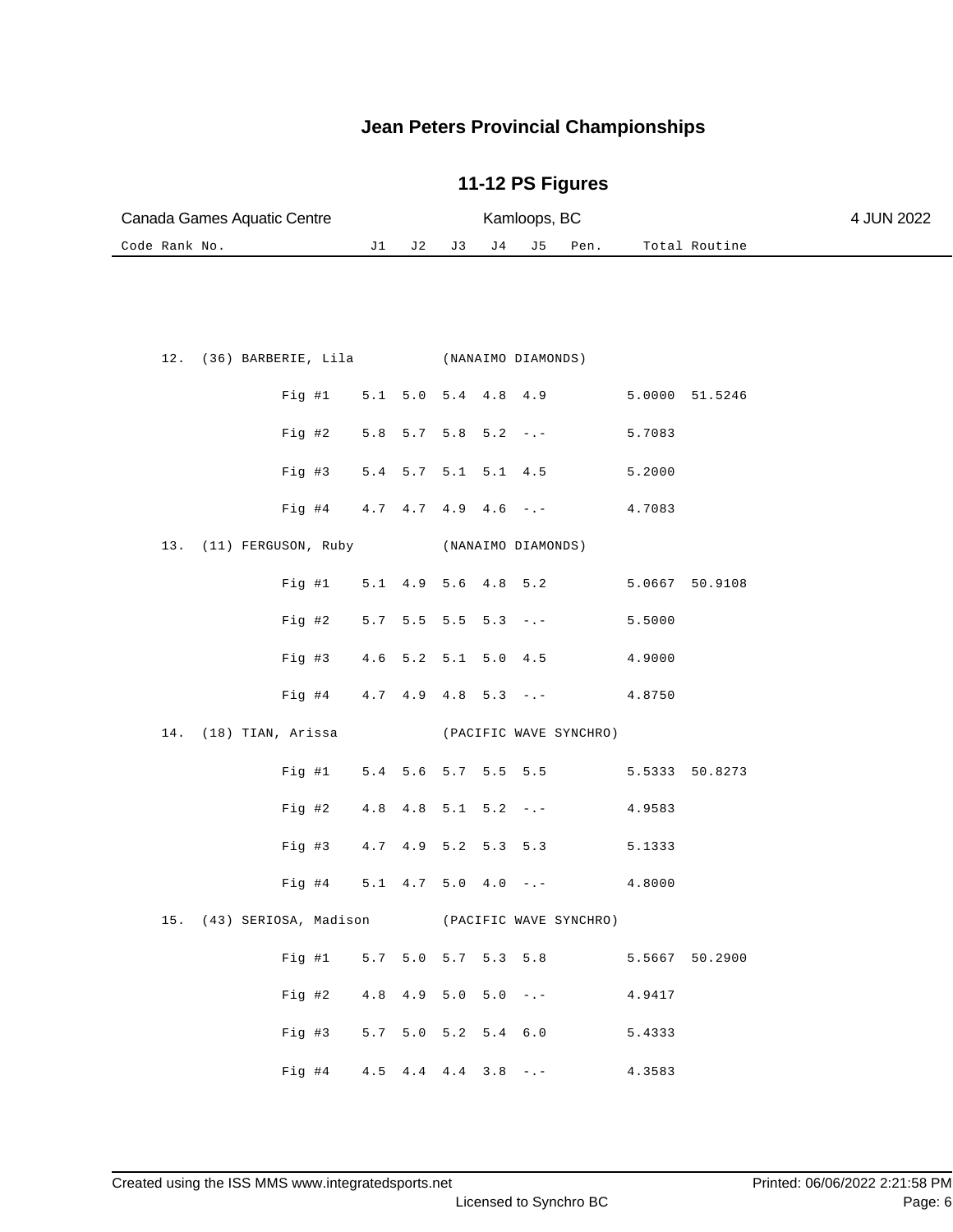| Canada Games Aquatic Centre                      |       |                 |                               |                           | Kamloops, BC        |                        |                |               | 4 JUN 2022 |
|--------------------------------------------------|-------|-----------------|-------------------------------|---------------------------|---------------------|------------------------|----------------|---------------|------------|
| Code Rank No.                                    | J1    | J 2             | J 3                           | J 4                       | J 5                 | Pen.                   |                | Total Routine |            |
|                                                  |       |                 |                               |                           |                     |                        |                |               |            |
|                                                  |       |                 |                               |                           |                     |                        |                |               |            |
| 12.<br>(36) BARBERIE, Lila (NANAIMO DIAMONDS)    |       |                 |                               |                           |                     |                        |                |               |            |
| Fig  #1                                          |       |                 | 5.1 5.0 5.4 4.8 4.9           |                           |                     |                        | 5.0000 51.5246 |               |            |
| Fig 42                                           |       | 5.8 5.7         |                               | $5.8$ $5.2$ $-:-$         |                     |                        | 5.7083         |               |            |
| Fig #3                                           |       |                 | $5.4$ $5.7$ $5.1$ $5.1$ $4.5$ |                           |                     |                        | 5.2000         |               |            |
| Fig #4                                           |       |                 | $4.7$ $4.7$ $4.9$ $4.6$ $-.-$ |                           |                     |                        | 4.7083         |               |            |
| (11) FERGUSON, Ruby<br>13.                       |       |                 |                               |                           | (NANAIMO DIAMONDS)  |                        |                |               |            |
| Fig #1                                           |       | $5.1 \quad 4.9$ |                               | $5.6$ 4.8 5.2             |                     |                        | 5.0667 50.9108 |               |            |
| Fig #2                                           |       | $5.7 \quad 5.5$ |                               | $5.5$ $5.3$ $-:-$         |                     |                        | 5.5000         |               |            |
| Fig #3                                           | 4.6   |                 | $5.2$ $5.1$ $5.0$ $4.5$       |                           |                     |                        | 4.9000         |               |            |
| $Fig. \#4$                                       |       |                 | $4.7$ $4.9$ $4.8$ $5.3$ $-.-$ |                           |                     |                        | 4.8750         |               |            |
| 14. (18) TIAN, Arissa                            |       |                 |                               |                           |                     | (PACIFIC WAVE SYNCHRO) |                |               |            |
| Fig #1                                           |       |                 | 5.4 5.6 5.7 5.5 5.5           |                           |                     |                        | 5.5333 50.8273 |               |            |
| Fig #2                                           | $4.8$ | 4.8             |                               | $5.1 \quad 5.2 \quad - -$ |                     |                        | 4.9583         |               |            |
| Fig #3                                           |       |                 | 4.7 4.9 5.2 5.3 5.3           |                           |                     |                        | 5.1333         |               |            |
| $Fig. \#4$                                       | $5.1$ | 4.7             |                               | $5.0 \quad 4.0 \quad - -$ |                     |                        | 4.8000         |               |            |
| 15. (43) SERIOSA, Madison (PACIFIC WAVE SYNCHRO) |       |                 |                               |                           |                     |                        |                |               |            |
| Fig #1                                           |       |                 |                               |                           |                     | 5.7 5.0 5.7 5.3 5.8    | 5.5667 50.2900 |               |            |
| Fig #2                                           |       |                 | $4.8$ $4.9$ $5.0$ $5.0$ $-1$  |                           |                     |                        | 4.9417         |               |            |
| Fig #3                                           |       |                 |                               |                           | 5.7 5.0 5.2 5.4 6.0 |                        | 5.4333         |               |            |
| Fig #4 $4.5$ 4.4 $4.4$ 3.8 -.-                   |       |                 |                               |                           |                     |                        | 4.3583         |               |            |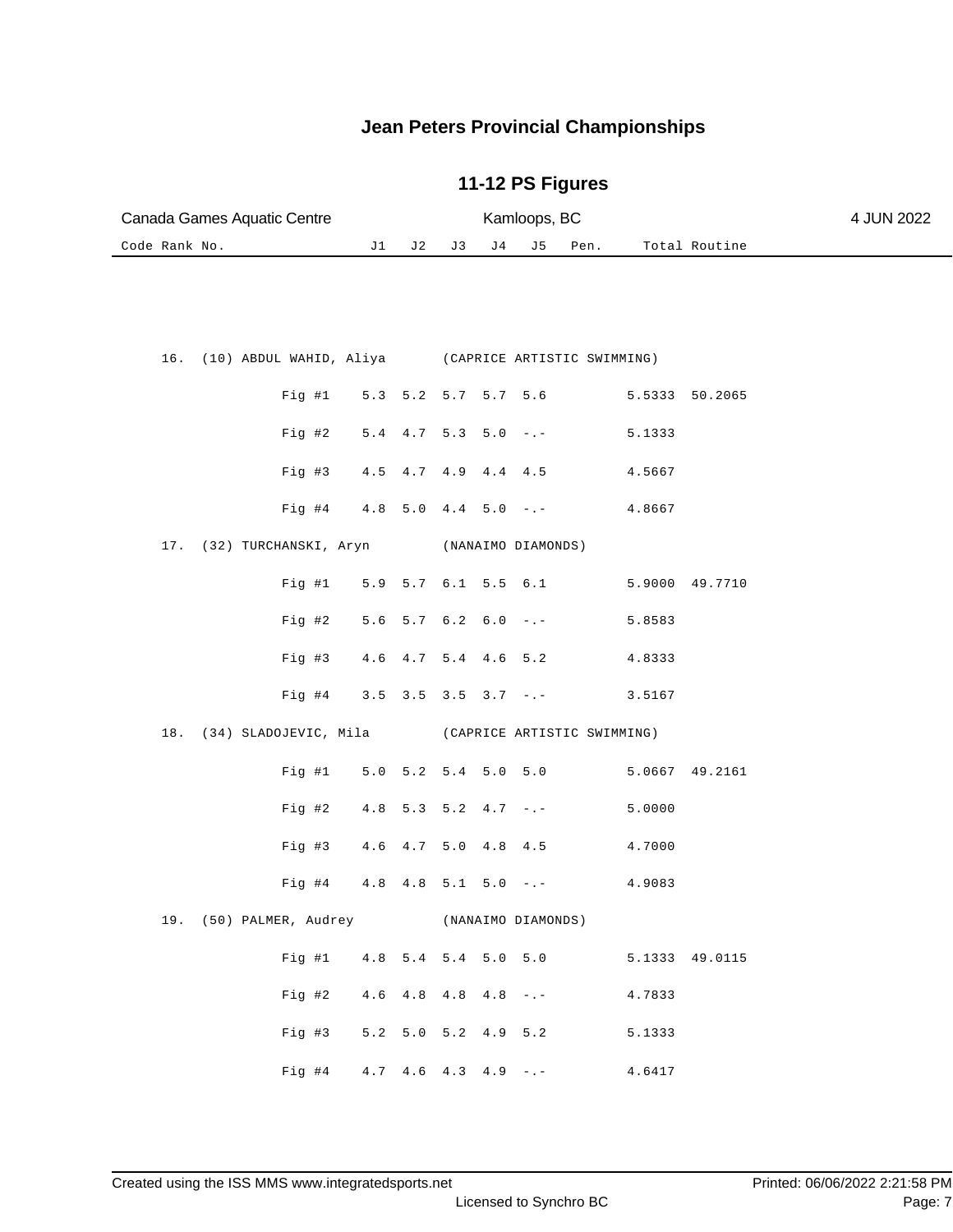| Canada Games Aquatic Centre                                |                                    |                               |    |     | Kamloops, BC        |                     |                                           |                | 4 JUN 2022 |
|------------------------------------------------------------|------------------------------------|-------------------------------|----|-----|---------------------|---------------------|-------------------------------------------|----------------|------------|
| Code Rank No.                                              | J 1                                | J 2                           | J3 | J 4 | J5                  | Pen.                |                                           | Total Routine  |            |
|                                                            |                                    |                               |    |     |                     |                     |                                           |                |            |
|                                                            |                                    |                               |    |     |                     |                     |                                           |                |            |
| (10) ABDUL WAHID, Aliya (CAPRICE ARTISTIC SWIMMING)<br>16. |                                    |                               |    |     |                     |                     |                                           |                |            |
| Fig #1                                                     |                                    |                               |    |     |                     | 5.3 5.2 5.7 5.7 5.6 |                                           | 5.5333 50.2065 |            |
| Fig #2                                                     |                                    | $5.4$ $4.7$ $5.3$ $5.0$ $-:-$ |    |     |                     |                     | 5.1333                                    |                |            |
| Fig #3                                                     |                                    | 4.5 4.7 4.9 4.4 4.5           |    |     |                     |                     | 4.5667                                    |                |            |
|                                                            | Fig #4 $4.8$ 5.0 $4.4$ 5.0 -.-     |                               |    |     |                     |                     | 4.8667                                    |                |            |
| (32) TURCHANSKI, Aryn<br>17.                               |                                    |                               |    |     | (NANAIMO DIAMONDS)  |                     |                                           |                |            |
| Fig #1                                                     |                                    |                               |    |     | 5.9 5.7 6.1 5.5 6.1 |                     |                                           | 5.9000 49.7710 |            |
|                                                            |                                    |                               |    |     |                     |                     |                                           |                |            |
| Fig #2                                                     |                                    | $5.6$ $5.7$ $6.2$ $6.0$ $-:-$ |    |     |                     |                     | 5.8583                                    |                |            |
| Fig #3                                                     |                                    | 4.6 4.7 5.4 4.6 5.2           |    |     |                     |                     | 4.8333                                    |                |            |
| Fig #4                                                     |                                    | $3.5$ $3.5$ $3.5$ $3.7$ $-$ . |    |     |                     |                     | 3.5167                                    |                |            |
| 18.<br>(34) SLADOJEVIC, Mila (CAPRICE ARTISTIC SWIMMING)   |                                    |                               |    |     |                     |                     |                                           |                |            |
| Fig #1                                                     |                                    | $5.0$ $5.2$ $5.4$ $5.0$ $5.0$ |    |     |                     |                     |                                           | 5.0667 49.2161 |            |
| Fig #2                                                     |                                    | $4.8$ 5.3 5.2 4.7 -.-         |    |     |                     |                     | 5.0000                                    |                |            |
| Fig #3                                                     |                                    | 4.6 4.7 5.0 4.8 4.5           |    |     |                     |                     | 4.7000                                    |                |            |
| Fig #4                                                     |                                    | $4.8$ $4.8$ $5.1$ $5.0$ $-:-$ |    |     |                     |                     | 4.9083                                    |                |            |
| 19. (50) PALMER, Audrey (NANAIMO DIAMONDS)                 |                                    |                               |    |     |                     |                     |                                           |                |            |
|                                                            |                                    |                               |    |     |                     |                     | Fig #1 4.8 5.4 5.4 5.0 5.0 5.1333 49.0115 |                |            |
| Fig 42                                                     | $4.6$ $4.8$ $4.8$ $4.8$ $-(-$      |                               |    |     |                     |                     | 4.7833                                    |                |            |
| Fig 43                                                     |                                    |                               |    |     | 5.2 5.0 5.2 4.9 5.2 |                     | 5.1333                                    |                |            |
|                                                            | Fig #4 $4.7$ $4.6$ $4.3$ $4.9$ -.- |                               |    |     |                     |                     | 4.6417                                    |                |            |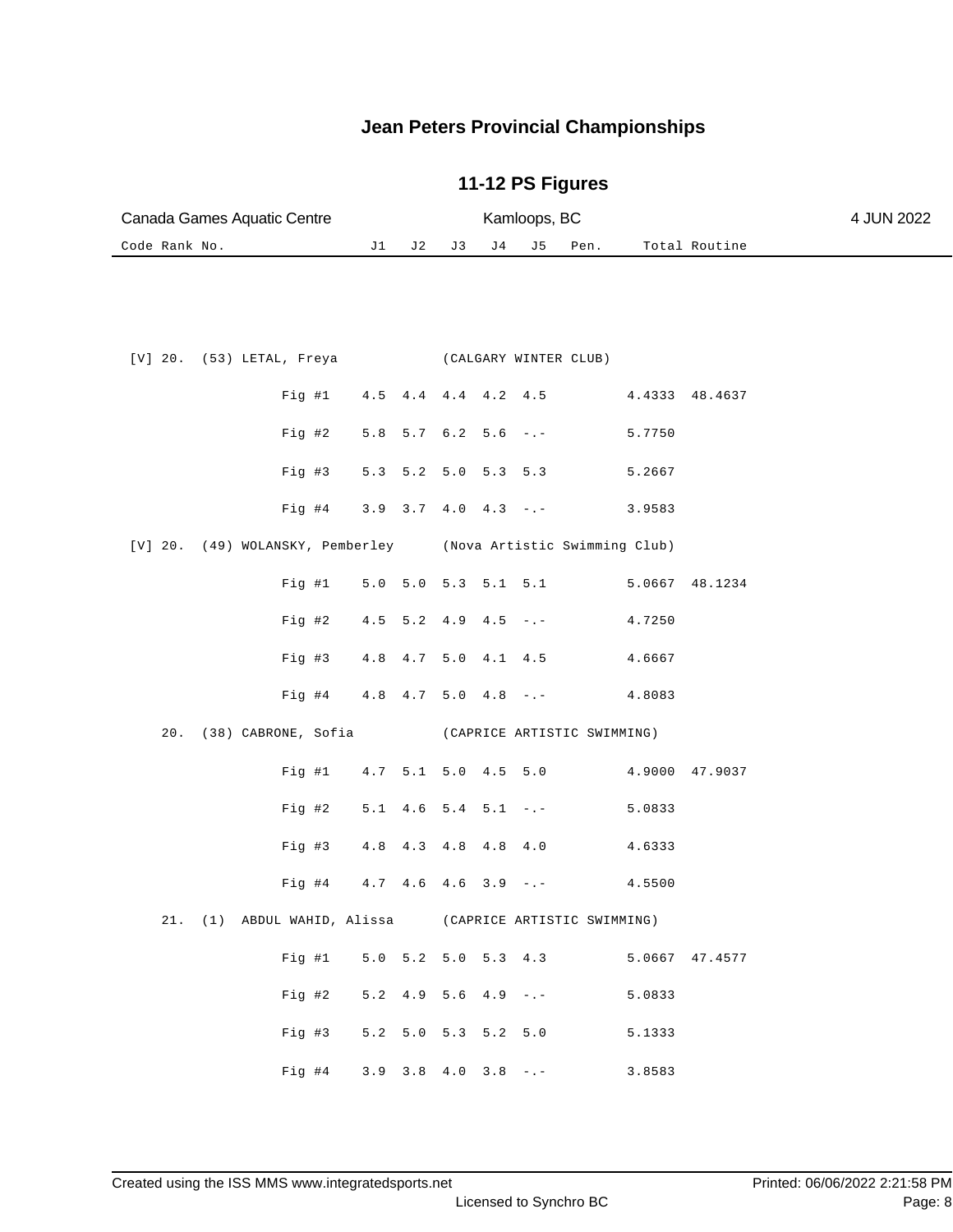| Canada Games Aquatic Centre                                    |                                               |     |         |                         | Kamloops, BC |                       |        |                | 4 JUN 2022 |
|----------------------------------------------------------------|-----------------------------------------------|-----|---------|-------------------------|--------------|-----------------------|--------|----------------|------------|
| Code Rank No.                                                  | J1                                            | J 2 | J3      | J 4                     | J5           | Pen.                  |        | Total Routine  |            |
|                                                                |                                               |     |         |                         |              |                       |        |                |            |
| $[V]$ 20. (53) LETAL, Freya                                    |                                               |     |         |                         |              | (CALGARY WINTER CLUB) |        |                |            |
| Fig #1                                                         | 4.5                                           |     |         | $4.4$ $4.4$ $4.2$ $4.5$ |              |                       |        | 4.4333 48.4637 |            |
| Fig #2                                                         | $5.8$                                         |     | 5.7 6.2 | $5.6 - -$               |              |                       | 5.7750 |                |            |
| Fig #3                                                         | $5.3$ $5.2$ $5.0$ $5.3$ $5.3$                 |     |         |                         |              |                       | 5.2667 |                |            |
| Fig #4                                                         | $3.9$ $3.7$ $4.0$ $4.3$ $ -$                  |     |         |                         |              |                       | 3.9583 |                |            |
| [V] 20. (49) WOLANSKY, Pemberley (Nova Artistic Swimming Club) |                                               |     |         |                         |              |                       |        |                |            |
| Fig #1                                                         | $5.0$ $5.0$ $5.3$ $5.1$ $5.1$                 |     |         |                         |              |                       | 5.0667 | 48.1234        |            |
| $Fig. \#2$                                                     | $4.5$ 5.2 4.9 4.5 -.-                         |     |         |                         |              |                       | 4.7250 |                |            |
| Fig #3                                                         | 4.8 4.7 5.0 4.1 4.5                           |     |         |                         |              |                       | 4.6667 |                |            |
| $Fig. \#4$                                                     | $4.8$ $4.7$ $5.0$ $4.8$ $-:-$                 |     |         |                         |              |                       | 4.8083 |                |            |
| (38) CABRONE, Sofia (CAPRICE ARTISTIC SWIMMING)<br>20.         |                                               |     |         |                         |              |                       |        |                |            |
| Fig #1                                                         | 4.7 5.1 5.0 4.5 5.0                           |     |         |                         |              |                       | 4.9000 | 47.9037        |            |
| $Fig. \#2$                                                     | $5.1$ 4.6 5.4 5.1 -.-                         |     |         |                         |              |                       | 5.0833 |                |            |
| $Fig. \#3$                                                     | 4.8                                           |     |         | 4.3 4.8 4.8 4.0         |              |                       | 4.6333 |                |            |
| Fig #4                                                         | $4.7$ $4.6$ $4.6$ $3.9$ $-$ .                 |     |         |                         |              |                       | 4.5500 |                |            |
| 21. (1) ABDUL WAHID, Alissa (CAPRICE ARTISTIC SWIMMING)        |                                               |     |         |                         |              |                       |        |                |            |
| Fig #1 5.0 5.2 5.0 5.3 4.3 5.0667 47.4577                      |                                               |     |         |                         |              |                       |        |                |            |
| Fig 42                                                         | $5.2 \quad 4.9 \quad 5.6 \quad 4.9 \quad - -$ |     |         |                         |              |                       | 5.0833 |                |            |
| Fig 43                                                         | 5.2 5.0 5.3 5.2 5.0                           |     |         |                         |              |                       | 5.1333 |                |            |
| Fig #4 $3.9$ $3.8$ $4.0$ $3.8$ $-$ .                           |                                               |     |         |                         |              |                       | 3.8583 |                |            |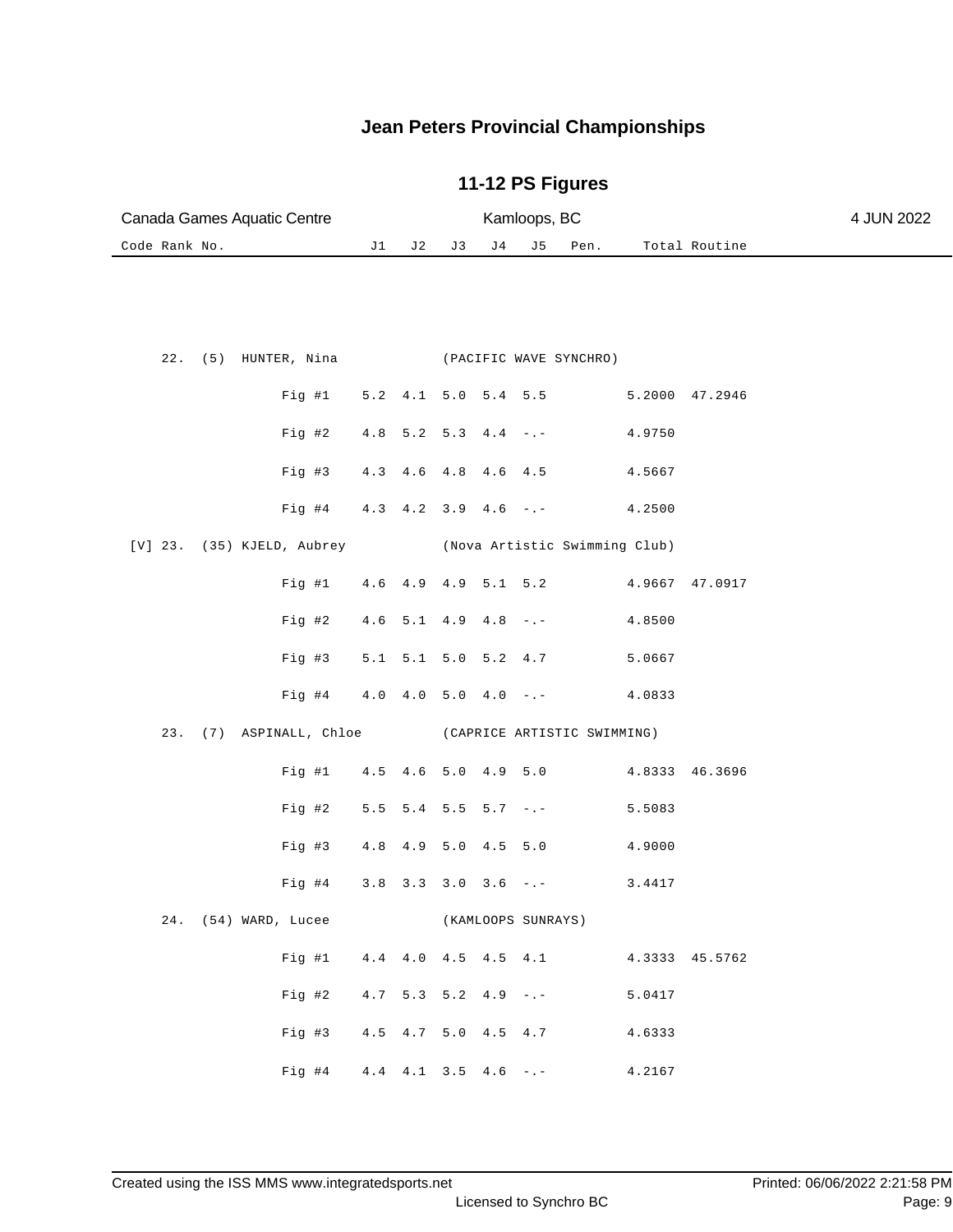|  |               | Canada Games Aquatic Centre                              |    |                              |    |     | Kamloops, BC       |                     |                |                | 4 JUN 2022 |
|--|---------------|----------------------------------------------------------|----|------------------------------|----|-----|--------------------|---------------------|----------------|----------------|------------|
|  | Code Rank No. |                                                          | J1 | J 2                          | J3 | J 4 | J 5                | Pen.                |                | Total Routine  |            |
|  |               |                                                          |    |                              |    |     |                    |                     |                |                |            |
|  |               |                                                          |    |                              |    |     |                    |                     |                |                |            |
|  |               |                                                          |    |                              |    |     |                    |                     |                |                |            |
|  |               | 22. (5) HUNTER, Nina (PACIFIC WAVE SYNCHRO)              |    |                              |    |     |                    |                     |                |                |            |
|  |               | Fig #1 5.2 4.1 5.0 5.4 5.5                               |    |                              |    |     |                    |                     | 5.2000 47.2946 |                |            |
|  |               |                                                          |    |                              |    |     |                    |                     |                |                |            |
|  |               | Fig #2                                                   |    | $4.8$ 5.2 5.3 $4.4$ -.-      |    |     |                    |                     | 4.9750         |                |            |
|  |               | Fig #3                                                   |    | 4.3 4.6 4.8 4.6 4.5          |    |     |                    |                     | 4.5667         |                |            |
|  |               | Fig #4 4.3 4.2 3.9 4.6 -.- 4.2500                        |    |                              |    |     |                    |                     |                |                |            |
|  |               |                                                          |    |                              |    |     |                    |                     |                |                |            |
|  |               | [V] 23. (35) KJELD, Aubrey (Nova Artistic Swimming Club) |    |                              |    |     |                    |                     |                |                |            |
|  |               | Fig #1 4.6 4.9 4.9 5.1 5.2                               |    |                              |    |     |                    |                     | 4.9667 47.0917 |                |            |
|  |               | Fig #2 $4.6$ 5.1 $4.9$ $4.8$ -.-                         |    |                              |    |     |                    |                     | 4.8500         |                |            |
|  |               |                                                          |    |                              |    |     |                    |                     |                |                |            |
|  |               | Fig #3 5.1 5.1 5.0 5.2 4.7                               |    |                              |    |     |                    |                     | 5.0667         |                |            |
|  |               | Fig #4 4.0 4.0 5.0 4.0 -.- 4.0833                        |    |                              |    |     |                    |                     |                |                |            |
|  |               | 23. (7) ASPINALL, Chloe (CAPRICE ARTISTIC SWIMMING)      |    |                              |    |     |                    |                     |                |                |            |
|  |               | Fig #1 4.5 4.6 5.0 4.9 5.0 4.8333 46.3696                |    |                              |    |     |                    |                     |                |                |            |
|  |               |                                                          |    |                              |    |     |                    |                     |                |                |            |
|  |               | Fig #2                                                   |    | $5.5$ $5.4$ $5.5$ $5.7$ $-1$ |    |     |                    |                     | 5.5083         |                |            |
|  |               | Fig #3 4.8 4.9 5.0 4.5 5.0                               |    |                              |    |     |                    |                     | 4.9000         |                |            |
|  |               | Fig #4 $3.8$ 3.3 3.0 3.6 -.-                             |    |                              |    |     |                    |                     | 3.4417         |                |            |
|  |               |                                                          |    |                              |    |     |                    |                     |                |                |            |
|  |               | 24. (54) WARD, Lucee                                     |    |                              |    |     | (KAMLOOPS SUNRAYS) |                     |                |                |            |
|  |               | Fig  #1                                                  |    |                              |    |     |                    | 4.4 4.0 4.5 4.5 4.1 |                | 4.3333 45.5762 |            |
|  |               | Fig 42                                                   |    | $4.7$ 5.3 5.2 4.9 -.-        |    |     |                    |                     | 5.0417         |                |            |
|  |               |                                                          |    |                              |    |     |                    |                     |                |                |            |
|  |               | Fig 43                                                   |    | 4.5 4.7 5.0 4.5 4.7          |    |     |                    |                     | 4.6333         |                |            |
|  |               | Fig #4 $4.4$ $4.1$ $3.5$ $4.6$ -.-                       |    |                              |    |     |                    |                     | 4.2167         |                |            |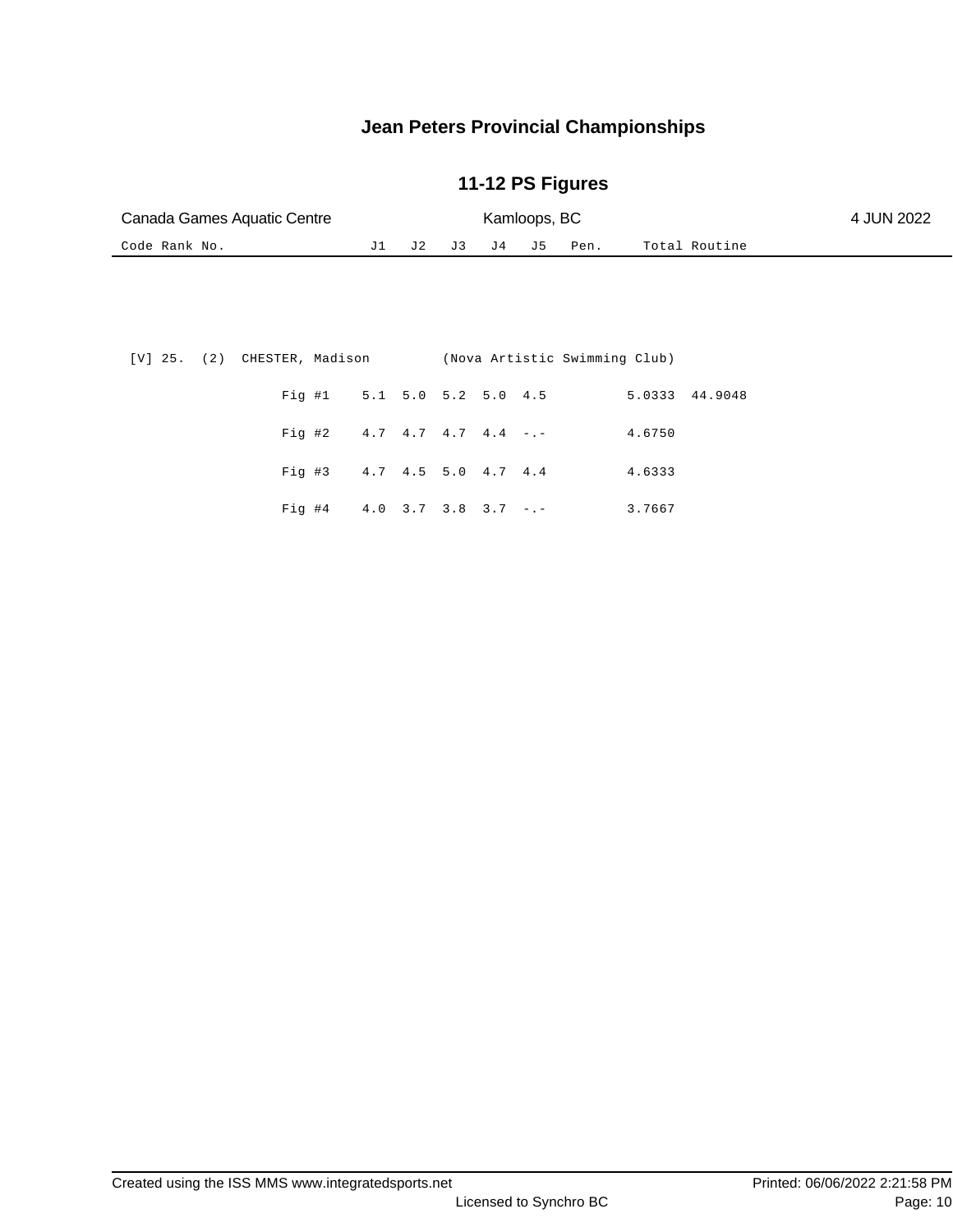| Canada Games Aquatic Centre | Kamloops, BC |  |  | 4 JUN 2022 |                     |               |  |
|-----------------------------|--------------|--|--|------------|---------------------|---------------|--|
| Code Rank No.               |              |  |  |            | J1 J2 J3 J4 J5 Pen. | Total Routine |  |

|                | [V] 25. (2) CHESTER, Madison (Nova Artistic Swimming Club) |  |  |                                      |  |  |  |
|----------------|------------------------------------------------------------|--|--|--------------------------------------|--|--|--|
| 5.0333 44.9048 |                                                            |  |  | Fig #1 5.1 5.0 5.2 5.0 4.5           |  |  |  |
|                | 4.6750                                                     |  |  | Fig #2 $4.7$ $4.7$ $4.7$ $4.4$ $-$   |  |  |  |
|                | 4.6333                                                     |  |  | Fig #3 $4.7$ $4.5$ $5.0$ $4.7$ $4.4$ |  |  |  |
|                | 3.7667                                                     |  |  | Fig #4 $4.0$ 3.7 3.8 3.7 -.-         |  |  |  |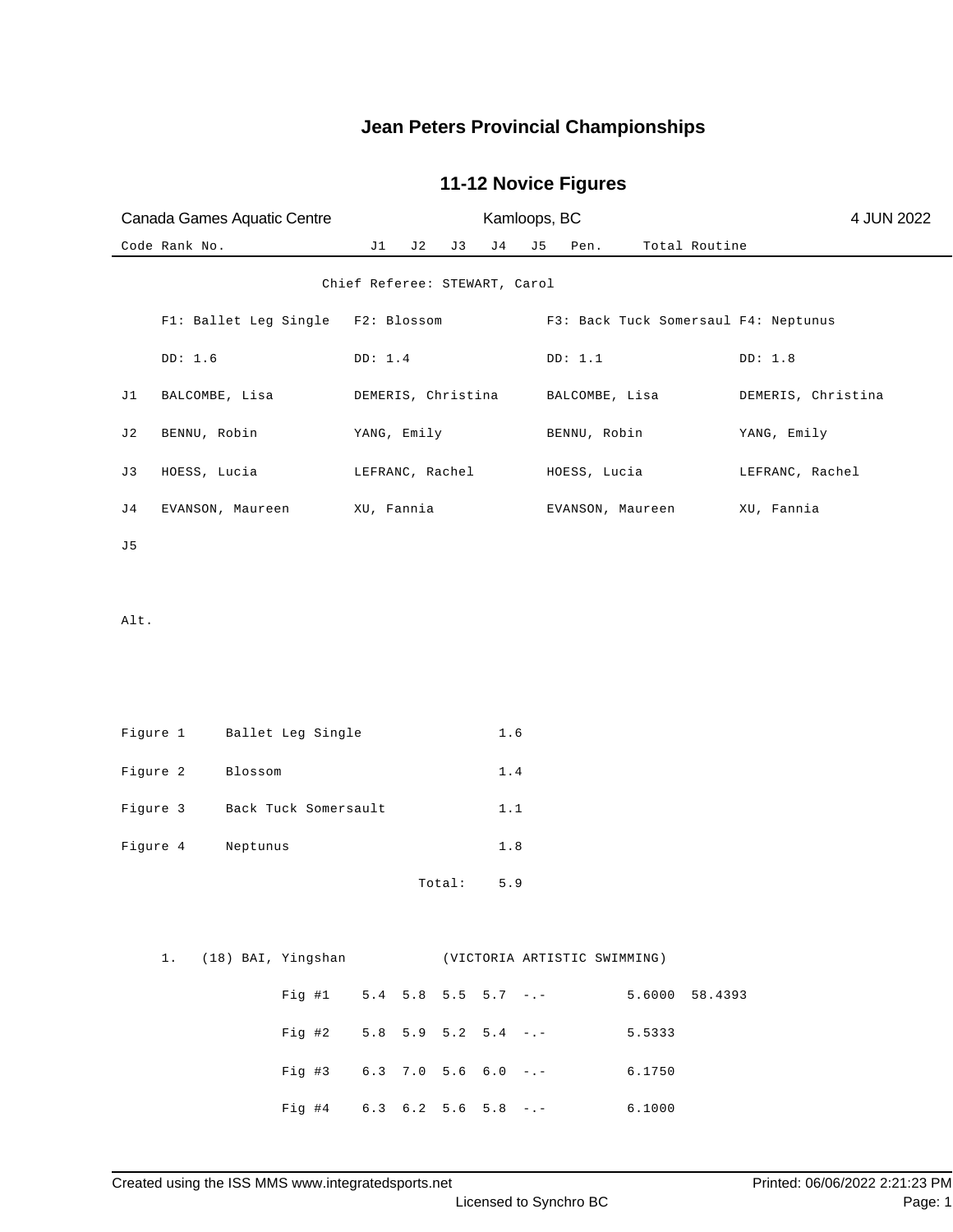|          | Canada Games Aquatic Centre                           |                      | Kamloops, BC                  |     |        |                |                               |                               |                  |               |                                      |  |  |
|----------|-------------------------------------------------------|----------------------|-------------------------------|-----|--------|----------------|-------------------------------|-------------------------------|------------------|---------------|--------------------------------------|--|--|
|          | Code Rank No.                                         |                      | J1                            | J 2 | J 3    | J <sub>4</sub> | J5                            | Pen.                          |                  | Total Routine |                                      |  |  |
|          |                                                       |                      | Chief Referee: STEWART, Carol |     |        |                |                               |                               |                  |               |                                      |  |  |
|          | F1: Ballet Leg Single                                 |                      | F2: Blossom                   |     |        |                |                               |                               |                  |               | F3: Back Tuck Somersaul F4: Neptunus |  |  |
|          | DD: 1.6                                               |                      | DD: 1.4                       |     |        |                |                               | DD: 1.1                       |                  |               | DD: 1.8                              |  |  |
| J1       | BALCOMBE, Lisa                                        |                      | DEMERIS, Christina            |     |        |                |                               | BALCOMBE, Lisa                |                  |               | DEMERIS, Christina                   |  |  |
| J2       | BENNU, Robin                                          |                      | YANG, Emily                   |     |        |                |                               | BENNU, Robin                  |                  |               | YANG, Emily                          |  |  |
| J3       | HOESS, Lucia                                          |                      | LEFRANC, Rachel               |     |        |                |                               | HOESS, Lucia                  |                  |               | LEFRANC, Rachel                      |  |  |
| J 4      | EVANSON, Maureen                                      |                      | XU, Fannia                    |     |        |                |                               |                               | EVANSON, Maureen |               | XU, Fannia                           |  |  |
| J5       |                                                       |                      |                               |     |        |                |                               |                               |                  |               |                                      |  |  |
|          |                                                       |                      |                               |     |        |                |                               |                               |                  |               |                                      |  |  |
| Alt.     |                                                       |                      |                               |     |        |                |                               |                               |                  |               |                                      |  |  |
|          |                                                       |                      |                               |     |        |                |                               |                               |                  |               |                                      |  |  |
|          |                                                       |                      |                               |     |        |                |                               |                               |                  |               |                                      |  |  |
| Figure 1 |                                                       | Ballet Leg Single    |                               |     |        | 1.6            |                               |                               |                  |               |                                      |  |  |
| Figure 2 | Blossom                                               |                      |                               |     |        | $1.4$          |                               |                               |                  |               |                                      |  |  |
| Figure 3 |                                                       | Back Tuck Somersault |                               |     |        | 1.1            |                               |                               |                  |               |                                      |  |  |
| Figure 4 | Neptunus                                              |                      |                               |     |        | $1.8\,$        |                               |                               |                  |               |                                      |  |  |
|          |                                                       |                      |                               |     | Total: | 5.9            |                               |                               |                  |               |                                      |  |  |
|          |                                                       |                      |                               |     |        |                |                               |                               |                  |               |                                      |  |  |
|          | (18) BAI, Yingshan (VICTORIA ARTISTIC SWIMMING)<br>1. |                      |                               |     |        |                |                               |                               |                  |               |                                      |  |  |
|          |                                                       | Fig  #1              |                               |     |        |                |                               | $5.4$ $5.8$ $5.5$ $5.7$ $-$ . | 5.6000 58.4393   |               |                                      |  |  |
|          |                                                       | Fig 42               |                               |     |        |                |                               | $5.8$ $5.9$ $5.2$ $5.4$ $-(-$ | 5.5333           |               |                                      |  |  |
|          |                                                       | $Fig. \#3$           |                               |     |        |                | $6.3$ 7.0 5.6 6.0 -.-         |                               | 6.1750           |               |                                      |  |  |
|          |                                                       | Fig #4               |                               |     |        |                | $6.3$ $6.2$ $5.6$ $5.8$ $-$ . |                               | 6.1000           |               |                                      |  |  |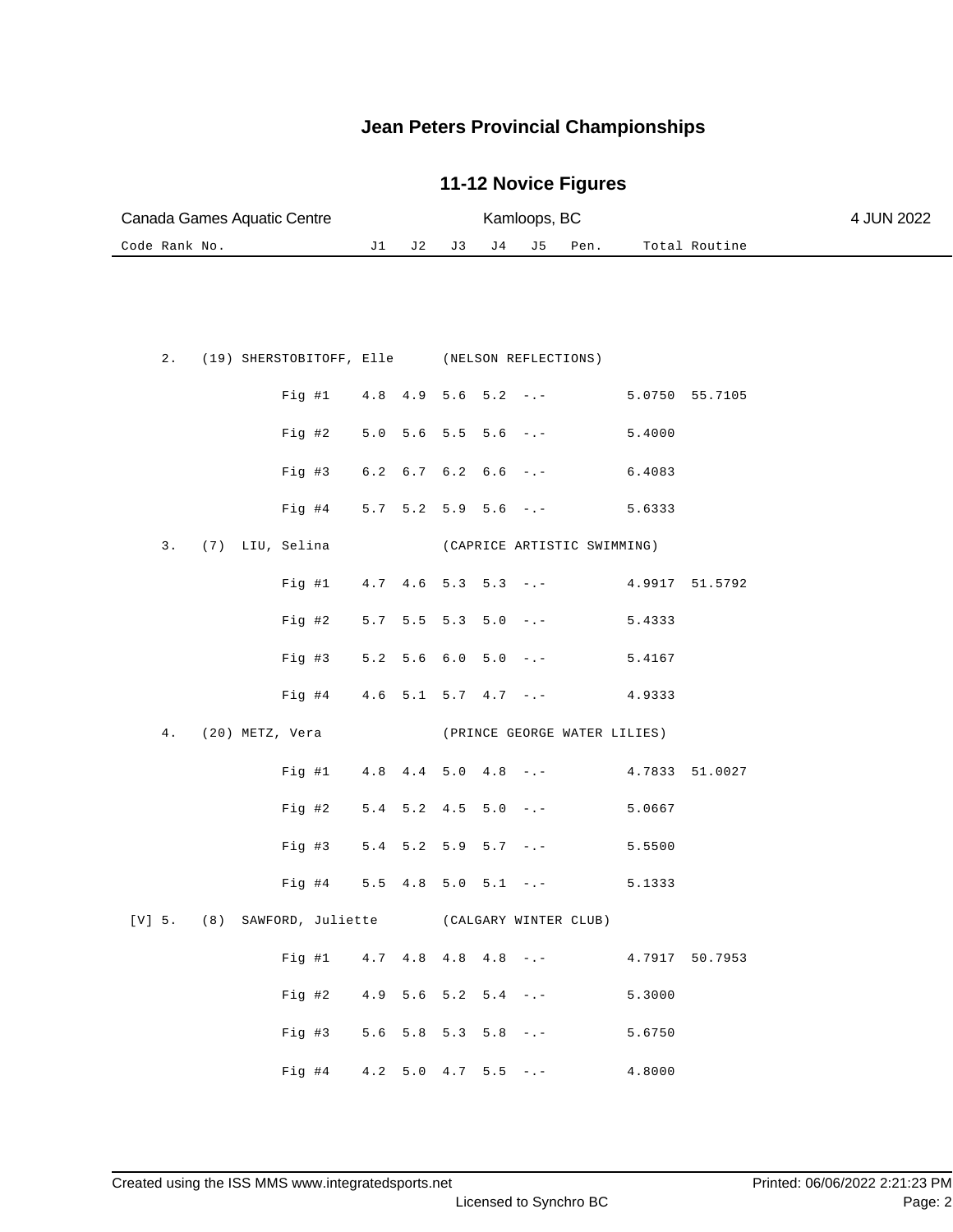|               | Canada Games Aquatic Centre                        |     |                               | Kamloops, BC<br>J4<br>Total Routine<br>J 3<br>J5<br>Pen. |  |  |                               |        | 4 JUN 2022     |  |
|---------------|----------------------------------------------------|-----|-------------------------------|----------------------------------------------------------|--|--|-------------------------------|--------|----------------|--|
| Code Rank No. |                                                    | J 1 | J 2                           |                                                          |  |  |                               |        |                |  |
|               |                                                    |     |                               |                                                          |  |  |                               |        |                |  |
| $2$ .         | (19) SHERSTOBITOFF, Elle (NELSON REFLECTIONS)      |     |                               |                                                          |  |  |                               |        |                |  |
|               | Fig  #1                                            |     |                               |                                                          |  |  | $4.8$ $4.9$ $5.6$ $5.2$ $-$ . |        | 5.0750 55.7105 |  |
|               | Fig #2                                             |     | $5.0$ $5.6$ $5.5$ $5.6$ $-:-$ |                                                          |  |  |                               | 5.4000 |                |  |
|               | Fig #3                                             |     | $6.2$ $6.7$ $6.2$ $6.6$ $-:-$ |                                                          |  |  |                               | 6.4083 |                |  |
|               | Fig #4                                             |     |                               |                                                          |  |  | $5.7$ $5.2$ $5.9$ $5.6$ $-$ . | 5.6333 |                |  |
| 3.            | (7) LIU, Selina                                    |     |                               |                                                          |  |  | (CAPRICE ARTISTIC SWIMMING)   |        |                |  |
|               | Fig #1                                             |     |                               |                                                          |  |  | $4.7$ $4.6$ $5.3$ $5.3$ $-.-$ |        | 4.9917 51.5792 |  |
|               | Fig #2                                             |     | $5.7$ $5.5$ $5.3$ $5.0$ $-:-$ |                                                          |  |  |                               | 5.4333 |                |  |
|               | Fig #3                                             |     | $5.2$ $5.6$ $6.0$ $5.0$ $-:-$ |                                                          |  |  |                               | 5.4167 |                |  |
|               | Fig #4                                             |     |                               |                                                          |  |  | $4.6$ 5.1 5.7 $4.7$ -.-       | 4.9333 |                |  |
| $4$ .         | (20) METZ, Vera                                    |     |                               |                                                          |  |  | (PRINCE GEORGE WATER LILIES)  |        |                |  |
|               | Fig #1                                             |     | $4.8$ $4.4$ $5.0$ $4.8$ $-:-$ |                                                          |  |  |                               |        | 4.7833 51.0027 |  |
|               | Fig #2                                             |     | $5.4$ $5.2$ $4.5$ $5.0$ $-:-$ |                                                          |  |  |                               | 5.0667 |                |  |
|               | Fig #3                                             |     | $5.4$ $5.2$ $5.9$ $5.7$ $-:-$ |                                                          |  |  |                               | 5.5500 |                |  |
|               | $Fig. \#4$                                         |     | $5.5$ 4.8 5.0 5.1 -.-         |                                                          |  |  |                               | 5.1333 |                |  |
|               | [V] 5. (8) SAWFORD, Juliette (CALGARY WINTER CLUB) |     |                               |                                                          |  |  |                               |        |                |  |
|               | Fig 41                                             |     | $4.7$ $4.8$ $4.8$ $4.8$ $-(-$ |                                                          |  |  |                               |        | 4.7917 50.7953 |  |
|               | Fig #2                                             |     | $4.9$ 5.6 5.2 5.4 -.-         |                                                          |  |  |                               | 5.3000 |                |  |
|               | Fig #3                                             |     | $5.6$ $5.8$ $5.3$ $5.8$ $-:-$ |                                                          |  |  |                               | 5.6750 |                |  |
|               | Fig #4 $4.2$ 5.0 $4.7$ 5.5 -.-                     |     |                               |                                                          |  |  |                               | 4.8000 |                |  |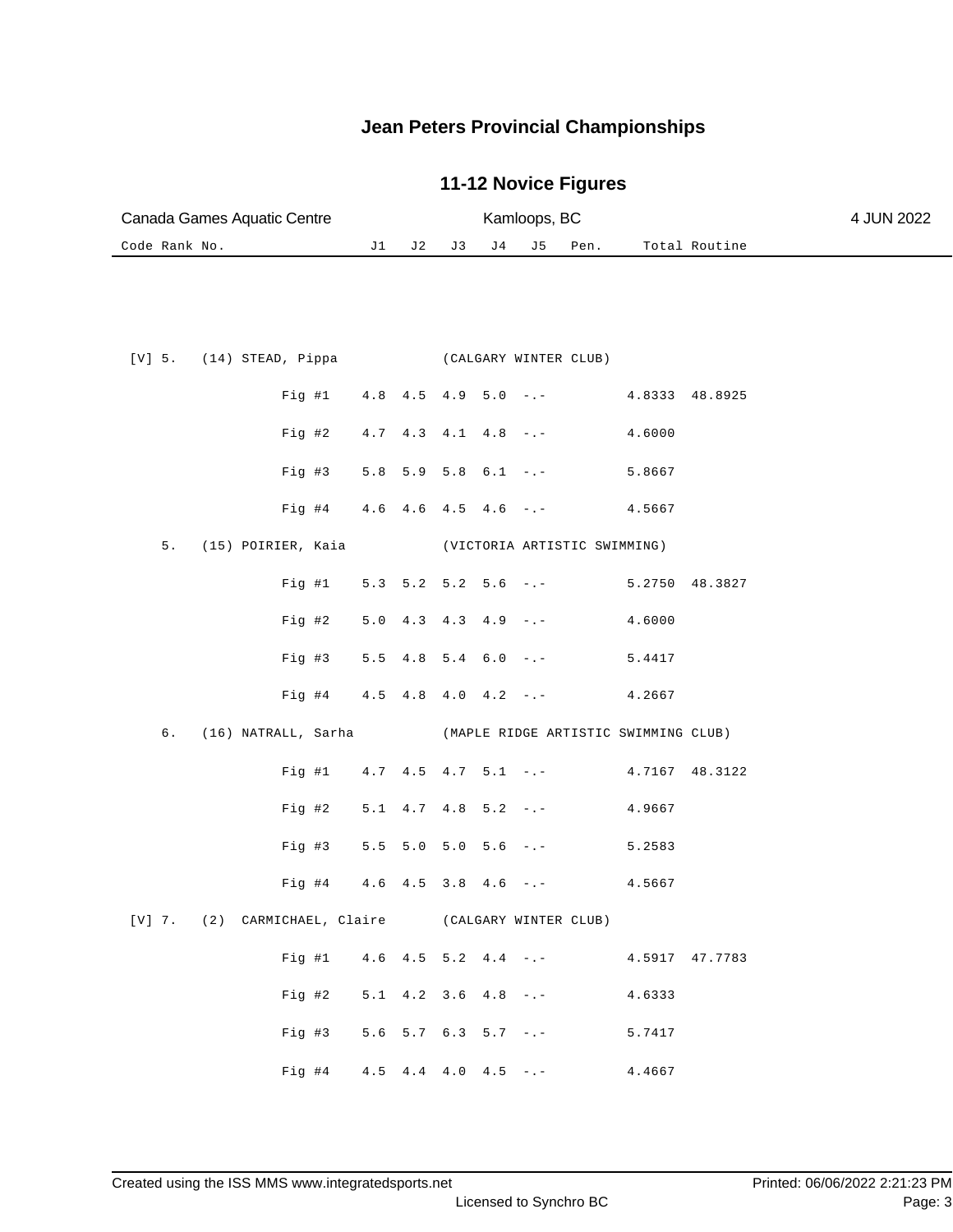|               | Canada Games Aquatic Centre                              |                                               |                                                |       |                | Kamloops, BC |                       |                                           |                | 4 JUN 2022 |
|---------------|----------------------------------------------------------|-----------------------------------------------|------------------------------------------------|-------|----------------|--------------|-----------------------|-------------------------------------------|----------------|------------|
| Code Rank No. |                                                          | J1                                            |                                                | J2 J3 | J <sub>4</sub> | J 5          | Pen.                  |                                           | Total Routine  |            |
|               |                                                          |                                               |                                                |       |                |              |                       |                                           |                |            |
|               |                                                          |                                               |                                                |       |                |              |                       |                                           |                |            |
|               |                                                          |                                               |                                                |       |                |              |                       |                                           |                |            |
|               | $[V]$ 5. $(14)$ STEAD, Pippa                             |                                               |                                                |       |                |              | (CALGARY WINTER CLUB) |                                           |                |            |
|               | Fig #1                                                   | $4.8$ $4.5$ $4.9$ $5.0$ $-$                   |                                                |       |                |              |                       | 4.8333 48.8925                            |                |            |
|               | Fig 42                                                   |                                               | $4.7$ $4.3$ $4.1$ $4.8$ $ -$                   |       |                |              |                       | 4.6000                                    |                |            |
|               | Fig #3                                                   |                                               |                                                |       |                |              |                       | $5.8$ $5.9$ $5.8$ $6.1$ $-.-$ 5.8667      |                |            |
|               | Fig #4                                                   |                                               |                                                |       |                |              |                       | $4.6$ $4.6$ $4.5$ $4.6$ $-( 4.5667)$      |                |            |
| 5.            | (15) POIRIER, Kaia (VICTORIA ARTISTIC SWIMMING)          |                                               |                                                |       |                |              |                       |                                           |                |            |
|               |                                                          |                                               |                                                |       |                |              |                       |                                           |                |            |
|               | Fig #1 $5.3$ 5.2 5.2 5.6 -.-                             |                                               |                                                |       |                |              |                       |                                           | 5.2750 48.3827 |            |
|               | Fig #2                                                   | $5.0 \quad 4.3 \quad 4.3 \quad 4.9 \quad - -$ |                                                |       |                |              |                       | 4.6000                                    |                |            |
|               | Fig #3                                                   |                                               |                                                |       |                |              |                       | $5.5$ 4.8 5.4 6.0 -.- 5.4417              |                |            |
|               | Fig #4                                                   |                                               |                                                |       |                |              |                       | $4.5$ $4.8$ $4.0$ $4.2$ $-. 4.2667$       |                |            |
| б.            | (16) NATRALL, Sarha (MAPLE RIDGE ARTISTIC SWIMMING CLUB) |                                               |                                                |       |                |              |                       |                                           |                |            |
|               |                                                          |                                               |                                                |       |                |              |                       | Fig #1 4.7 4.5 4.7 5.1 -.- 4.7167 48.3122 |                |            |
|               | Fig #2                                                   |                                               | $5.1 \quad 4.7 \quad 4.8 \quad 5.2 \quad -. -$ |       |                |              |                       | 4.9667                                    |                |            |
|               | Fig #3                                                   | $5.5$ 5.0 5.0 5.6 -.-                         |                                                |       |                |              |                       | 5.2583                                    |                |            |
|               |                                                          |                                               |                                                |       |                |              |                       |                                           |                |            |
|               | Fig #4                                                   |                                               | $4.6$ $4.5$ $3.8$ $4.6$ $-$ .                  |       |                |              |                       | 4.5667                                    |                |            |
|               | [V] 7. (2) CARMICHAEL, Claire (CALGARY WINTER CLUB)      |                                               |                                                |       |                |              |                       |                                           |                |            |
|               | Fig #1 $4.6$ $4.5$ $5.2$ $4.4$ $-$ .                     |                                               |                                                |       |                |              |                       |                                           | 4.5917 47.7783 |            |
|               | Fig 42                                                   | $5.1$ 4.2 3.6 4.8 -.-                         |                                                |       |                |              |                       | 4.6333                                    |                |            |
|               | Fig #3 $5.6$ 5.7 $6.3$ 5.7 $-$ .                         |                                               |                                                |       |                |              |                       | 5.7417                                    |                |            |
|               | Fig #4                                                   |                                               | $4.5$ $4.4$ $4.0$ $4.5$ $-$                    |       |                |              |                       | 4.4667                                    |                |            |
|               |                                                          |                                               |                                                |       |                |              |                       |                                           |                |            |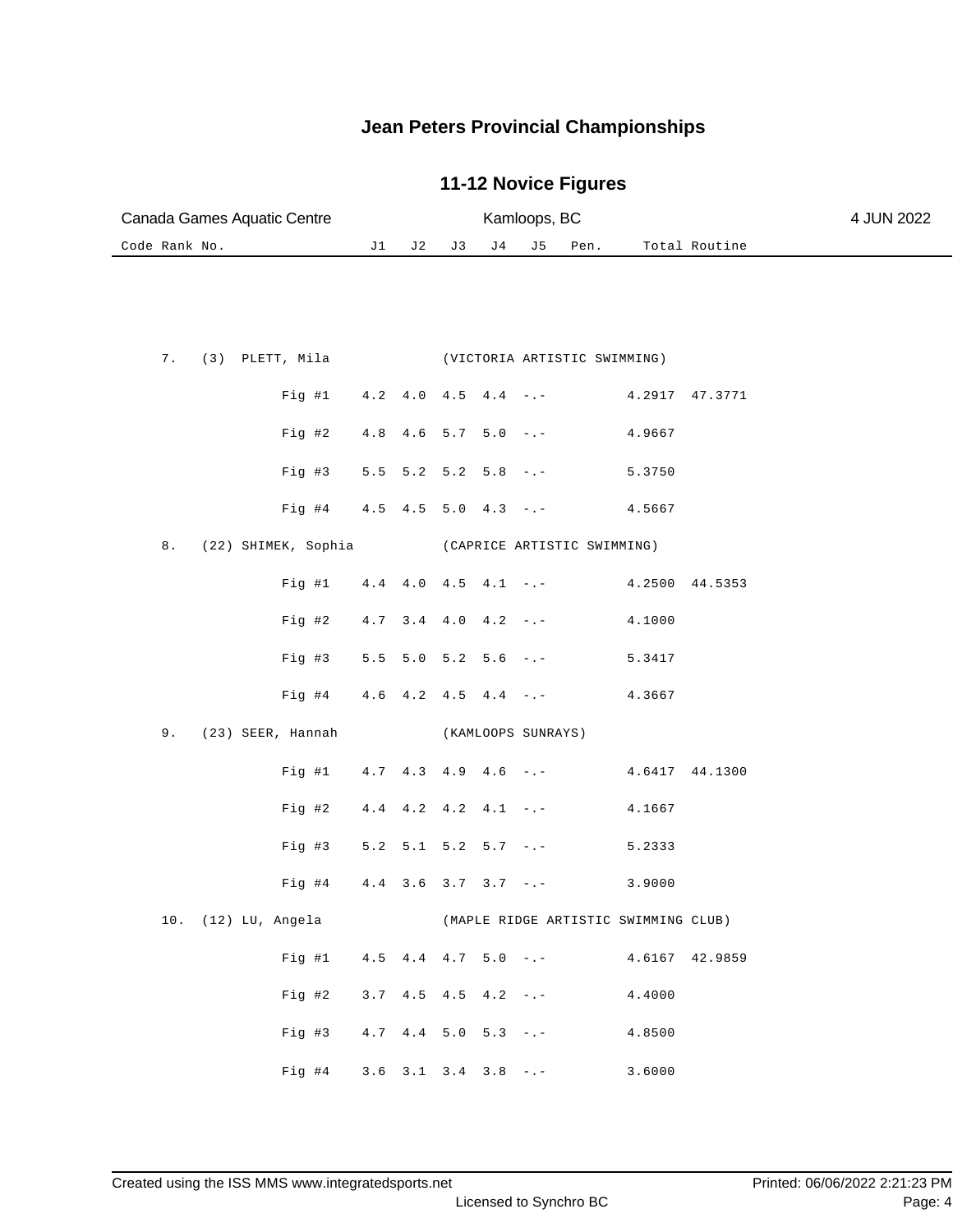| Canada Games Aquatic Centre        |                                               |                                               |    |     | Kamloops, BC       |                                     |                                      |               | 4 JUN 2022 |
|------------------------------------|-----------------------------------------------|-----------------------------------------------|----|-----|--------------------|-------------------------------------|--------------------------------------|---------------|------------|
| Code Rank No.                      | J1                                            | J 2                                           | J3 | J 4 | J 5                | Pen.                                |                                      | Total Routine |            |
|                                    |                                               |                                               |    |     |                    |                                     |                                      |               |            |
|                                    |                                               |                                               |    |     |                    |                                     |                                      |               |            |
|                                    |                                               |                                               |    |     |                    |                                     |                                      |               |            |
| 7.<br>(3) PLETT, Mila              |                                               |                                               |    |     |                    | (VICTORIA ARTISTIC SWIMMING)        |                                      |               |            |
| Fig #1                             | $4.2 \quad 4.0 \quad 4.5 \quad 4.4 \quad - -$ |                                               |    |     |                    |                                     | 4.2917 47.3771                       |               |            |
| Fig 42                             |                                               | $4.8$ $4.6$ $5.7$ $5.0$ $-:-$                 |    |     |                    |                                     | 4.9667                               |               |            |
|                                    |                                               |                                               |    |     |                    |                                     |                                      |               |            |
| $Fig. \#3$                         |                                               | $5.5$ $5.2$ $5.2$ $5.8$ $-:-$                 |    |     |                    |                                     | 5.3750                               |               |            |
| Fig #4                             |                                               |                                               |    |     |                    | $4.5$ $4.5$ $5.0$ $4.3$ $ -$        | 4.5667                               |               |            |
| 8.<br>(22) SHIMEK, Sophia          |                                               |                                               |    |     |                    | (CAPRICE ARTISTIC SWIMMING)         |                                      |               |            |
| Fig  #1                            |                                               | $4.4$ $4.0$ $4.5$ $4.1$ $-$ .                 |    |     |                    |                                     | 4.2500 44.5353                       |               |            |
|                                    |                                               |                                               |    |     |                    |                                     |                                      |               |            |
| Fig #2                             |                                               | $4.7$ $3.4$ $4.0$ $4.2$ $-.-$                 |    |     |                    |                                     | 4.1000                               |               |            |
| Fig #3                             |                                               | $5.5$ $5.0$ $5.2$ $5.6$ $-:-$                 |    |     |                    |                                     | 5.3417                               |               |            |
| Fig #4                             |                                               |                                               |    |     |                    | $4.6$ $4.2$ $4.5$ $4.4$ $-. 4.3667$ |                                      |               |            |
|                                    |                                               |                                               |    |     |                    |                                     |                                      |               |            |
| 9.<br>(23) SEER, Hannah            |                                               |                                               |    |     | (KAMLOOPS SUNRAYS) |                                     |                                      |               |            |
| Fig #1                             | $4.7$ $4.3$ $4.9$ $4.6$ $-$                   |                                               |    |     |                    |                                     | 4.6417 44.1300                       |               |            |
| Fig #2                             |                                               | $4.4$ $4.2$ $4.2$ $4.1$ $-$                   |    |     |                    |                                     | 4.1667                               |               |            |
| Fig #3                             |                                               | $5.2$ $5.1$ $5.2$ $5.7$ $-:-$                 |    |     |                    |                                     | 5.2333                               |               |            |
|                                    |                                               |                                               |    |     |                    |                                     |                                      |               |            |
| Fig #4                             |                                               | $4.4$ $3.6$ $3.7$ $3.7$ $-$ .                 |    |     |                    |                                     | 3.9000                               |               |            |
| 10. (12) LU, Angela                |                                               |                                               |    |     |                    |                                     | (MAPLE RIDGE ARTISTIC SWIMMING CLUB) |               |            |
| Fig #1                             |                                               |                                               |    |     |                    | $4.5$ $4.4$ $4.7$ $5.0$ $ -$        | 4.6167 42.9859                       |               |            |
| Fig #2                             |                                               | $3.7 \quad 4.5 \quad 4.5 \quad 4.2 \quad - -$ |    |     |                    |                                     | 4.4000                               |               |            |
|                                    |                                               |                                               |    |     |                    |                                     |                                      |               |            |
| Fig #3                             | $4.7$ $4.4$ $5.0$ $5.3$ $ -$                  |                                               |    |     |                    |                                     | 4.8500                               |               |            |
| Fig #4 $3.6$ $3.1$ $3.4$ $3.8$ -.- |                                               |                                               |    |     |                    |                                     | 3.6000                               |               |            |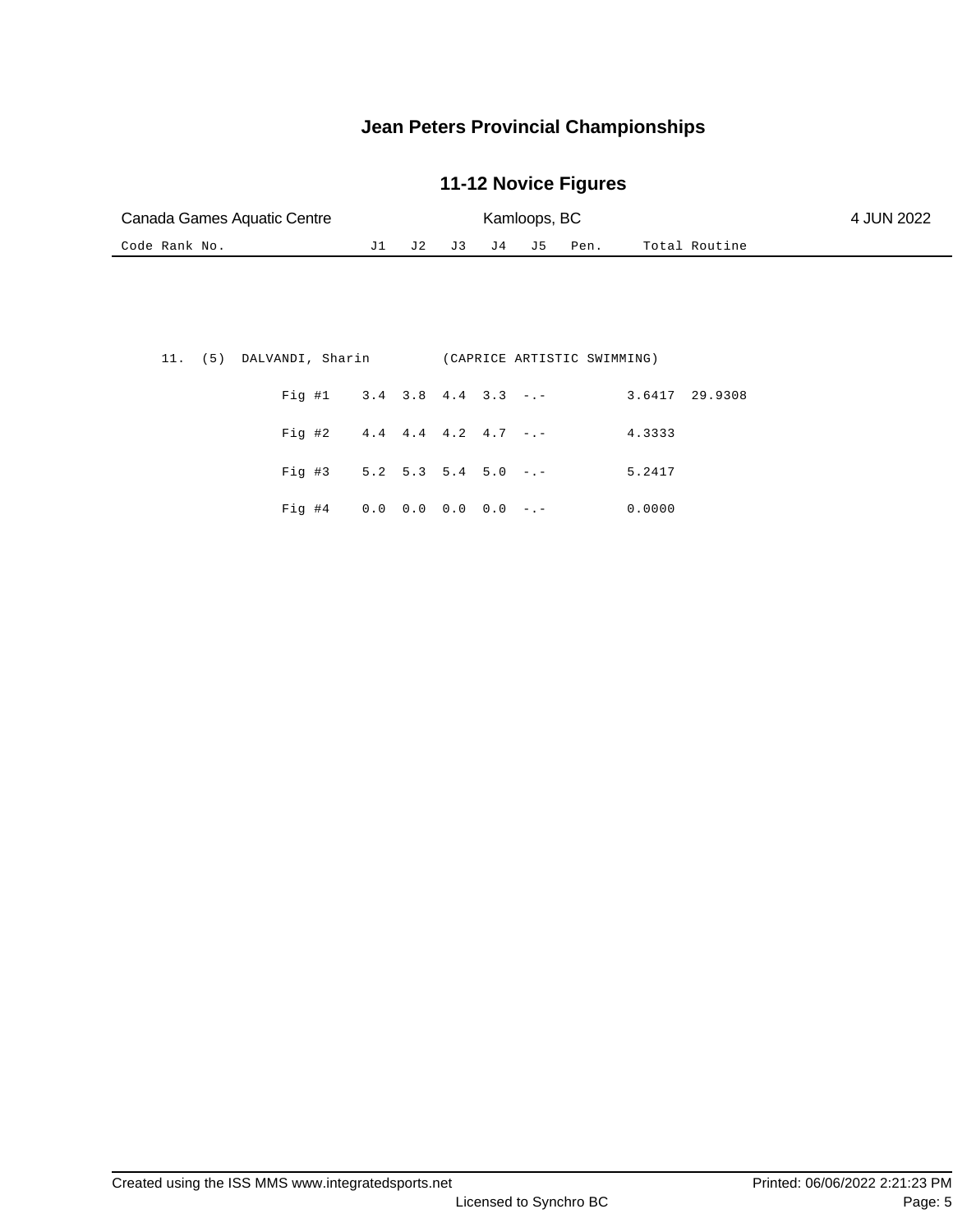| Canada Games Aquatic Centre |  |  | Kamloops, BC |                     |               | 4 JUN 2022 |
|-----------------------------|--|--|--------------|---------------------|---------------|------------|
| Code Rank No.               |  |  |              | J1 J2 J3 J4 J5 Pen. | Total Routine |            |

|  | 11. (5) DALVANDI, Sharin (CAPRICE ARTISTIC SWIMMING) |  |  |                                      |                |  |
|--|------------------------------------------------------|--|--|--------------------------------------|----------------|--|
|  |                                                      |  |  | Fig #1 $3.4$ $3.8$ $4.4$ $3.3$ $-$ . | 3.6417 29.9308 |  |
|  | Fig #2 $4.4$ $4.4$ $4.2$ $4.7$ $-$                   |  |  |                                      | 4.3333         |  |
|  | Fig #3 $5.2$ 5.3 5.4 5.0 $-.$                        |  |  |                                      | 5.2417         |  |
|  | Fig #4 $0.0$ $0.0$ $0.0$ $0.0$ $-$ .                 |  |  |                                      | 0.0000         |  |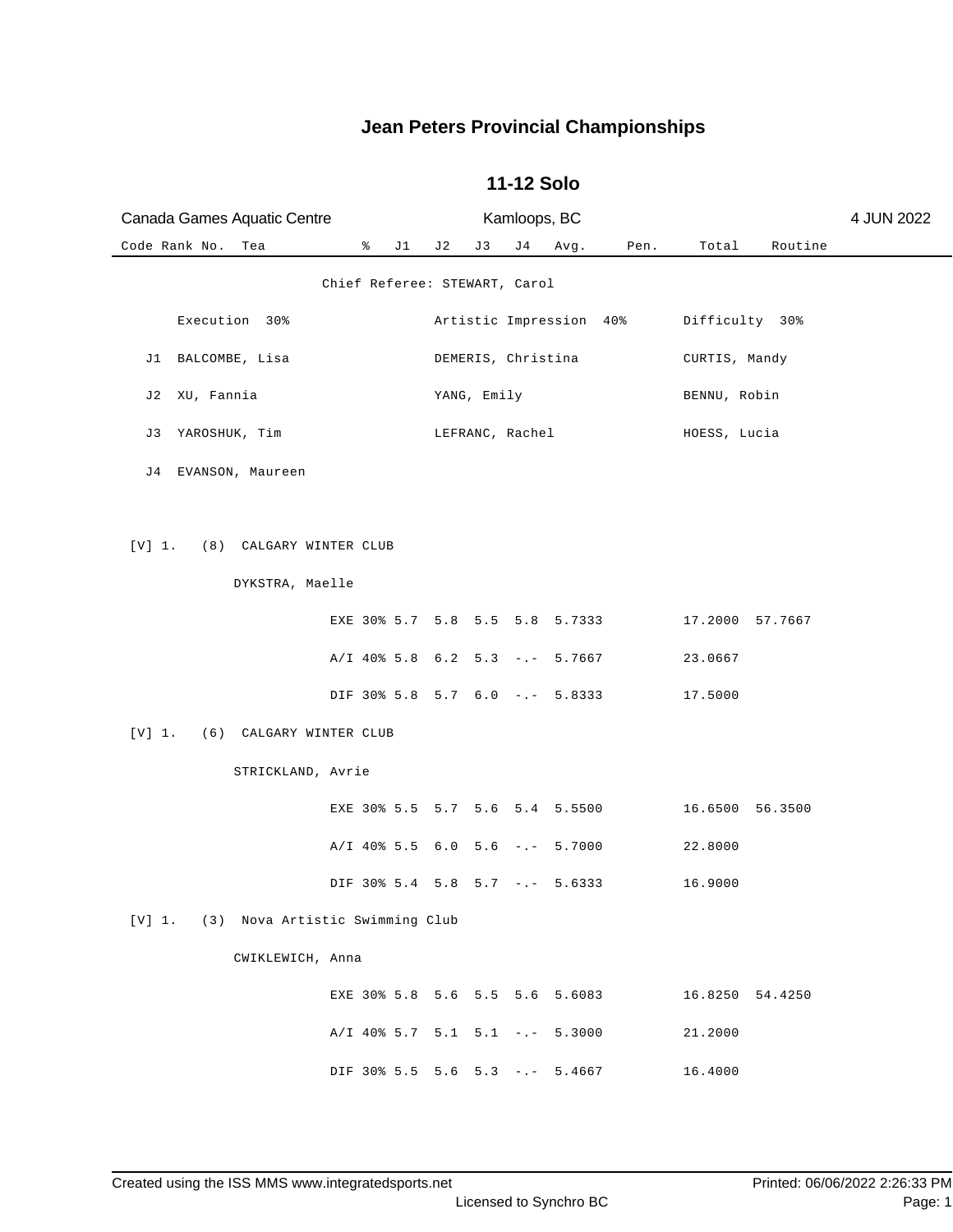| Canada Games Aquatic Centre               |                                  |     |                    | Kamloops, BC |                         |      |                 |         | 4 JUN 2022 |
|-------------------------------------------|----------------------------------|-----|--------------------|--------------|-------------------------|------|-----------------|---------|------------|
| Code Rank No.<br>Tea                      | ိ<br>J1                          | J 2 | J3                 | J 4          | Avg.                    | Pen. | Total           | Routine |            |
|                                           | Chief Referee: STEWART, Carol    |     |                    |              |                         |      |                 |         |            |
| Execution 30%                             |                                  |     |                    |              | Artistic Impression 40% |      | Difficulty 30%  |         |            |
| J1 BALCOMBE, Lisa                         |                                  |     | DEMERIS, Christina |              |                         |      | CURTIS, Mandy   |         |            |
| XU, Fannia<br>J 2                         |                                  |     | YANG, Emily        |              |                         |      | BENNU, Robin    |         |            |
| YAROSHUK, Tim<br>J 3                      |                                  |     | LEFRANC, Rachel    |              |                         |      | HOESS, Lucia    |         |            |
| J4 EVANSON, Maureen                       |                                  |     |                    |              |                         |      |                 |         |            |
|                                           |                                  |     |                    |              |                         |      |                 |         |            |
| [V] 1.<br>(8) CALGARY WINTER CLUB         |                                  |     |                    |              |                         |      |                 |         |            |
| DYKSTRA, Maelle                           |                                  |     |                    |              |                         |      |                 |         |            |
|                                           | EXE 30% 5.7 5.8 5.5 5.8 5.7333   |     |                    |              |                         |      | 17.2000 57.7667 |         |            |
|                                           | $A/I$ 40% 5.8 6.2 5.3 -.- 5.7667 |     |                    |              |                         |      | 23.0667         |         |            |
|                                           | DIF 30% 5.8 5.7 6.0 -.- 5.8333   |     |                    |              |                         |      | 17.5000         |         |            |
| [V] 1.<br>(6) CALGARY WINTER CLUB         |                                  |     |                    |              |                         |      |                 |         |            |
| STRICKLAND, Avrie                         |                                  |     |                    |              |                         |      |                 |         |            |
|                                           | EXE 30% 5.5 5.7 5.6 5.4 5.5500   |     |                    |              |                         |      | 16.6500 56.3500 |         |            |
|                                           | $A/I$ 40% 5.5 6.0 5.6 -.- 5.7000 |     |                    |              |                         |      | 22.8000         |         |            |
|                                           | DIF 30% 5.4 5.8 5.7 -.- 5.6333   |     |                    |              |                         |      | 16.9000         |         |            |
| [V] 1.<br>(3) Nova Artistic Swimming Club |                                  |     |                    |              |                         |      |                 |         |            |
| CWIKLEWICH, Anna                          |                                  |     |                    |              |                         |      |                 |         |            |
|                                           | EXE 30% 5.8 5.6 5.5 5.6 5.6083   |     |                    |              |                         |      | 16.8250 54.4250 |         |            |
|                                           | $A/I$ 40% 5.7 5.1 5.1 -.- 5.3000 |     |                    |              |                         |      | 21.2000         |         |            |
|                                           | DIF 30% 5.5 5.6 5.3 -.- 5.4667   |     |                    |              |                         |      | 16.4000         |         |            |

#### **11-12 Solo**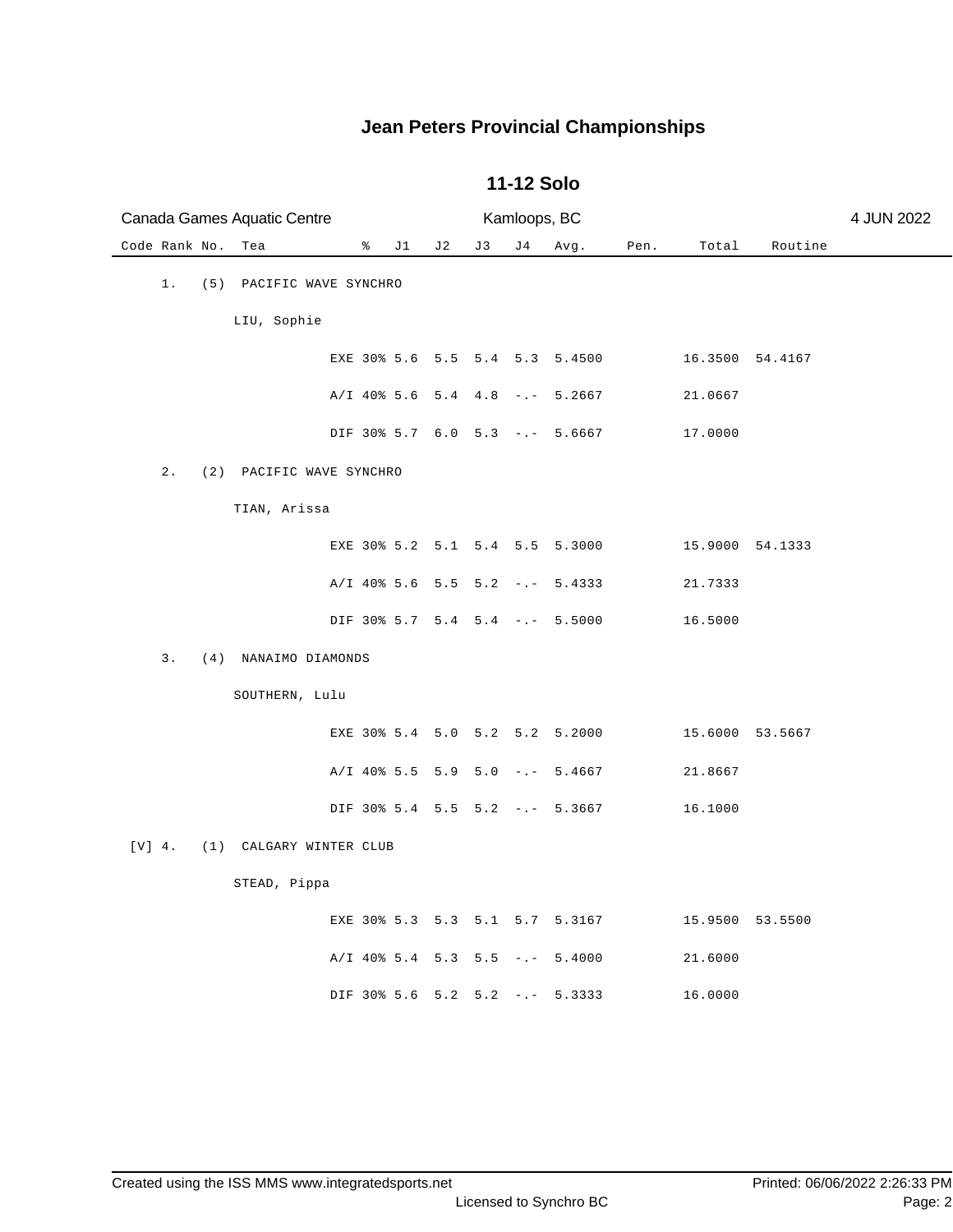| Canada Games Aquatic Centre |                          |                     |     |    | Kamloops, BC |                                  |      |                 |                 | 4 JUN 2022 |
|-----------------------------|--------------------------|---------------------|-----|----|--------------|----------------------------------|------|-----------------|-----------------|------------|
| Code Rank No.               | Tea                      | $\frac{8}{6}$<br>J1 | J 2 | J3 | J 4          | Avg.                             | Pen. | Total           | Routine         |            |
| 1.                          | (5) PACIFIC WAVE SYNCHRO |                     |     |    |              |                                  |      |                 |                 |            |
|                             | LIU, Sophie              |                     |     |    |              |                                  |      |                 |                 |            |
|                             |                          |                     |     |    |              | EXE 30% 5.6 5.5 5.4 5.3 5.4500   |      | 16.3500 54.4167 |                 |            |
|                             |                          |                     |     |    |              | $A/I$ 40% 5.6 5.4 4.8 -.- 5.2667 |      | 21.0667         |                 |            |
|                             |                          |                     |     |    |              | DIF 30% 5.7 6.0 5.3 -.- 5.6667   |      | 17.0000         |                 |            |
| $\sqrt{2}$ .                | (2) PACIFIC WAVE SYNCHRO |                     |     |    |              |                                  |      |                 |                 |            |
|                             | TIAN, Arissa             |                     |     |    |              |                                  |      |                 |                 |            |
|                             |                          |                     |     |    |              | EXE 30% 5.2 5.1 5.4 5.5 5.3000   |      | 15.9000 54.1333 |                 |            |
|                             |                          |                     |     |    |              | $A/I$ 40% 5.6 5.5 5.2 -.- 5.4333 |      | 21.7333         |                 |            |
|                             |                          |                     |     |    |              | DIF 30% 5.7 5.4 5.4 -.- 5.5000   |      | 16.5000         |                 |            |
| 3.<br>(4)                   | NANAIMO DIAMONDS         |                     |     |    |              |                                  |      |                 |                 |            |
|                             | SOUTHERN, Lulu           |                     |     |    |              |                                  |      |                 |                 |            |
|                             |                          |                     |     |    |              | EXE 30% 5.4 5.0 5.2 5.2 5.2000   |      |                 | 15.6000 53.5667 |            |
|                             |                          |                     |     |    |              | A/I 40% 5.5 5.9 5.0 -.- 5.4667   |      | 21.8667         |                 |            |
|                             |                          |                     |     |    |              | DIF 30% 5.4 5.5 5.2 -.- 5.3667   |      | 16.1000         |                 |            |
| $[V]$ 4.<br>(1)             | CALGARY WINTER CLUB      |                     |     |    |              |                                  |      |                 |                 |            |
|                             | STEAD, Pippa             |                     |     |    |              |                                  |      |                 |                 |            |
|                             |                          |                     |     |    |              | EXE 30% 5.3 5.3 5.1 5.7 5.3167   |      |                 | 15.9500 53.5500 |            |
|                             |                          |                     |     |    |              | $A/I$ 40% 5.4 5.3 5.5 -.- 5.4000 |      | 21.6000         |                 |            |
|                             |                          |                     |     |    |              | DIF 30% 5.6 5.2 5.2 -.- 5.3333   |      | 16.0000         |                 |            |

#### **11-12 Solo**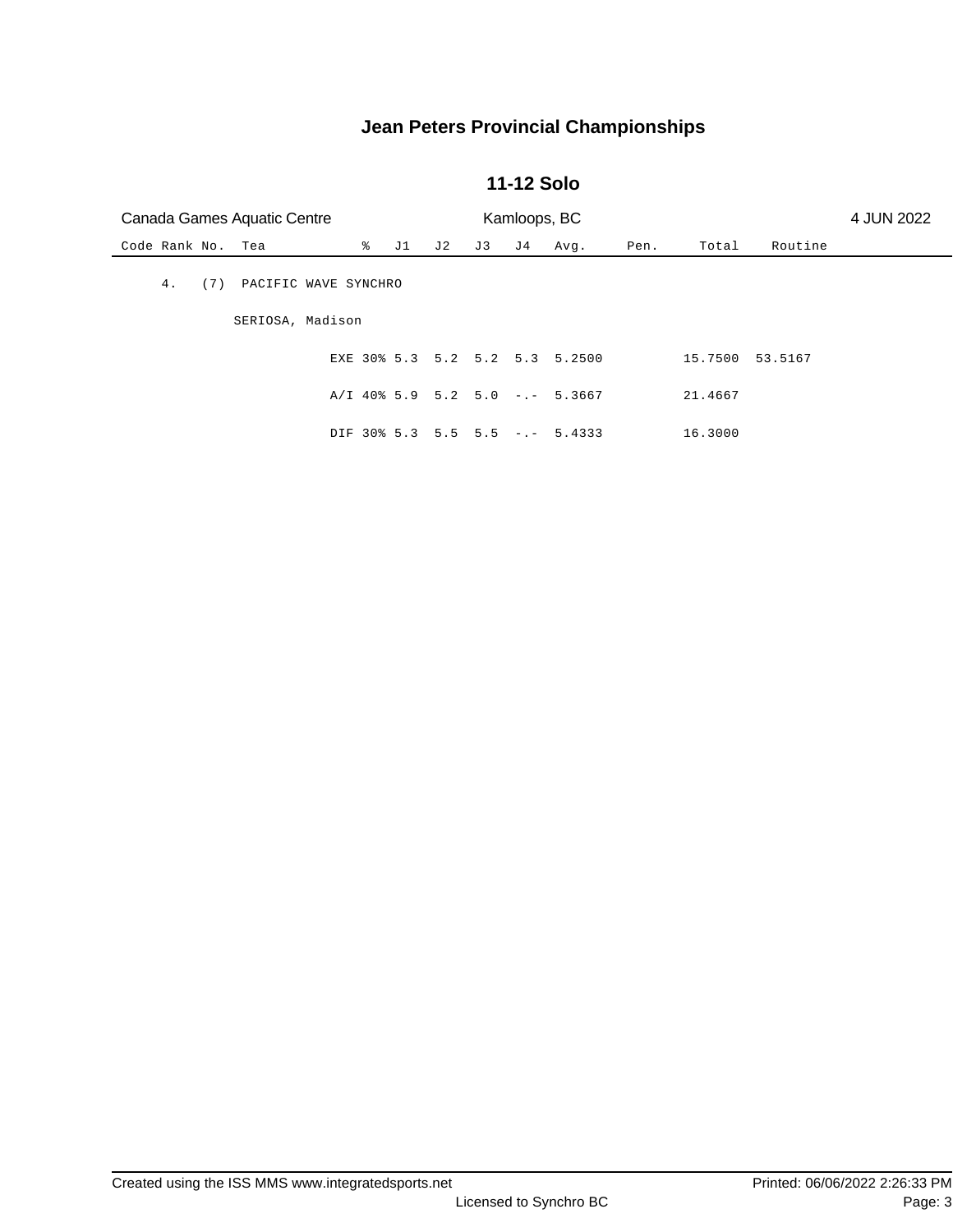#### **11-12 Solo**

| Canada Games Aquatic Centre<br>Kamloops, BC |                      |  |  |         |     |     |                                  |      |         |         | 4 JUN 2022 |
|---------------------------------------------|----------------------|--|--|---------|-----|-----|----------------------------------|------|---------|---------|------------|
| Code Rank No. Tea                           |                      |  |  | % J1 J2 | J 3 | J 4 | Avg.                             | Pen. | Total   | Routine |            |
| 4.<br>(7)                                   | PACIFIC WAVE SYNCHRO |  |  |         |     |     |                                  |      |         |         |            |
|                                             | SERIOSA, Madison     |  |  |         |     |     |                                  |      |         |         |            |
|                                             |                      |  |  |         |     |     | EXE 30% 5.3 5.2 5.2 5.3 5.2500   |      | 15.7500 | 53.5167 |            |
|                                             |                      |  |  |         |     |     | $A/I$ 40% 5.9 5.2 5.0 -.- 5.3667 |      | 21.4667 |         |            |
|                                             |                      |  |  |         |     |     | DIF 30% 5.3 5.5 5.5 -.- 5.4333   |      | 16.3000 |         |            |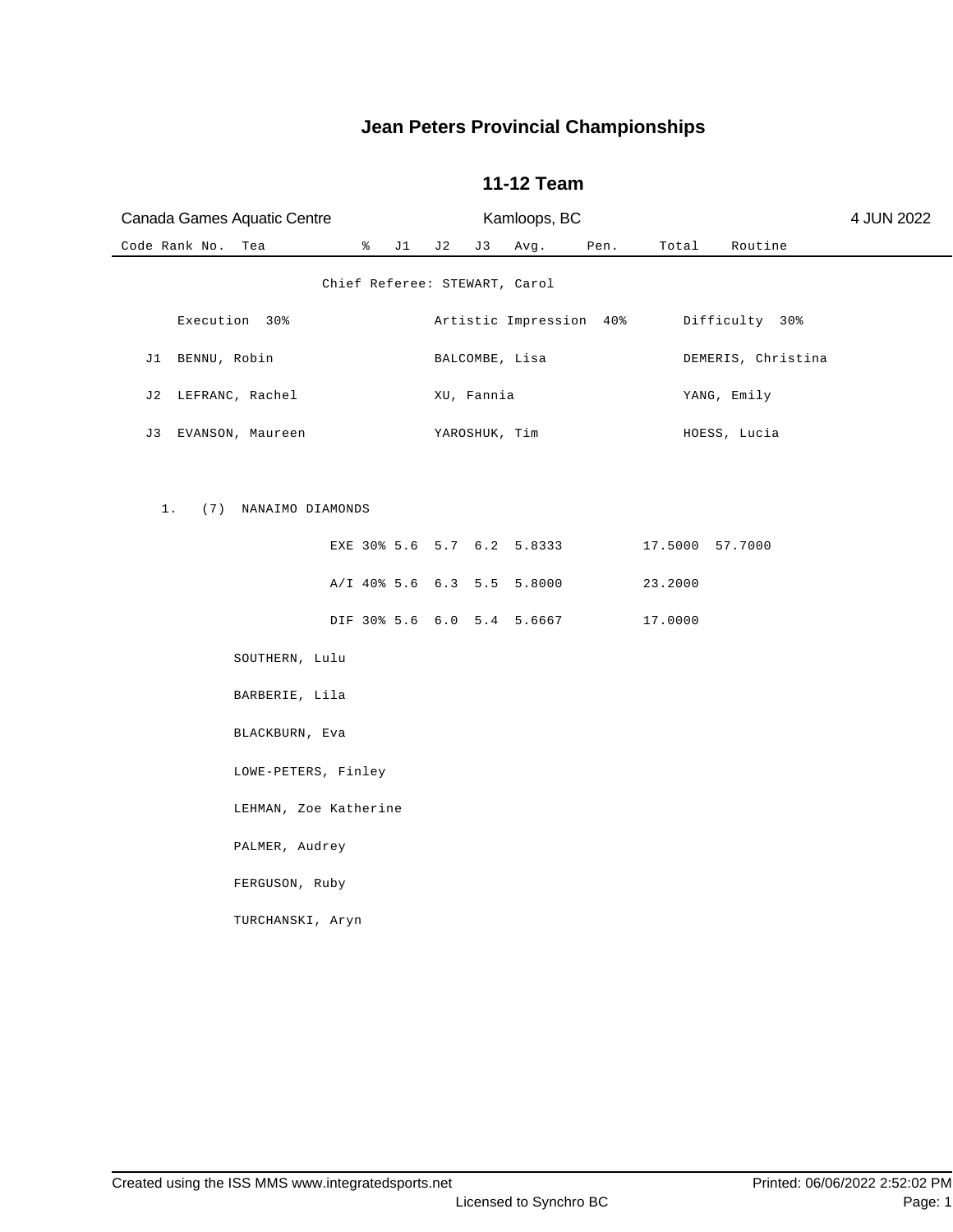| Canada Games Aquatic Centre   |                      |    |     |               | Kamloops, BC                       |      |                 |                    | 4 JUN 2022 |
|-------------------------------|----------------------|----|-----|---------------|------------------------------------|------|-----------------|--------------------|------------|
| Code Rank No.<br>Tea          | $\frac{1}{\sqrt{2}}$ | J1 | J 2 | J 3           | Avg.                               | Pen. |                 | Total Routine      |            |
|                               |                      |    |     |               | Chief Referee: STEWART, Carol      |      |                 |                    |            |
| Execution 30%                 |                      |    |     |               | Artistic Impression 40%            |      |                 | Difficulty 30%     |            |
| J1 BENNU, Robin               |                      |    |     |               | BALCOMBE, Lisa                     |      |                 | DEMERIS, Christina |            |
| J2 LEFRANC, Rachel            |                      |    |     | XU, Fannia    |                                    |      |                 | YANG, Emily        |            |
| J3 EVANSON, Maureen           |                      |    |     | YAROSHUK, Tim |                                    |      |                 | HOESS, Lucia       |            |
| $1$ .<br>(7) NANAIMO DIAMONDS |                      |    |     |               |                                    |      |                 |                    |            |
|                               |                      |    |     |               | EXE 30% 5.6 5.7 6.2 5.8333         |      | 17.5000 57.7000 |                    |            |
|                               |                      |    |     |               | A/I 40% 5.6 6.3 5.5 5.8000         |      | 23.2000         |                    |            |
|                               |                      |    |     |               | DIF 30% 5.6 6.0 5.4 5.6667 17.0000 |      |                 |                    |            |
| SOUTHERN, Lulu                |                      |    |     |               |                                    |      |                 |                    |            |
| BARBERIE, Lila                |                      |    |     |               |                                    |      |                 |                    |            |
| BLACKBURN, Eva                |                      |    |     |               |                                    |      |                 |                    |            |
| LOWE-PETERS, Finley           |                      |    |     |               |                                    |      |                 |                    |            |
| LEHMAN, Zoe Katherine         |                      |    |     |               |                                    |      |                 |                    |            |
| PALMER, Audrey                |                      |    |     |               |                                    |      |                 |                    |            |
| FERGUSON, Ruby                |                      |    |     |               |                                    |      |                 |                    |            |
| TURCHANSKI, Aryn              |                      |    |     |               |                                    |      |                 |                    |            |
|                               |                      |    |     |               |                                    |      |                 |                    |            |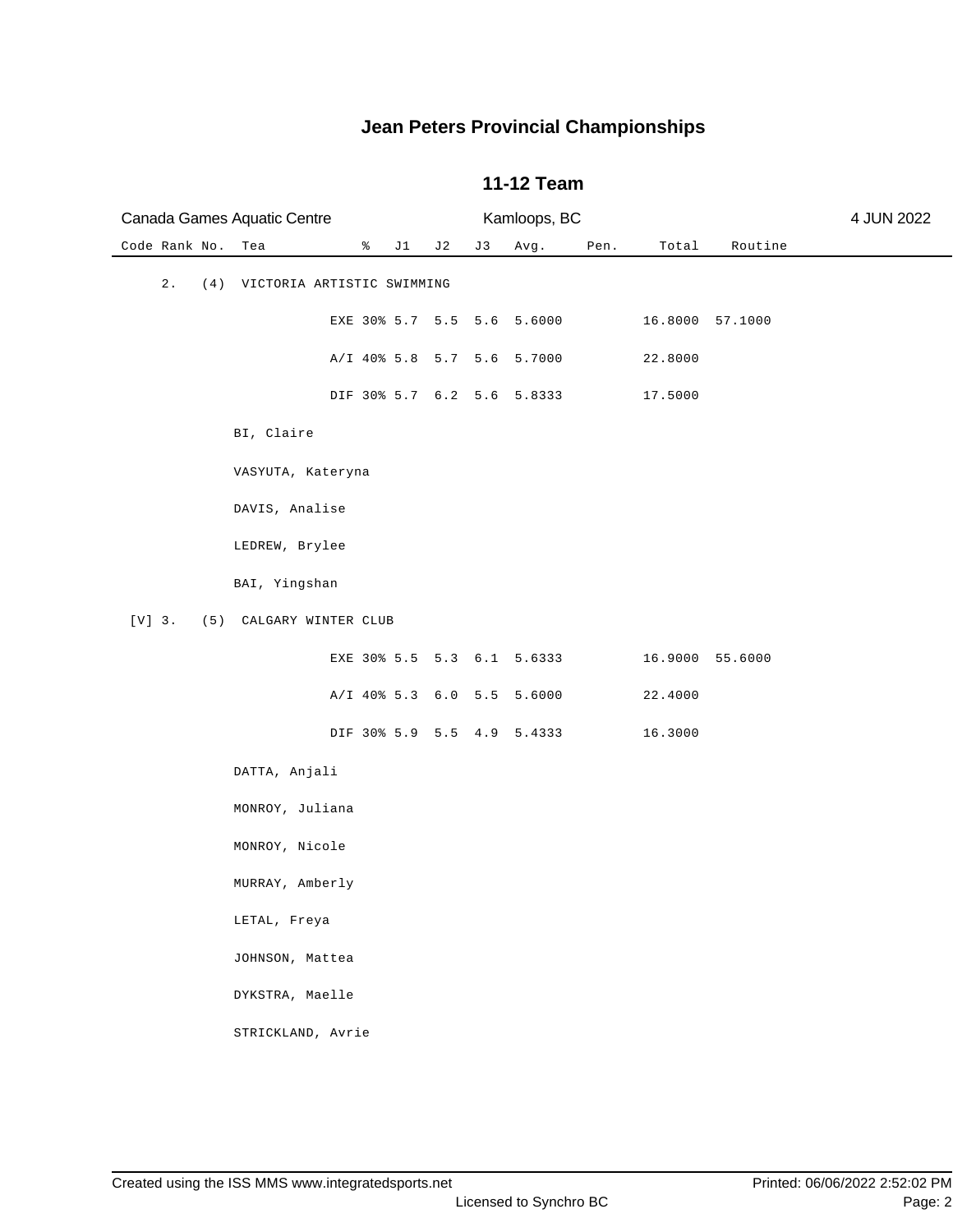|               | Canada Games Aquatic Centre    |   |     |                     |    | Kamloops, BC               |      |                 |         | 4 JUN 2022 |
|---------------|--------------------------------|---|-----|---------------------|----|----------------------------|------|-----------------|---------|------------|
| Code Rank No. | Tea                            | ိ | J 1 | J 2                 | J3 | Avg.                       | Pen. | Total           | Routine |            |
| $2$ .         | (4) VICTORIA ARTISTIC SWIMMING |   |     |                     |    |                            |      |                 |         |            |
|               |                                |   |     | EXE 30% 5.7 5.5 5.6 |    | 5.6000                     |      | 16.8000 57.1000 |         |            |
|               |                                |   |     | A/I 40% 5.8 5.7 5.6 |    | 5.7000                     |      | 22.8000         |         |            |
|               |                                |   |     |                     |    | DIF 30% 5.7 6.2 5.6 5.8333 |      | 17.5000         |         |            |
|               | BI, Claire                     |   |     |                     |    |                            |      |                 |         |            |
|               | VASYUTA, Kateryna              |   |     |                     |    |                            |      |                 |         |            |
|               | DAVIS, Analise                 |   |     |                     |    |                            |      |                 |         |            |
|               | LEDREW, Brylee                 |   |     |                     |    |                            |      |                 |         |            |
|               | BAI, Yingshan                  |   |     |                     |    |                            |      |                 |         |            |
| $[V]$ 3.      | (5) CALGARY WINTER CLUB        |   |     |                     |    |                            |      |                 |         |            |
|               |                                |   |     |                     |    | EXE 30% 5.5 5.3 6.1 5.6333 |      | 16.9000 55.6000 |         |            |
|               |                                |   |     | A/I 40% 5.3 6.0 5.5 |    | 5.6000                     |      | 22.4000         |         |            |
|               |                                |   |     |                     |    | DIF 30% 5.9 5.5 4.9 5.4333 |      | 16.3000         |         |            |
|               | DATTA, Anjali                  |   |     |                     |    |                            |      |                 |         |            |
|               | MONROY, Juliana                |   |     |                     |    |                            |      |                 |         |            |
|               | MONROY, Nicole                 |   |     |                     |    |                            |      |                 |         |            |
|               | MURRAY, Amberly                |   |     |                     |    |                            |      |                 |         |            |
|               | LETAL, Freya                   |   |     |                     |    |                            |      |                 |         |            |
|               | JOHNSON, Mattea                |   |     |                     |    |                            |      |                 |         |            |
|               | DYKSTRA, Maelle                |   |     |                     |    |                            |      |                 |         |            |
|               | STRICKLAND, Avrie              |   |     |                     |    |                            |      |                 |         |            |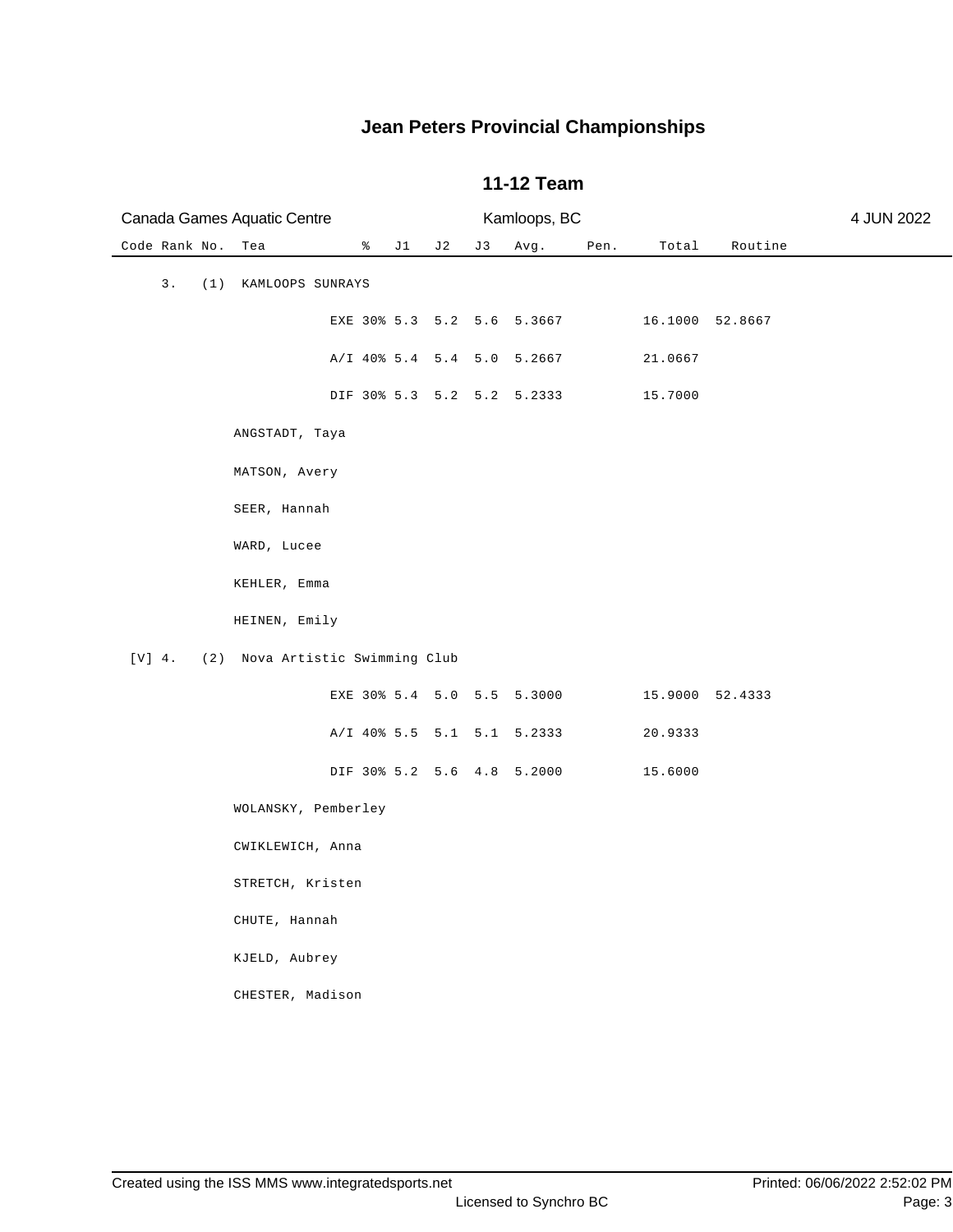| Canada Games Aquatic Centre |                                 |   |    |     |    | Kamloops, BC               |      | 4 JUN 2022      |         |  |
|-----------------------------|---------------------------------|---|----|-----|----|----------------------------|------|-----------------|---------|--|
| Code Rank No.               | Tea                             | ိ | J1 | J 2 | J3 | Avg.                       | Pen. | Total           | Routine |  |
| 3.<br>(1)                   | KAMLOOPS SUNRAYS                |   |    |     |    |                            |      |                 |         |  |
|                             |                                 |   |    |     |    | EXE 30% 5.3 5.2 5.6 5.3667 |      | 16.1000 52.8667 |         |  |
|                             |                                 |   |    |     |    | A/I 40% 5.4 5.4 5.0 5.2667 |      | 21.0667         |         |  |
|                             |                                 |   |    |     |    | DIF 30% 5.3 5.2 5.2 5.2333 |      | 15.7000         |         |  |
|                             | ANGSTADT, Taya                  |   |    |     |    |                            |      |                 |         |  |
|                             | MATSON, Avery                   |   |    |     |    |                            |      |                 |         |  |
|                             | SEER, Hannah                    |   |    |     |    |                            |      |                 |         |  |
|                             | WARD, Lucee                     |   |    |     |    |                            |      |                 |         |  |
|                             | KEHLER, Emma                    |   |    |     |    |                            |      |                 |         |  |
|                             | HEINEN, Emily                   |   |    |     |    |                            |      |                 |         |  |
| $[V]$ 4.                    | (2) Nova Artistic Swimming Club |   |    |     |    |                            |      |                 |         |  |
|                             |                                 |   |    |     |    | EXE 30% 5.4 5.0 5.5 5.3000 |      | 15.9000 52.4333 |         |  |
|                             |                                 |   |    |     |    | A/I 40% 5.5 5.1 5.1 5.2333 |      | 20.9333         |         |  |
|                             |                                 |   |    |     |    | DIF 30% 5.2 5.6 4.8 5.2000 |      | 15.6000         |         |  |
|                             | WOLANSKY, Pemberley             |   |    |     |    |                            |      |                 |         |  |
|                             | CWIKLEWICH, Anna                |   |    |     |    |                            |      |                 |         |  |
|                             | STRETCH, Kristen                |   |    |     |    |                            |      |                 |         |  |
|                             | CHUTE, Hannah                   |   |    |     |    |                            |      |                 |         |  |
|                             | KJELD, Aubrey                   |   |    |     |    |                            |      |                 |         |  |
|                             | CHESTER, Madison                |   |    |     |    |                            |      |                 |         |  |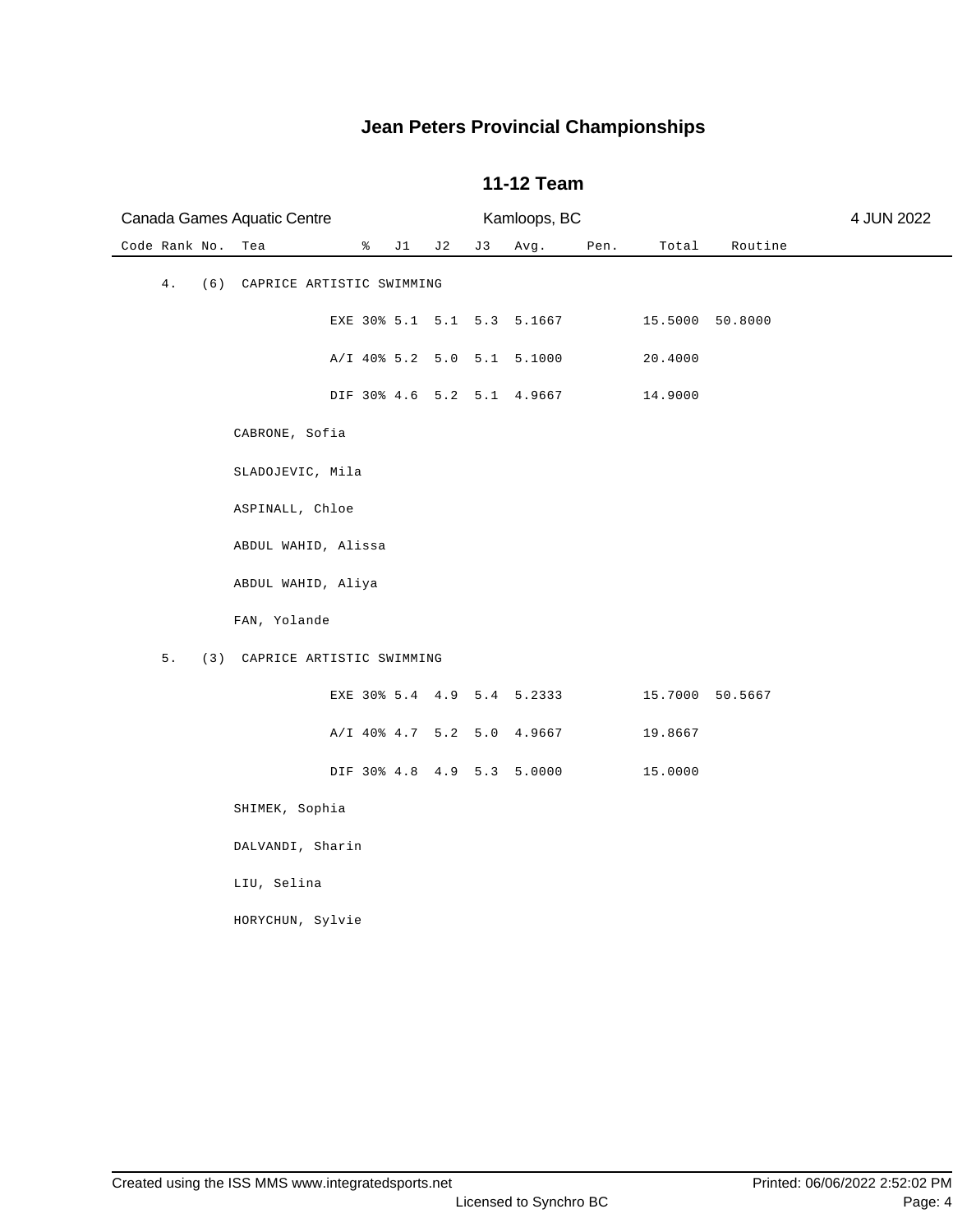| Canada Games Aquatic Centre         |                               |     |    | Kamloops, BC |      |         | 4 JUN 2022      |  |  |  |  |
|-------------------------------------|-------------------------------|-----|----|--------------|------|---------|-----------------|--|--|--|--|
| Code Rank No.<br>Tea                | $\sqrt[3]{}$ J1               | J 2 | J3 | Avg.         | Pen. | Total   | Routine         |  |  |  |  |
| 4.                                  | (6) CAPRICE ARTISTIC SWIMMING |     |    |              |      |         |                 |  |  |  |  |
|                                     | EXE 30% 5.1 5.1 5.3 5.1667    |     |    |              |      |         | 15.5000 50.8000 |  |  |  |  |
|                                     | A/I 40% 5.2 5.0 5.1 5.1000    |     |    |              |      | 20.4000 |                 |  |  |  |  |
|                                     | DIF 30% 4.6 5.2 5.1 4.9667    |     |    |              |      | 14.9000 |                 |  |  |  |  |
|                                     | CABRONE, Sofia                |     |    |              |      |         |                 |  |  |  |  |
|                                     | SLADOJEVIC, Mila              |     |    |              |      |         |                 |  |  |  |  |
|                                     | ASPINALL, Chloe               |     |    |              |      |         |                 |  |  |  |  |
|                                     | ABDUL WAHID, Alissa           |     |    |              |      |         |                 |  |  |  |  |
|                                     | ABDUL WAHID, Aliya            |     |    |              |      |         |                 |  |  |  |  |
| FAN, Yolande                        |                               |     |    |              |      |         |                 |  |  |  |  |
| 5.<br>(3) CAPRICE ARTISTIC SWIMMING |                               |     |    |              |      |         |                 |  |  |  |  |
|                                     | EXE 30% 5.4 4.9 5.4 5.2333    |     |    |              |      |         | 15.7000 50.5667 |  |  |  |  |
|                                     | A/I 40% 4.7 5.2 5.0 4.9667    |     |    |              |      | 19.8667 |                 |  |  |  |  |
|                                     | DIF 30% 4.8 4.9 5.3 5.0000    |     |    |              |      | 15.0000 |                 |  |  |  |  |
|                                     | SHIMEK, Sophia                |     |    |              |      |         |                 |  |  |  |  |
|                                     | DALVANDI, Sharin              |     |    |              |      |         |                 |  |  |  |  |
| LIU, Selina                         |                               |     |    |              |      |         |                 |  |  |  |  |
|                                     | HORYCHUN, Sylvie              |     |    |              |      |         |                 |  |  |  |  |
|                                     |                               |     |    |              |      |         |                 |  |  |  |  |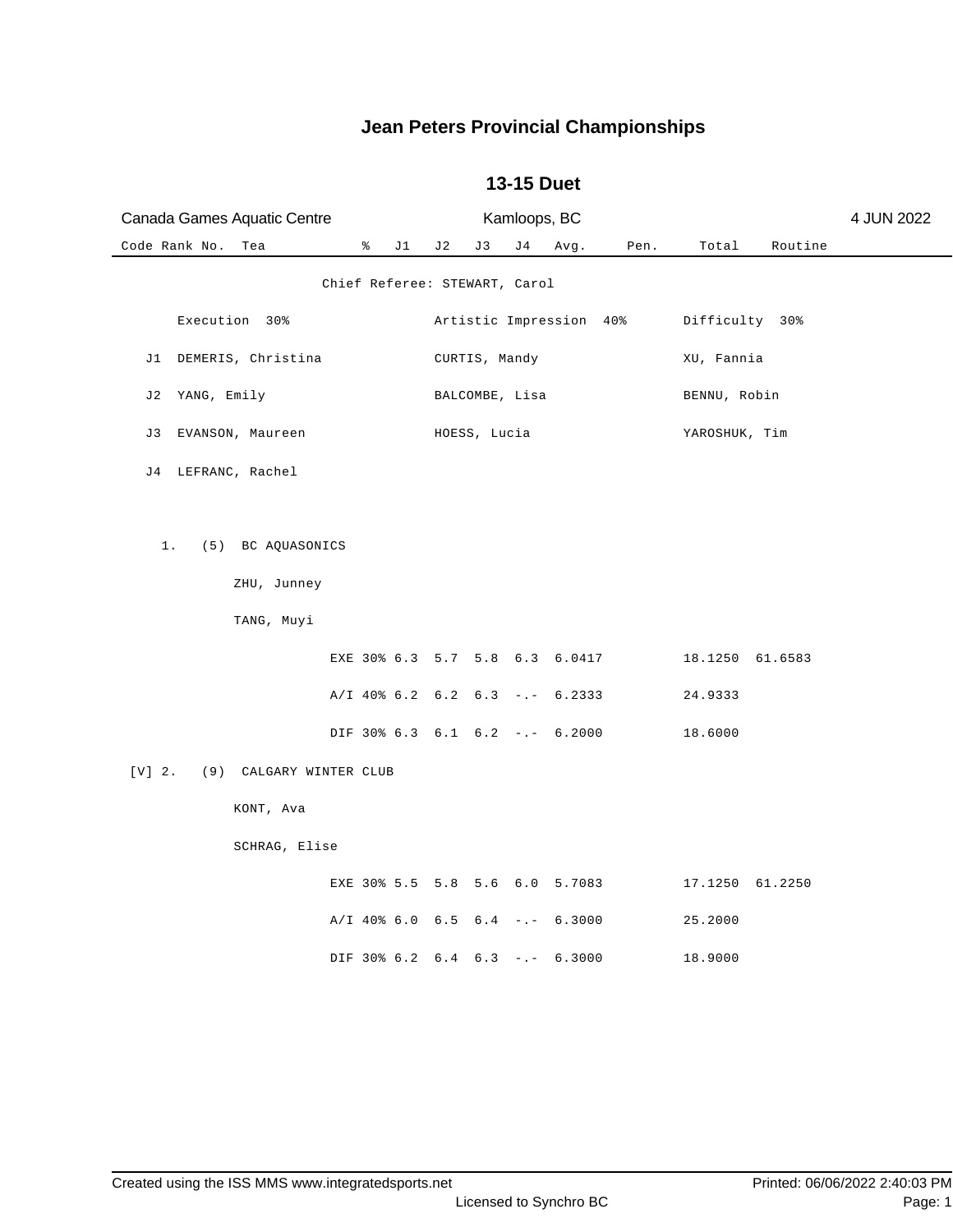| Canada Games Aquatic Centre                          |   |    |     | Kamloops, BC  |                |                                                                    |      |                            | 4 JUN 2022 |  |  |
|------------------------------------------------------|---|----|-----|---------------|----------------|--------------------------------------------------------------------|------|----------------------------|------------|--|--|
| Code Rank No.<br>Tea                                 | ိ | J1 | J 2 | J 3           | J 4            | Avg.                                                               | Pen. | Total                      | Routine    |  |  |
| Chief Referee: STEWART, Carol                        |   |    |     |               |                |                                                                    |      |                            |            |  |  |
| Execution 30%                                        |   |    |     |               |                | Artistic Impression 40%                                            |      | Difficulty 30%             |            |  |  |
| J1 DEMERIS, Christina                                |   |    |     | CURTIS, Mandy |                |                                                                    |      | XU, Fannia                 |            |  |  |
| J2 YANG, Emily                                       |   |    |     |               | BALCOMBE, Lisa |                                                                    |      | BENNU, Robin               |            |  |  |
| EVANSON, Maureen<br>J 3                              |   |    |     | HOESS, Lucia  |                |                                                                    |      | YAROSHUK, Tim              |            |  |  |
| J4 LEFRANC, Rachel                                   |   |    |     |               |                |                                                                    |      |                            |            |  |  |
| (5) BC AQUASONICS<br>1.<br>ZHU, Junney<br>TANG, Muyi |   |    |     |               |                | EXE 30% 6.3 5.7 5.8 6.3 6.0417<br>$A/I$ 40% 6.2 6.2 6.3 -.- 6.2333 |      | 18.1250 61.6583<br>24.9333 |            |  |  |
|                                                      |   |    |     |               |                | DIF 30% 6.3 6.1 6.2 -.- 6.2000                                     |      | 18.6000                    |            |  |  |
| $[V]$ 2.<br>(9) CALGARY WINTER CLUB                  |   |    |     |               |                |                                                                    |      |                            |            |  |  |
| KONT, Ava                                            |   |    |     |               |                |                                                                    |      |                            |            |  |  |
| SCHRAG, Elise                                        |   |    |     |               |                |                                                                    |      |                            |            |  |  |
|                                                      |   |    |     |               |                | EXE 30% 5.5 5.8 5.6 6.0 5.7083                                     |      | 17.1250 61.2250            |            |  |  |
|                                                      |   |    |     |               |                | $A/I$ 40% 6.0 6.5 6.4 -.- 6.3000                                   |      | 25.2000                    |            |  |  |
|                                                      |   |    |     |               |                | DIF 30% 6.2 6.4 6.3 -.- 6.3000                                     |      | 18.9000                    |            |  |  |

#### **13-15 Duet**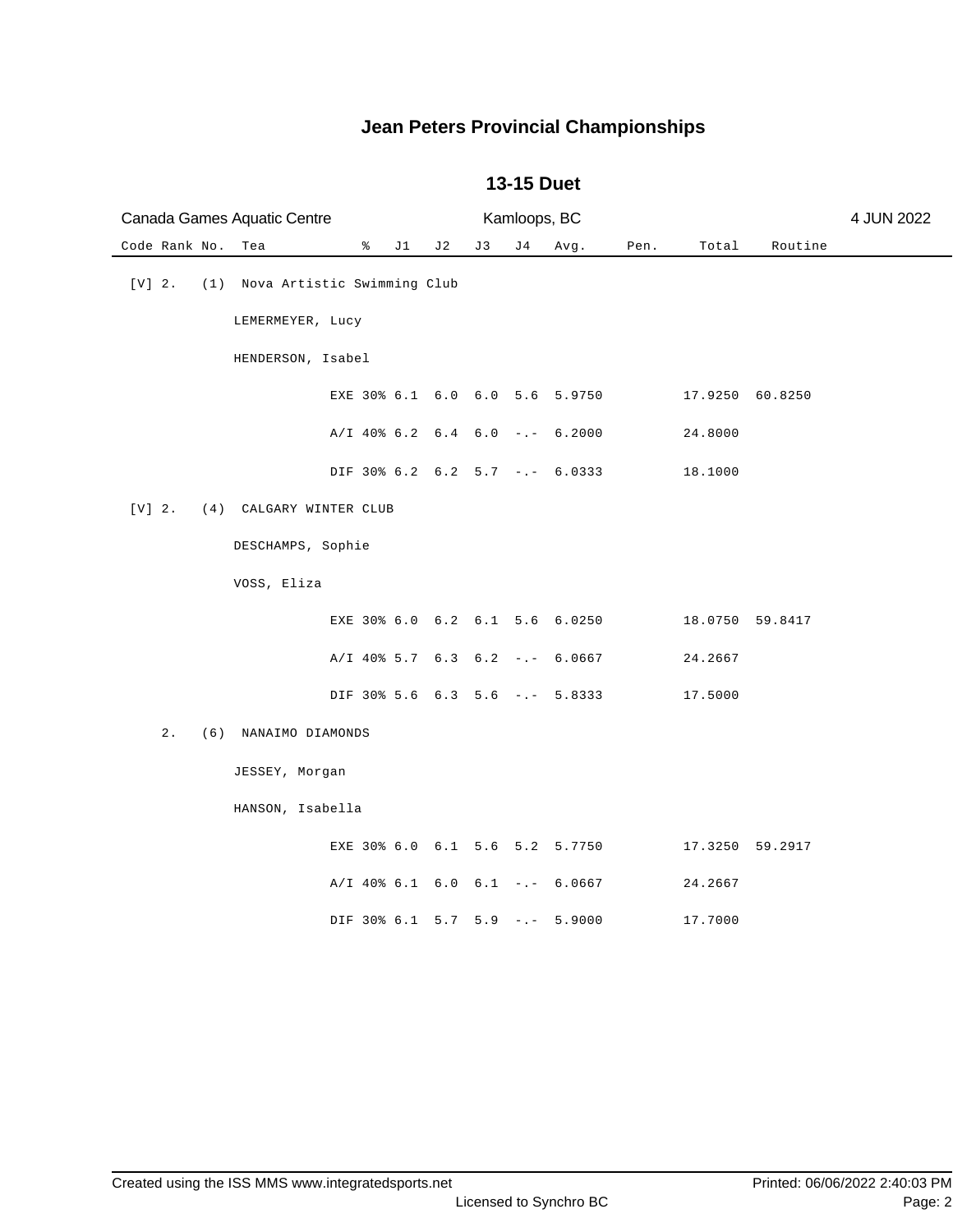# Code Rank No. Tea  $\ast$  J1 J2 J3 J4 Avg. Pen. Total Routine Canada Games Aquatic Centre Kamloops, BC 4 JUN 2022 [V] 2. (1) Nova Artistic Swimming Club LEMERMEYER, Lucy HENDERSON, Isabel EXE 30% 6.1 6.0 6.0 5.6 5.9750 17.9250 60.8250 A/I 40% 6.2 6.4 6.0 -.- 6.2000 24.8000 DIF 30% 6.2 6.2 5.7 -.- 6.0333 18.1000 [V] 2. (4) CALGARY WINTER CLUB DESCHAMPS, Sophie VOSS, Eliza EXE 30% 6.0 6.2 6.1 5.6 6.0250 18.0750 59.8417 A/I 40% 5.7 6.3 6.2 -.- 6.0667 24.2667 DIF 30% 5.6 6.3 5.6 -.- 5.8333 17.5000 2. (6) NANAIMO DIAMONDS JESSEY, Morgan HANSON, Isabella EXE 30% 6.0 6.1 5.6 5.2 5.7750 17.3250 59.2917 A/I 40% 6.1 6.0 6.1 -.- 6.0667 24.2667 DIF 30% 6.1 5.7 5.9 -.- 5.9000 17.7000

#### **13-15 Duet**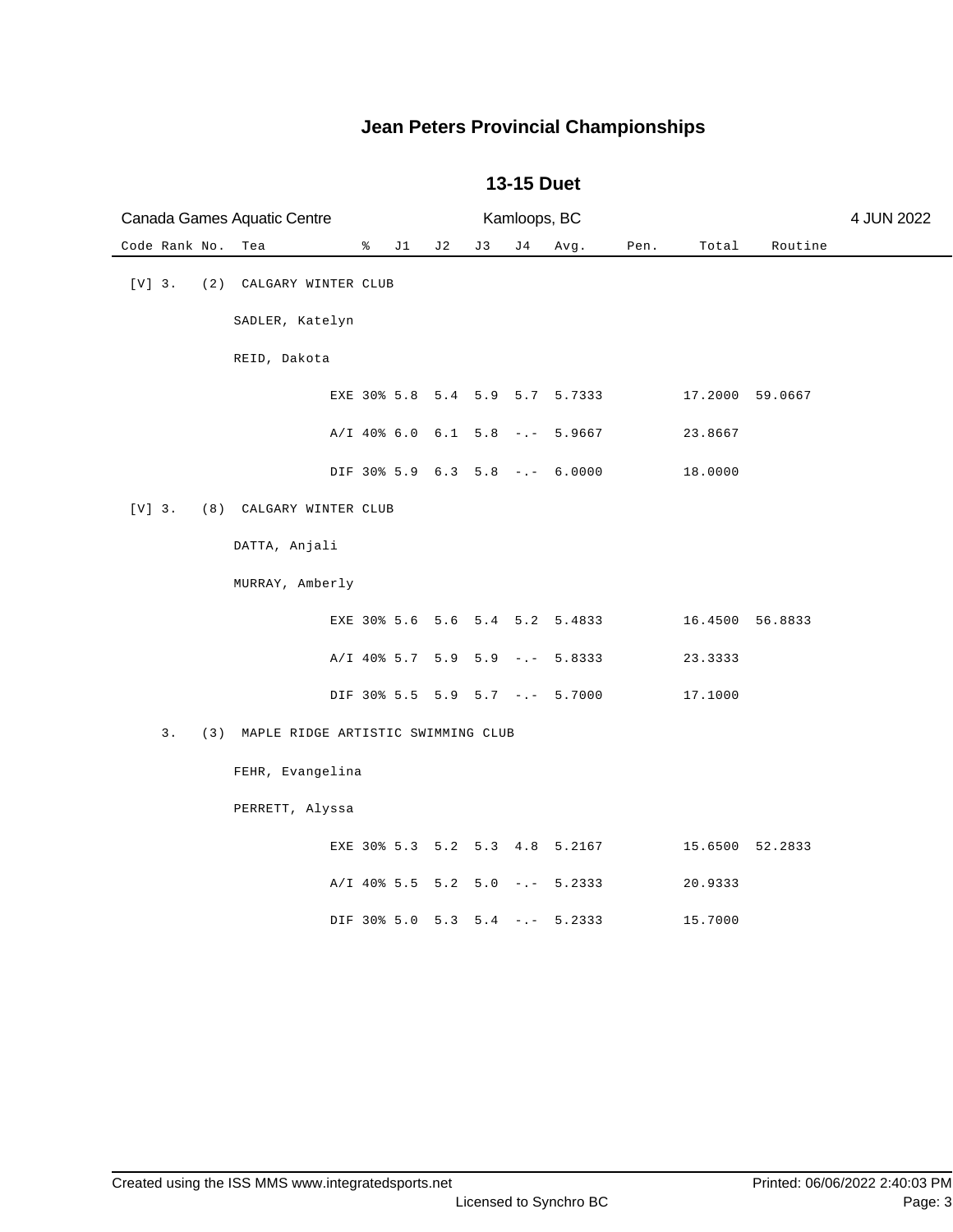|               | Canada Games Aquatic Centre            | Kamloops, BC                     |    |    |     |      |      |         |                 | 4 JUN 2022 |
|---------------|----------------------------------------|----------------------------------|----|----|-----|------|------|---------|-----------------|------------|
| Code Rank No. | Tea                                    | $\sqrt[3]{}$ J1                  | J2 | J3 | J 4 | Avg. | Pen. | Total   | Routine         |            |
| $[V]$ 3.      | (2) CALGARY WINTER CLUB                |                                  |    |    |     |      |      |         |                 |            |
|               | SADLER, Katelyn                        |                                  |    |    |     |      |      |         |                 |            |
|               | REID, Dakota                           |                                  |    |    |     |      |      |         |                 |            |
|               |                                        | EXE 30% 5.8 5.4 5.9 5.7 5.7333   |    |    |     |      |      |         | 17.2000 59.0667 |            |
|               |                                        | $A/I$ 40% 6.0 6.1 5.8 -.- 5.9667 |    |    |     |      |      | 23.8667 |                 |            |
|               |                                        | DIF 30% 5.9 6.3 5.8 -.- 6.0000   |    |    |     |      |      | 18.0000 |                 |            |
| $[V]$ 3.      | (8) CALGARY WINTER CLUB                |                                  |    |    |     |      |      |         |                 |            |
|               | DATTA, Anjali                          |                                  |    |    |     |      |      |         |                 |            |
|               | MURRAY, Amberly                        |                                  |    |    |     |      |      |         |                 |            |
|               |                                        | EXE 30% 5.6 5.6 5.4 5.2 5.4833   |    |    |     |      |      |         | 16.4500 56.8833 |            |
|               |                                        | A/I 40% 5.7 5.9 5.9 -.- 5.8333   |    |    |     |      |      | 23.3333 |                 |            |
|               |                                        | DIF 30% 5.5 5.9 5.7 -.- 5.7000   |    |    |     |      |      | 17.1000 |                 |            |
| 3.            | (3) MAPLE RIDGE ARTISTIC SWIMMING CLUB |                                  |    |    |     |      |      |         |                 |            |
|               | FEHR, Evangelina                       |                                  |    |    |     |      |      |         |                 |            |
|               | PERRETT, Alyssa                        |                                  |    |    |     |      |      |         |                 |            |
|               |                                        | EXE 30% 5.3 5.2 5.3 4.8 5.2167   |    |    |     |      |      |         | 15.6500 52.2833 |            |
|               |                                        | $A/I$ 40% 5.5 5.2 5.0 -.- 5.2333 |    |    |     |      |      | 20.9333 |                 |            |
|               |                                        | DIF 30% 5.0 5.3 5.4 -.- 5.2333   |    |    |     |      |      | 15.7000 |                 |            |

#### **13-15 Duet**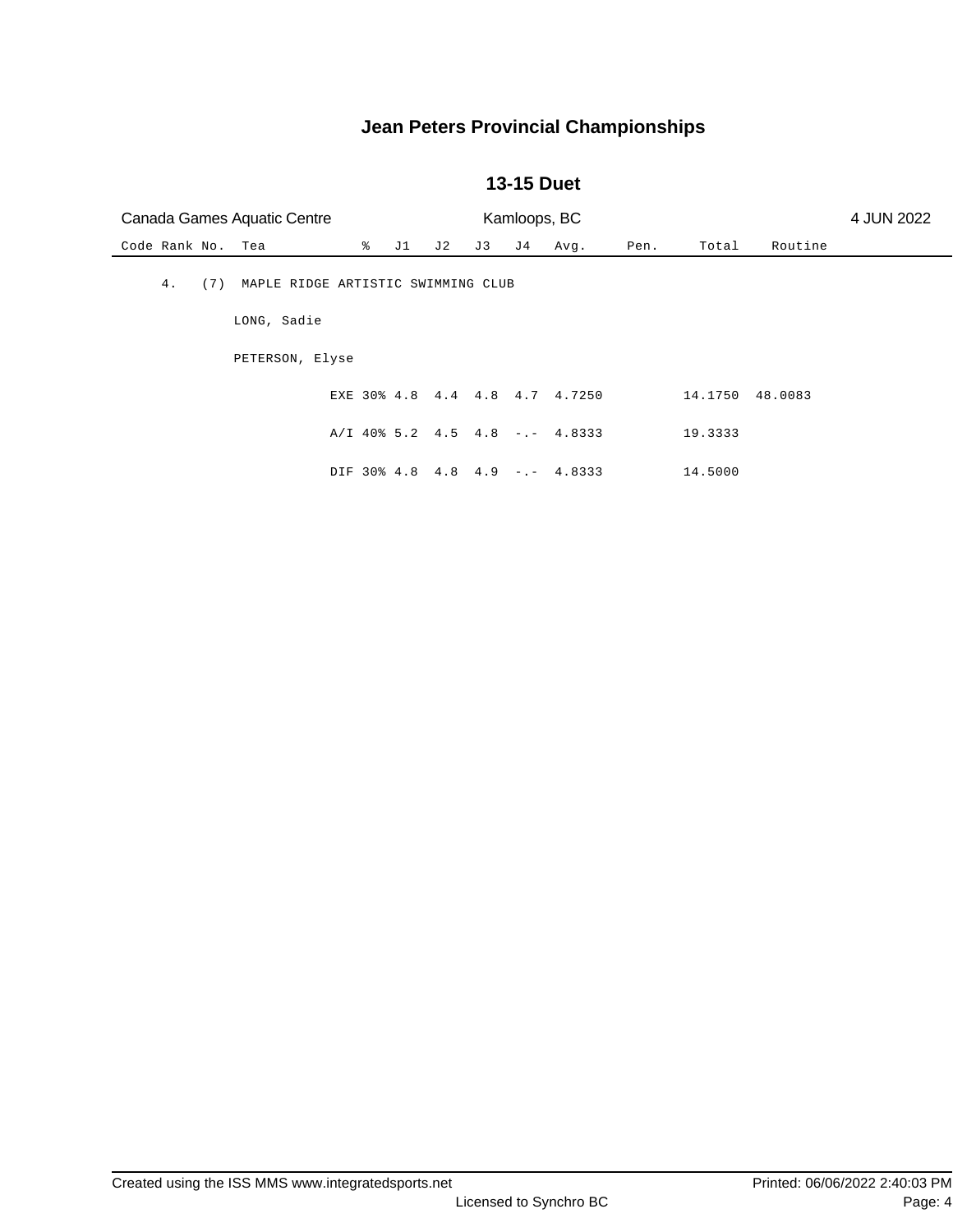#### **13-15 Duet**

| Canada Games Aquatic Centre |                                    |   |    | 4 JUN 2022 |     |     |                                  |      |         |         |  |
|-----------------------------|------------------------------------|---|----|------------|-----|-----|----------------------------------|------|---------|---------|--|
| Code Rank No. Tea           |                                    | ိ | J1 | J 2        | J 3 | J 4 | Avg.                             | Pen. | Total   | Routine |  |
| 4.<br>(7)                   | MAPLE RIDGE ARTISTIC SWIMMING CLUB |   |    |            |     |     |                                  |      |         |         |  |
|                             | LONG, Sadie                        |   |    |            |     |     |                                  |      |         |         |  |
|                             | PETERSON, Elyse                    |   |    |            |     |     |                                  |      |         |         |  |
|                             |                                    |   |    |            |     |     | EXE 30% 4.8 4.4 4.8 4.7 4.7250   |      | 14.1750 | 48.0083 |  |
|                             |                                    |   |    |            |     |     | $A/I$ 40% 5.2 4.5 4.8 -.- 4.8333 |      | 19.3333 |         |  |
|                             |                                    |   |    |            |     |     | DIF 30% 4.8 4.8 4.9 -.- 4.8333   |      | 14.5000 |         |  |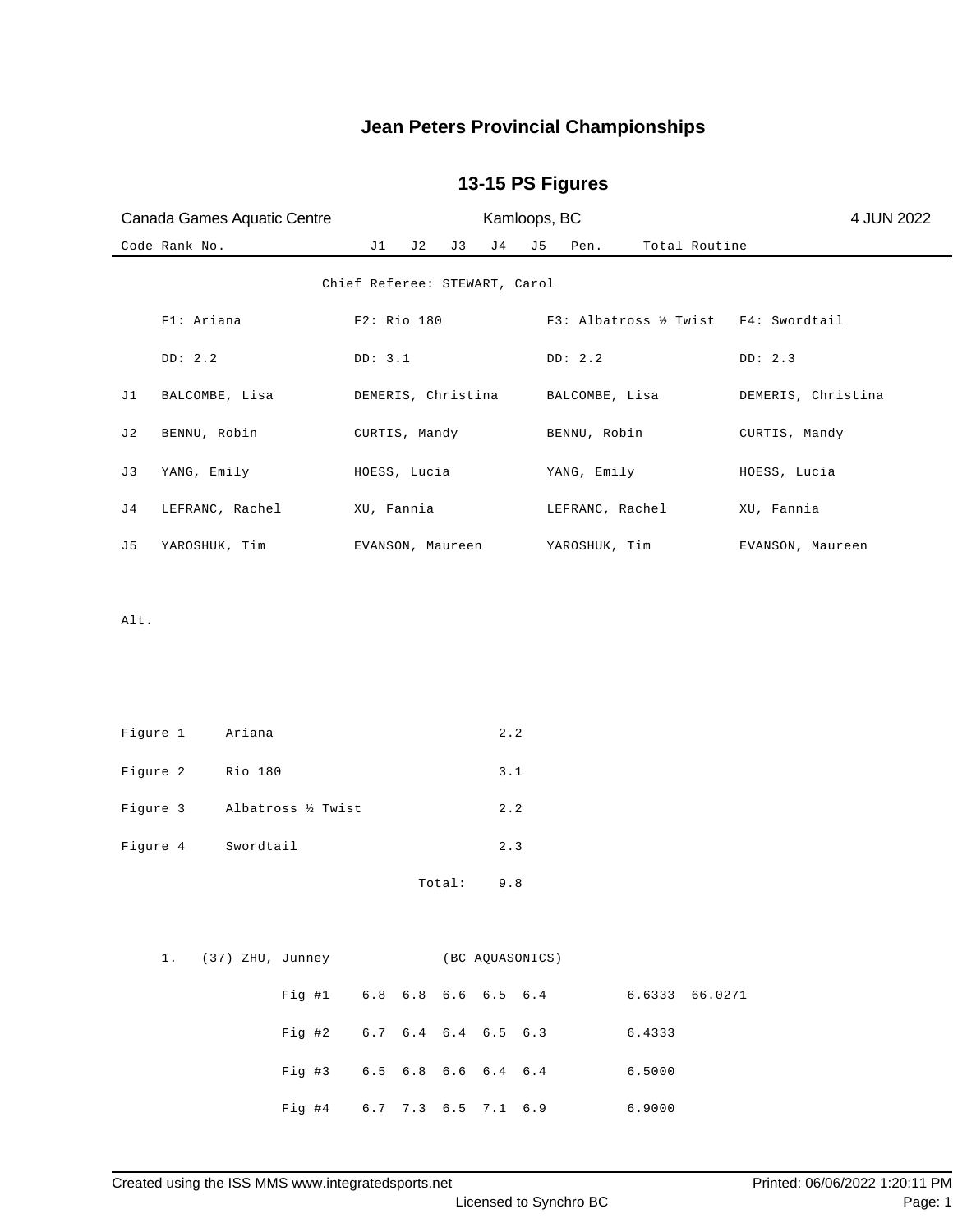## **13-15 PS Figures**

| Canada Games Aquatic Centre   | Kamloops, BC                         |                                     | 4 JUN 2022         |
|-------------------------------|--------------------------------------|-------------------------------------|--------------------|
| Code Rank No.                 | J1<br>J 2<br>J 4<br>J3               | Total Routine<br>J5<br>Pen.         |                    |
|                               | Chief Referee: STEWART, Carol        |                                     |                    |
| F1: Ariana                    | F2: Rio 180                          | F3: Albatross ½ Twist F4: Swordtail |                    |
| DD: 2.2                       | DD: 3.1                              | DD: 2.2                             | DD: 2.3            |
| J1<br>BALCOMBE, Lisa          | DEMERIS, Christina                   | BALCOMBE, Lisa                      | DEMERIS, Christina |
| J 2<br>BENNU, Robin           | CURTIS, Mandy                        | BENNU, Robin                        | CURTIS, Mandy      |
| YANG, Emily<br>J 3            | HOESS, Lucia                         | YANG, Emily                         | HOESS, Lucia       |
| LEFRANC, Rachel<br>J 4        | XU, Fannia                           | LEFRANC, Rachel                     | XU, Fannia         |
| J5<br>YAROSHUK, Tim           | EVANSON, Maureen                     | YAROSHUK, Tim                       | EVANSON, Maureen   |
|                               |                                      |                                     |                    |
| Alt.                          |                                      |                                     |                    |
|                               |                                      |                                     |                    |
|                               |                                      |                                     |                    |
| Figure 1<br>Ariana            | 2.2                                  |                                     |                    |
| Figure 2<br>Rio 180           | 3.1                                  |                                     |                    |
| Figure 3<br>Albatross ½ Twist | 2.2                                  |                                     |                    |
| Figure 4<br>Swordtail         | 2.3                                  |                                     |                    |
|                               | Total:<br>9.8                        |                                     |                    |
|                               |                                      |                                     |                    |
|                               | 1. (37) ZHU, Junney (BC AQUASONICS)  |                                     |                    |
| Fig  #1                       | 6.8 6.8 6.6 6.5 6.4                  | 6.6333 66.0271                      |                    |
|                               | Fig #2 $6.7$ $6.4$ $6.4$ $6.5$ $6.3$ | 6.4333                              |                    |
|                               | Fig #3 6.5 6.8 6.6 6.4 6.4           | 6.5000                              |                    |

Fig #4 6.7 7.3 6.5 7.1 6.9 6.9000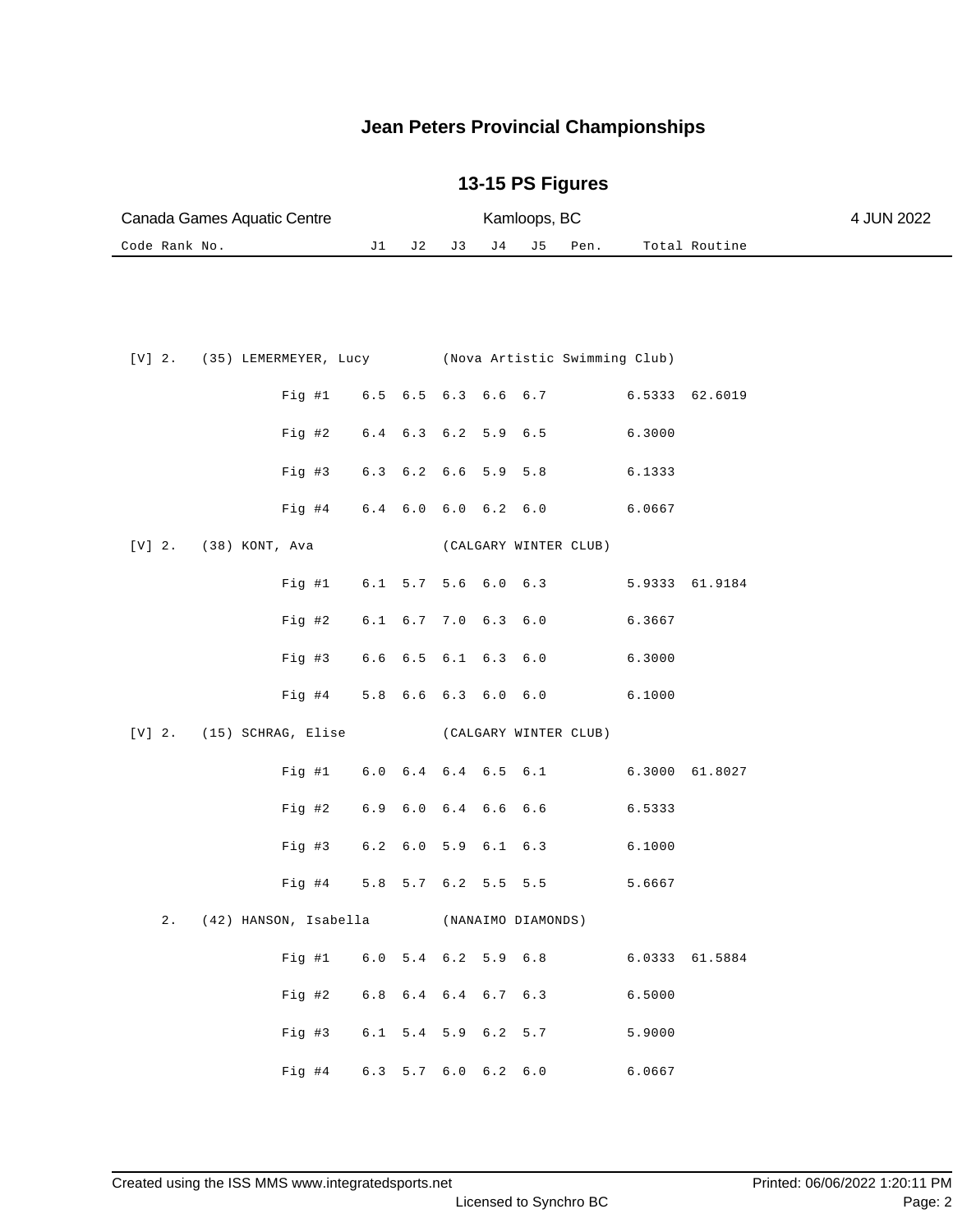|               | Canada Games Aquatic Centre |  |                                                            | Kamloops, BC        |                               |     |     |                    |                       |                |                | 4 JUN 2022 |
|---------------|-----------------------------|--|------------------------------------------------------------|---------------------|-------------------------------|-----|-----|--------------------|-----------------------|----------------|----------------|------------|
| Code Rank No. |                             |  |                                                            | J1                  | J 2                           | J 3 | J 4 | J 5                | Pen.                  |                | Total Routine  |            |
|               |                             |  |                                                            |                     |                               |     |     |                    |                       |                |                |            |
|               |                             |  |                                                            |                     |                               |     |     |                    |                       |                |                |            |
|               |                             |  | [V] 2. (35) LEMERMEYER, Lucy (Nova Artistic Swimming Club) |                     |                               |     |     |                    |                       |                |                |            |
|               |                             |  | Fig  #1                                                    |                     | 6.5 6.5 6.3 6.6 6.7           |     |     |                    |                       | 6.5333 62.6019 |                |            |
|               |                             |  | Fig 42                                                     |                     | 6.4 6.3 6.2 5.9 6.5           |     |     |                    |                       | 6.3000         |                |            |
|               |                             |  | Fig #3                                                     |                     | 6.3 6.2 6.6 5.9 5.8           |     |     |                    |                       | 6.1333         |                |            |
|               |                             |  | $Fig. \#4$                                                 |                     | $6.4$ $6.0$ $6.0$ $6.2$ $6.0$ |     |     |                    |                       | 6.0667         |                |            |
| $[V]$ 2.      |                             |  | (38) KONT, Ava                                             |                     |                               |     |     |                    | (CALGARY WINTER CLUB) |                |                |            |
|               |                             |  | Fig  #1                                                    |                     | $6.1$ 5.7 5.6 6.0 6.3         |     |     |                    |                       | 5.9333 61.9184 |                |            |
|               |                             |  | Fig #2                                                     |                     | $6.1$ $6.7$ $7.0$ $6.3$ $6.0$ |     |     |                    |                       | 6.3667         |                |            |
|               |                             |  | Fig #3                                                     |                     | 6.6 6.5 6.1 6.3 6.0           |     |     |                    |                       | 6.3000         |                |            |
|               |                             |  | $Fig. \#4$                                                 |                     | 5.8 6.6 6.3 6.0 6.0           |     |     |                    |                       | 6.1000         |                |            |
| $[V]$ 2.      |                             |  | (15) SCHRAG, Elise (CALGARY WINTER CLUB)                   |                     |                               |     |     |                    |                       |                |                |            |
|               |                             |  | Fig #1                                                     |                     | $6.0$ $6.4$ $6.4$ $6.5$ $6.1$ |     |     |                    |                       |                | 6.3000 61.8027 |            |
|               |                             |  | $Fig. \#2$                                                 |                     | 6.9 6.0 6.4 6.6 6.6           |     |     |                    |                       | 6.5333         |                |            |
|               |                             |  | Fig #3                                                     |                     | 6.2 6.0 5.9 6.1 6.3           |     |     |                    |                       | 6.1000         |                |            |
|               |                             |  | Fig #4                                                     |                     | 5.8 5.7 6.2 5.5 5.5           |     |     |                    |                       | 5.6667         |                |            |
|               | 2.                          |  | (42) HANSON, Isabella                                      |                     |                               |     |     | (NANAIMO DIAMONDS) |                       |                |                |            |
|               |                             |  | Fig #1 6.0 5.4 6.2 5.9 6.8                                 |                     |                               |     |     |                    |                       |                | 6.0333 61.5884 |            |
|               |                             |  | Fig #2 6.8 6.4 6.4 6.7 6.3                                 |                     |                               |     |     |                    |                       | 6.5000         |                |            |
|               |                             |  | Fig #3                                                     | 6.1 5.4 5.9 6.2 5.7 |                               |     |     |                    |                       | 5.9000         |                |            |
|               |                             |  | Fig #4 6.3 5.7 6.0 6.2 6.0                                 |                     |                               |     |     |                    |                       | 6.0667         |                |            |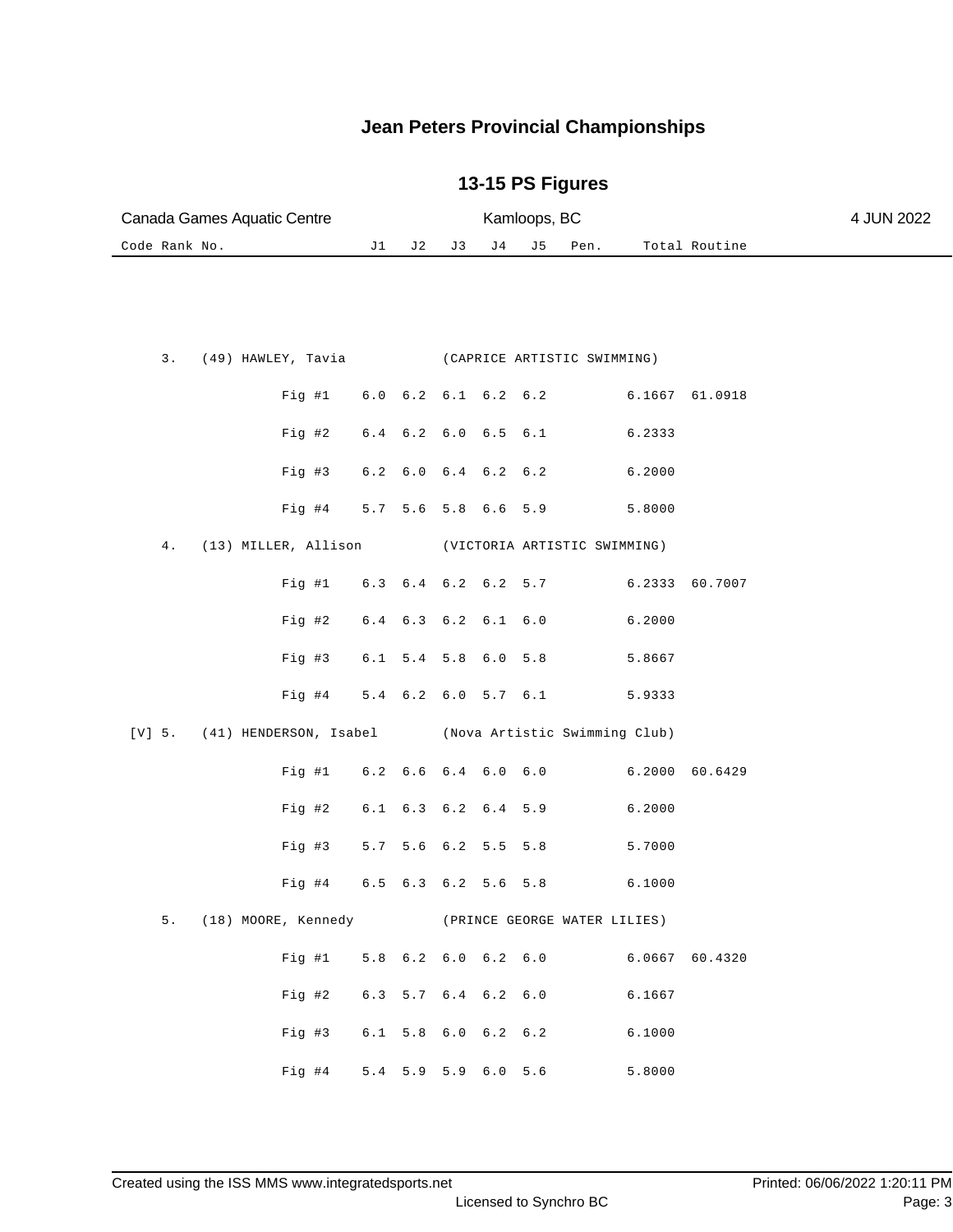| Canada Games Aquatic Centre |  |               |                          |    |     |           | 4 JUN 2022 |                                                                                                                                                                                                                                                                                                                                                                |                                            |                                                                                                                                                                                                                                                  |                                                                      |
|-----------------------------|--|---------------|--------------------------|----|-----|-----------|------------|----------------------------------------------------------------------------------------------------------------------------------------------------------------------------------------------------------------------------------------------------------------------------------------------------------------------------------------------------------------|--------------------------------------------|--------------------------------------------------------------------------------------------------------------------------------------------------------------------------------------------------------------------------------------------------|----------------------------------------------------------------------|
|                             |  |               | J1                       | J2 | J3  | J 4<br>J5 |            | Pen.                                                                                                                                                                                                                                                                                                                                                           |                                            |                                                                                                                                                                                                                                                  |                                                                      |
|                             |  |               |                          |    |     |           |            |                                                                                                                                                                                                                                                                                                                                                                |                                            |                                                                                                                                                                                                                                                  |                                                                      |
|                             |  |               |                          |    |     |           |            |                                                                                                                                                                                                                                                                                                                                                                |                                            |                                                                                                                                                                                                                                                  |                                                                      |
| 3.                          |  |               |                          |    |     |           |            |                                                                                                                                                                                                                                                                                                                                                                |                                            |                                                                                                                                                                                                                                                  |                                                                      |
|                             |  | Fig  #1       |                          |    |     |           |            |                                                                                                                                                                                                                                                                                                                                                                |                                            | 61.0918                                                                                                                                                                                                                                          |                                                                      |
|                             |  |               |                          |    |     |           |            |                                                                                                                                                                                                                                                                                                                                                                |                                            |                                                                                                                                                                                                                                                  |                                                                      |
|                             |  |               |                          |    |     |           |            |                                                                                                                                                                                                                                                                                                                                                                |                                            |                                                                                                                                                                                                                                                  |                                                                      |
|                             |  |               |                          |    |     |           |            |                                                                                                                                                                                                                                                                                                                                                                |                                            |                                                                                                                                                                                                                                                  |                                                                      |
|                             |  | Fig #4        |                          |    |     |           |            |                                                                                                                                                                                                                                                                                                                                                                | 5.8000                                     |                                                                                                                                                                                                                                                  |                                                                      |
| $4$ .                       |  |               |                          |    |     |           |            |                                                                                                                                                                                                                                                                                                                                                                |                                            |                                                                                                                                                                                                                                                  |                                                                      |
|                             |  | Fig  #1       |                          |    |     |           |            |                                                                                                                                                                                                                                                                                                                                                                | 6.2333                                     | 60.7007                                                                                                                                                                                                                                          |                                                                      |
|                             |  | Fig #2        |                          |    |     |           |            |                                                                                                                                                                                                                                                                                                                                                                | 6.2000                                     |                                                                                                                                                                                                                                                  |                                                                      |
|                             |  | Fig #3        |                          |    |     |           |            |                                                                                                                                                                                                                                                                                                                                                                | 5.8667                                     |                                                                                                                                                                                                                                                  |                                                                      |
|                             |  | Fig #4        |                          |    |     |           |            |                                                                                                                                                                                                                                                                                                                                                                | 5.9333                                     |                                                                                                                                                                                                                                                  |                                                                      |
| [V] 5.                      |  |               |                          |    |     |           |            |                                                                                                                                                                                                                                                                                                                                                                |                                            |                                                                                                                                                                                                                                                  |                                                                      |
|                             |  | Fig  #1       |                          |    |     |           |            |                                                                                                                                                                                                                                                                                                                                                                | 6.2000                                     | 60.6429                                                                                                                                                                                                                                          |                                                                      |
|                             |  | $Fig. \#2$    |                          |    |     |           |            |                                                                                                                                                                                                                                                                                                                                                                | 6.2000                                     |                                                                                                                                                                                                                                                  |                                                                      |
|                             |  | Fig #3        | 5.7                      |    |     |           |            |                                                                                                                                                                                                                                                                                                                                                                | 5.7000                                     |                                                                                                                                                                                                                                                  |                                                                      |
|                             |  | $Fig. \#4$    |                          |    |     |           |            |                                                                                                                                                                                                                                                                                                                                                                | 6.1000                                     |                                                                                                                                                                                                                                                  |                                                                      |
|                             |  |               |                          |    |     |           |            |                                                                                                                                                                                                                                                                                                                                                                |                                            |                                                                                                                                                                                                                                                  |                                                                      |
|                             |  |               |                          |    |     |           |            |                                                                                                                                                                                                                                                                                                                                                                |                                            |                                                                                                                                                                                                                                                  |                                                                      |
|                             |  | Fig #2        |                          |    |     |           |            |                                                                                                                                                                                                                                                                                                                                                                | 6.1667                                     |                                                                                                                                                                                                                                                  |                                                                      |
|                             |  | Fig 43        |                          |    |     |           |            |                                                                                                                                                                                                                                                                                                                                                                | 6.1000                                     |                                                                                                                                                                                                                                                  |                                                                      |
|                             |  |               |                          |    |     |           |            |                                                                                                                                                                                                                                                                                                                                                                |                                            |                                                                                                                                                                                                                                                  |                                                                      |
|                             |  | Code Rank No. | $Fig. \#2$<br>$Fig. \#3$ |    | 5.7 |           |            | $6.0$ $6.2$ $6.1$ $6.2$ $6.2$<br>$6.4$ $6.2$ $6.0$ $6.5$ $6.1$<br>$6.2$ $6.0$ $6.4$ $6.2$ $6.2$<br>5.6 5.8 6.6 5.9<br>6.3 6.4 6.2 6.2 5.7<br>6.4 6.3 6.2 6.1 6.0<br>6.1 5.4 5.8 6.0 5.8<br>5.4 6.2 6.0 5.7 6.1<br>$6.2$ $6.6$ $6.4$ $6.0$ $6.0$<br>6.1 6.3 6.2 6.4 5.9<br>5.6 6.2 5.5 5.8<br>6.5 6.3 6.2 5.6 5.8<br>6.3 5.7 6.4 6.2 6.0<br>6.1 5.8 6.0 6.2 6.2 | Kamloops, BC<br>Fig #4 5.4 5.9 5.9 6.0 5.6 | (49) HAWLEY, Tavia (CAPRICE ARTISTIC SWIMMING)<br>6.2333<br>6.2000<br>(13) MILLER, Allison (VICTORIA ARTISTIC SWIMMING)<br>(41) HENDERSON, Isabel (Nova Artistic Swimming Club)<br>5. (18) MOORE, Kennedy (PRINCE GEORGE WATER LILIES)<br>5.8000 | Total Routine<br>6.1667<br>Fig #1 5.8 6.2 6.0 6.2 6.0 6.0667 60.4320 |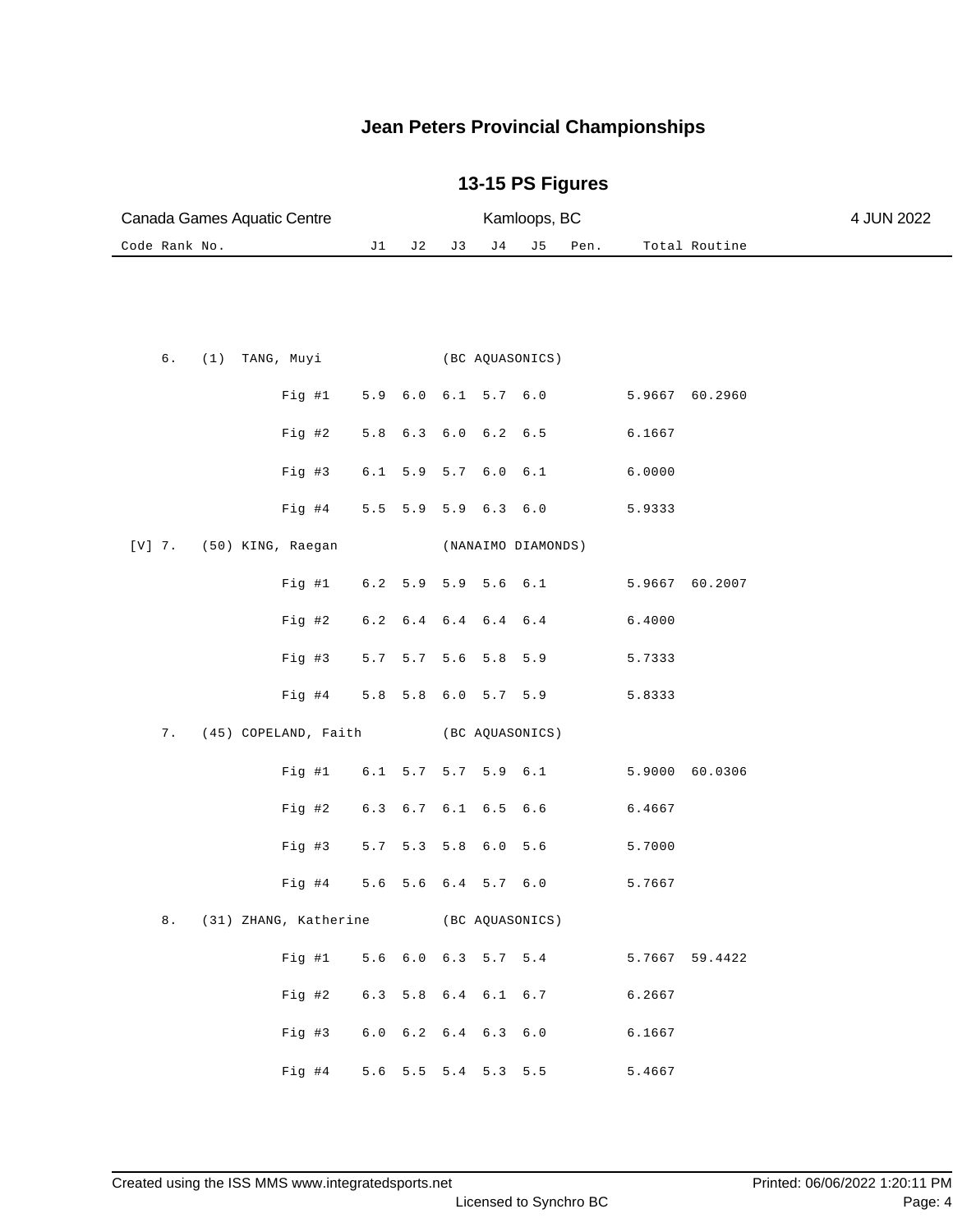| Canada Games Aquatic Centre              |                                           |                               | Kamloops, BC |                   | 4 JUN 2022         |      |                |                |  |
|------------------------------------------|-------------------------------------------|-------------------------------|--------------|-------------------|--------------------|------|----------------|----------------|--|
| Code Rank No.                            | J1                                        | J2                            | J3           | J <sub>4</sub>    | J 5                | Pen. |                | Total Routine  |  |
|                                          |                                           |                               |              |                   |                    |      |                |                |  |
| б.<br>(1) TANG, Muyi                     |                                           |                               |              |                   | (BC AQUASONICS)    |      |                |                |  |
| Fig #1                                   |                                           | 5.9 6.0 6.1 5.7 6.0           |              |                   |                    |      | 5.9667 60.2960 |                |  |
| $Fig. \#2$                               |                                           | 5.8 6.3 6.0 6.2 6.5           |              |                   |                    |      | 6.1667         |                |  |
| Fig #3                                   |                                           | 6.1 5.9 5.7 6.0 6.1           |              |                   |                    |      | 6.0000         |                |  |
| Fig. #4                                  |                                           | $5.5 \t5.9$                   |              | $5.9$ $6.3$ $6.0$ |                    |      | 5.9333         |                |  |
| $[V]$ 7.<br>(50) KING, Raegan            |                                           |                               |              |                   | (NANAIMO DIAMONDS) |      |                |                |  |
| Fig  #1                                  |                                           | 6.2 5.9                       |              | 5.9 5.6 6.1       |                    |      | 5.9667 60.2007 |                |  |
| $Fig. \#2$                               |                                           | $6.2$ $6.4$ $6.4$ $6.4$ $6.4$ |              |                   |                    |      | 6.4000         |                |  |
| Fig #3                                   |                                           | 5.7 5.7 5.6 5.8 5.9           |              |                   |                    |      | 5.7333         |                |  |
| $Fig. \#4$                               |                                           | 5.8 5.8 6.0 5.7 5.9           |              |                   |                    |      | 5.8333         |                |  |
| (45) COPELAND, Faith<br>7.               |                                           |                               |              |                   | (BC AQUASONICS)    |      |                |                |  |
| Fig #1                                   |                                           | 6.1 5.7 5.7 5.9 6.1           |              |                   |                    |      |                | 5.9000 60.0306 |  |
| Fig 42                                   |                                           | 6.3 6.7 6.1 6.5 6.6           |              |                   |                    |      | 6.4667         |                |  |
| Fig #3                                   |                                           | 5.7 5.3 5.8 6.0 5.6           |              |                   |                    |      | 5.7000         |                |  |
| Fig #4                                   |                                           | 5.6 5.6 6.4 5.7 6.0           |              |                   |                    |      | 5.7667         |                |  |
| 8. (31) ZHANG, Katherine (BC AQUASONICS) |                                           |                               |              |                   |                    |      |                |                |  |
|                                          | Fig #1 5.6 6.0 6.3 5.7 5.4 5.7667 59.4422 |                               |              |                   |                    |      |                |                |  |
| $Fig$ #2                                 |                                           | 6.3 5.8 6.4 6.1 6.7           |              |                   |                    |      | 6.2667         |                |  |
| Fig #3                                   |                                           | 6.0 6.2 6.4 6.3 6.0           |              |                   |                    |      | 6.1667         |                |  |
| Fig #4                                   |                                           | 5.6 5.5 5.4 5.3 5.5           |              |                   |                    |      | 5.4667         |                |  |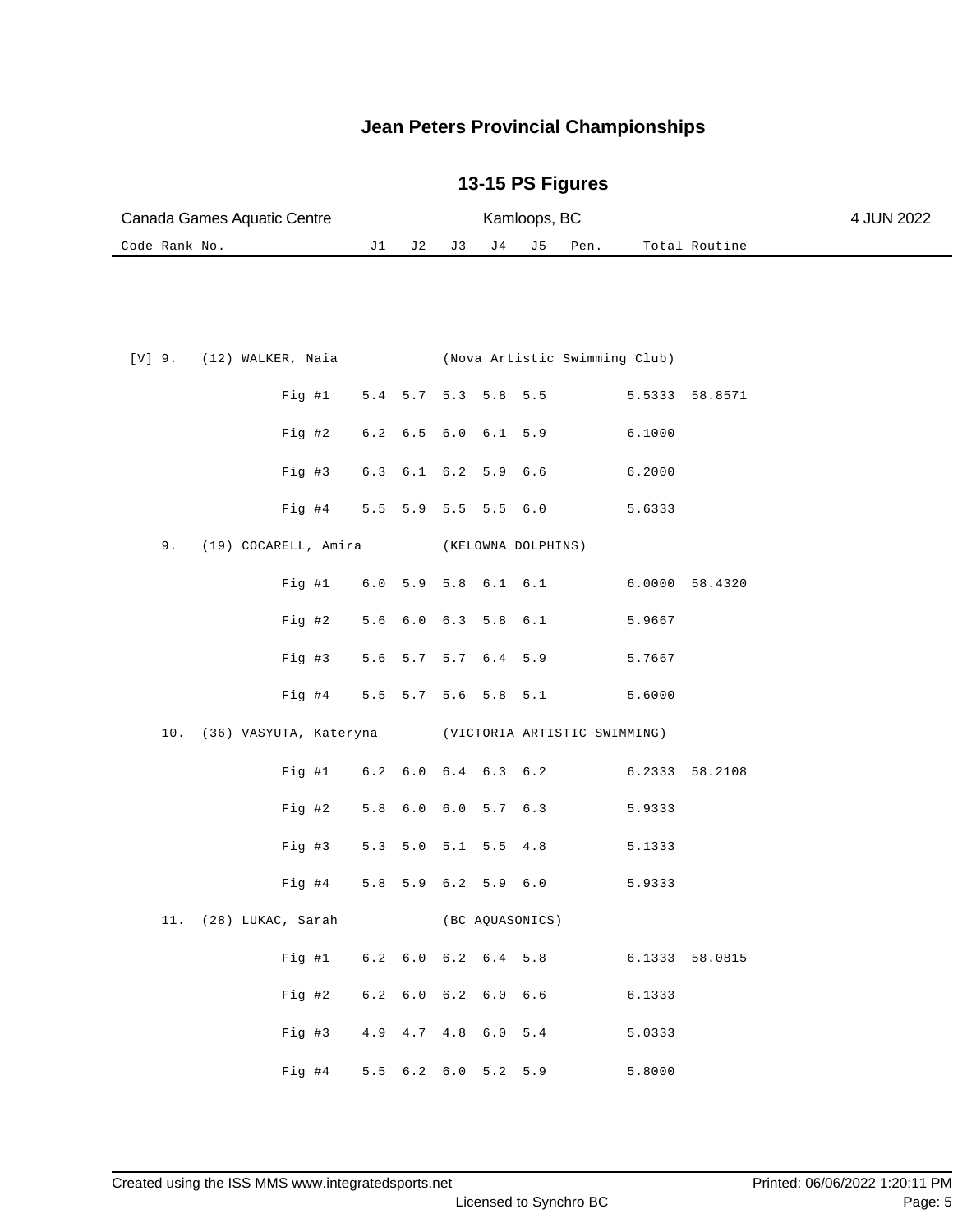| Canada Games Aquatic Centre   |     | 4 JUN 2022 |                |                               |     |      |                |  |
|-------------------------------|-----|------------|----------------|-------------------------------|-----|------|----------------|--|
| Code Rank No.                 | J 1 | J 2        | J 3            | J 4                           | J 5 | Pen. | Total Routine  |  |
|                               |     |            |                |                               |     |      |                |  |
|                               |     |            |                |                               |     |      |                |  |
|                               |     |            |                |                               |     |      |                |  |
|                               |     |            |                |                               |     |      |                |  |
| (12) WALKER, Naia<br>$[V]$ 9. |     |            |                | (Nova Artistic Swimming Club) |     |      |                |  |
| $F \nmid \alpha$ #1           |     |            | 54 57 52 58 55 |                               |     |      | 5 5333 58 8571 |  |

|  |                         | Fig  #1                      | 5.4 |                     | $5.7$ $5.3$ $5.8$ |                   | 5.5                                                     |                | 5.5333 58.8571 |
|--|-------------------------|------------------------------|-----|---------------------|-------------------|-------------------|---------------------------------------------------------|----------------|----------------|
|  |                         | Fig 42                       | 6.2 | 6.5                 |                   |                   | $6.0 \t6.1 \t5.9$                                       | 6.1000         |                |
|  |                         | Fig 43                       |     | 6.3 6.1 6.2 5.9 6.6 |                   |                   |                                                         | 6.2000         |                |
|  |                         | Fig #4 5.5 5.9               |     |                     |                   | $5.5$ $5.5$ $6.0$ |                                                         | 5.6333         |                |
|  | 9. (19) COCARELL, Amira |                              |     |                     |                   |                   | (KELOWNA DOLPHINS)                                      |                |                |
|  |                         |                              |     |                     |                   |                   | Fig #1 6.0 5.9 5.8 6.1 6.1 6.0000 58.4320               |                |                |
|  |                         | Fig 42                       |     | $5.6 \t 6.0$        |                   | $6.3$ $5.8$ $6.1$ |                                                         | 5.9667         |                |
|  |                         | Fig 43                       |     |                     |                   |                   | 5.6 5.7 5.7 6.4 5.9                                     | 5.7667         |                |
|  |                         | Fig 4                        |     |                     |                   |                   | 5.5 5.7 5.6 5.8 5.1                                     | 5.6000         |                |
|  |                         |                              |     |                     |                   |                   | 10. (36) VASYUTA, Kateryna (VICTORIA ARTISTIC SWIMMING) |                |                |
|  |                         |                              |     |                     |                   |                   | Fig #1 6.2 6.0 6.4 6.3 6.2 6.2333 58.2108               |                |                |
|  | Fig 42                  |                              | 5.8 | 6.0                 |                   |                   | $6.0$ 5.7 $6.3$                                         | 5.9333         |                |
|  | Fig 43                  |                              | 5.3 | 5.0                 |                   |                   | $5.1$ $5.5$ $4.8$                                       | 5.1333         |                |
|  |                         | Fig #4                       |     | 5.8 5.9             |                   |                   | $6.2$ 5.9 6.0                                           | 5.9333         |                |
|  | 11. (28) LUKAC, Sarah   |                              |     |                     |                   |                   | (BC AQUASONICS)                                         |                |                |
|  |                         | Fig  #1                      |     |                     |                   |                   | $6.2$ $6.0$ $6.2$ $6.4$ $5.8$                           | 6.1333 58.0815 |                |
|  | Fig 42                  |                              |     | 6.2 6.0 6.2 6.0 6.6 |                   |                   |                                                         | 6.1333         |                |
|  | Fig 43                  |                              |     | 4.9 4.7             |                   | 4.8 6.0 5.4       |                                                         | 5.0333         |                |
|  |                         | Fig #4 $5.5$ 6.2 6.0 5.2 5.9 |     |                     |                   |                   |                                                         | 5.8000         |                |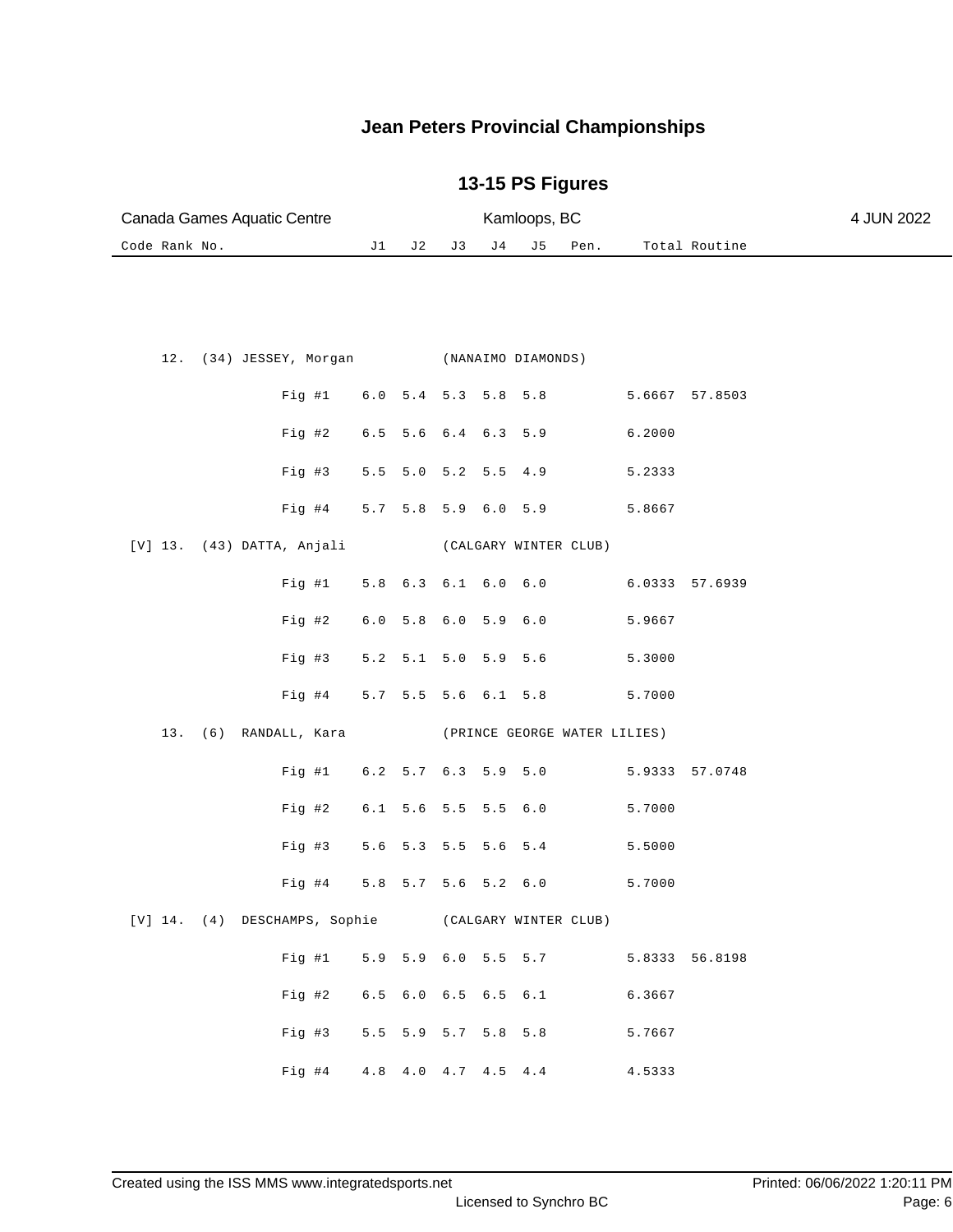| Canada Games Aquatic Centre                         |                     |                         | Kamloops, BC    |         | 4 JUN 2022                   |                |                |  |
|-----------------------------------------------------|---------------------|-------------------------|-----------------|---------|------------------------------|----------------|----------------|--|
| Code Rank No.                                       | J1<br>J 2           | J3                      | J 4             | J 5     | Pen.                         |                | Total Routine  |  |
|                                                     |                     |                         |                 |         |                              |                |                |  |
| 12.<br>(34) JESSEY, Morgan (NANAIMO DIAMONDS)       |                     |                         |                 |         |                              |                |                |  |
| Fig  #1                                             | $6.0$               | $5.4$ 5.3               | 5.8             | 5.8     |                              | 5.6667 57.8503 |                |  |
| Fig #2                                              | $6.5$<br>5.6        | $6.4 \t6.3$             |                 | 5.9     |                              | 6.2000         |                |  |
| Fig #3                                              | 5.5<br>5.0          | 5.2                     | $5.5 \quad 4.9$ |         |                              | 5.2333         |                |  |
| $Fig. \#4$                                          | 5.7 5.8 5.9 6.0 5.9 |                         |                 |         |                              | 5.8667         |                |  |
| $[V]$ 13. $(43)$ DATTA, Anjali                      |                     |                         |                 |         | (CALGARY WINTER CLUB)        |                |                |  |
| Fig #1                                              | 5.8                 | $6.3$ $6.1$ $6.0$ $6.0$ |                 |         |                              | 6.0333 57.6939 |                |  |
| Fig #2                                              | $6.0$               | $5.8 \t 6.0$            | 5.9 6.0         |         |                              | 5.9667         |                |  |
| Fig #3                                              | 5.2                 | $5.1 \quad 5.0$         | $5.9$ $5.6$     |         |                              | 5.3000         |                |  |
| $Fig. \#4$                                          | 5.7 5.5 5.6 6.1 5.8 |                         |                 |         |                              | 5.7000         |                |  |
| 13. (6) RANDALL, Kara                               |                     |                         |                 |         | (PRINCE GEORGE WATER LILIES) |                |                |  |
| Fig #1                                              | 6.2 5.7 6.3 5.9 5.0 |                         |                 |         |                              | 5.9333         | 57.0748        |  |
| $Fig. \#2$                                          | 6.1 5.6 5.5 5.5 6.0 |                         |                 |         |                              | 5.7000         |                |  |
| Fig #3                                              | 5.6                 | 5.3 5.5                 | 5.6             | $5.4\,$ |                              | 5.5000         |                |  |
| Fig #4                                              | $5.8$               | 5.7 5.6 5.2 6.0         |                 |         |                              | 5.7000         |                |  |
| [V] 14. (4) DESCHAMPS, Sophie (CALGARY WINTER CLUB) |                     |                         |                 |         |                              |                |                |  |
| Fig #1                                              | 5.9 5.9 6.0 5.5 5.7 |                         |                 |         |                              |                | 5.8333 56.8198 |  |
| Fig #2                                              | 6.5 6.0 6.5 6.5 6.1 |                         |                 |         |                              | 6.3667         |                |  |
| Fig #3                                              | 5.5 5.9 5.7 5.8 5.8 |                         |                 |         |                              | 5.7667         |                |  |
| Fig #4 4.8 4.0 4.7 4.5 4.4                          |                     |                         |                 |         |                              | 4.5333         |                |  |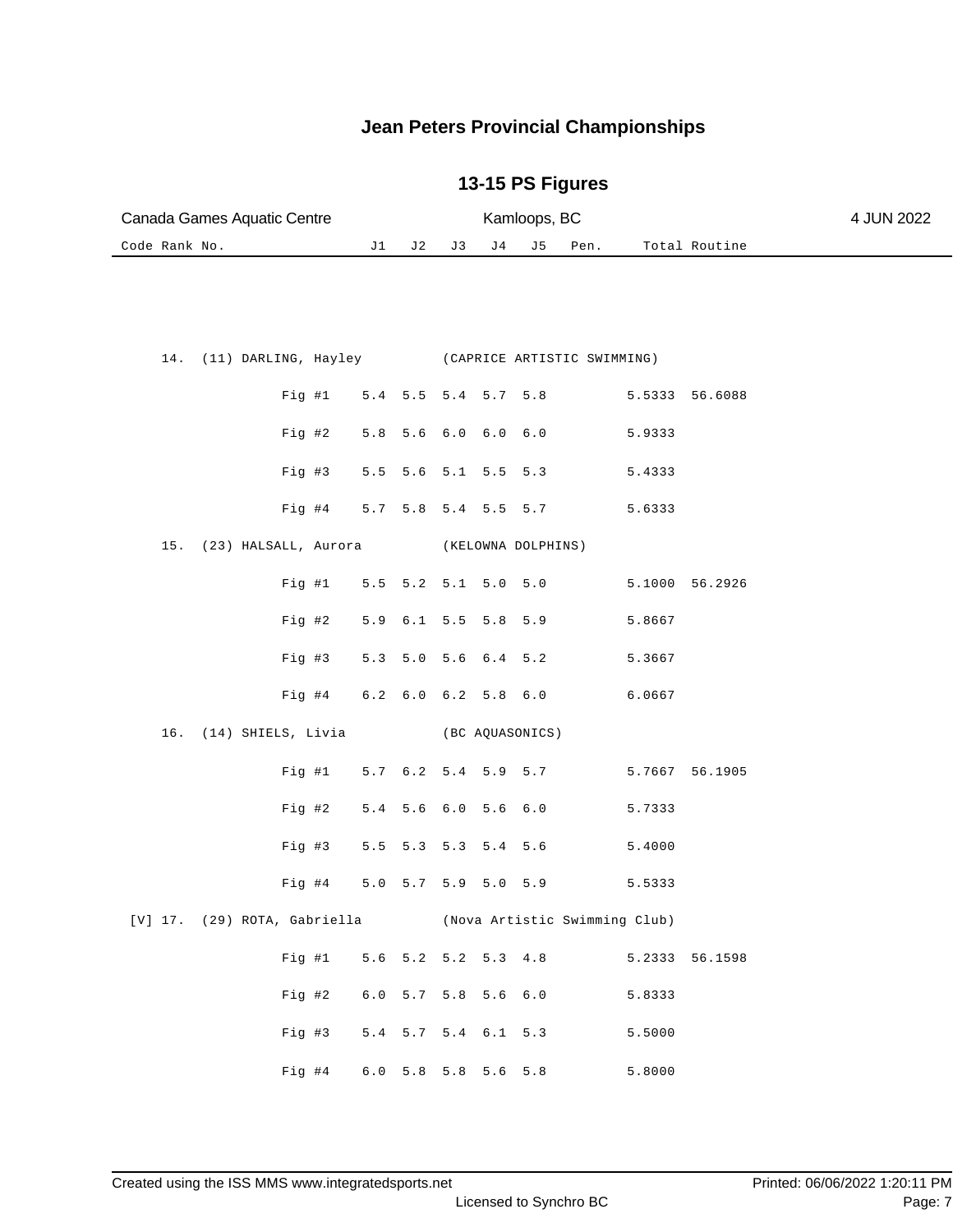| Canada Games Aquatic Centre                             |    |                     |     |                | Kamloops, BC |                     | 4 JUN 2022 |                |  |
|---------------------------------------------------------|----|---------------------|-----|----------------|--------------|---------------------|------------|----------------|--|
| Code Rank No.                                           | J1 | J 2                 | J 3 | J <sub>4</sub> | J 5          | Pen.                |            | Total Routine  |  |
|                                                         |    |                     |     |                |              |                     |            |                |  |
|                                                         |    |                     |     |                |              |                     |            |                |  |
|                                                         |    |                     |     |                |              |                     |            |                |  |
| (11) DARLING, Hayley (CAPRICE ARTISTIC SWIMMING)<br>14. |    |                     |     |                |              |                     |            |                |  |
|                                                         |    |                     |     |                |              |                     |            |                |  |
| $Fig. \#1$                                              |    |                     |     |                |              | 5.4 5.5 5.4 5.7 5.8 |            | 5.5333 56.6088 |  |
| Fig 42                                                  |    | 5.8 5.6 6.0 6.0 6.0 |     |                |              |                     | 5.9333     |                |  |
|                                                         |    |                     |     |                |              |                     |            |                |  |
| $Fig. \#3$                                              |    | 5.5 5.6 5.1 5.5 5.3 |     |                |              |                     | 5.4333     |                |  |
| $Fig. \#4$                                              |    | 5.7 5.8 5.4 5.5 5.7 |     |                |              |                     | 5.6333     |                |  |
|                                                         |    |                     |     |                |              |                     |            |                |  |
| (23) HALSALL, Aurora (KELOWNA DOLPHINS)<br>15.          |    |                     |     |                |              |                     |            |                |  |
| Fig #1                                                  |    | 5.5 5.2 5.1 5.0 5.0 |     |                |              |                     | 5.1000     | 56.2926        |  |

|  |                                                            |  |  | Fig #1 $5.5$ 5.2 5.1 5.0 5.0              | 5.1000 56.2926 |  |
|--|------------------------------------------------------------|--|--|-------------------------------------------|----------------|--|
|  |                                                            |  |  | Fig #2 $5.9$ 6.1 5.5 5.8 5.9 5.8667       |                |  |
|  |                                                            |  |  | Fig #3 $5.3$ 5.0 5.6 6.4 5.2 5.3667       |                |  |
|  |                                                            |  |  | Fig #4 $6.2$ 6.0 6.2 5.8 6.0 6.0667       |                |  |
|  | 16. (14) SHIELS, Livia (BC AQUASONICS)                     |  |  |                                           |                |  |
|  |                                                            |  |  | Fig #1 5.7 6.2 5.4 5.9 5.7 5.7667 56.1905 |                |  |
|  | Fig #2 5.4 5.6 6.0 5.6 6.0                                 |  |  |                                           | 5.7333         |  |
|  |                                                            |  |  | Fig #3 $5.5$ 5.3 5.3 5.4 5.6              | 5.4000         |  |
|  |                                                            |  |  | Fig #4 5.0 5.7 5.9 5.0 5.9                | 5.5333         |  |
|  | [V] 17. (29) ROTA, Gabriella (Nova Artistic Swimming Club) |  |  |                                           |                |  |

| Fig #1 5.6 5.2 5.2 5.3 4.8   |  |  |        | 5.2333 56.1598 |
|------------------------------|--|--|--------|----------------|
| Fig #2 $6.0$ 5.7 5.8 5.6 6.0 |  |  | 5.8333 |                |
| Fig #3 $5.4$ 5.7 5.4 6.1 5.3 |  |  | 5.5000 |                |
| Fig #4 $6.0$ 5.8 5.8 5.6 5.8 |  |  | 5.8000 |                |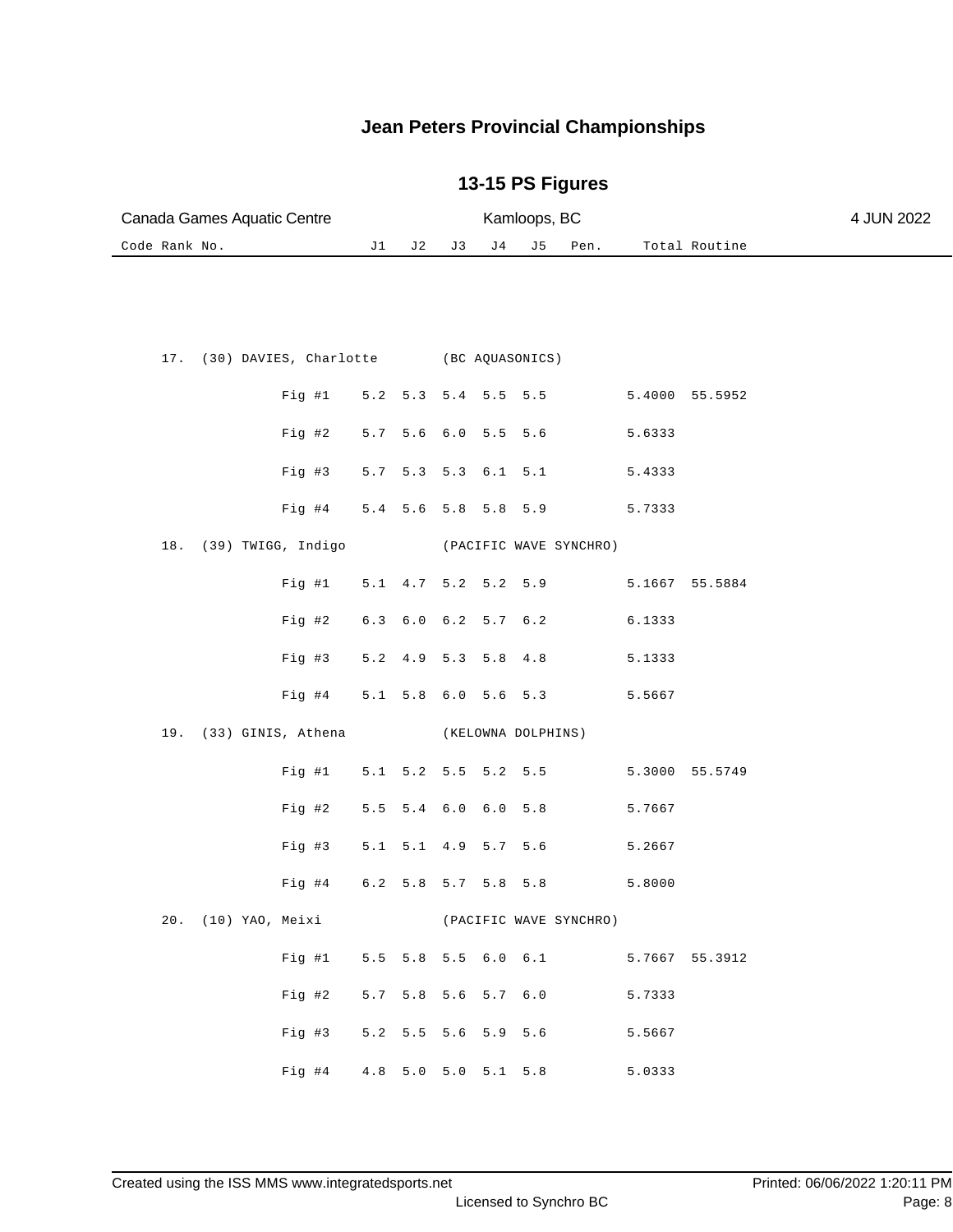| Canada Games Aquatic Centre                   |     |                   |    | Kamloops, BC        | 4 JUN 2022         |                        |        |                |  |
|-----------------------------------------------|-----|-------------------|----|---------------------|--------------------|------------------------|--------|----------------|--|
| Code Rank No.                                 | J1  | J 2               | J3 | J 4                 | J 5                | Pen.                   |        | Total Routine  |  |
|                                               |     |                   |    |                     |                    |                        |        |                |  |
| (30) DAVIES, Charlotte (BC AQUASONICS)<br>17. |     |                   |    |                     |                    |                        |        |                |  |
| Fig #1                                        | 5.2 |                   |    | 5.3 5.4 5.5         | 5.5                |                        |        | 5.4000 55.5952 |  |
| Fig #2                                        | 5.7 |                   |    | 5.6 6.0 5.5         | 5.6                |                        | 5.6333 |                |  |
| Fig #3                                        | 5.7 |                   |    | 5.3 5.3 6.1 5.1     |                    |                        | 5.4333 |                |  |
| Fig #4                                        |     |                   |    | 5.4 5.6 5.8 5.8 5.9 |                    |                        | 5.7333 |                |  |
| $18$ .<br>(39) TWIGG, Indigo                  |     |                   |    |                     |                    | (PACIFIC WAVE SYNCHRO) |        |                |  |
| Fig #1                                        | 5.1 |                   |    | 4.7 5.2 5.2 5.9     |                    |                        |        | 5.1667 55.5884 |  |
| $Fig. \#2$                                    | 6.3 |                   |    | $6.0 \t6.2 \t5.7$   | $6.2$              |                        | 6.1333 |                |  |
| Fig #3                                        | 5.2 | $4.9$ 5.3         |    | 5.8                 | 4.8                |                        | 5.1333 |                |  |
| Fig #4                                        |     |                   |    | 5.1 5.8 6.0 5.6 5.3 |                    |                        | 5.5667 |                |  |
| (33) GINIS, Athena<br>19.                     |     |                   |    |                     | (KELOWNA DOLPHINS) |                        |        |                |  |
| Fig #1                                        |     |                   |    | 5.1 5.2 5.5 5.2 5.5 |                    |                        |        | 5.3000 55.5749 |  |
| Fig 42                                        |     | $5.5$ $5.4$ $6.0$ |    | 6.0                 | $5.8$              |                        | 5.7667 |                |  |
| Fig #3                                        | 5.1 |                   |    | 5.1 4.9 5.7 5.6     |                    |                        | 5.2667 |                |  |
| Fig #4                                        |     |                   |    | $6.2$ 5.8 5.7 5.8   | 5.8                |                        | 5.8000 |                |  |
| 20. (10) YAO, Meixi (PACIFIC WAVE SYNCHRO)    |     |                   |    |                     |                    |                        |        |                |  |
| Fig  #1                                       |     |                   |    |                     |                    | 5.5 5.8 5.5 6.0 6.1    |        | 5.7667 55.3912 |  |
| Fig #2                                        |     |                   |    |                     |                    | 5.7 5.8 5.6 5.7 6.0    | 5.7333 |                |  |
| Fig #3                                        |     |                   |    |                     |                    | 5.2 5.5 5.6 5.9 5.6    | 5.5667 |                |  |
| Fig #4 4.8 5.0 5.0 5.1 5.8                    |     |                   |    |                     |                    |                        | 5.0333 |                |  |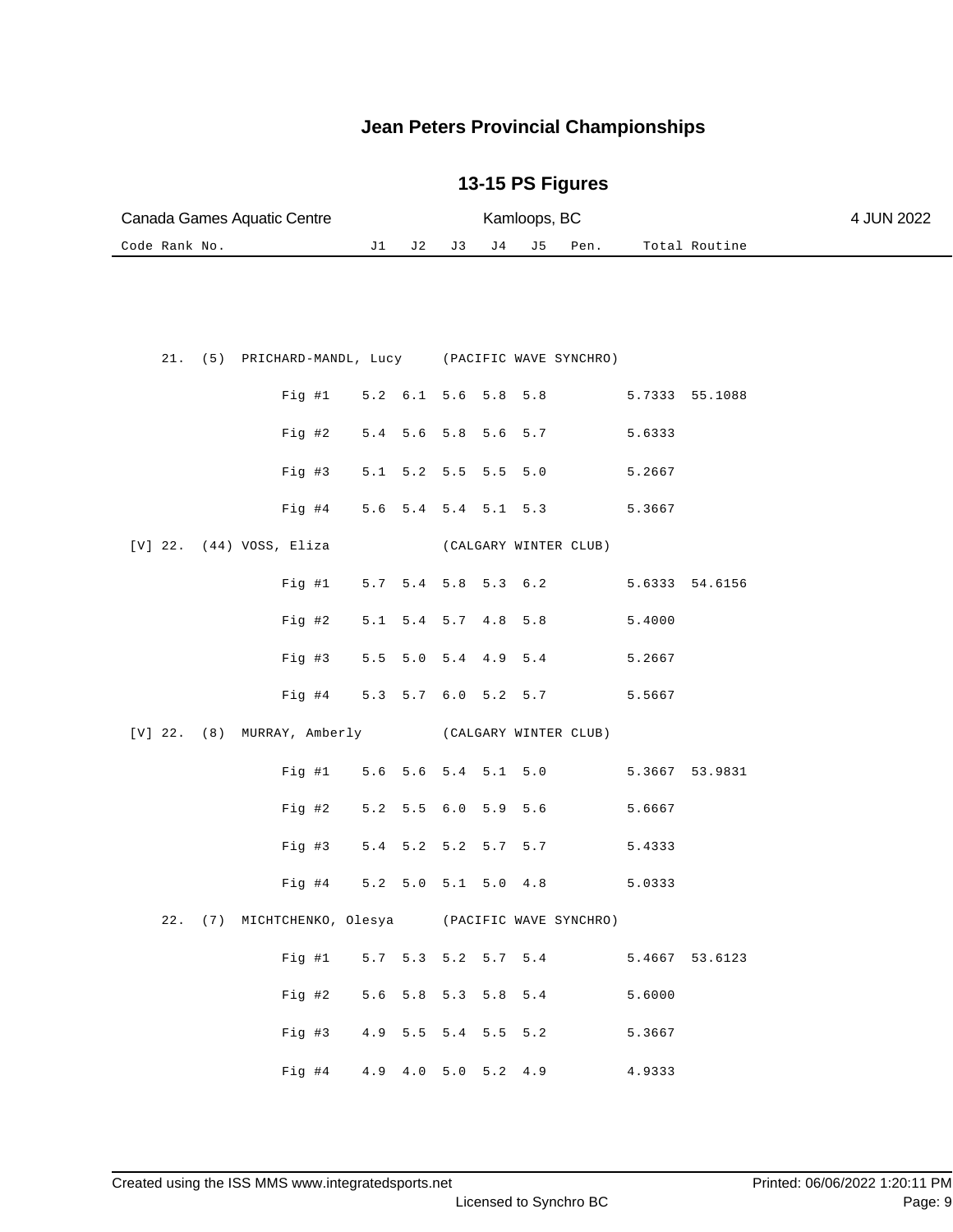| Canada Games Aquatic Centre                         |                     |              |                         |         | Kamloops, BC |                       | 4 JUN 2022 |                                           |  |
|-----------------------------------------------------|---------------------|--------------|-------------------------|---------|--------------|-----------------------|------------|-------------------------------------------|--|
| Code Rank No.                                       | J1                  | J 2          | J3                      | J 4     | J 5          | Pen.                  |            | Total Routine                             |  |
|                                                     |                     |              |                         |         |              |                       |            |                                           |  |
| 21. (5) PRICHARD-MANDL, Lucy (PACIFIC WAVE SYNCHRO) |                     |              |                         |         |              |                       |            |                                           |  |
| Fig  #1                                             | 5.2 6.1 5.6 5.8 5.8 |              |                         |         |              |                       |            | 5.7333 55.1088                            |  |
| $Fig. \#2$                                          | 5.4 5.6 5.8 5.6 5.7 |              |                         |         |              |                       | 5.6333     |                                           |  |
| Fig #3                                              | 5.1                 |              | $5.2$ $5.5$ $5.5$ $5.0$ |         |              |                       | 5.2667     |                                           |  |
| $Fig. \#4$                                          | 5.6                 |              | $5.4$ $5.4$ $5.1$ $5.3$ |         |              |                       | 5.3667     |                                           |  |
| $[V]$ 22. $(44)$ VOSS, Eliza                        |                     |              |                         |         |              | (CALGARY WINTER CLUB) |            |                                           |  |
| Fig  #1                                             | 5.7 5.4 5.8 5.3 6.2 |              |                         |         |              |                       |            | 5.6333 54.6156                            |  |
| $Fig. \#2$                                          | 5.1                 |              | $5.4$ $5.7$ $4.8$       |         | 5.8          |                       | 5.4000     |                                           |  |
| Fig #3                                              | 5.5                 |              | $5.0$ $5.4$ $4.9$ $5.4$ |         |              |                       | 5.2667     |                                           |  |
| Fig #4                                              | 5.3 5.7 6.0 5.2 5.7 |              |                         |         |              |                       | 5.5667     |                                           |  |
| [V] 22. (8) MURRAY, Amberly (CALGARY WINTER CLUB)   |                     |              |                         |         |              |                       |            |                                           |  |
| Fig  #1                                             | 5.6 5.6 5.4 5.1 5.0 |              |                         |         |              |                       |            | 5.3667 53.9831                            |  |
| Fig #2                                              | 5.2                 | $5.5 \t 6.0$ |                         | 5.9 5.6 |              |                       | 5.6667     |                                           |  |
| Fig #3                                              | 5.4 5.2 5.2 5.7 5.7 |              |                         |         |              |                       | 5.4333     |                                           |  |
| Fig #4                                              | 5.2 5.0 5.1 5.0 4.8 |              |                         |         |              |                       | 5.0333     |                                           |  |
| 22. (7) MICHTCHENKO, Olesya (PACIFIC WAVE SYNCHRO)  |                     |              |                         |         |              |                       |            |                                           |  |
|                                                     |                     |              |                         |         |              |                       |            | Fig #1 5.7 5.3 5.2 5.7 5.4 5.4667 53.6123 |  |
| Fig 42                                              | 5.6 5.8 5.3 5.8 5.4 |              |                         |         |              |                       | 5.6000     |                                           |  |
| Fig #3                                              | 4.9 5.5 5.4 5.5 5.2 |              |                         |         |              |                       | 5.3667     |                                           |  |
| Fig #4 4.9 4.0 5.0 5.2 4.9                          |                     |              |                         |         |              |                       | 4.9333     |                                           |  |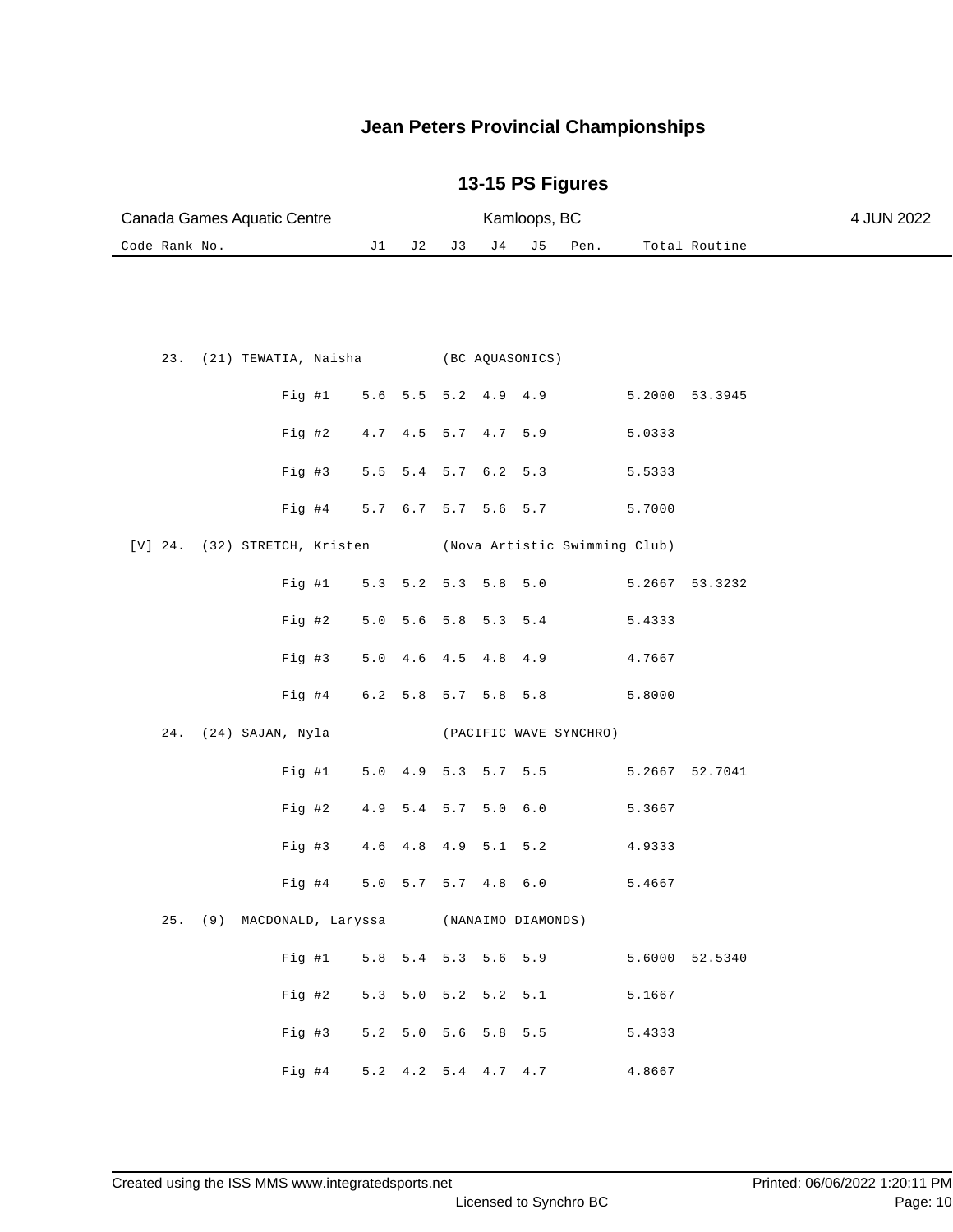| Canada Games Aquatic Centre                   |            |                                               | Kamloops, BC                  | 4 JUN 2022     |  |
|-----------------------------------------------|------------|-----------------------------------------------|-------------------------------|----------------|--|
| Code Rank No.                                 | J1<br>J 2  | J 4<br>J3                                     | J5<br>Pen.                    | Total Routine  |  |
|                                               |            |                                               |                               |                |  |
| (21) TEWATIA, Naisha (BC AQUASONICS)<br>23.   |            |                                               |                               |                |  |
| Fig  #1                                       |            | $5.6$ $5.5$ $5.2$ $4.9$ $4.9$                 |                               | 5.2000 53.3945 |  |
| Fig 42                                        |            | 4.7 4.5 5.7 4.7 5.9                           |                               | 5.0333         |  |
| Fig #3                                        | 5.5        | 5.4 5.7 6.2 5.3                               |                               | 5.5333         |  |
| $Fig. \#4$                                    | 5.7        | $6.7$ 5.7 5.6 5.7                             |                               | 5.7000         |  |
| $[V]$ 24. (32) STRETCH, Kristen               |            |                                               | (Nova Artistic Swimming Club) |                |  |
| Fig #1                                        |            | 5.3 5.2 5.3 5.8                               | 5.0                           | 5.2667 53.3232 |  |
| Fig #2                                        | 5.0        | 5.6 5.8 5.3                                   | $5.4$                         | 5.4333         |  |
| Fig #3                                        | 5.0<br>4.6 | 4.8<br>4.5                                    | 4.9                           | 4.7667         |  |
| Fig #4                                        |            | $6.2$ 5.8 5.7 5.8                             | 5.8                           | 5.8000         |  |
| 24.<br>(24) SAJAN, Nyla                       |            |                                               | (PACIFIC WAVE SYNCHRO)        |                |  |
| Fig #1                                        | 5.0        | 4.9 5.3 5.7 5.5                               |                               | 5.2667 52.7041 |  |
| Fig #2                                        | 4.9        | 5.4 5.7                                       | 5.0 6.0                       | 5.3667         |  |
| Fig #3                                        | 4.6        | $4.8$ $4.9$                                   | 5.1 5.2                       | 4.9333         |  |
| Fig #4                                        |            | 5.0 5.7 5.7 4.8                               | $6.0$                         | 5.4667         |  |
| 25. (9) MACDONALD, Laryssa (NANAIMO DIAMONDS) |            |                                               |                               |                |  |
| Fig #1                                        |            |                                               | 5.8 5.4 5.3 5.6 5.9           | 5.6000 52.5340 |  |
| Fig #2                                        |            | 5.3 5.0 5.2 5.2 5.1                           |                               | 5.1667         |  |
| Fig #3                                        |            | 5.2 5.0 5.6 5.8 5.5                           |                               | 5.4333         |  |
| Fig #4                                        |            | $5.2 \quad 4.2 \quad 5.4 \quad 4.7 \quad 4.7$ |                               | 4.8667         |  |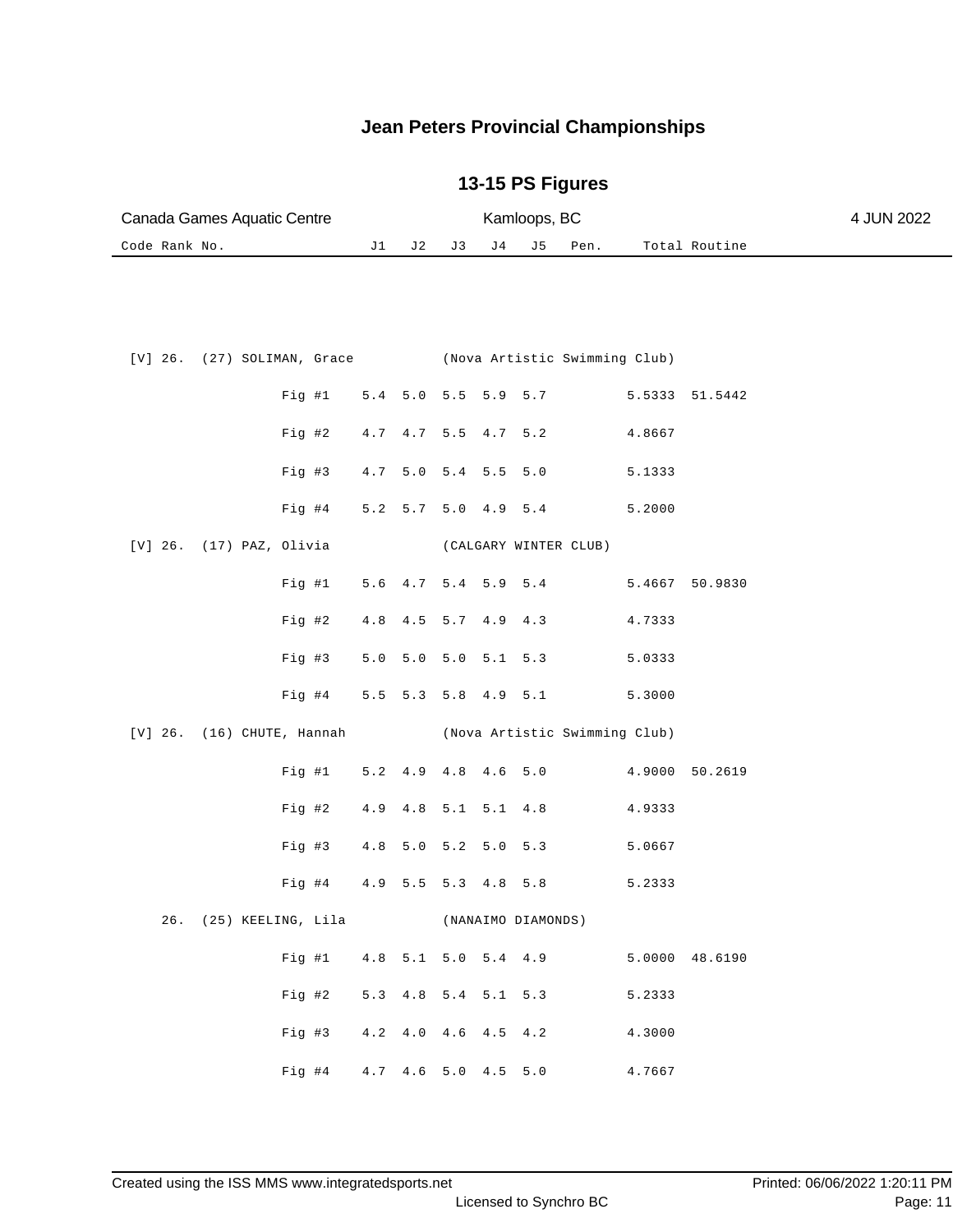| Canada Games Aquatic Centre |  | Kamloops, BC |                  |               | 4 JUN 2022 |
|-----------------------------|--|--------------|------------------|---------------|------------|
| Code Rank No.               |  |              | J2 J3 J4 J5 Pen. | Total Routine |            |

|  |                          |                            |  |  | [V] 26. (27) SOLIMAN, Grace (Nova Artistic Swimming Club) |        |                |
|--|--------------------------|----------------------------|--|--|-----------------------------------------------------------|--------|----------------|
|  |                          |                            |  |  | Fig #1 5.4 5.0 5.5 5.9 5.7 5.5333 51.5442                 |        |                |
|  |                          |                            |  |  | Fig #2 4.7 4.7 5.5 4.7 5.2                                | 4.8667 |                |
|  |                          | Fig #3 4.7 5.0             |  |  | $5.4$ 5.5 5.0                                             | 5.1333 |                |
|  |                          | Fig #4 5.2 5.7 5.0 4.9 5.4 |  |  |                                                           | 5.2000 |                |
|  | [V] 26. (17) PAZ, Olivia |                            |  |  | (CALGARY WINTER CLUB)                                     |        |                |
|  |                          |                            |  |  | Fig #1 $5.6$ 4.7 5.4 5.9 5.4                              |        | 5.4667 50.9830 |
|  |                          |                            |  |  | Fig #2 4.8 4.5 5.7 4.9 4.3 4.7333                         |        |                |
|  |                          |                            |  |  | Fig #3 5.0 5.0 5.0 5.1 5.3 5.0333                         |        |                |
|  |                          |                            |  |  | Fig #4 5.5 5.3 5.8 4.9 5.1                                | 5.3000 |                |
|  |                          |                            |  |  |                                                           |        |                |
|  |                          |                            |  |  | [V] 26. (16) CHUTE, Hannah (Nova Artistic Swimming Club)  |        |                |
|  |                          |                            |  |  | Fig #1 5.2 4.9 4.8 4.6 5.0 4.9000 50.2619                 |        |                |
|  |                          | Fig #2 4.9 4.8             |  |  | 5.1 5.1 4.8 4.9333                                        |        |                |
|  |                          |                            |  |  | Fig #3 4.8 5.0 5.2 5.0 5.3                                | 5.0667 |                |
|  |                          |                            |  |  | Fig #4 4.9 5.5 5.3 4.8 5.8                                | 5.2333 |                |
|  | 26. (25) KEELING, Lila   |                            |  |  | (NANAIMO DIAMONDS)                                        |        |                |
|  |                          |                            |  |  | Fig #1 $4.8$ 5.1 5.0 5.4 4.9                              |        | 5.0000 48.6190 |
|  |                          | Fig #2 5.3 4.8             |  |  | 5.4 5.1 5.3                                               | 5.2333 |                |
|  |                          |                            |  |  | Fig #3 4.2 4.0 4.6 4.5 4.2 4.3000                         |        |                |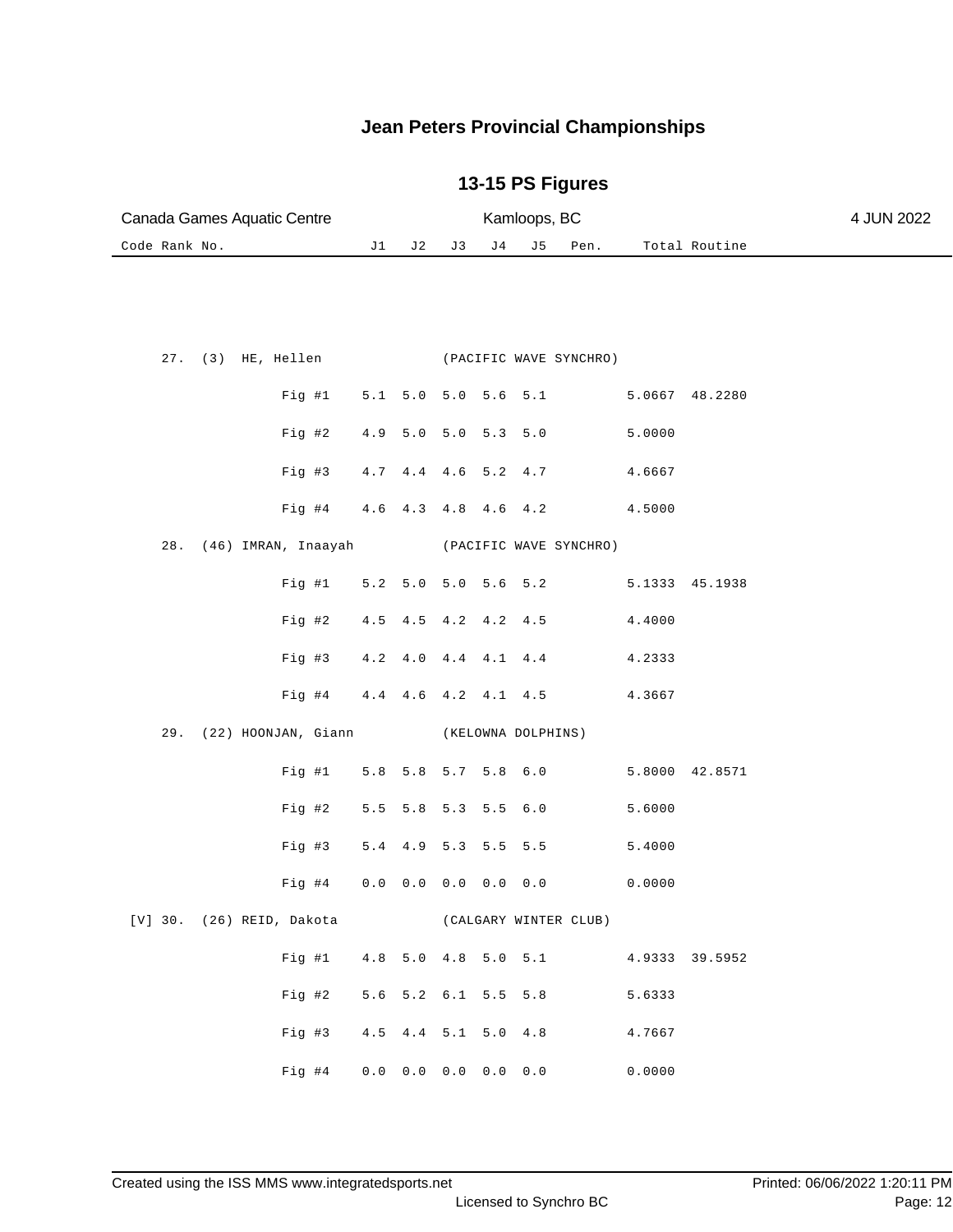| Canada Games Aquatic Centre                     | Kamloops, BC |                                     |                         |    |                    |                        |                |                | 4 JUN 2022 |
|-------------------------------------------------|--------------|-------------------------------------|-------------------------|----|--------------------|------------------------|----------------|----------------|------------|
| Code Rank No.                                   | J 2          | J3                                  | J 4                     | J5 | Pen.               |                        | Total Routine  |                |            |
|                                                 |              |                                     |                         |    |                    |                        |                |                |            |
| 27. (3) HE, Hellen (PACIFIC WAVE SYNCHRO)       |              |                                     |                         |    |                    |                        |                |                |            |
| Fig #1                                          |              | 5.1 5.0 5.0 5.6 5.1                 |                         |    |                    |                        | 5.0667 48.2280 |                |            |
| Fig #2                                          | 4.9          |                                     | $5.0$ $5.0$ $5.3$ $5.0$ |    |                    |                        | 5.0000         |                |            |
| Fig #3                                          | 4.7          |                                     | 4.4 4.6 5.2 4.7         |    |                    |                        | 4.6667         |                |            |
| Fig #4                                          |              | 4.6 4.3 4.8 4.6 4.2                 |                         |    |                    |                        | 4.5000         |                |            |
| 28.<br>(46) IMRAN, Inaayah                      |              |                                     |                         |    |                    | (PACIFIC WAVE SYNCHRO) |                |                |            |
| Fig  #1                                         | 5.2          | $5.0$ $5.0$ $5.6$ $5.2$             |                         |    |                    |                        |                | 5.1333 45.1938 |            |
| Fig #2                                          | 4.5          |                                     | 4.5 4.2 4.2 4.5         |    |                    |                        | 4.4000         |                |            |
| $Fig. \#3$                                      | 4.2          | 4.0                                 | 4.4 4.1 4.4             |    |                    |                        | 4.2333         |                |            |
| $Fig. \#4$                                      |              | 4.4 4.6 4.2 4.1 4.5                 |                         |    |                    |                        | 4.3667         |                |            |
| (22) HOONJAN, Giann<br>29.                      |              |                                     |                         |    | (KELOWNA DOLPHINS) |                        |                |                |            |
| Fig #1                                          |              | 5.8 5.8 5.7 5.8 6.0                 |                         |    |                    |                        |                | 5.8000 42.8571 |            |
| Fig #2                                          |              | $5.5$ $5.8$ $5.3$                   |                         |    | 5.5 6.0            |                        | 5.6000         |                |            |
| Fig #3                                          |              | 5.4 4.9 5.3 5.5 5.5                 |                         |    |                    |                        | 5.4000         |                |            |
| Fig #4                                          |              | $0.0$ 0.0 0.0 0.0 0.0               |                         |    |                    |                        | 0.0000         |                |            |
| [V] 30. (26) REID, Dakota (CALGARY WINTER CLUB) |              |                                     |                         |    |                    |                        |                |                |            |
| Fig  #1                                         |              | 4.8 5.0 4.8 5.0 5.1                 |                         |    |                    |                        |                | 4.9333 39.5952 |            |
| Fig #2                                          |              | 5.6 5.2 6.1 5.5 5.8                 |                         |    |                    |                        | 5.6333         |                |            |
| Fig #3                                          |              | 4.5 4.4 5.1 5.0 4.8                 |                         |    |                    |                        | 4.7667         |                |            |
| Fig #4                                          |              | $0.0$ $0.0$ $0.0$ $0.0$ $0.0$ $0.0$ |                         |    |                    |                        | 0.0000         |                |            |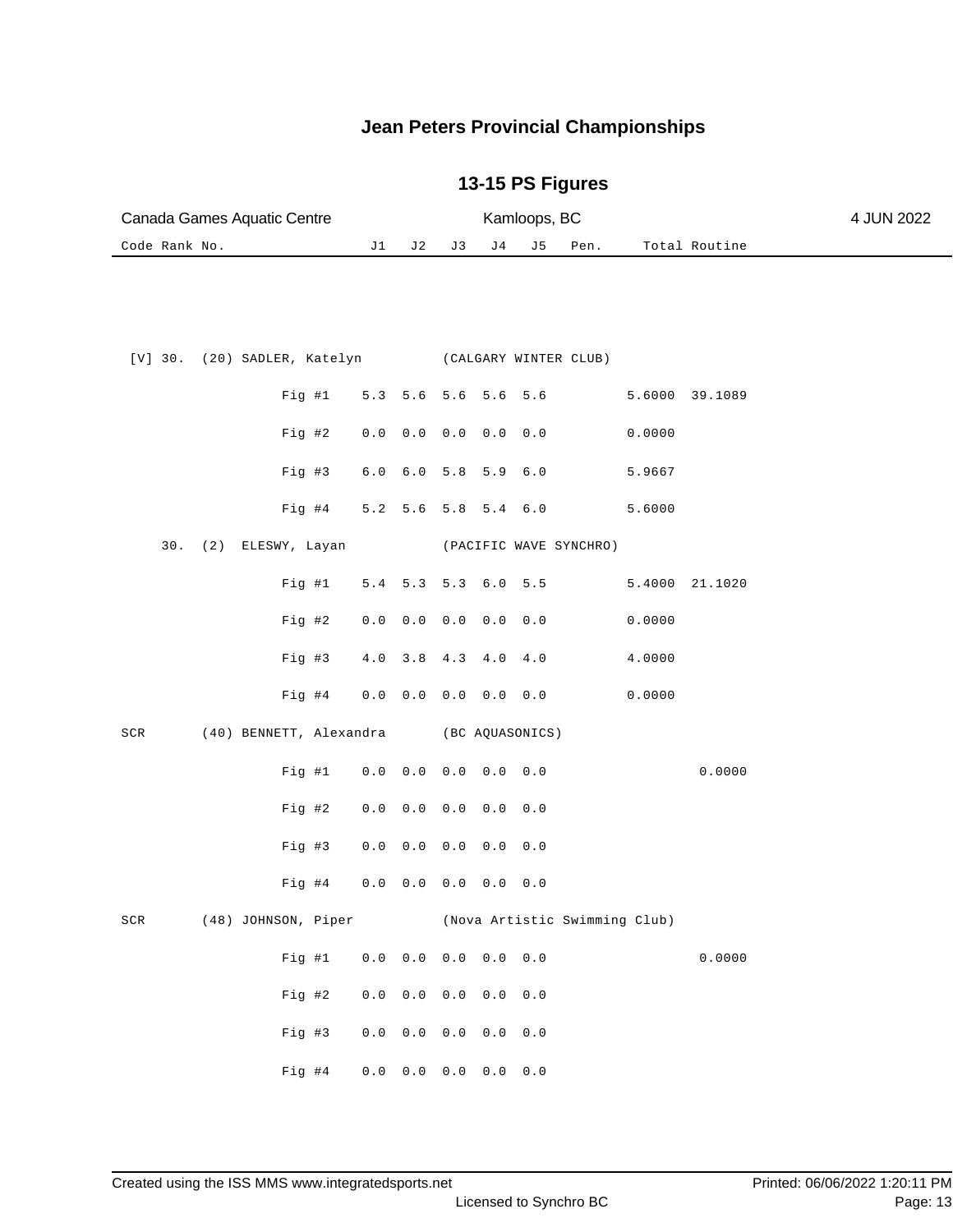|               | Canada Games Aquatic Centre                        | Kamloops, BC |                                     |                         |       |                 |                        |        |                | 4 JUN 2022 |
|---------------|----------------------------------------------------|--------------|-------------------------------------|-------------------------|-------|-----------------|------------------------|--------|----------------|------------|
| Code Rank No. |                                                    | J1           | J 2                                 | J3                      | J 4   | J5              | Pen.                   |        | Total Routine  |            |
|               |                                                    |              |                                     |                         |       |                 |                        |        |                |            |
|               | [V] 30. (20) SADLER, Katelyn (CALGARY WINTER CLUB) |              |                                     |                         |       |                 |                        |        |                |            |
|               | Fig  #1                                            | 5.3          | 5.6 5.6 5.6                         |                         |       | 5.6             |                        |        | 5.6000 39.1089 |            |
|               | Fig #2                                             | $0.0$        | 0.0                                 | 0.0 0.0                 |       | 0.0             |                        | 0.0000 |                |            |
|               | Fig #3                                             | $6.0$        | $6.0$                               | 5.8                     | 5.9   | $6.0$           |                        | 5.9667 |                |            |
|               | $Fig. \#4$                                         | 5.2          |                                     | $5.6$ $5.8$ $5.4$ $6.0$ |       |                 |                        | 5.6000 |                |            |
| 30.           | (2) ELESWY, Layan                                  |              |                                     |                         |       |                 | (PACIFIC WAVE SYNCHRO) |        |                |            |
|               | Fig  #1                                            | 5.4          | 5.3                                 | 5.3                     | $6.0$ | 5.5             |                        | 5.4000 | 21.1020        |            |
|               | Fig 42                                             | $0.0$        | $0.0$                               | 0.0                     | 0.0   | 0.0             |                        | 0.0000 |                |            |
|               | Fig #3                                             | $4.0$        | 3.8                                 | 4.3                     | $4.0$ | 4.0             |                        | 4.0000 |                |            |
|               | $Fig. \#4$                                         | $0.0$        | $0.0$ $0.0$ $0.0$ $0.0$             |                         |       |                 |                        | 0.0000 |                |            |
| SCR           | (40) BENNETT, Alexandra                            |              |                                     |                         |       | (BC AQUASONICS) |                        |        |                |            |
|               | Fig #1                                             | 0.0          | $0.0$                               | $0.0 \t 0.0$            |       | 0.0             |                        |        | 0.0000         |            |
|               | Fig #2                                             | $0.0$        | $0.0$                               | 0.0                     | 0.0   | 0.0             |                        |        |                |            |
|               | Fig. #3                                            | $0.0$        | $0.0$                               | 0.0                     | 0.0   | 0.0             |                        |        |                |            |
|               | Fig #4                                             | $0.0$        | 0.0                                 | 0.0                     | 0.0   | 0.0             |                        |        |                |            |
| SCR           | (48) JOHNSON, Piper (Nova Artistic Swimming Club)  |              |                                     |                         |       |                 |                        |        |                |            |
|               | Fig  #1                                            |              | $0.0$ 0.0 0.0 0.0 0.0               |                         |       |                 |                        |        | 0.0000         |            |
|               | Fig #2                                             |              | $0.0$ $0.0$ $0.0$ $0.0$ $0.0$ $0.0$ |                         |       |                 |                        |        |                |            |
|               | Fig #3                                             |              | $0.0$ $0.0$ $0.0$ $0.0$ $0.0$ $0.0$ |                         |       |                 |                        |        |                |            |
|               | Fig #4                                             |              | $0.0 \t 0.0 \t 0.0 \t 0.0$          |                         |       | $0.0$           |                        |        |                |            |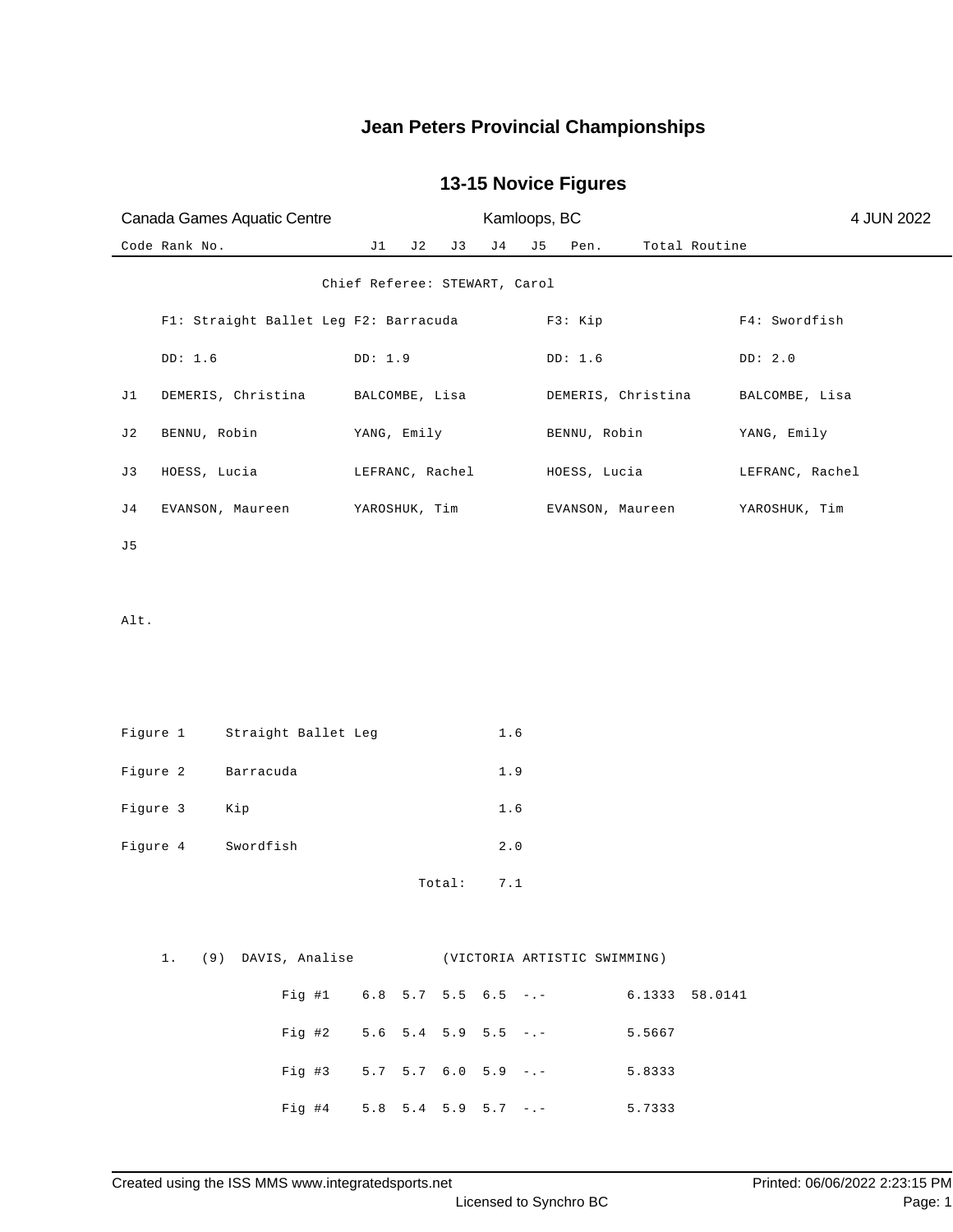| Canada Games Aquatic Centre           | Kamloops, BC                                       |                       | 4 JUN 2022      |
|---------------------------------------|----------------------------------------------------|-----------------------|-----------------|
| Code Rank No.                         | J1<br>J 2<br>J 3<br>J 4<br>J 5                     | Total Routine<br>Pen. |                 |
|                                       | Chief Referee: STEWART, Carol                      |                       |                 |
| Fl: Straight Ballet Leg F2: Barracuda |                                                    | F3: Kip               | F4: Swordfish   |
| DD: 1.6                               | DD: 1.9                                            | DD: 1.6               | DD: 2.0         |
| DEMERIS, Christina<br>J1              | BALCOMBE, Lisa                                     | DEMERIS, Christina    | BALCOMBE, Lisa  |
| J2<br>BENNU, Robin                    | YANG, Emily                                        | BENNU, Robin          | YANG, Emily     |
| J3<br>HOESS, Lucia                    | LEFRANC, Rachel                                    | HOESS, Lucia          | LEFRANC, Rachel |
| J4<br>EVANSON, Maureen                | YAROSHUK, Tim                                      | EVANSON, Maureen      | YAROSHUK, Tim   |
| J5                                    |                                                    |                       |                 |
| Alt.                                  |                                                    |                       |                 |
|                                       |                                                    |                       |                 |
|                                       |                                                    |                       |                 |
| Figure 1<br>Straight Ballet Leg       | 1.6                                                |                       |                 |
| Figure 2<br>Barracuda                 | 1.9                                                |                       |                 |
| Figure 3<br>Kip                       | 1.6                                                |                       |                 |
| Figure 4<br>Swordfish                 | $2.0$                                              |                       |                 |
|                                       | 7.1<br>Total:                                      |                       |                 |
|                                       |                                                    |                       |                 |
|                                       | 1. (9) DAVIS, Analise (VICTORIA ARTISTIC SWIMMING) |                       |                 |
|                                       | Fig #1 $6.8$ 5.7 5.5 $6.5$ -.- $6.1333$ 58.0141    |                       |                 |
|                                       | Fig #2 $5.6$ 5.4 5.9 5.5 -.-                       | 5.5667                |                 |
|                                       | Fig #3 5.7 5.7 6.0 5.9 -.- 5.8333                  |                       |                 |
|                                       | Fig #4 5.8 5.4 5.9 5.7 -.- 5.7333                  |                       |                 |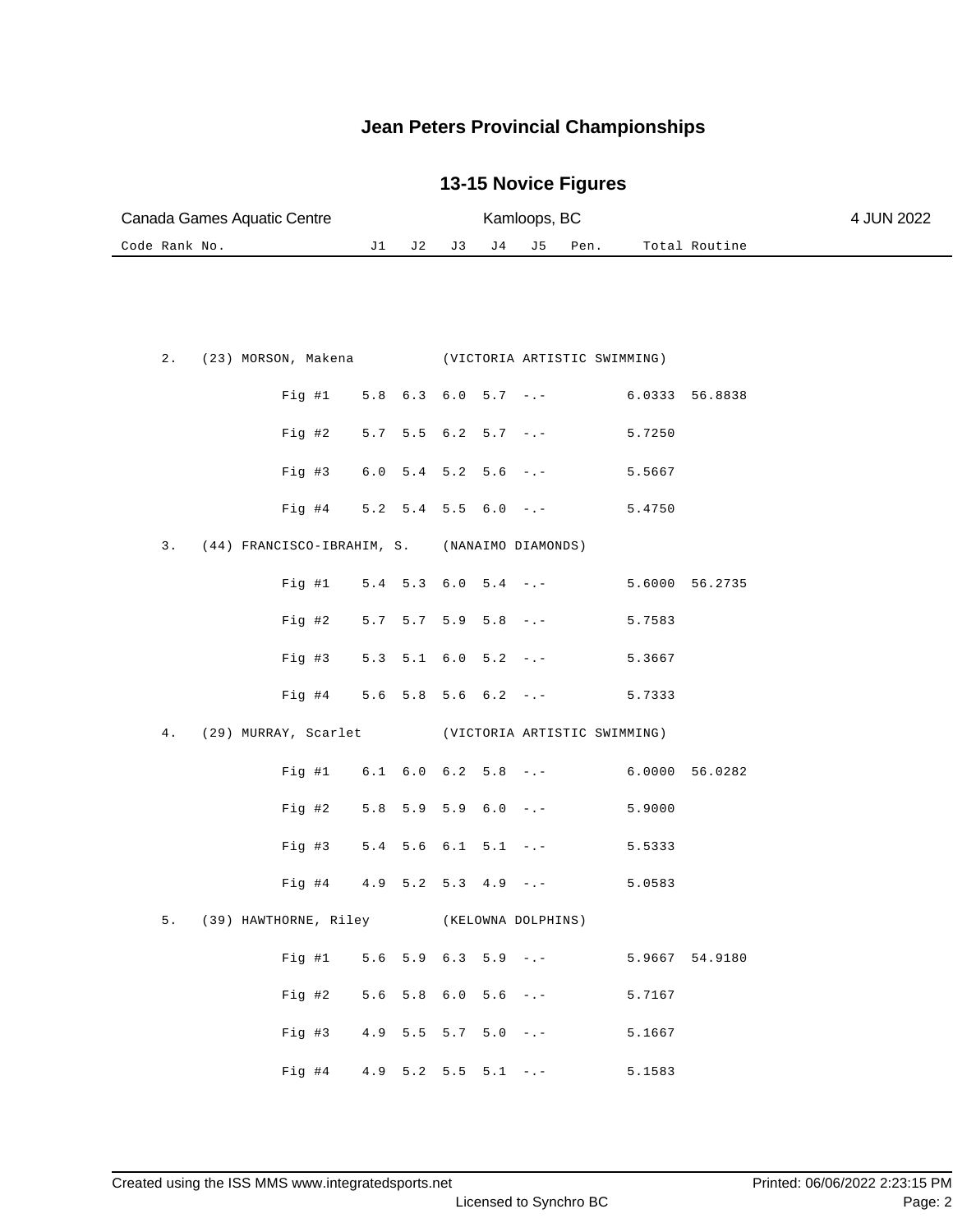| Canada Games Aquatic Centre |  | Kamloops, BC   |  |      | 4 JUN 2022    |  |
|-----------------------------|--|----------------|--|------|---------------|--|
| Code Rank No.               |  | J1 J2 J3 J4 J5 |  | Pen. | Total Routine |  |

|  |  |                                                  |  |  | 2. (23) MORSON, Makena (VICTORIA ARTISTIC SWIMMING)  |                                             |  |
|--|--|--------------------------------------------------|--|--|------------------------------------------------------|---------------------------------------------|--|
|  |  |                                                  |  |  |                                                      | Fig #1 $5.8$ 6.3 6.0 5.7 -.- 6.0333 56.8838 |  |
|  |  |                                                  |  |  | Fig #2 $5.7$ 5.5 6.2 5.7 -.- 5.7250                  |                                             |  |
|  |  |                                                  |  |  | Fig #3 $6.0$ 5.4 5.2 5.6 -.- 5.5667                  |                                             |  |
|  |  |                                                  |  |  | Fig #4 $5.2$ 5.4 5.5 6.0 -.-                         | 5.4750                                      |  |
|  |  | 3. (44) FRANCISCO-IBRAHIM, S. (NANAIMO DIAMONDS) |  |  |                                                      |                                             |  |
|  |  |                                                  |  |  |                                                      | Fig #1 $5.4$ 5.3 6.0 5.4 -.- 5.6000 56.2735 |  |
|  |  |                                                  |  |  | Fig #2 $5.7$ $5.7$ $5.9$ $5.8$ $-$ .                 | 5.7583                                      |  |
|  |  |                                                  |  |  | Fig #3 $5.3$ 5.1 6.0 5.2 -.- 5.3667                  |                                             |  |
|  |  |                                                  |  |  | Fig #4 5.6 5.8 5.6 6.2 -.- 5.7333                    |                                             |  |
|  |  |                                                  |  |  | 4. (29) MURRAY, Scarlet (VICTORIA ARTISTIC SWIMMING) |                                             |  |
|  |  |                                                  |  |  |                                                      | Fig #1 $6.1$ 6.0 6.2 5.8 -.- 6.0000 56.0282 |  |
|  |  |                                                  |  |  | Fig #2 $5.8$ 5.9 5.9 6.0 -.-                         | 5.9000                                      |  |
|  |  |                                                  |  |  | Fig #3 $5.4$ 5.6 6.1 5.1 -.-                         | 5.5333                                      |  |
|  |  |                                                  |  |  | Fig #4 $4.9$ 5.2 5.3 4.9 -.- 5.0583                  |                                             |  |
|  |  | 5. (39) HAWTHORNE, Riley (KELOWNA DOLPHINS)      |  |  |                                                      |                                             |  |
|  |  |                                                  |  |  |                                                      | Fig #1 5.6 5.9 6.3 5.9 -.- 5.9667 54.9180   |  |
|  |  |                                                  |  |  | Fig #2 $5.6$ 5.8 $6.0$ 5.6 $-$ .                     | 5.7167                                      |  |
|  |  |                                                  |  |  | Fig #3 $4.9$ 5.5 5.7 5.0 -.-                         | 5.1667                                      |  |
|  |  | Fig #4 4.9 5.2 5.5 5.1 $-.$                      |  |  |                                                      | 5.1583                                      |  |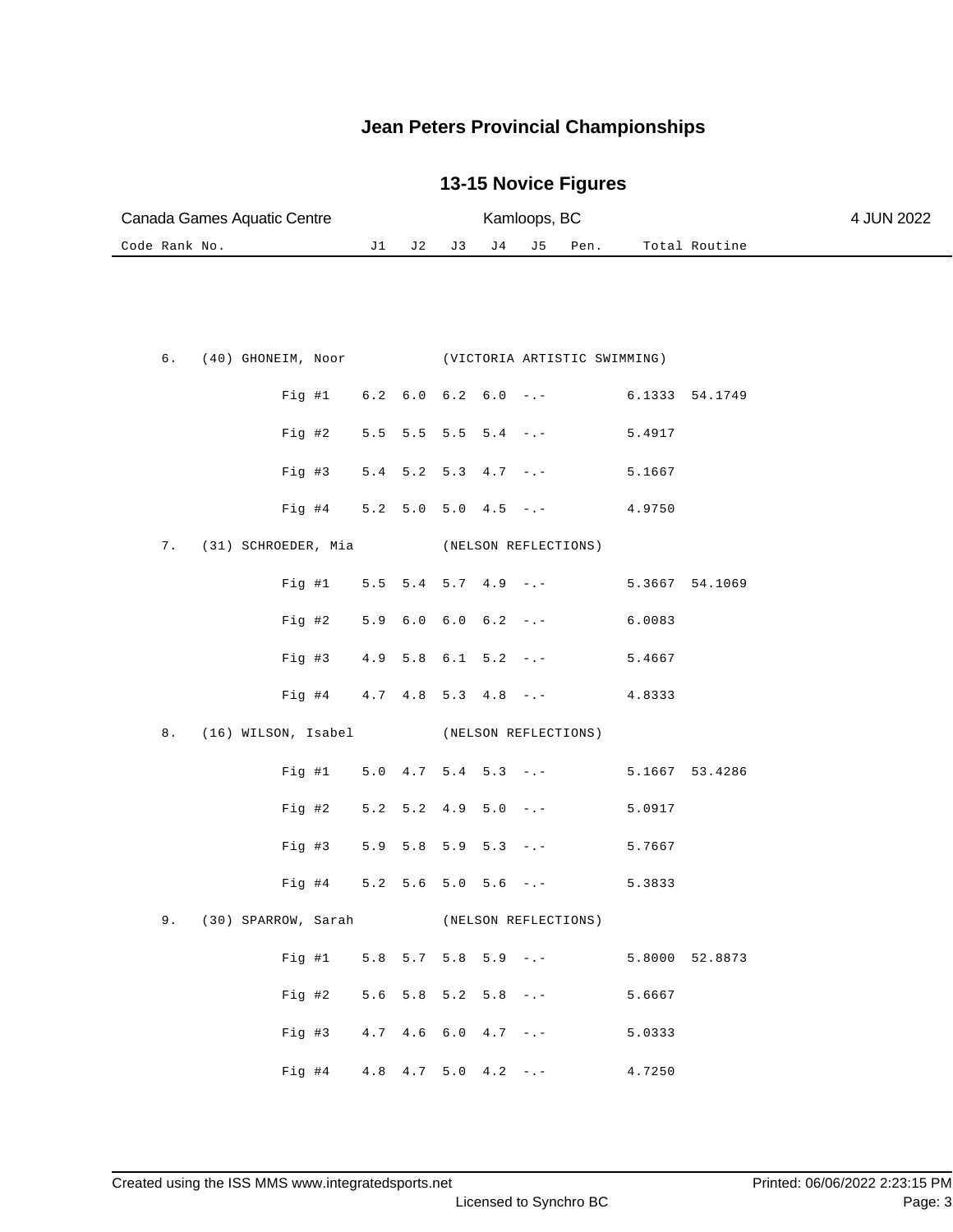| Canada Games Aquatic Centre |  | Kamloops, BC   |  |      | 4 JUN 2022    |  |
|-----------------------------|--|----------------|--|------|---------------|--|
| Code Rank No.               |  | J1 J2 J3 J4 J5 |  | Pen. | Total Routine |  |

|  |                        |                |  |  | 6. (40) GHONEIM, Noor (VICTORIA ARTISTIC SWIMMING) |        |                |
|--|------------------------|----------------|--|--|----------------------------------------------------|--------|----------------|
|  |                        |                |  |  | Fig #1 $6.2$ 6.0 $6.2$ 6.0 -.- 6.1333 54.1749      |        |                |
|  |                        |                |  |  | Fig #2 $5.5$ $5.5$ $5.5$ $5.4$ $-$ .               | 5.4917 |                |
|  |                        |                |  |  | Fig #3 $5.4$ 5.2 5.3 $4.7$ -.-                     | 5.1667 |                |
|  |                        |                |  |  | Fig #4 $5.2$ 5.0 5.0 4.5 -.- 4.9750                |        |                |
|  | 7. (31) SCHROEDER, Mia |                |  |  | (NELSON REFLECTIONS)                               |        |                |
|  |                        |                |  |  | Fig #1 $5.5$ 5.4 5.7 4.9 -.-                       |        | 5.3667 54.1069 |
|  |                        |                |  |  | Fig #2 $5.9$ 6.0 6.0 6.2 -.- 6.0083                |        |                |
|  |                        |                |  |  | Fig #3 $4.9$ 5.8 6.1 5.2 -.- 5.4667                |        |                |
|  |                        |                |  |  | Fig #4 $4.7$ $4.8$ 5.3 $4.8$ -.- $4.8333$          |        |                |
|  | 8. (16) WILSON, Isabel |                |  |  | (NELSON REFLECTIONS)                               |        |                |
|  |                        |                |  |  | Fig #1 $5.0$ 4.7 5.4 5.3 -.-                       |        | 5.1667 53.4286 |
|  |                        |                |  |  | Fig #2 $5.2$ $5.2$ $4.9$ $5.0$ $-$ .               | 5.0917 |                |
|  |                        | Fig #3 5.9 5.8 |  |  | $5.9$ $5.3$ $-1$                                   | 5.7667 |                |
|  |                        | Fig #4 5.2 5.6 |  |  | $5.0$ $5.6$ $-$ .                                  | 5.3833 |                |
|  |                        |                |  |  | 9. (30) SPARROW, Sarah (NELSON REFLECTIONS)        |        |                |
|  |                        |                |  |  | Fig #1 5.8 5.7 5.8 5.9 -.- 5.8000 52.8873          |        |                |
|  |                        |                |  |  | Fig #2 $5.6$ $5.8$ $5.2$ $5.8$ $-$ .               | 5.6667 |                |
|  |                        |                |  |  | Fig #3 $4.7$ $4.6$ $6.0$ $4.7$ $-.-$               | 5.0333 |                |
|  |                        |                |  |  |                                                    |        |                |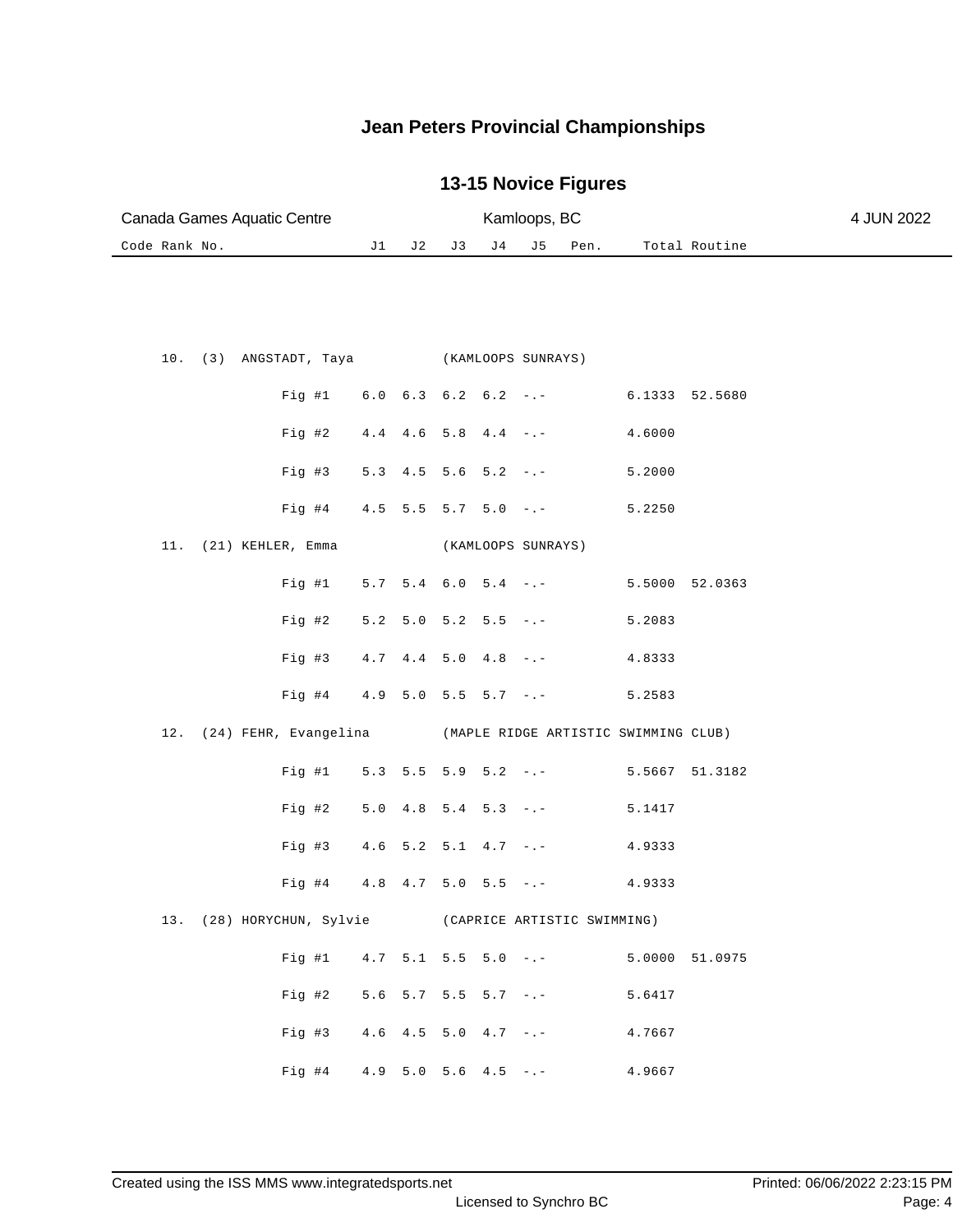| Canada Games Aquatic Centre                           |       |     | Kamloops, BC |                               |                    | 4 JUN 2022 |                                      |                |  |
|-------------------------------------------------------|-------|-----|--------------|-------------------------------|--------------------|------------|--------------------------------------|----------------|--|
| Code Rank No.                                         | J1    | J 2 | J 3          | J 4                           | J 5                | Pen.       |                                      | Total Routine  |  |
|                                                       |       |     |              |                               |                    |            |                                      |                |  |
| 10.<br>(3) ANGSTADT, Taya (KAMLOOPS SUNRAYS)          |       |     |              |                               |                    |            |                                      |                |  |
| Fig 41                                                |       |     |              | $6.0 \t6.3 \t6.2 \t6.2 \t--$  |                    |            | 6.1333 52.5680                       |                |  |
| Fig #2                                                | 4.4   |     |              | $4.6$ 5.8 $4.4$ -.-           |                    |            | 4.6000                               |                |  |
| Fig #3                                                | 5.3   |     |              | $4.5$ 5.6 5.2 -.-             |                    |            | 5.2000                               |                |  |
| Fig #4                                                |       |     |              | $4.5$ 5.5 5.7 5.0 -.-         |                    |            | 5.2250                               |                |  |
| (21) KEHLER, Emma<br>11.                              |       |     |              |                               | (KAMLOOPS SUNRAYS) |            |                                      |                |  |
| Fig  #1                                               |       |     |              | $5.7$ $5.4$ $6.0$ $5.4$ $-:-$ |                    |            |                                      | 5.5000 52.0363 |  |
| Fig #2                                                | 5.2   |     |              | $5.0$ $5.2$ $5.5$ $-:-$       |                    |            | 5.2083                               |                |  |
| Fig #3                                                | 4.7   |     |              | $4.4$ 5.0 $4.8$ -.-           |                    |            | 4.8333                               |                |  |
| Fig #4                                                | 4.9   |     |              | $5.0$ $5.5$ $5.7$ $-:-$       |                    |            | 5.2583                               |                |  |
| 12.<br>(24) FEHR, Evangelina                          |       |     |              |                               |                    |            | (MAPLE RIDGE ARTISTIC SWIMMING CLUB) |                |  |
| Fig #1                                                |       |     |              | $5.3$ $5.5$ $5.9$ $5.2$ $-:-$ |                    |            | 5.5667                               | 51.3182        |  |
| $Fig. \#2$                                            | 5.0   |     |              | $4.8$ 5.4 5.3 -.-             |                    |            | 5.1417                               |                |  |
| $Fig. \#3$                                            | 4.6   |     |              | $5.2$ $5.1$ $4.7$ $-.-$       |                    |            | 4.9333                               |                |  |
| Fig #4                                                | $4.8$ |     |              | $4.7$ 5.0 5.5 -.-             |                    |            | 4.9333                               |                |  |
| 13. (28) HORYCHUN, Sylvie (CAPRICE ARTISTIC SWIMMING) |       |     |              |                               |                    |            |                                      |                |  |
| Fig #1 $4.7$ 5.1 5.5 5.0 -.-                          |       |     |              |                               |                    |            |                                      | 5.0000 51.0975 |  |
| Fig 42                                                |       |     |              | $5.6$ $5.7$ $5.5$ $5.7$ $-1$  |                    |            | 5.6417                               |                |  |
| Fig. 43                                               |       |     |              | $4.6$ $4.5$ $5.0$ $4.7$ $-(-$ |                    |            | 4.7667                               |                |  |
| Fig #4 $4.9 5.0 5.6 4.5 - -$                          |       |     |              |                               |                    |            | 4.9667                               |                |  |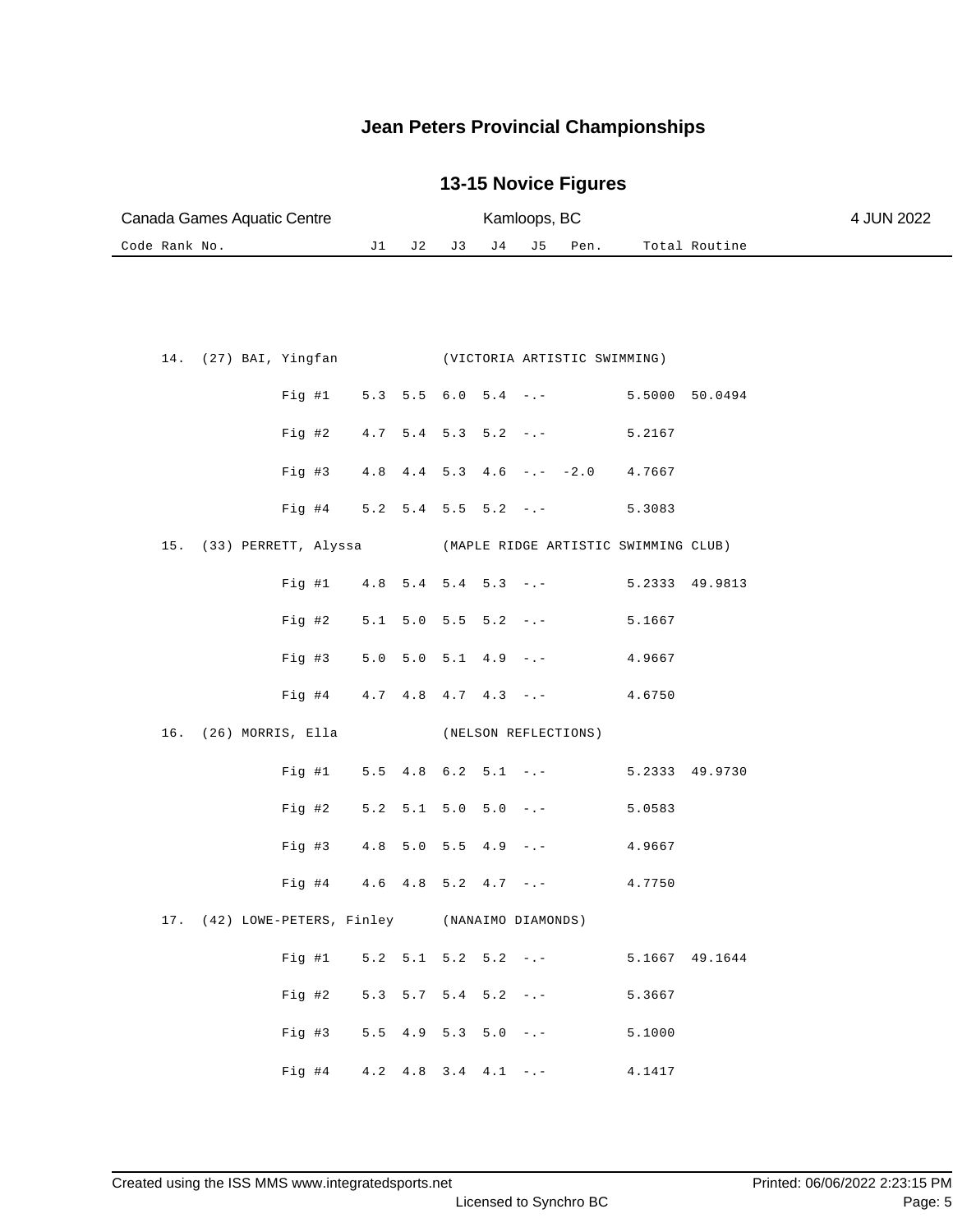| Canada Games Aquatic Centre |  | Kamloops, BC   | 4 JUN 2022 |      |               |  |
|-----------------------------|--|----------------|------------|------|---------------|--|
| Code Rank No.               |  | J1 J2 J3 J4 J5 |            | Pen. | Total Routine |  |

|  | 14. (27) BAI, Yingfan |                                                 |  |  | (VICTORIA ARTISTIC SWIMMING)                   |        |                |
|--|-----------------------|-------------------------------------------------|--|--|------------------------------------------------|--------|----------------|
|  |                       |                                                 |  |  | Fig #1 5.3 5.5 6.0 5.4 -.- 5.5000 50.0494      |        |                |
|  |                       |                                                 |  |  | Fig #2 $4.7$ 5.4 5.3 5.2 -.-                   | 5.2167 |                |
|  |                       |                                                 |  |  | Fig #3 4.8 4.4 5.3 4.6 -.- -2.0 4.7667         |        |                |
|  |                       |                                                 |  |  | Fig #4 $5.2$ 5.4 5.5 5.2 -.-                   | 5.3083 |                |
|  |                       | 15. (33) PERRETT, Alyssa                        |  |  | (MAPLE RIDGE ARTISTIC SWIMMING CLUB)           |        |                |
|  |                       |                                                 |  |  | Fig #1 $4.8$ 5.4 5.4 5.3 -.-                   |        | 5.2333 49.9813 |
|  |                       |                                                 |  |  | Fig #2 $5.1$ 5.0 5.5 5.2 -.-                   | 5.1667 |                |
|  |                       |                                                 |  |  | Fig #3 $5.0$ $5.0$ $5.1$ $4.9$ $-$ . $ 4.9667$ |        |                |
|  |                       |                                                 |  |  | Fig #4 $4.7$ $4.8$ $4.7$ $4.3$ $  4.6750$      |        |                |
|  |                       | 16. (26) MORRIS, Ella                           |  |  | (NELSON REFLECTIONS)                           |        |                |
|  |                       |                                                 |  |  | Fig #1 5.5 4.8 6.2 5.1 -.- 5.2333 49.9730      |        |                |
|  |                       |                                                 |  |  |                                                |        |                |
|  |                       |                                                 |  |  | Fig #2 $5.2$ $5.1$ $5.0$ $5.0$ $-$ .           | 5.0583 |                |
|  |                       |                                                 |  |  | Fig #3 $4.8$ 5.0 5.5 $4.9$ -.-                 | 4.9667 |                |
|  |                       |                                                 |  |  | Fig #4 $4.6$ $4.8$ $5.2$ $4.7$ $-$ . $ 4.7750$ |        |                |
|  |                       | 17. (42) LOWE-PETERS, Finley (NANAIMO DIAMONDS) |  |  |                                                |        |                |
|  |                       | Fig #1 $5.2$ 5.1                                |  |  | $5.2$ $5.2$ $-( 5.1667$ $49.1644$              |        |                |
|  |                       |                                                 |  |  | Fig #2 $5.3$ $5.7$ $5.4$ $5.2$ $-$ .           | 5.3667 |                |
|  |                       |                                                 |  |  | Fig #3 $5.5$ 4.9 5.3 5.0 -.-                   | 5.1000 |                |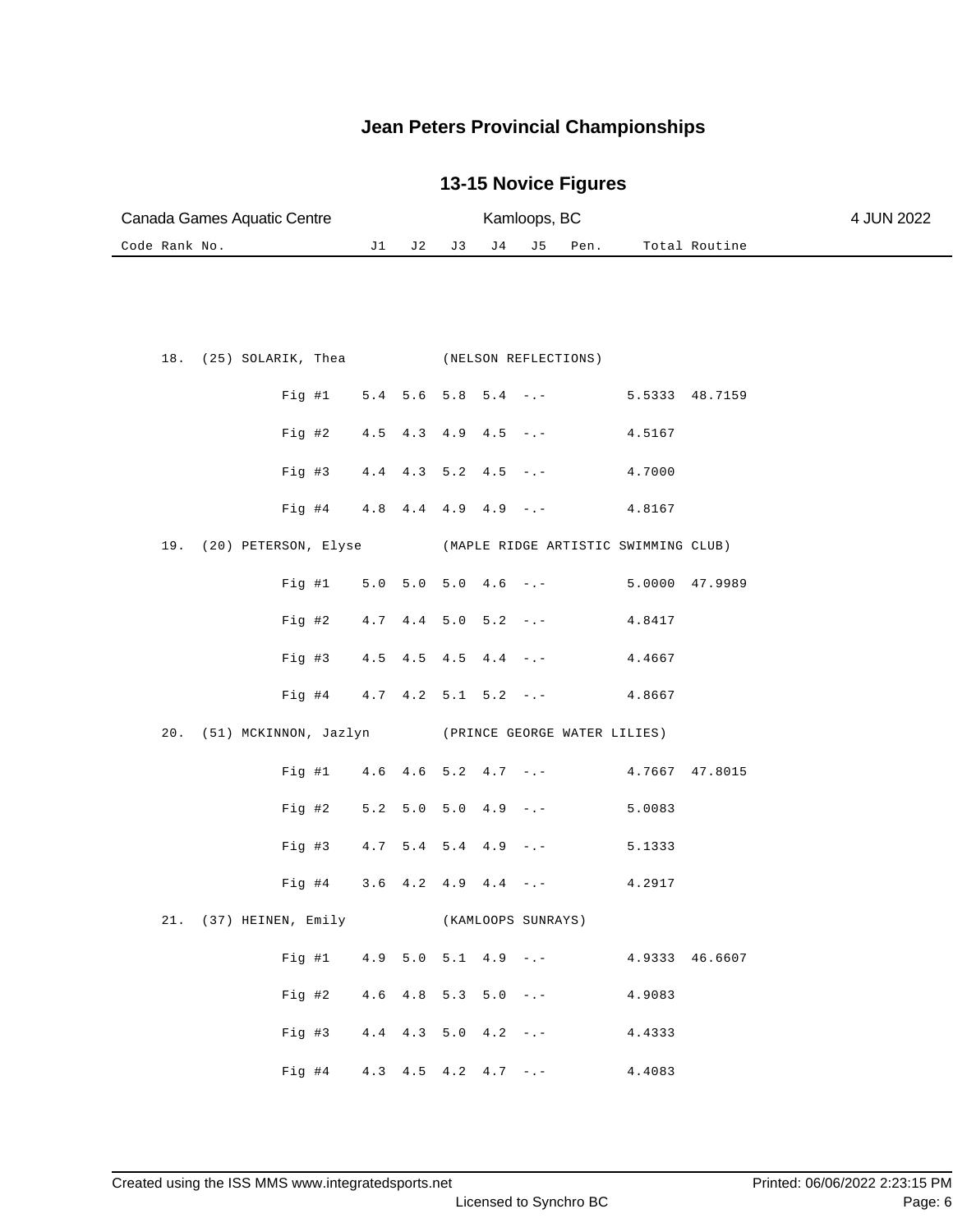| Canada Games Aquatic Centre          |  | Kamloops, BC | 4 JUN 2022 |  |  |  |               |  |
|--------------------------------------|--|--------------|------------|--|--|--|---------------|--|
| Code Rank No.<br>J1 J2 J3 J4 J5 Pen. |  |              |            |  |  |  | Total Routine |  |

|  |                          |  |  | 18. (25) SOLARIK, Thea (NELSON REFLECTIONS)            |        |  |
|--|--------------------------|--|--|--------------------------------------------------------|--------|--|
|  |                          |  |  | Fig #1 $5.4$ 5.6 5.8 5.4 -.- 5.5333 48.7159            |        |  |
|  |                          |  |  | Fig #2 $4.5$ $4.3$ $4.9$ $4.5$ $-$ . $ 4.5167$         |        |  |
|  |                          |  |  | Fig #3 $4.4$ $4.3$ $5.2$ $4.5$ $-$ . $ 4.7000$         |        |  |
|  |                          |  |  | Fig #4 $4.8$ 4.4 4.9 4.9 -.-                           | 4.8167 |  |
|  | 19. (20) PETERSON, Elyse |  |  | (MAPLE RIDGE ARTISTIC SWIMMING CLUB)                   |        |  |
|  |                          |  |  | Fig #1 5.0 5.0 5.0 4.6 -.- 5.0000 47.9989              |        |  |
|  |                          |  |  | Fig #2 $4.7$ $4.4$ 5.0 5.2 -.- $4.8417$                |        |  |
|  |                          |  |  | Fig #3 $4.5$ $4.5$ $4.5$ $4.4$ $-$ . $ 4.4667$         |        |  |
|  |                          |  |  | Fig #4 $4.7$ $4.2$ 5.1 5.2 -.-                         | 4.8667 |  |
|  |                          |  |  |                                                        |        |  |
|  |                          |  |  | 20. (51) MCKINNON, Jazlyn (PRINCE GEORGE WATER LILIES) |        |  |
|  |                          |  |  | Fig #1 4.6 4.6 5.2 4.7 -.- 4.7667 47.8015              |        |  |
|  |                          |  |  | Fig #2 $5.2$ 5.0 5.0 4.9 -.-                           | 5.0083 |  |
|  |                          |  |  | Fig #3 $4.7$ 5.4 5.4 $4.9$ -.- 5.1333                  |        |  |
|  |                          |  |  | Fig #4 3.6 4.2 4.9 4.4 -.- 4.2917                      |        |  |
|  | 21. (37) HEINEN, Emily   |  |  | (KAMLOOPS SUNRAYS)                                     |        |  |
|  |                          |  |  | Fig #1 4.9 5.0 5.1 4.9 -.- 4.9333 46.6607              |        |  |
|  |                          |  |  | Fig #2 $4.6$ $4.8$ $5.3$ $5.0$ $-$ . $ 4.9083$         |        |  |
|  |                          |  |  | Fig #3 $4.4$ $4.3$ 5.0 $4.2$ -.- $4.4333$              |        |  |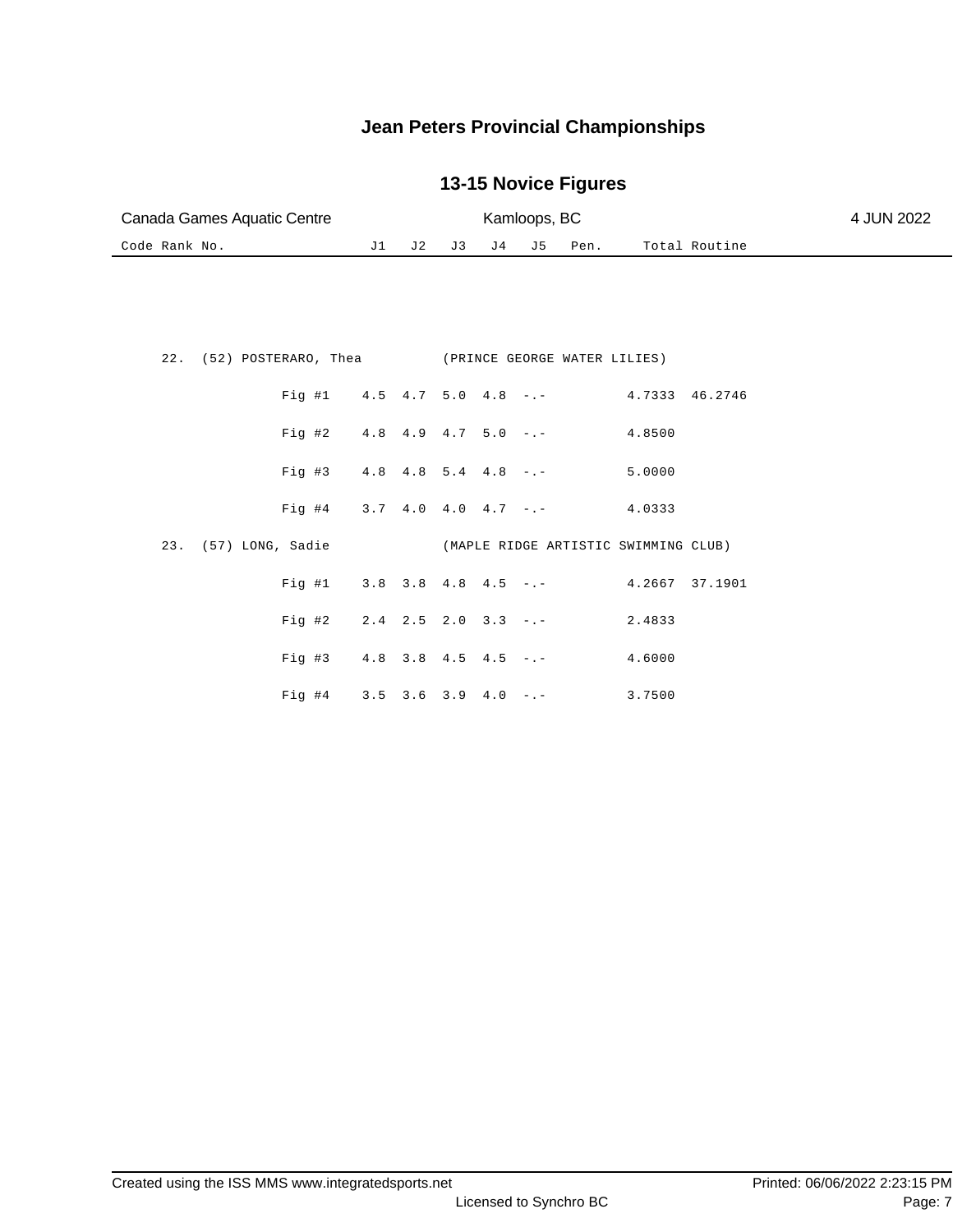| Canada Games Aquatic Centre |  |  |  |                     | Kamloops, BC  |  |  |  |  |  |
|-----------------------------|--|--|--|---------------------|---------------|--|--|--|--|--|
| Code Rank No.               |  |  |  | J1 J2 J3 J4 J5 Pen. | Total Routine |  |  |  |  |  |

|  | 22. (52) POSTERARO, Thea (PRINCE GEORGE WATER LILIES)     |  |  |                                                 |  |
|--|-----------------------------------------------------------|--|--|-------------------------------------------------|--|
|  |                                                           |  |  | Fig #1 4.5 4.7 5.0 4.8 -.- 4.7333 46.2746       |  |
|  |                                                           |  |  | Fig #2 $4.8$ $4.9$ $4.7$ $5.0$ $  4.8500$       |  |
|  |                                                           |  |  | Fig #3 $4.8$ $4.8$ $5.4$ $4.8$ $-$ . $-$ 5.0000 |  |
|  |                                                           |  |  | Fig #4 3.7 4.0 4.0 4.7 -.- 4.0333               |  |
|  |                                                           |  |  |                                                 |  |
|  | 23. (57) LONG, Sadie (MAPLE RIDGE ARTISTIC SWIMMING CLUB) |  |  |                                                 |  |
|  |                                                           |  |  | Fig #1 $3.8$ 3.8 4.8 4.5 -.- 4.2667 37.1901     |  |
|  | Fig #2 $2.4$ 2.5 2.0 3.3 -.-                              |  |  | 2.4833                                          |  |
|  | Fig #3 $4.8$ 3.8 $4.5$ $4.5$ $-$ .                        |  |  | 4.6000                                          |  |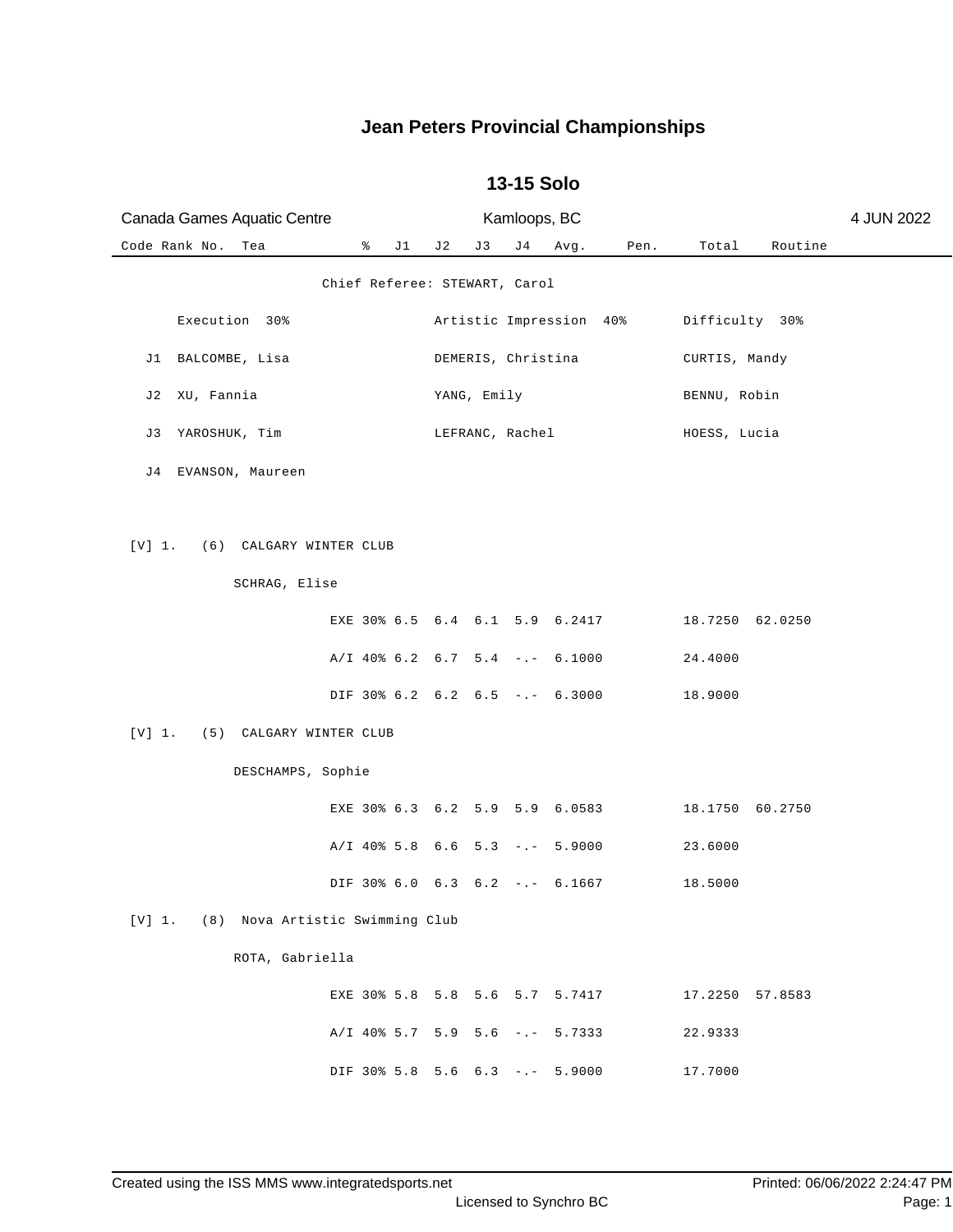| Canada Games Aquatic Centre            |   |    | Kamloops, BC |             |                               |                                  |      | 4 JUN 2022      |         |  |
|----------------------------------------|---|----|--------------|-------------|-------------------------------|----------------------------------|------|-----------------|---------|--|
| Code Rank No.<br>Tea                   | ៖ | J1 | J 2          | J3          | J 4                           | Avg.                             | Pen. | Total           | Routine |  |
|                                        |   |    |              |             | Chief Referee: STEWART, Carol |                                  |      |                 |         |  |
| Execution 30%                          |   |    |              |             |                               | Artistic Impression 40%          |      | Difficulty 30%  |         |  |
| J1 BALCOMBE, Lisa                      |   |    |              |             | DEMERIS, Christina            |                                  |      | CURTIS, Mandy   |         |  |
| XU, Fannia<br>J 2                      |   |    |              | YANG, Emily |                               |                                  |      | BENNU, Robin    |         |  |
| J3<br>YAROSHUK, Tim                    |   |    |              |             | LEFRANC, Rachel               |                                  |      | HOESS, Lucia    |         |  |
| J4 EVANSON, Maureen                    |   |    |              |             |                               |                                  |      |                 |         |  |
|                                        |   |    |              |             |                               |                                  |      |                 |         |  |
| [V] 1.<br>(6) CALGARY WINTER CLUB      |   |    |              |             |                               |                                  |      |                 |         |  |
| SCHRAG, Elise                          |   |    |              |             |                               |                                  |      |                 |         |  |
|                                        |   |    |              |             |                               | EXE 30% 6.5 6.4 6.1 5.9 6.2417   |      | 18.7250 62.0250 |         |  |
|                                        |   |    |              |             |                               | $A/I$ 40% 6.2 6.7 5.4 -.- 6.1000 |      | 24.4000         |         |  |
|                                        |   |    |              |             |                               | DIF 30% 6.2 6.2 6.5 -.- 6.3000   |      | 18.9000         |         |  |
| [V] 1.<br>(5) CALGARY WINTER CLUB      |   |    |              |             |                               |                                  |      |                 |         |  |
| DESCHAMPS, Sophie                      |   |    |              |             |                               |                                  |      |                 |         |  |
|                                        |   |    |              |             |                               | EXE 30% 6.3 6.2 5.9 5.9 6.0583   |      | 18.1750 60.2750 |         |  |
|                                        |   |    |              |             |                               | A/I 40% 5.8 6.6 5.3 -.- 5.9000   |      | 23.6000         |         |  |
|                                        |   |    |              |             |                               | DIF 30% 6.0 6.3 6.2 -.- 6.1667   |      | 18.5000         |         |  |
| [V] 1. (8) Nova Artistic Swimming Club |   |    |              |             |                               |                                  |      |                 |         |  |
| ROTA, Gabriella                        |   |    |              |             |                               |                                  |      |                 |         |  |
|                                        |   |    |              |             |                               | EXE 30% 5.8 5.8 5.6 5.7 5.7417   |      | 17.2250 57.8583 |         |  |
|                                        |   |    |              |             |                               | $A/I$ 40% 5.7 5.9 5.6 -.- 5.7333 |      | 22.9333         |         |  |
|                                        |   |    |              |             |                               | DIF 30% 5.8 5.6 6.3 -.- 5.9000   |      | 17.7000         |         |  |

#### **13-15 Solo**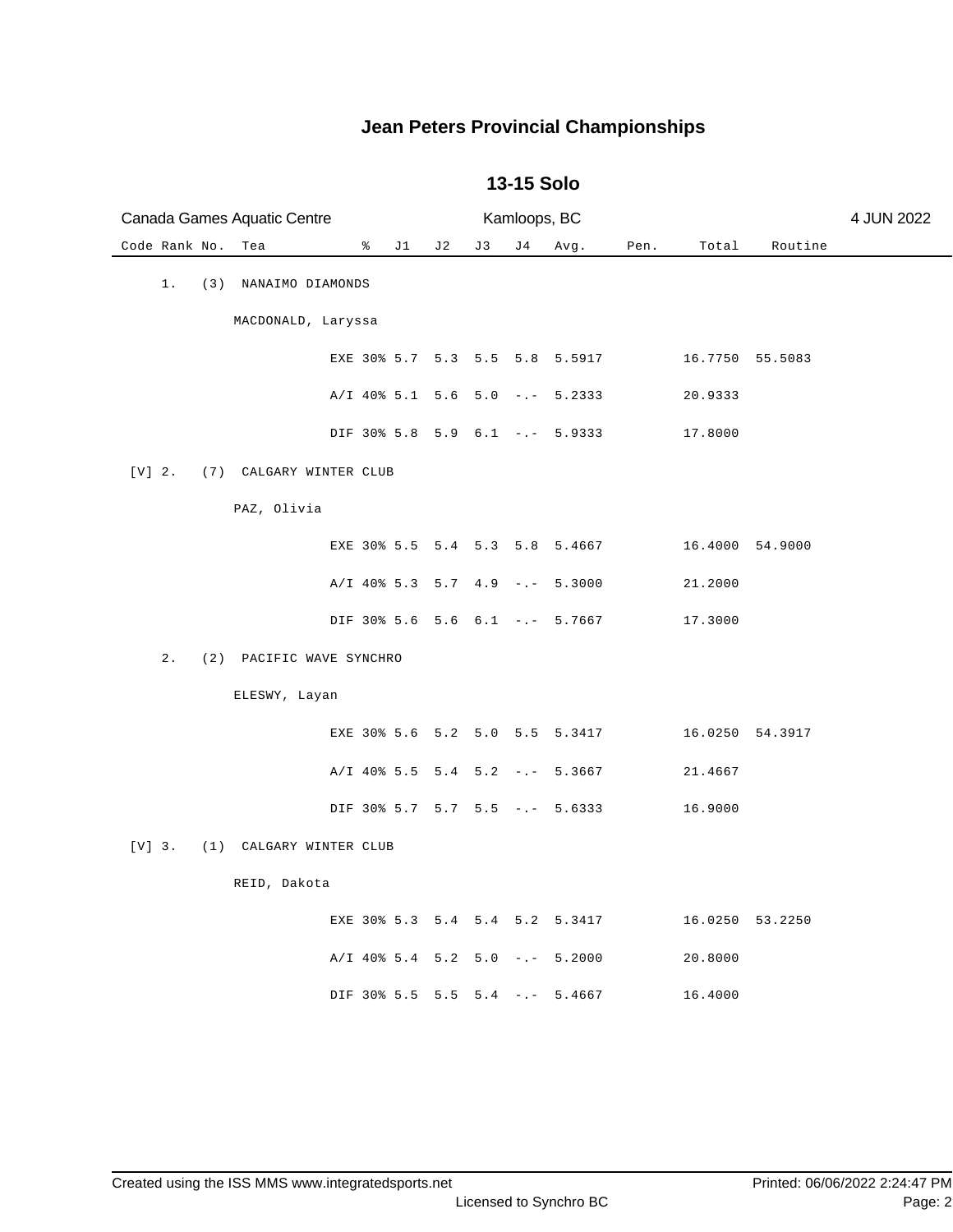| Canada Games Aquatic Centre |     |                          |   |    |                           |     | Kamloops, BC |                                  |      |                 |                 | 4 JUN 2022 |
|-----------------------------|-----|--------------------------|---|----|---------------------------|-----|--------------|----------------------------------|------|-----------------|-----------------|------------|
| Code Rank No.               |     | Tea                      | ៖ | J1 | J 2                       | J 3 | J 4          | Avg.                             | Pen. | Total           | Routine         |            |
| 1.                          | (3) | NANAIMO DIAMONDS         |   |    |                           |     |              |                                  |      |                 |                 |            |
|                             |     | MACDONALD, Laryssa       |   |    |                           |     |              |                                  |      |                 |                 |            |
|                             |     |                          |   |    |                           |     |              | EXE 30% 5.7 5.3 5.5 5.8 5.5917   |      | 16.7750 55.5083 |                 |            |
|                             |     |                          |   |    |                           |     |              | A/I 40% 5.1 5.6 5.0 -.- 5.2333   |      | 20.9333         |                 |            |
|                             |     |                          |   |    |                           |     |              | DIF 30% 5.8 5.9 6.1 -.- 5.9333   |      | 17.8000         |                 |            |
| $[V]$ 2.                    |     | (7) CALGARY WINTER CLUB  |   |    |                           |     |              |                                  |      |                 |                 |            |
|                             |     | PAZ, Olivia              |   |    |                           |     |              |                                  |      |                 |                 |            |
|                             |     |                          |   |    |                           |     |              | EXE 30% 5.5 5.4 5.3 5.8 5.4667   |      | 16.4000 54.9000 |                 |            |
|                             |     |                          |   |    |                           |     |              | $A/I$ 40% 5.3 5.7 4.9 -.- 5.3000 |      | 21.2000         |                 |            |
|                             |     |                          |   |    |                           |     |              | DIF 30% 5.6 5.6 6.1 -.- 5.7667   |      | 17.3000         |                 |            |
| 2.                          |     | (2) PACIFIC WAVE SYNCHRO |   |    |                           |     |              |                                  |      |                 |                 |            |
|                             |     | ELESWY, Layan            |   |    |                           |     |              |                                  |      |                 |                 |            |
|                             |     |                          |   |    |                           |     |              | EXE 30% 5.6 5.2 5.0 5.5 5.3417   |      |                 | 16.0250 54.3917 |            |
|                             |     |                          |   |    | $A/I$ 40% 5.5 5.4 5.2 -.- |     |              | 5.3667                           |      | 21.4667         |                 |            |
|                             |     |                          |   |    |                           |     |              | DIF 30% 5.7 5.7 5.5 -.- 5.6333   |      | 16.9000         |                 |            |
| $[V]$ 3.                    | (1) | CALGARY WINTER CLUB      |   |    |                           |     |              |                                  |      |                 |                 |            |
|                             |     | REID, Dakota             |   |    |                           |     |              |                                  |      |                 |                 |            |
|                             |     |                          |   |    |                           |     |              | EXE 30% 5.3 5.4 5.4 5.2 5.3417   |      |                 | 16.0250 53.2250 |            |
|                             |     |                          |   |    |                           |     |              | $A/I$ 40% 5.4 5.2 5.0 -.- 5.2000 |      | 20.8000         |                 |            |
|                             |     |                          |   |    |                           |     |              | DIF 30% 5.5 5.5 5.4 -.- 5.4667   |      | 16.4000         |                 |            |

#### **13-15 Solo**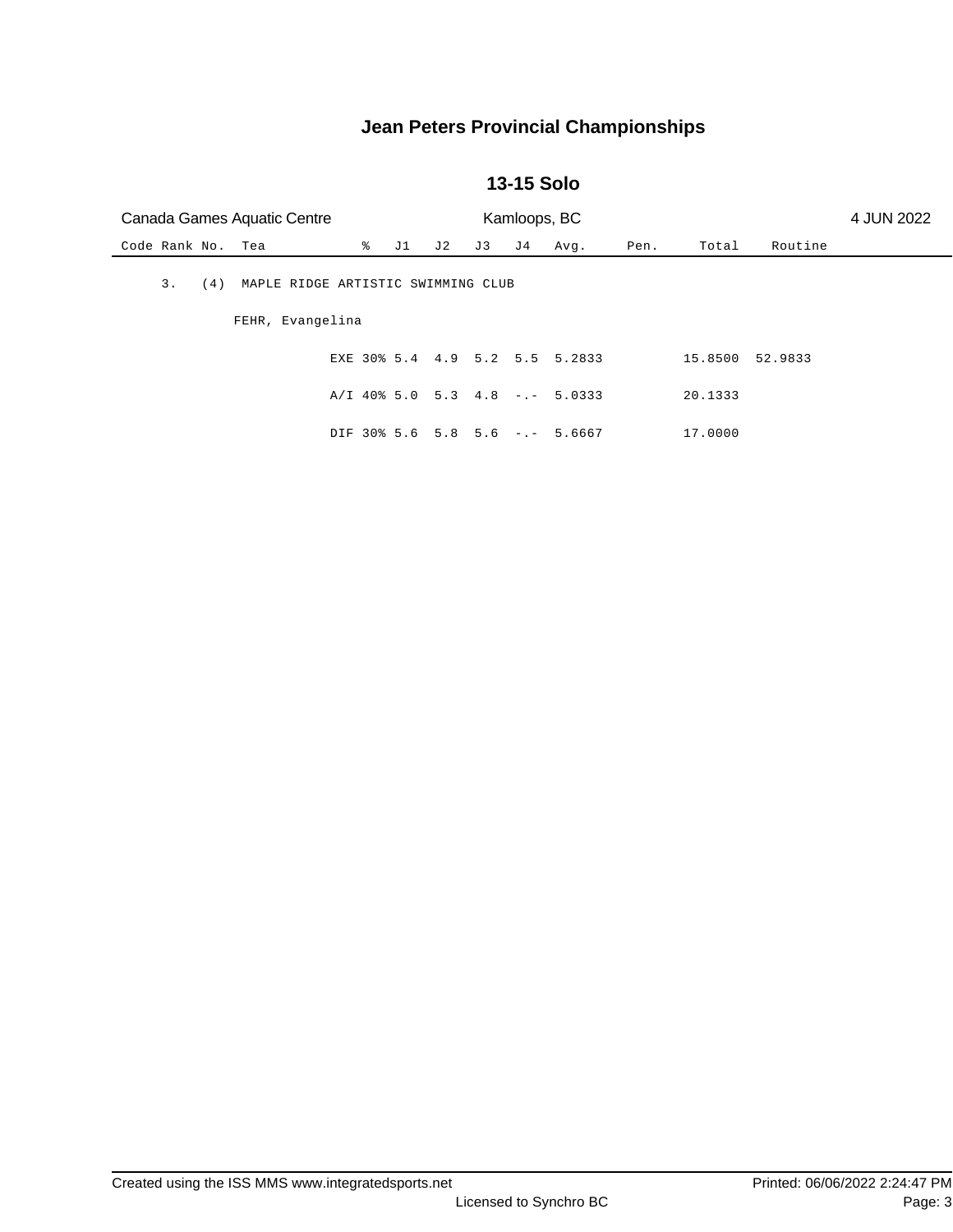#### **13-15 Solo**

|                   | Canada Games Aquatic Centre<br>Kamloops, BC<br>4 JUN 2022 |  |                 |     |     |     |                                  |      |         |         |  |
|-------------------|-----------------------------------------------------------|--|-----------------|-----|-----|-----|----------------------------------|------|---------|---------|--|
| Code Rank No. Tea |                                                           |  | $\sqrt[3]{}$ J1 | J 2 | J 3 | J 4 | Avg.                             | Pen. | Total   | Routine |  |
| 3.<br>(4)         | MAPLE RIDGE ARTISTIC SWIMMING CLUB                        |  |                 |     |     |     |                                  |      |         |         |  |
|                   | FEHR, Evangelina                                          |  |                 |     |     |     |                                  |      |         |         |  |
|                   |                                                           |  |                 |     |     |     | EXE 30% 5.4 4.9 5.2 5.5 5.2833   |      | 15.8500 | 52.9833 |  |
|                   |                                                           |  |                 |     |     |     | $A/I$ 40% 5.0 5.3 4.8 -.- 5.0333 |      | 20.1333 |         |  |
|                   |                                                           |  |                 |     |     |     | DIF 30% 5.6 5.8 5.6 -.- 5.6667   |      | 17.0000 |         |  |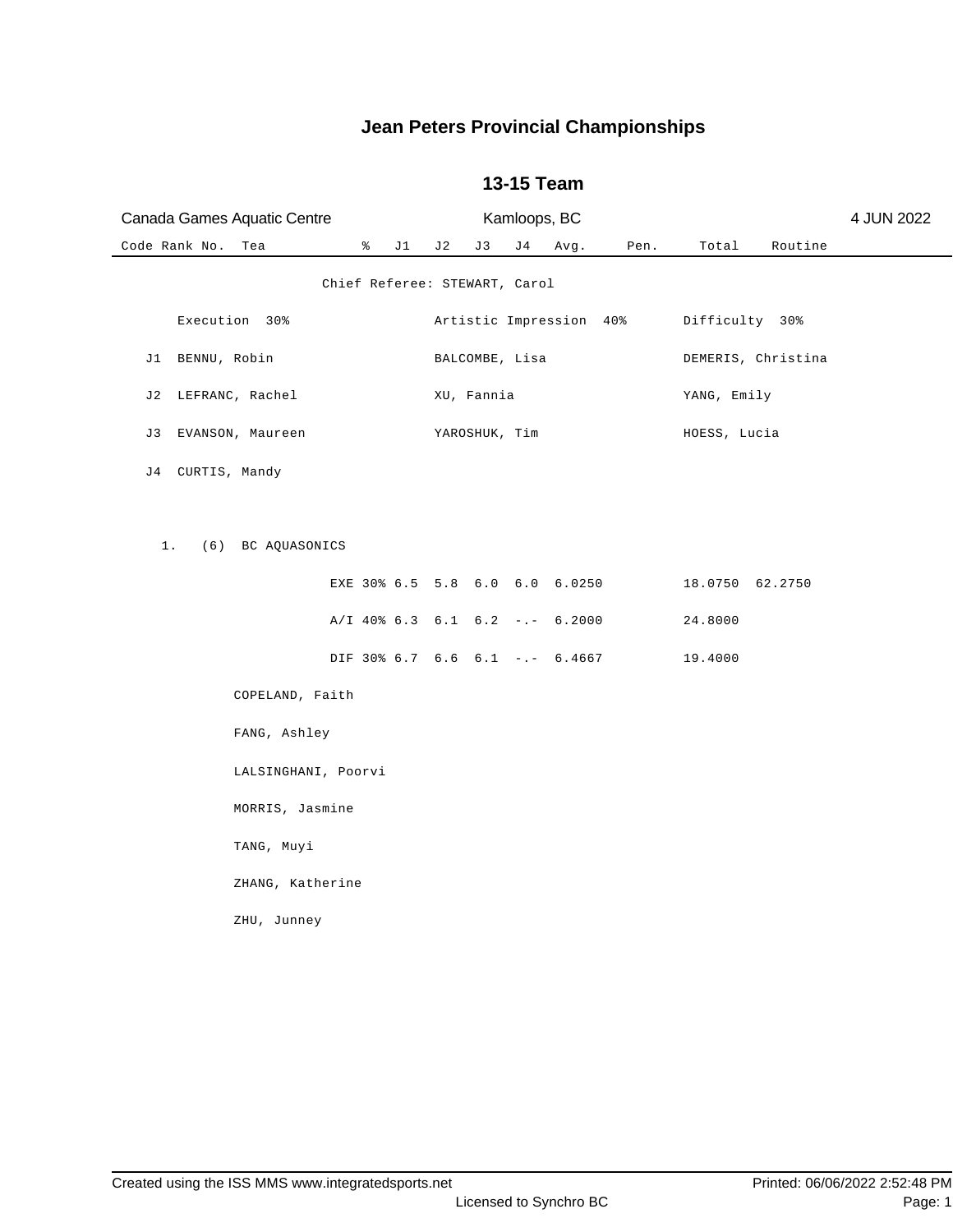| Canada Games Aquatic Centre            |                | Kamloops, BC |      |                         |                 |                    | 4 JUN 2022 |
|----------------------------------------|----------------|--------------|------|-------------------------|-----------------|--------------------|------------|
| Code Rank No.<br>$\delta$ J1<br>Tea    | J 2<br>J 3     | J 4          | Avg. | Pen.                    | Total           | Routine            |            |
| Chief Referee: STEWART, Carol          |                |              |      |                         |                 |                    |            |
| Execution 30%                          |                |              |      | Artistic Impression 40% | Difficulty 30%  |                    |            |
| J1 BENNU, Robin                        | BALCOMBE, Lisa |              |      |                         |                 | DEMERIS, Christina |            |
| J2 LEFRANC, Rachel                     | XU, Fannia     |              |      |                         | YANG, Emily     |                    |            |
| J3 EVANSON, Maureen                    | YAROSHUK, Tim  |              |      |                         | HOESS, Lucia    |                    |            |
| J4 CURTIS, Mandy                       |                |              |      |                         |                 |                    |            |
|                                        |                |              |      |                         |                 |                    |            |
| 1. (6) BC AQUASONICS                   |                |              |      |                         |                 |                    |            |
| EXE 30% 6.5 5.8 6.0 6.0 6.0250         |                |              |      |                         | 18.0750 62.2750 |                    |            |
| A/I 40% 6.3 6.1 6.2 -.- 6.2000         |                |              |      |                         | 24.8000         |                    |            |
| DIF 30% 6.7 6.6 6.1 -.- 6.4667 19.4000 |                |              |      |                         |                 |                    |            |
| COPELAND, Faith                        |                |              |      |                         |                 |                    |            |
| FANG, Ashley                           |                |              |      |                         |                 |                    |            |
| LALSINGHANI, Poorvi                    |                |              |      |                         |                 |                    |            |
| MORRIS, Jasmine                        |                |              |      |                         |                 |                    |            |
| TANG, Muyi                             |                |              |      |                         |                 |                    |            |
| ZHANG, Katherine                       |                |              |      |                         |                 |                    |            |
| ZHU, Junney                            |                |              |      |                         |                 |                    |            |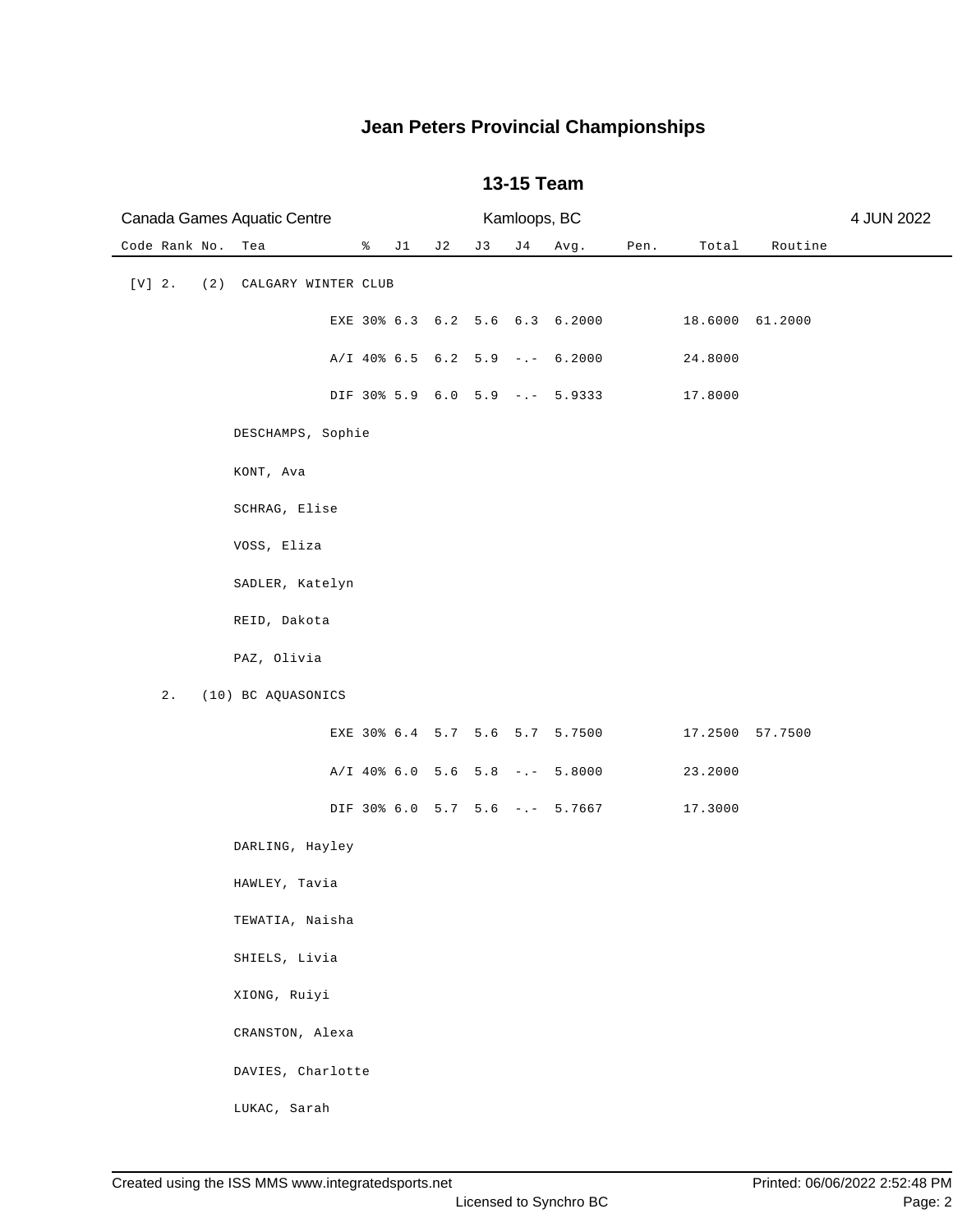|          | Canada Games Aquatic Centre |     |                     |    |    |     |    | Kamloops, BC |                                |      |                 |         | 4 JUN 2022 |
|----------|-----------------------------|-----|---------------------|----|----|-----|----|--------------|--------------------------------|------|-----------------|---------|------------|
|          | Code Rank No.               |     | Tea                 | နွ | J1 | J 2 | J3 | J 4          | Avg.                           | Pen. | Total           | Routine |            |
| $[V]$ 2. |                             | (2) | CALGARY WINTER CLUB |    |    |     |    |              |                                |      |                 |         |            |
|          |                             |     |                     |    |    |     |    |              | EXE 30% 6.3 6.2 5.6 6.3 6.2000 |      | 18.6000 61.2000 |         |            |
|          |                             |     |                     |    |    |     |    |              | A/I 40% 6.5 6.2 5.9 -.- 6.2000 |      | 24.8000         |         |            |
|          |                             |     |                     |    |    |     |    |              | DIF 30% 5.9 6.0 5.9 -.- 5.9333 |      | 17.8000         |         |            |
|          |                             |     | DESCHAMPS, Sophie   |    |    |     |    |              |                                |      |                 |         |            |
|          |                             |     | KONT, Ava           |    |    |     |    |              |                                |      |                 |         |            |
|          |                             |     | SCHRAG, Elise       |    |    |     |    |              |                                |      |                 |         |            |
|          |                             |     | VOSS, Eliza         |    |    |     |    |              |                                |      |                 |         |            |
|          |                             |     | SADLER, Katelyn     |    |    |     |    |              |                                |      |                 |         |            |
|          |                             |     | REID, Dakota        |    |    |     |    |              |                                |      |                 |         |            |
|          |                             |     | PAZ, Olivia         |    |    |     |    |              |                                |      |                 |         |            |
|          | $2$ .                       |     | (10) BC AQUASONICS  |    |    |     |    |              |                                |      |                 |         |            |
|          |                             |     |                     |    |    |     |    |              | EXE 30% 6.4 5.7 5.6 5.7 5.7500 |      | 17.2500 57.7500 |         |            |
|          |                             |     |                     |    |    |     |    |              | A/I 40% 6.0 5.6 5.8 -.- 5.8000 |      | 23.2000         |         |            |
|          |                             |     |                     |    |    |     |    |              | DIF 30% 6.0 5.7 5.6 -.- 5.7667 |      | 17.3000         |         |            |
|          |                             |     | DARLING, Hayley     |    |    |     |    |              |                                |      |                 |         |            |
|          |                             |     | HAWLEY, Tavia       |    |    |     |    |              |                                |      |                 |         |            |
|          |                             |     | TEWATIA, Naisha     |    |    |     |    |              |                                |      |                 |         |            |
|          |                             |     | SHIELS, Livia       |    |    |     |    |              |                                |      |                 |         |            |
|          |                             |     | XIONG, Ruiyi        |    |    |     |    |              |                                |      |                 |         |            |
|          |                             |     | CRANSTON, Alexa     |    |    |     |    |              |                                |      |                 |         |            |
|          |                             |     | DAVIES, Charlotte   |    |    |     |    |              |                                |      |                 |         |            |
|          |                             |     | LUKAC, Sarah        |    |    |     |    |              |                                |      |                 |         |            |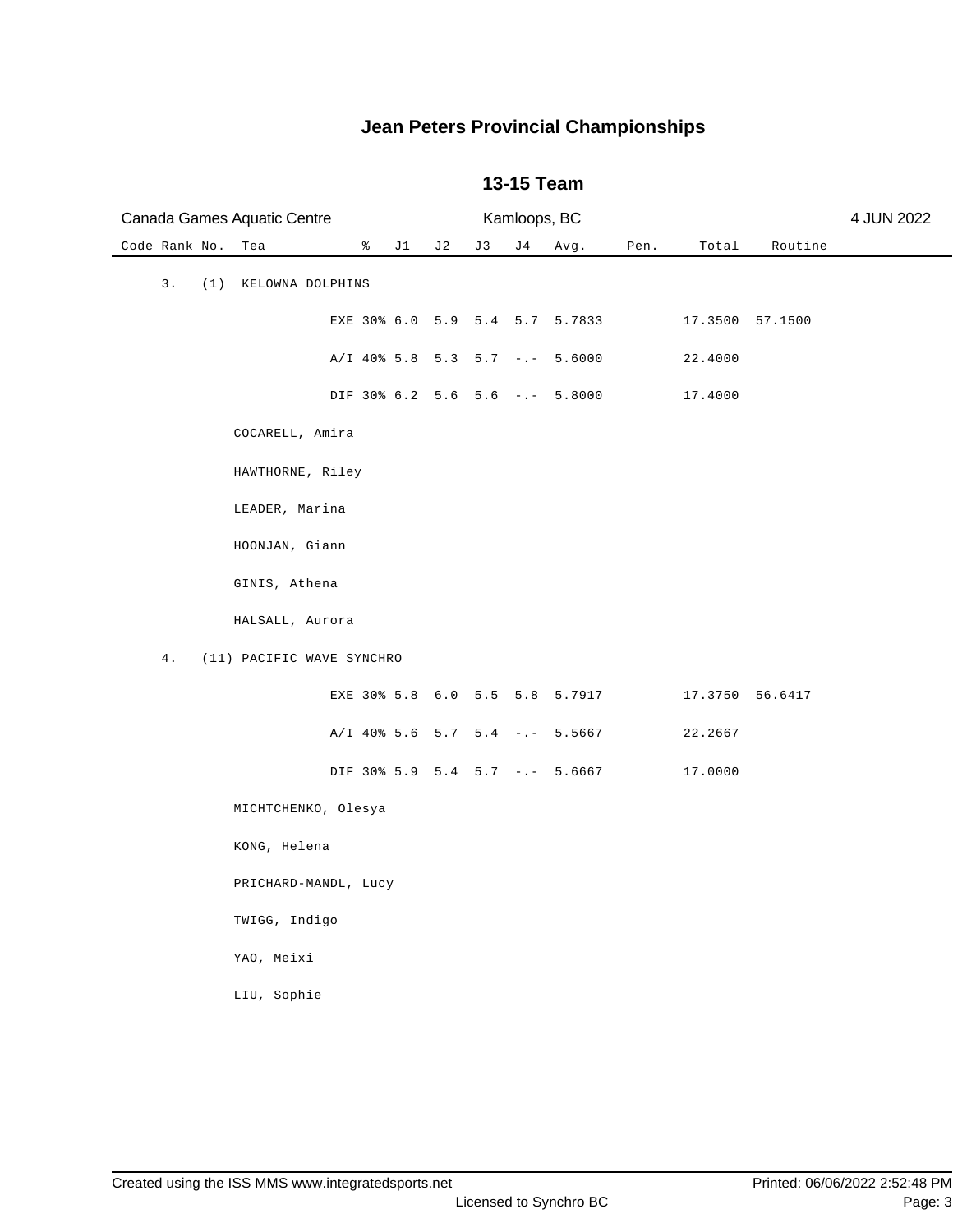| Canada Games Aquatic Centre |                           |                                  | Kamloops, BC |     |      |      | 4 JUN 2022      |                 |  |
|-----------------------------|---------------------------|----------------------------------|--------------|-----|------|------|-----------------|-----------------|--|
| Code Rank No.<br>Tea        | ိ                         | J1<br>J 2                        | J3           | J 4 | Avg. | Pen. | Total           | Routine         |  |
| 3.<br>(1) KELOWNA DOLPHINS  |                           |                                  |              |     |      |      |                 |                 |  |
|                             |                           | EXE 30% 6.0 5.9 5.4 5.7 5.7833   |              |     |      |      |                 | 17.3500 57.1500 |  |
|                             |                           | $A/I$ 40% 5.8 5.3 5.7 -.- 5.6000 |              |     |      |      | 22.4000         |                 |  |
|                             |                           | DIF 30% 6.2 5.6 5.6 -.- 5.8000   |              |     |      |      | 17.4000         |                 |  |
|                             | COCARELL, Amira           |                                  |              |     |      |      |                 |                 |  |
|                             | HAWTHORNE, Riley          |                                  |              |     |      |      |                 |                 |  |
| LEADER, Marina              |                           |                                  |              |     |      |      |                 |                 |  |
| HOONJAN, Giann              |                           |                                  |              |     |      |      |                 |                 |  |
| GINIS, Athena               |                           |                                  |              |     |      |      |                 |                 |  |
|                             | HALSALL, Aurora           |                                  |              |     |      |      |                 |                 |  |
| 4.                          | (11) PACIFIC WAVE SYNCHRO |                                  |              |     |      |      |                 |                 |  |
|                             |                           | EXE 30% 5.8 6.0 5.5 5.8 5.7917   |              |     |      |      | 17.3750 56.6417 |                 |  |
|                             |                           | A/I 40% 5.6 5.7 5.4 -.- 5.5667   |              |     |      |      | 22.2667         |                 |  |
|                             |                           | DIF 30% 5.9 5.4 5.7 -.- 5.6667   |              |     |      |      | 17.0000         |                 |  |
|                             | MICHTCHENKO, Olesya       |                                  |              |     |      |      |                 |                 |  |
| KONG, Helena                |                           |                                  |              |     |      |      |                 |                 |  |
|                             | PRICHARD-MANDL, Lucy      |                                  |              |     |      |      |                 |                 |  |
| TWIGG, Indigo               |                           |                                  |              |     |      |      |                 |                 |  |
| YAO, Meixi                  |                           |                                  |              |     |      |      |                 |                 |  |
| LIU, Sophie                 |                           |                                  |              |     |      |      |                 |                 |  |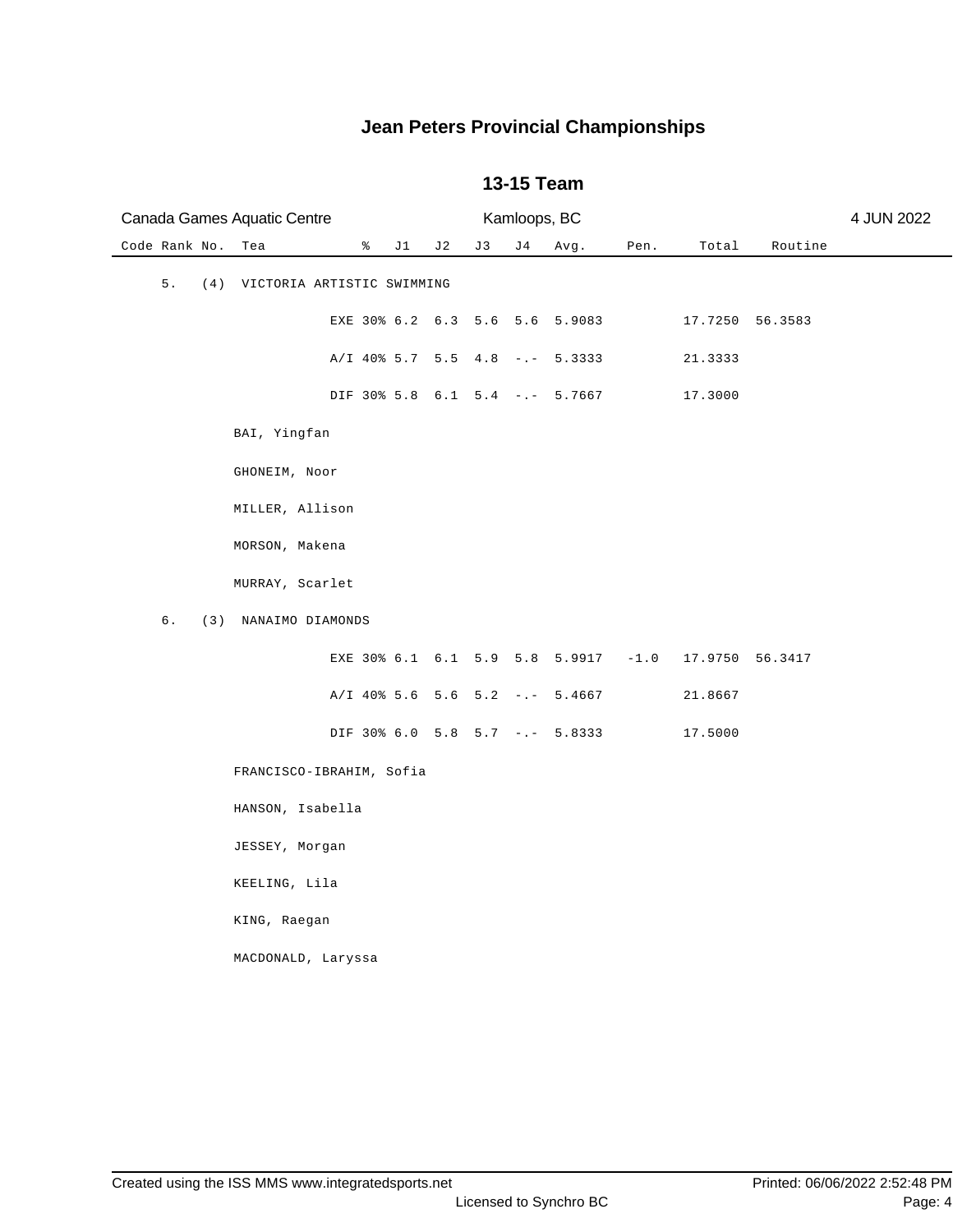| Canada Games Aquatic Centre          |                                  |     |    | Kamloops, BC |      |      |                        |         | 4 JUN 2022 |
|--------------------------------------|----------------------------------|-----|----|--------------|------|------|------------------------|---------|------------|
| Code Rank No.<br>Tea                 | $\frac{1}{6}$ J1                 | J 2 | J3 | J 4          | Avg. | Pen. | Total                  | Routine |            |
| 5.<br>(4) VICTORIA ARTISTIC SWIMMING |                                  |     |    |              |      |      |                        |         |            |
|                                      | EXE 30% 6.2 6.3 5.6 5.6 5.9083   |     |    |              |      |      | 17.7250 56.3583        |         |            |
|                                      | $A/I$ 40% 5.7 5.5 4.8 -.- 5.3333 |     |    |              |      |      | 21.3333                |         |            |
|                                      | DIF 30% 5.8 6.1 5.4 -.- 5.7667   |     |    |              |      |      | 17.3000                |         |            |
| BAI, Yingfan                         |                                  |     |    |              |      |      |                        |         |            |
| GHONEIM, Noor                        |                                  |     |    |              |      |      |                        |         |            |
| MILLER, Allison                      |                                  |     |    |              |      |      |                        |         |            |
| MORSON, Makena                       |                                  |     |    |              |      |      |                        |         |            |
| MURRAY, Scarlet                      |                                  |     |    |              |      |      |                        |         |            |
| 6.<br>(3) NANAIMO DIAMONDS           |                                  |     |    |              |      |      |                        |         |            |
|                                      | EXE 30% 6.1 6.1 5.9 5.8 5.9917   |     |    |              |      |      | $-1.0$ 17.9750 56.3417 |         |            |
|                                      | $A/I$ 40% 5.6 5.6 5.2 -.- 5.4667 |     |    |              |      |      | 21.8667                |         |            |
|                                      | DIF 30% 6.0 5.8 5.7 -.- 5.8333   |     |    |              |      |      | 17.5000                |         |            |
| FRANCISCO-IBRAHIM, Sofia             |                                  |     |    |              |      |      |                        |         |            |
| HANSON, Isabella                     |                                  |     |    |              |      |      |                        |         |            |
| JESSEY, Morgan                       |                                  |     |    |              |      |      |                        |         |            |
| KEELING, Lila                        |                                  |     |    |              |      |      |                        |         |            |
| KING, Raegan                         |                                  |     |    |              |      |      |                        |         |            |
| MACDONALD, Laryssa                   |                                  |     |    |              |      |      |                        |         |            |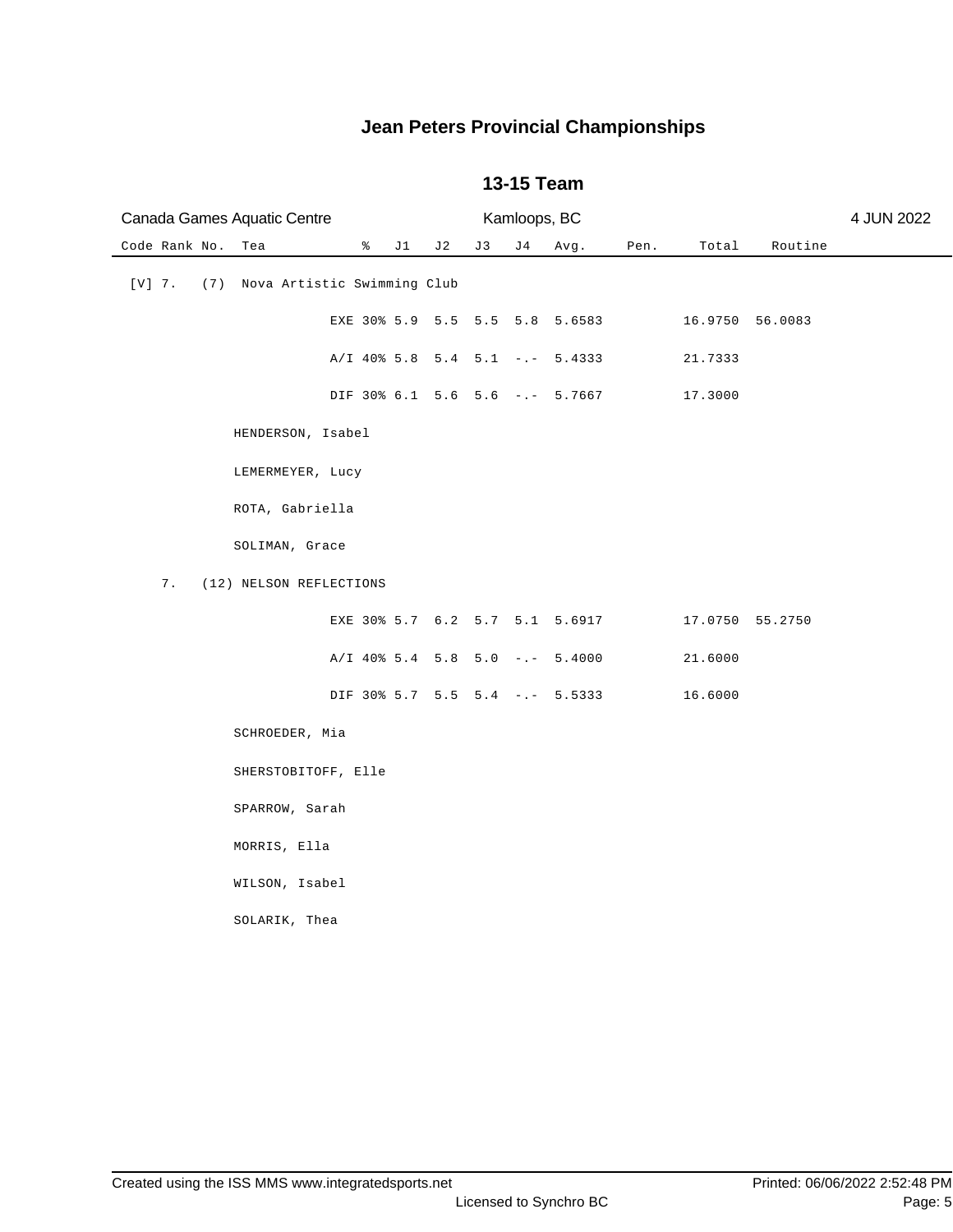| Canada Games Aquatic Centre                 |              |     |    | Kamloops, BC |                                  |      |                 |         | 4 JUN 2022 |
|---------------------------------------------|--------------|-----|----|--------------|----------------------------------|------|-----------------|---------|------------|
| Code Rank No.<br>Tea                        | $\approx$ J1 | J 2 | J3 | J 4          | Avg.                             | Pen. | Total           | Routine |            |
| $[V]$ 7.<br>(7) Nova Artistic Swimming Club |              |     |    |              |                                  |      |                 |         |            |
|                                             |              |     |    |              | EXE 30% 5.9 5.5 5.5 5.8 5.6583   |      | 16.9750 56.0083 |         |            |
|                                             |              |     |    |              | $A/I$ 40% 5.8 5.4 5.1 -.- 5.4333 |      | 21.7333         |         |            |
|                                             |              |     |    |              | DIF 30% 6.1 5.6 5.6 -.- 5.7667   |      | 17.3000         |         |            |
| HENDERSON, Isabel                           |              |     |    |              |                                  |      |                 |         |            |
| LEMERMEYER, Lucy                            |              |     |    |              |                                  |      |                 |         |            |
| ROTA, Gabriella                             |              |     |    |              |                                  |      |                 |         |            |
| SOLIMAN, Grace                              |              |     |    |              |                                  |      |                 |         |            |
| 7.<br>(12) NELSON REFLECTIONS               |              |     |    |              |                                  |      |                 |         |            |
|                                             |              |     |    |              | EXE 30% 5.7 6.2 5.7 5.1 5.6917   |      | 17.0750 55.2750 |         |            |
|                                             |              |     |    |              | $A/I$ 40% 5.4 5.8 5.0 -.- 5.4000 |      | 21.6000         |         |            |
|                                             |              |     |    |              | DIF 30% 5.7 5.5 5.4 -.- 5.5333   |      | 16.6000         |         |            |
| SCHROEDER, Mia                              |              |     |    |              |                                  |      |                 |         |            |
| SHERSTOBITOFF, Elle                         |              |     |    |              |                                  |      |                 |         |            |
| SPARROW, Sarah                              |              |     |    |              |                                  |      |                 |         |            |
| MORRIS, Ella                                |              |     |    |              |                                  |      |                 |         |            |
| WILSON, Isabel                              |              |     |    |              |                                  |      |                 |         |            |
| SOLARIK, Thea                               |              |     |    |              |                                  |      |                 |         |            |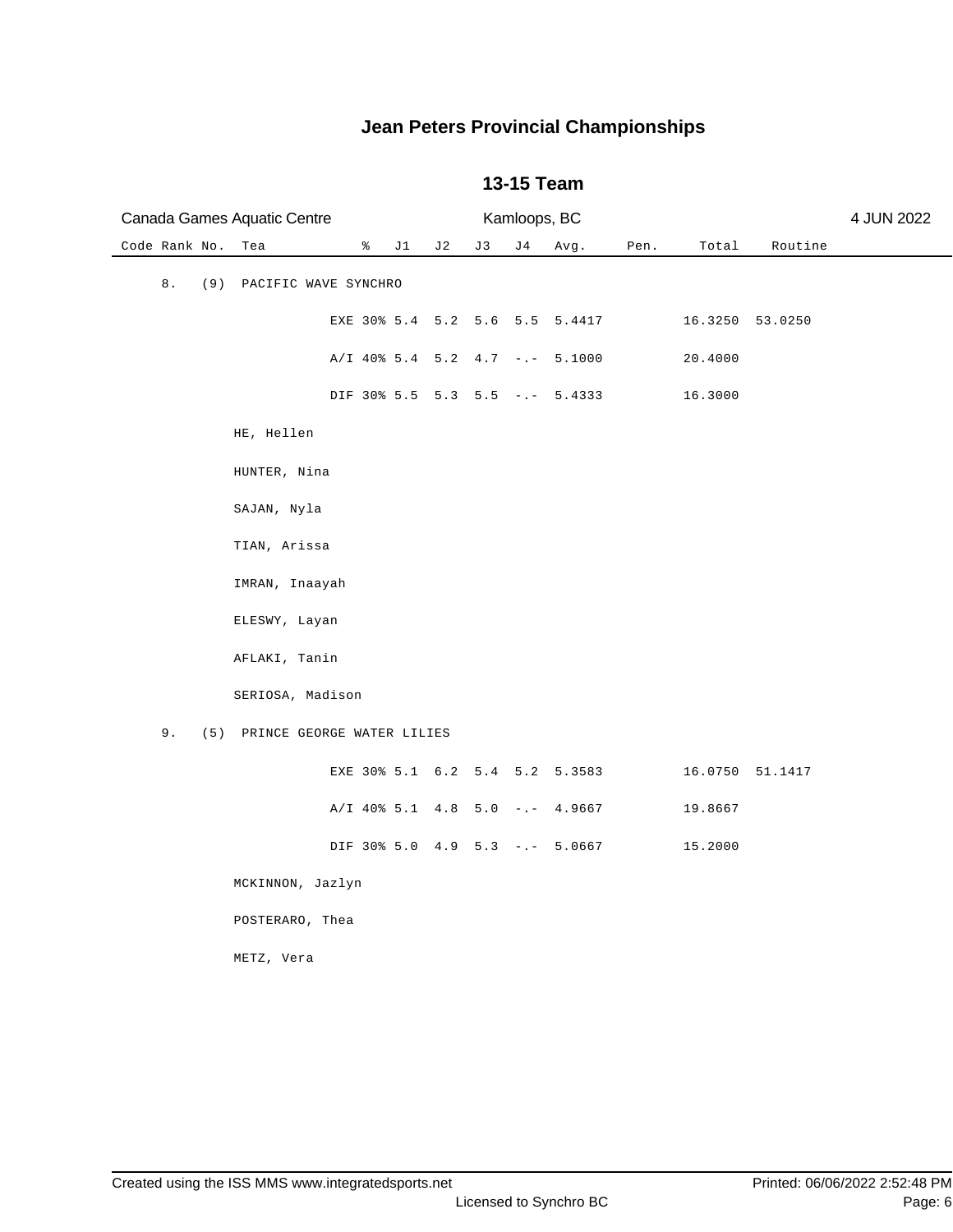| Canada Games Aquatic Centre          |                                  |     |     | Kamloops, BC |                                |      |                 |                 | 4 JUN 2022 |
|--------------------------------------|----------------------------------|-----|-----|--------------|--------------------------------|------|-----------------|-----------------|------------|
| Code Rank No.<br>Tea                 | $\sqrt[3]{}$ J1                  | J 2 | J 3 | J 4          | Avg.                           | Pen. | Total           | Routine         |            |
| 8.<br>(9) PACIFIC WAVE SYNCHRO       |                                  |     |     |              |                                |      |                 |                 |            |
|                                      |                                  |     |     |              | EXE 30% 5.4 5.2 5.6 5.5 5.4417 |      |                 | 16.3250 53.0250 |            |
|                                      | A/I 40% 5.4 5.2 4.7 -.- 5.1000   |     |     |              |                                |      | 20.4000         |                 |            |
|                                      |                                  |     |     |              | DIF 30% 5.5 5.3 5.5 -.- 5.4333 |      | 16.3000         |                 |            |
| HE, Hellen                           |                                  |     |     |              |                                |      |                 |                 |            |
| HUNTER, Nina                         |                                  |     |     |              |                                |      |                 |                 |            |
| SAJAN, Nyla                          |                                  |     |     |              |                                |      |                 |                 |            |
| TIAN, Arissa                         |                                  |     |     |              |                                |      |                 |                 |            |
| IMRAN, Inaayah                       |                                  |     |     |              |                                |      |                 |                 |            |
| ELESWY, Layan                        |                                  |     |     |              |                                |      |                 |                 |            |
| AFLAKI, Tanin                        |                                  |     |     |              |                                |      |                 |                 |            |
| SERIOSA, Madison                     |                                  |     |     |              |                                |      |                 |                 |            |
| 9.<br>(5) PRINCE GEORGE WATER LILIES |                                  |     |     |              |                                |      |                 |                 |            |
|                                      |                                  |     |     |              | EXE 30% 5.1 6.2 5.4 5.2 5.3583 |      | 16.0750 51.1417 |                 |            |
|                                      | $A/I$ 40% 5.1 4.8 5.0 -.- 4.9667 |     |     |              |                                |      | 19.8667         |                 |            |
|                                      | DIF 30% 5.0 4.9 5.3 -.- 5.0667   |     |     |              |                                |      | 15.2000         |                 |            |
| MCKINNON, Jazlyn                     |                                  |     |     |              |                                |      |                 |                 |            |
| POSTERARO, Thea                      |                                  |     |     |              |                                |      |                 |                 |            |
| METZ, Vera                           |                                  |     |     |              |                                |      |                 |                 |            |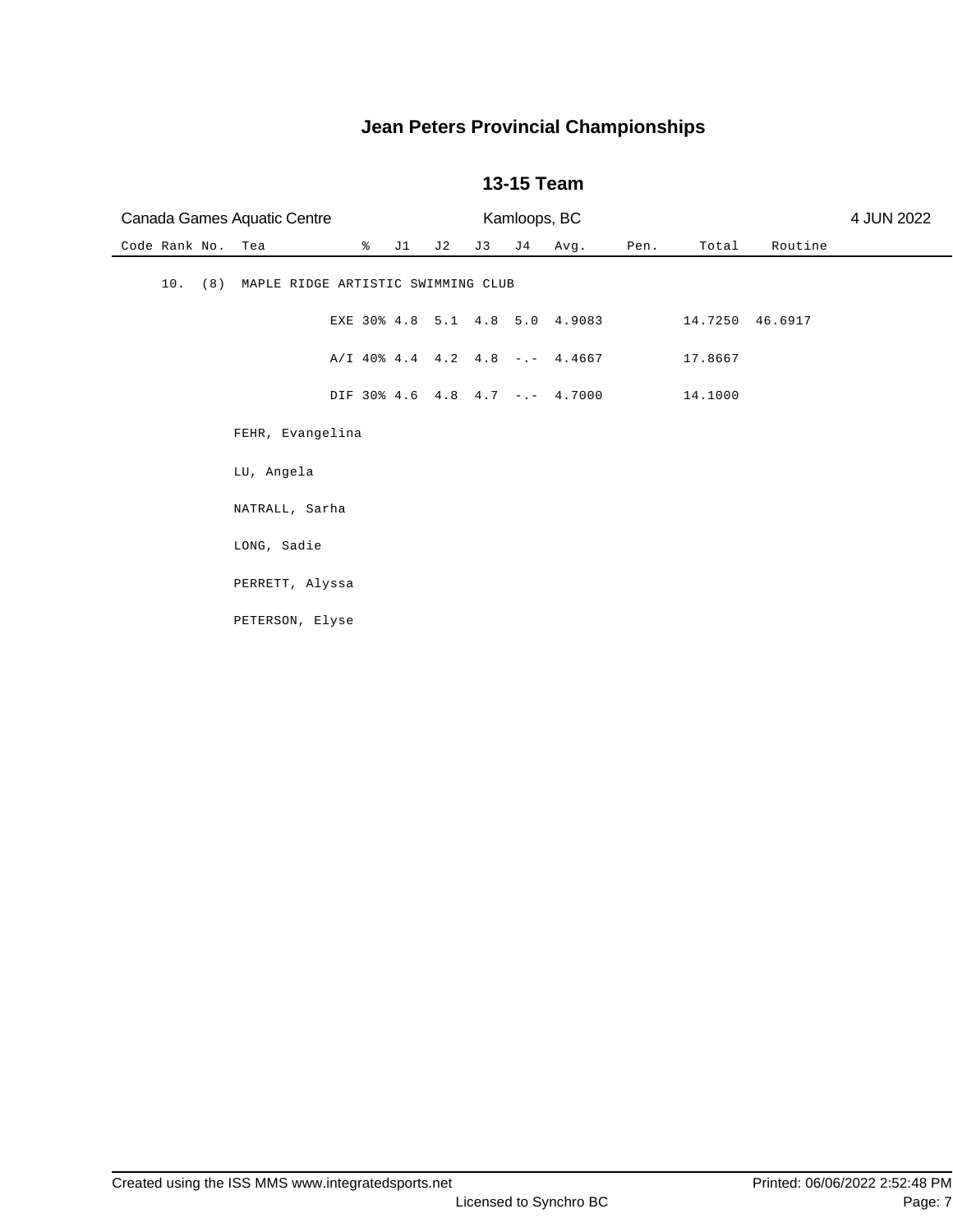| Canada Games Aquatic Centre |                                        |              |     | Kamloops, BC |     |                                  |      |                 | 4 JUN 2022 |  |
|-----------------------------|----------------------------------------|--------------|-----|--------------|-----|----------------------------------|------|-----------------|------------|--|
| Code Rank No.               | Tea                                    | $\approx$ J1 | J 2 | J3           | J 4 | Avg.                             | Pen. | Total           | Routine    |  |
| 10.                         | (8) MAPLE RIDGE ARTISTIC SWIMMING CLUB |              |     |              |     |                                  |      |                 |            |  |
|                             |                                        |              |     |              |     | EXE 30% 4.8 5.1 4.8 5.0 4.9083   |      | 14.7250 46.6917 |            |  |
|                             |                                        |              |     |              |     | $A/I$ 40% 4.4 4.2 4.8 -.- 4.4667 |      | 17.8667         |            |  |
|                             |                                        |              |     |              |     | DIF 30% 4.6 4.8 4.7 -.- 4.7000   |      | 14.1000         |            |  |
|                             | FEHR, Evangelina                       |              |     |              |     |                                  |      |                 |            |  |
|                             | LU, Angela                             |              |     |              |     |                                  |      |                 |            |  |
|                             | NATRALL, Sarha                         |              |     |              |     |                                  |      |                 |            |  |
|                             | LONG, Sadie                            |              |     |              |     |                                  |      |                 |            |  |
|                             | PERRETT, Alyssa                        |              |     |              |     |                                  |      |                 |            |  |
|                             | PETERSON, Elyse                        |              |     |              |     |                                  |      |                 |            |  |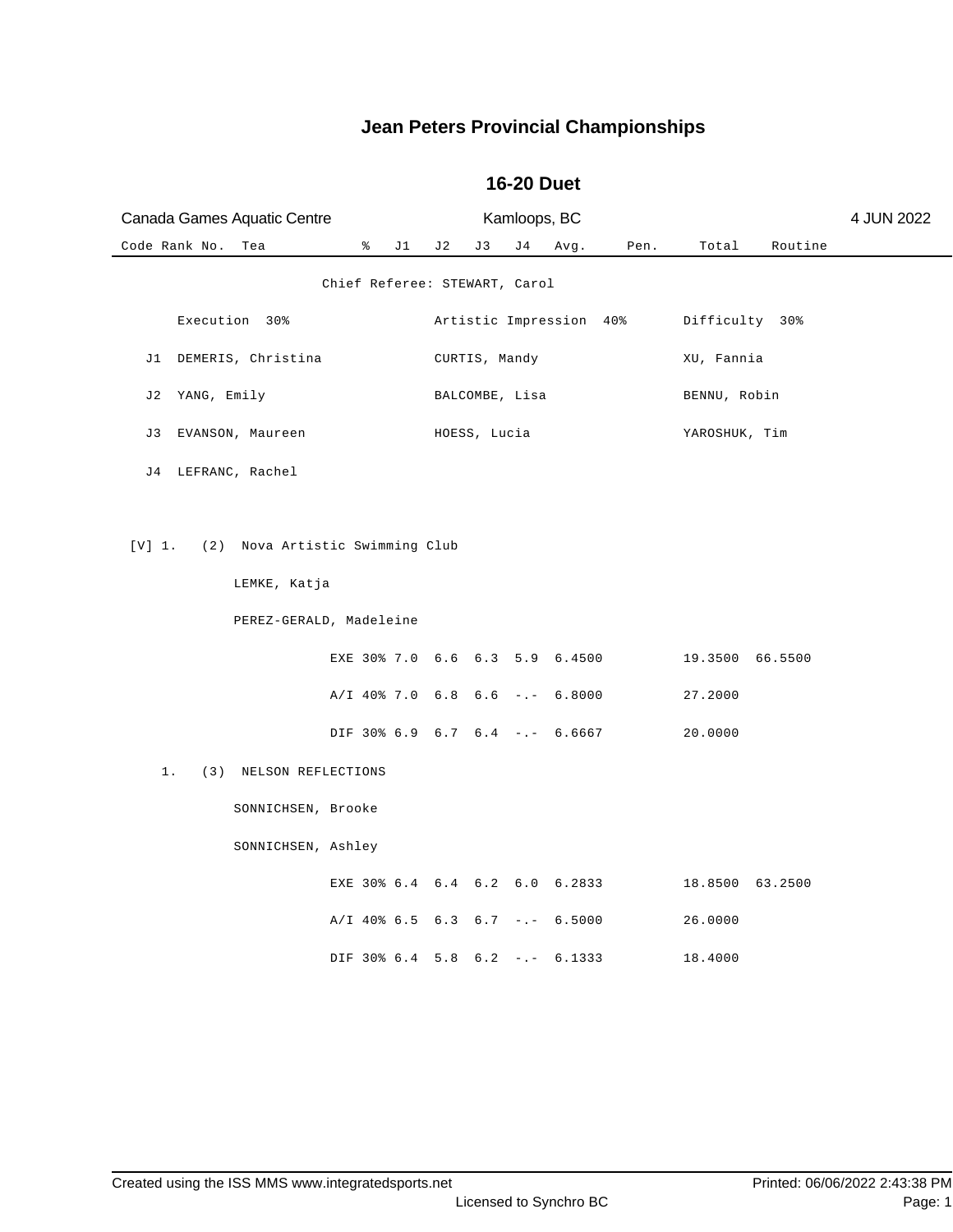| Canada Games Aquatic Centre            | Kamloops, BC                     |                  | 4 JUN 2022 |
|----------------------------------------|----------------------------------|------------------|------------|
| Code Rank No.<br>ိ<br>J 1<br>Tea       | J 2<br>J 4<br>Pen.<br>J3<br>Avg. | Total<br>Routine |            |
|                                        | Chief Referee: STEWART, Carol    |                  |            |
| Execution 30%                          | Artistic Impression 40%          | Difficulty 30%   |            |
| J1 DEMERIS, Christina                  | CURTIS, Mandy                    | XU, Fannia       |            |
| YANG, Emily<br>J 2                     | BALCOMBE, Lisa                   | BENNU, Robin     |            |
| EVANSON, Maureen<br>J 3                | HOESS, Lucia                     | YAROSHUK, Tim    |            |
| J4 LEFRANC, Rachel                     |                                  |                  |            |
|                                        |                                  |                  |            |
| [V] 1. (2) Nova Artistic Swimming Club |                                  |                  |            |
| LEMKE, Katja                           |                                  |                  |            |
| PEREZ-GERALD, Madeleine                |                                  |                  |            |
|                                        | EXE 30% 7.0 6.6 6.3 5.9 6.4500   | 19.3500 66.5500  |            |
|                                        | $A/I$ 40% 7.0 6.8 6.6 -.- 6.8000 | 27.2000          |            |
|                                        | DIF 30% 6.9 6.7 6.4 -.- 6.6667   | 20.0000          |            |
| $1$ .<br>(3) NELSON REFLECTIONS        |                                  |                  |            |
| SONNICHSEN, Brooke                     |                                  |                  |            |
| SONNICHSEN, Ashley                     |                                  |                  |            |
|                                        | EXE 30% 6.4 6.4 6.2 6.0 6.2833   | 18.8500 63.2500  |            |
|                                        | A/I 40% 6.5 6.3 6.7 -.- 6.5000   | 26.0000          |            |
|                                        | DIF 30% 6.4 5.8 6.2 -.- 6.1333   | 18.4000          |            |

#### **16-20 Duet**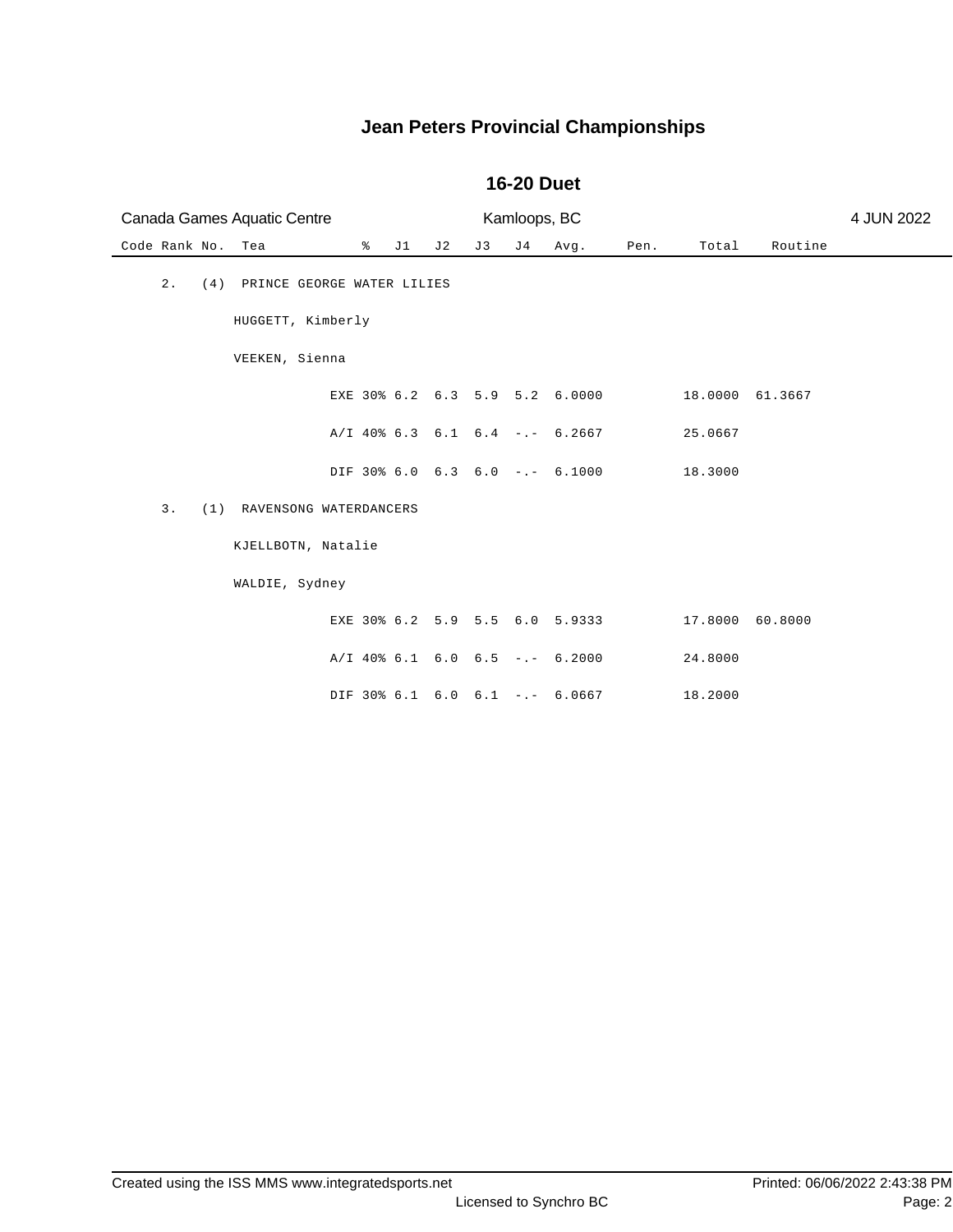| Canada Games Aquatic Centre |                                |   |    | Kamloops, BC |     |    |                                  |      | 4 JUN 2022      |         |  |
|-----------------------------|--------------------------------|---|----|--------------|-----|----|----------------------------------|------|-----------------|---------|--|
| Code Rank No.               | Tea                            | ိ | J1 | J 2          | J 3 | J4 | Avg.                             | Pen. | Total           | Routine |  |
| 2.                          | (4) PRINCE GEORGE WATER LILIES |   |    |              |     |    |                                  |      |                 |         |  |
|                             | HUGGETT, Kimberly              |   |    |              |     |    |                                  |      |                 |         |  |
|                             | VEEKEN, Sienna                 |   |    |              |     |    |                                  |      |                 |         |  |
|                             |                                |   |    |              |     |    | EXE 30% 6.2 6.3 5.9 5.2 6.0000   |      | 18.0000 61.3667 |         |  |
|                             |                                |   |    |              |     |    | $A/I$ 40% 6.3 6.1 6.4 -.- 6.2667 |      | 25.0667         |         |  |
|                             |                                |   |    |              |     |    | DIF 30% 6.0 6.3 6.0 -.- 6.1000   |      | 18.3000         |         |  |
| 3.                          | (1) RAVENSONG WATERDANCERS     |   |    |              |     |    |                                  |      |                 |         |  |
|                             | KJELLBOTN, Natalie             |   |    |              |     |    |                                  |      |                 |         |  |
|                             | WALDIE, Sydney                 |   |    |              |     |    |                                  |      |                 |         |  |
|                             |                                |   |    |              |     |    | EXE 30% 6.2 5.9 5.5 6.0 5.9333   |      | 17.8000 60.8000 |         |  |
|                             |                                |   |    |              |     |    | $A/I$ 40% 6.1 6.0 6.5 -.- 6.2000 |      | 24.8000         |         |  |
|                             |                                |   |    |              |     |    | DIF 30% 6.1 6.0 6.1 -.- 6.0667   |      | 18.2000         |         |  |

#### **16-20 Duet**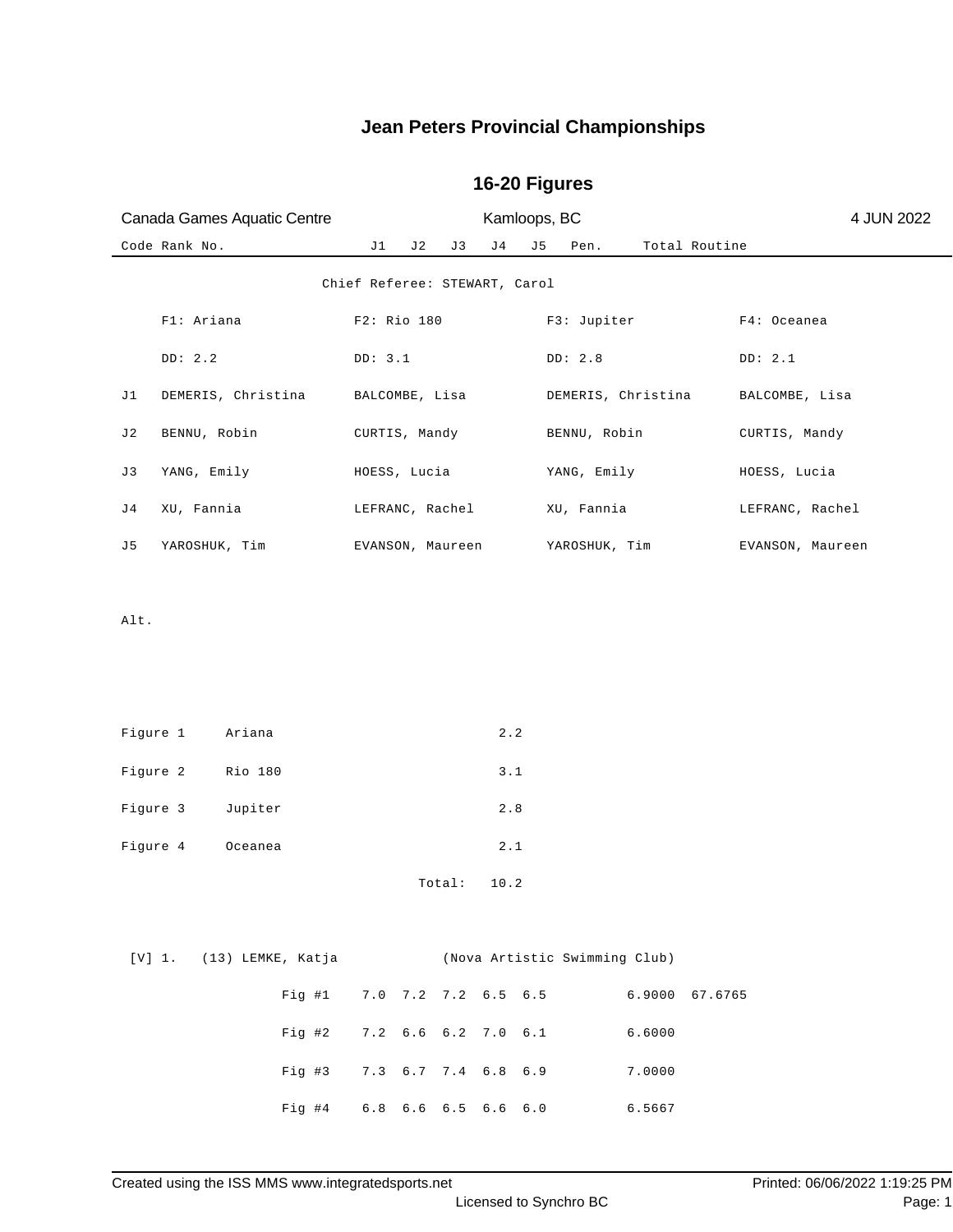# Code Rank No. J1 J2 J3 J4 J5 Pen. Total Routine Canada Games Aquatic Centre Kamloops, BC 4 JUN 2022 Chief Referee: STEWART, Carol F1: Ariana  $F2$ : Rio 180 F3: Jupiter F4: Oceanea DD: 2.2 DD: 3.1 DD: 2.8 DD: 2.1 J1 DEMERIS, Christina BALCOMBE, Lisa DEMERIS, Christina BALCOMBE, Lisa J2 BENNU, Robin CURTIS, Mandy BENNU, Robin CURTIS, Mandy J3 YANG, Emily HOESS, Lucia YANG, Emily HOESS, Lucia J4 XU, Fannia LEFRANC, Rachel XU, Fannia LEFRANC, Rachel J5 YAROSHUK, Tim EVANSON, Maureen YAROSHUK, Tim EVANSON, Maureen Alt. Figure 1 Ariana 2.2 Figure 2 Rio 180 3.1 Figure 3 Jupiter 2.8 Figure 4 Oceanea 2.1 Total: 10.2 [V] 1. (13) LEMKE, Katja (Nova Artistic Swimming Club) Fig #1 7.0 7.2 7.2 6.5 6.5 6.9000 67.6765 Fig #2 7.2 6.6 6.2 7.0 6.1 6.6000

#### **16-20 Figures**

Created using the ISS MMS www.integratedsports.net Printed: 06/06/2022 1:19:25 PM

Fig #3 7.3 6.7 7.4 6.8 6.9 7.0000

Fig #4 6.8 6.6 6.5 6.6 6.0 6.5667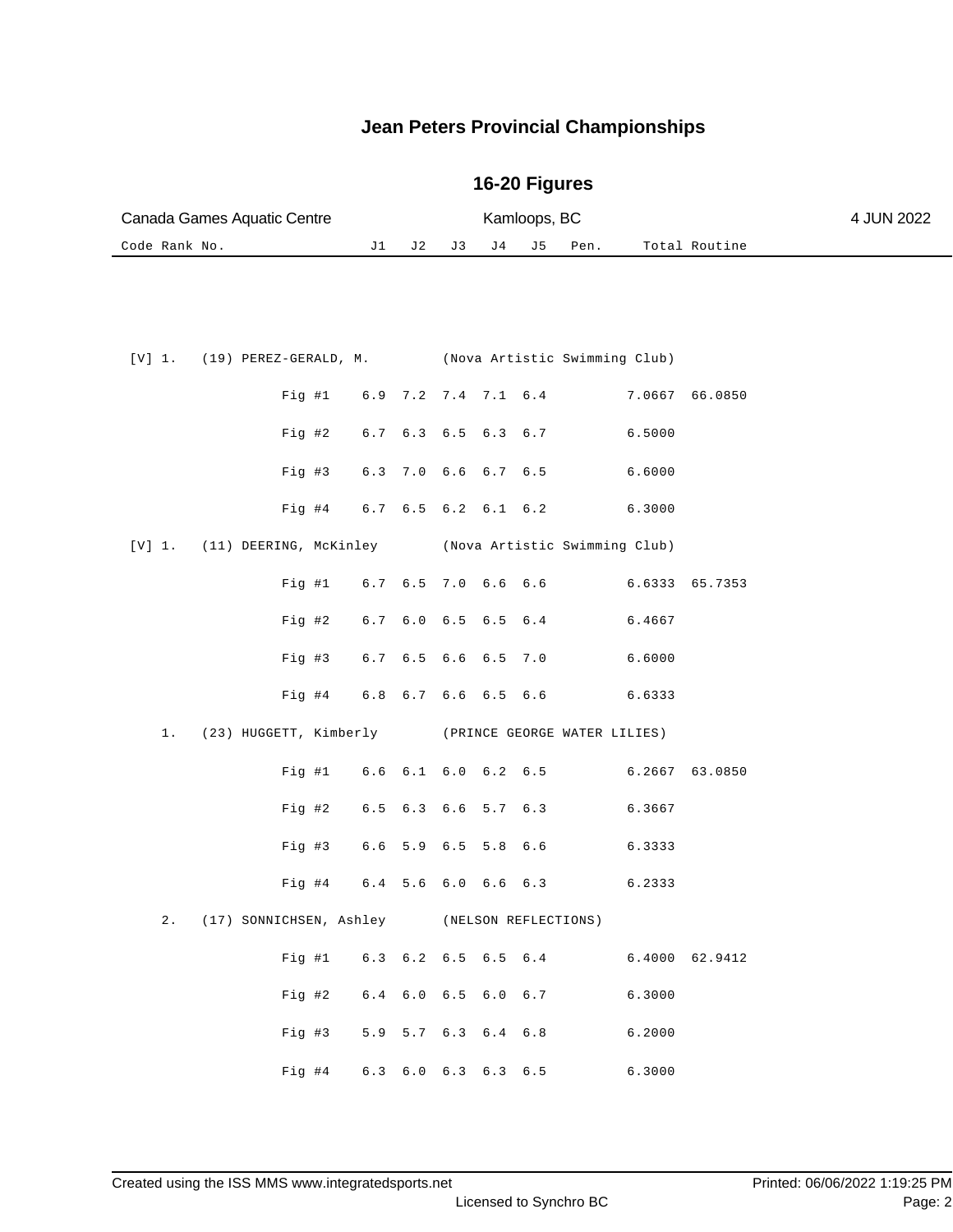## **16-20 Figures**

| Canada Games Aquatic Centre |  | Kamloops, BC |  |                     | 4 JUN 2022    |  |
|-----------------------------|--|--------------|--|---------------------|---------------|--|
| Code Rank No.               |  |              |  | J1 J2 J3 J4 J5 Pen. | Total Routine |  |

|  |        |                                      |                   |  |             | [V] 1. (19) PEREZ-GERALD, M. (Nova Artistic Swimming Club)  |        |                |
|--|--------|--------------------------------------|-------------------|--|-------------|-------------------------------------------------------------|--------|----------------|
|  |        |                                      |                   |  |             | Fig #1 $6.9$ 7.2 7.4 7.1 $6.4$                              |        | 7.0667 66.0850 |
|  |        |                                      |                   |  |             | Fig #2 $6.7$ $6.3$ $6.5$ $6.3$ $6.7$                        | 6.5000 |                |
|  |        |                                      |                   |  |             | Fig #3 $6.3$ 7.0 $6.6$ $6.7$ $6.5$                          | 6.6000 |                |
|  |        |                                      |                   |  |             | Fig #4 6.7 6.5 6.2 6.1 6.2                                  | 6.3000 |                |
|  |        |                                      |                   |  |             | [V] 1. (11) DEERING, McKinley (Nova Artistic Swimming Club) |        |                |
|  |        | Fig #1 6.7 6.5 7.0 6.6 6.6           |                   |  |             |                                                             |        | 6.6333 65.7353 |
|  | Fig 42 |                                      | $6.7$ $6.0$ $6.5$ |  | $6.5 \t6.4$ |                                                             | 6.4667 |                |
|  |        | Fig #3 $6.7$ $6.5$ $6.6$ $6.5$ $7.0$ |                   |  |             |                                                             | 6.6000 |                |
|  |        |                                      |                   |  |             | Fig #4 6.8 6.7 6.6 6.5 6.6 6.6333                           |        |                |
|  |        |                                      |                   |  |             |                                                             |        |                |
|  |        |                                      |                   |  |             | 1. (23) HUGGETT, Kimberly (PRINCE GEORGE WATER LILIES)      |        |                |
|  |        |                                      |                   |  |             | Fig #1 6.6 6.1 6.0 6.2 6.5 6.2667 63.0850                   |        |                |
|  |        |                                      |                   |  |             | Fig #2 6.5 6.3 6.6 5.7 6.3 6.3667                           |        |                |
|  |        | Fig #3 $6.6$ 5.9 $6.5$ 5.8 $6.6$     |                   |  |             |                                                             | 6.3333 |                |
|  |        | Fig #4 6.4 5.6 6.0 6.6 6.3           |                   |  |             |                                                             | 6.2333 |                |
|  |        |                                      |                   |  |             | 2. (17) SONNICHSEN, Ashley (NELSON REFLECTIONS)             |        |                |
|  |        |                                      |                   |  |             | Fig #1 $6.3$ $6.2$ $6.5$ $6.5$ $6.4$                        |        | 6.4000 62.9412 |
|  |        |                                      |                   |  |             | Fig #2 $6.4$ $6.0$ $6.5$ $6.0$ $6.7$                        | 6.3000 |                |
|  |        |                                      |                   |  |             | Fig #3 $5.9$ 5.7 6.3 6.4 6.8                                | 6.2000 |                |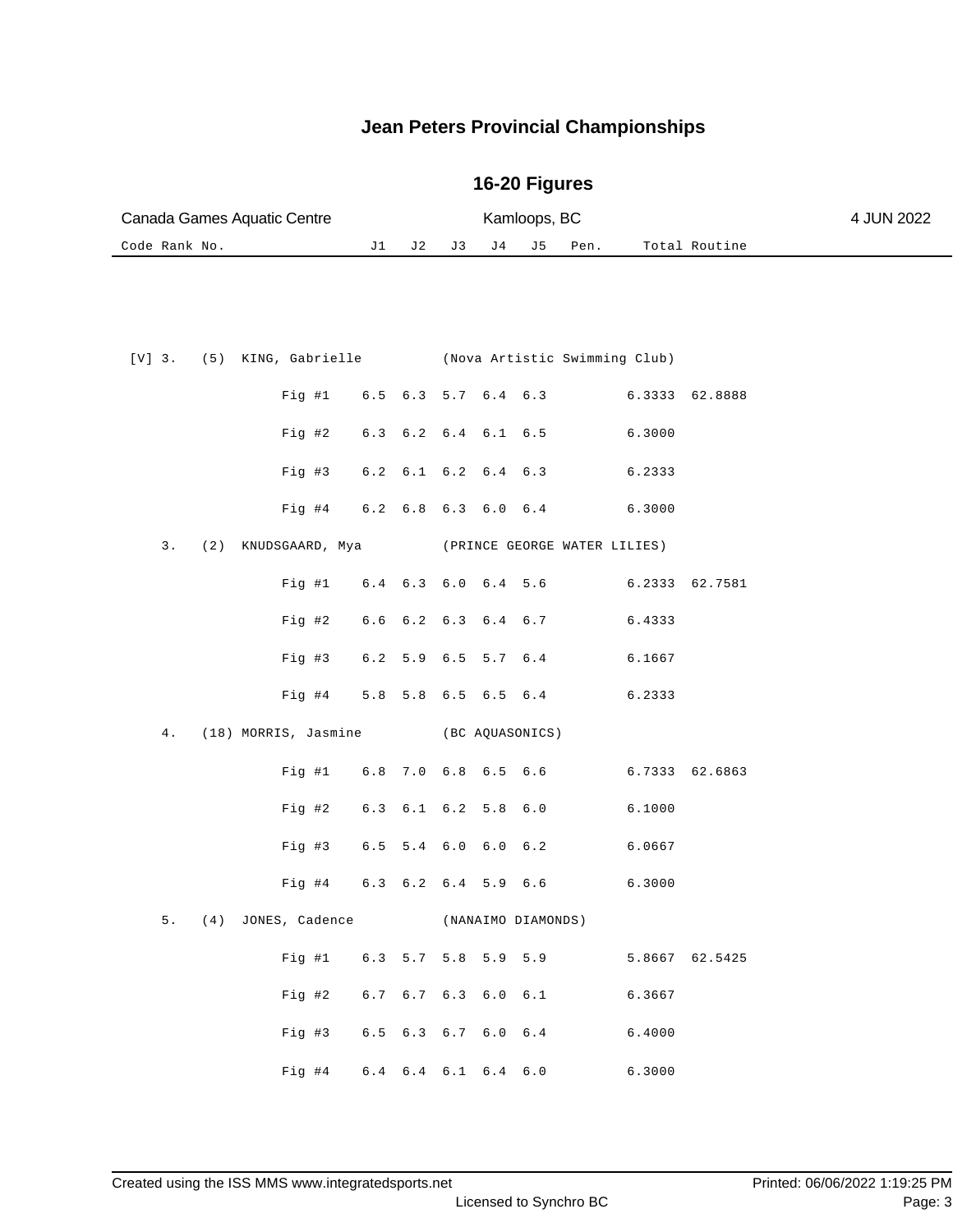| Canada Games Aquatic Centre |  |  |  |  | Kamloops, BC |                     |               |  |  |
|-----------------------------|--|--|--|--|--------------|---------------------|---------------|--|--|
| Code Rank No.               |  |  |  |  |              | J1 J2 J3 J4 J5 Pen. | Total Routine |  |  |

|  |  |                                         |  |  | [V] 3. (5) KING, Gabrielle (Nova Artistic Swimming Club) |        |                |
|--|--|-----------------------------------------|--|--|----------------------------------------------------------|--------|----------------|
|  |  |                                         |  |  | Fig #1 6.5 6.3 5.7 6.4 6.3 6.3333 62.8888                |        |                |
|  |  |                                         |  |  | Fig #2 $6.3$ $6.2$ $6.4$ $6.1$ $6.5$                     | 6.3000 |                |
|  |  |                                         |  |  | Fig #3 6.2 6.1 6.2 6.4 6.3 6.2333                        |        |                |
|  |  |                                         |  |  | Fig #4 6.2 6.8 6.3 6.0 6.4 6.3000                        |        |                |
|  |  | 3. (2) KNUDSGAARD, Mya                  |  |  | (PRINCE GEORGE WATER LILIES)                             |        |                |
|  |  | Fig #1 6.4 6.3 6.0 6.4 5.6              |  |  |                                                          |        | 6.2333 62.7581 |
|  |  | Fig #2 $6.6$ $6.2$ $6.3$ $6.4$ $6.7$    |  |  |                                                          | 6.4333 |                |
|  |  |                                         |  |  | Fig #3 6.2 5.9 6.5 5.7 6.4 6.1667                        |        |                |
|  |  |                                         |  |  | Fig #4 5.8 5.8 6.5 6.5 6.4 6.2333                        |        |                |
|  |  |                                         |  |  |                                                          |        |                |
|  |  | 4. (18) MORRIS, Jasmine (BC AQUASONICS) |  |  |                                                          |        |                |
|  |  |                                         |  |  | Fig #1 6.8 7.0 6.8 6.5 6.6 6.7333 62.6863                |        |                |
|  |  |                                         |  |  | Fig #2 $6.3$ $6.1$ $6.2$ $5.8$ $6.0$ $6.1000$            |        |                |
|  |  | Fig #3 $6.5$ 5.4 $6.0$ 6.0 $6.2$        |  |  |                                                          | 6.0667 |                |
|  |  | Fig #4 $6.3$ $6.2$ $6.4$ $5.9$ $6.6$    |  |  | 6.3000                                                   |        |                |
|  |  | 5. (4) JONES, Cadence                   |  |  | (NANAIMO DIAMONDS)                                       |        |                |
|  |  |                                         |  |  | Fig #1 $6.3$ 5.7 5.8 5.9 5.9                             |        | 5.8667 62.5425 |
|  |  |                                         |  |  | Fig #2 6.7 6.7 6.3 6.0 6.1                               | 6.3667 |                |
|  |  |                                         |  |  | Fig #3 $6.5$ $6.3$ $6.7$ $6.0$ $6.4$                     | 6.4000 |                |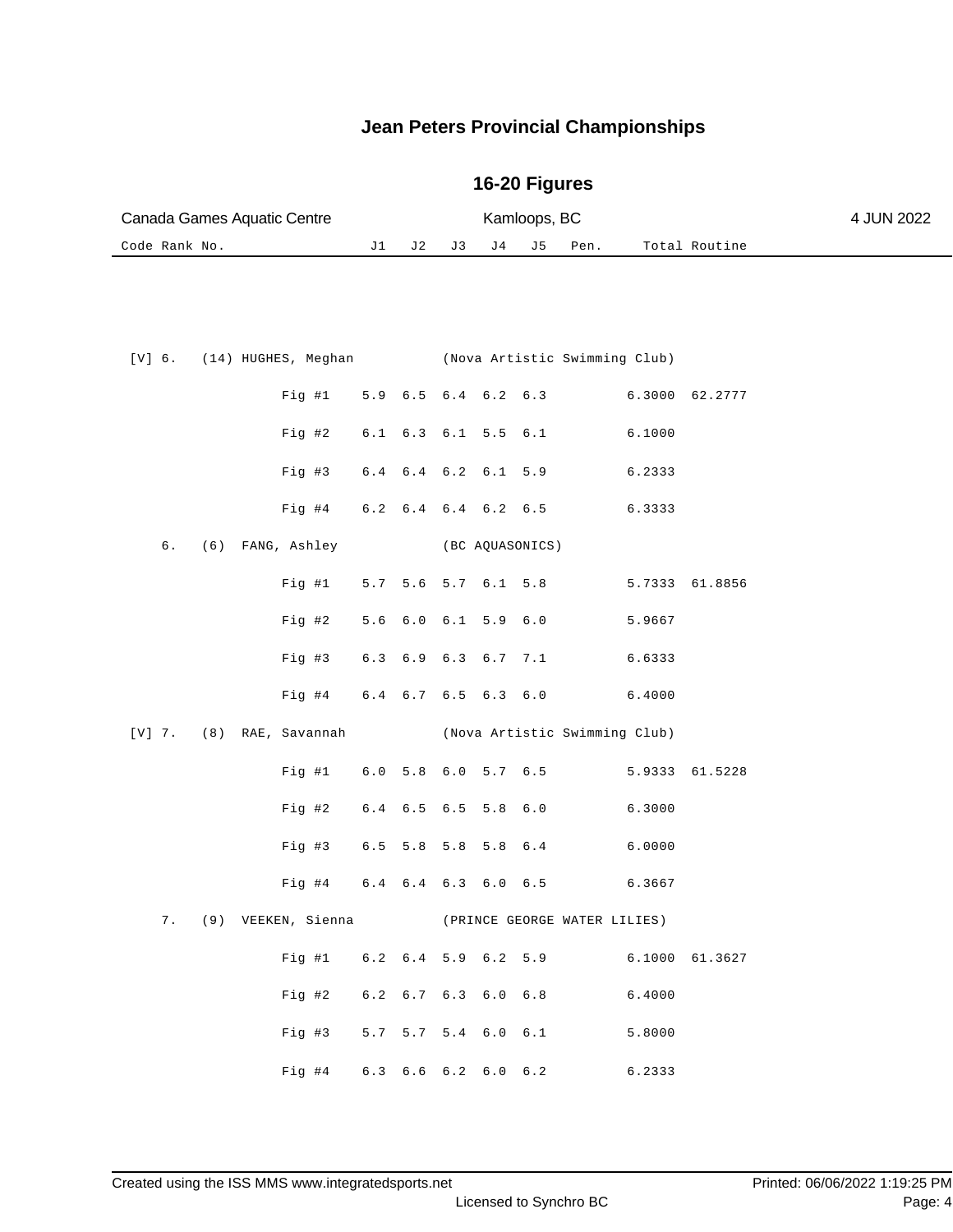| Canada Games Aquatic Centre |  |  |  |  | Kamloops, BC |                     |               |  |  |
|-----------------------------|--|--|--|--|--------------|---------------------|---------------|--|--|
| Code Rank No.               |  |  |  |  |              | J1 J2 J3 J4 J5 Pen. | Total Routine |  |  |

|  |  |                     |                                      |  |                 | [V] 6. (14) HUGHES, Meghan (Nova Artistic Swimming Club) |  |
|--|--|---------------------|--------------------------------------|--|-----------------|----------------------------------------------------------|--|
|  |  |                     |                                      |  |                 | Fig #1 5.9 6.5 6.4 6.2 6.3 6.3000 62.2777                |  |
|  |  |                     |                                      |  |                 | Fig #2 $6.1$ $6.3$ $6.1$ $5.5$ $6.1$<br>6.1000           |  |
|  |  |                     |                                      |  |                 | Fig #3 6.4 6.4 6.2 6.1 5.9 6.2333                        |  |
|  |  |                     | Fig #4 $6.2$ 6.4 $6.4$ 6.2 $6.5$     |  |                 | 6.3333                                                   |  |
|  |  | 6. (6) FANG, Ashley |                                      |  | (BC AQUASONICS) |                                                          |  |
|  |  |                     |                                      |  |                 | Fig #1 5.7 5.6 5.7 6.1 5.8 5.7333 61.8856                |  |
|  |  |                     |                                      |  |                 | Fig #2 5.6 6.0 6.1 5.9 6.0 5.9667                        |  |
|  |  |                     |                                      |  |                 | Fig #3 $6.3$ $6.9$ $6.3$ $6.7$ $7.1$ $6.6333$            |  |
|  |  |                     |                                      |  |                 | Fig #4 $6.4$ 6.7 6.5 6.3 6.0 6.4000                      |  |
|  |  |                     |                                      |  |                 | [V] 7. (8) RAE, Savannah (Nova Artistic Swimming Club)   |  |
|  |  |                     |                                      |  |                 | Fig #1 6.0 5.8 6.0 5.7 6.5 5.9333 61.5228                |  |
|  |  |                     |                                      |  |                 | Fig #2 6.4 6.5 6.5 5.8 6.0<br>6.3000                     |  |
|  |  |                     |                                      |  |                 | Fig #3 6.5 5.8 5.8 5.8 6.4 6.0000                        |  |
|  |  |                     |                                      |  |                 | Fig #4 6.4 6.4 6.3 6.0 6.5 6.3667                        |  |
|  |  |                     |                                      |  |                 | 7. (9) VEEKEN, Sienna (PRINCE GEORGE WATER LILIES)       |  |
|  |  |                     |                                      |  |                 | Fig #1 6.2 6.4 5.9 6.2 5.9 6.1000 61.3627                |  |
|  |  |                     |                                      |  |                 |                                                          |  |
|  |  |                     | Fig #2 $6.2$ $6.7$ $6.3$ $6.0$ $6.8$ |  |                 | 6.4000                                                   |  |
|  |  |                     |                                      |  |                 | Fig #3 5.7 5.7 5.4 6.0 6.1<br>5.8000                     |  |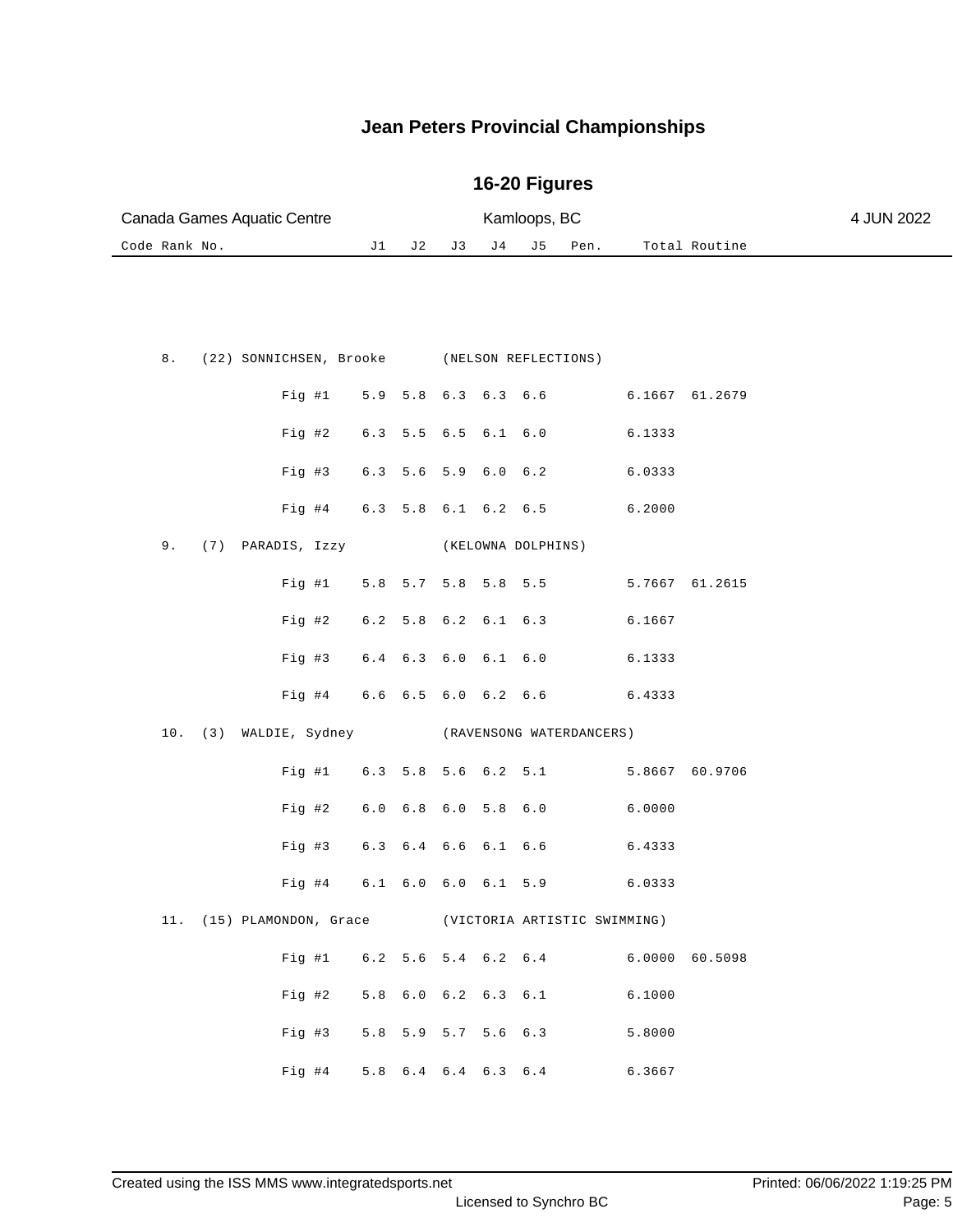| Canada Games Aquatic Centre |  |                                                        |    |                     |     | 4 JUN 2022 |                     |                          |        |                |  |
|-----------------------------|--|--------------------------------------------------------|----|---------------------|-----|------------|---------------------|--------------------------|--------|----------------|--|
| Code Rank No.               |  |                                                        | J1 | J 2                 | J 3 | J 4        | J 5                 | Pen.                     |        | Total Routine  |  |
|                             |  |                                                        |    |                     |     |            |                     |                          |        |                |  |
|                             |  |                                                        |    |                     |     |            |                     |                          |        |                |  |
|                             |  |                                                        |    |                     |     |            |                     |                          |        |                |  |
| 8.                          |  | (22) SONNICHSEN, Brooke (NELSON REFLECTIONS)           |    |                     |     |            |                     |                          |        |                |  |
|                             |  | Fig #1                                                 |    |                     |     |            | 5.9 5.8 6.3 6.3 6.6 |                          |        | 6.1667 61.2679 |  |
|                             |  | Fig #2                                                 |    | 6.3 5.5 6.5 6.1 6.0 |     |            |                     |                          | 6.1333 |                |  |
|                             |  | Fig #3                                                 |    | 6.3 5.6 5.9 6.0 6.2 |     |            |                     |                          | 6.0333 |                |  |
|                             |  | Fig #4 6.3 5.8 6.1 6.2 6.5                             |    |                     |     |            |                     |                          | 6.2000 |                |  |
| 9.                          |  | (7) PARADIS, Izzy                                      |    |                     |     |            | (KELOWNA DOLPHINS)  |                          |        |                |  |
|                             |  | Fig #1                                                 |    | 5.8 5.7 5.8 5.8 5.5 |     |            |                     |                          |        | 5.7667 61.2615 |  |
|                             |  | Fig #2                                                 |    | 6.2 5.8 6.2 6.1 6.3 |     |            |                     |                          | 6.1667 |                |  |
|                             |  | Fig #3                                                 |    | 6.4 6.3 6.0 6.1 6.0 |     |            |                     |                          | 6.1333 |                |  |
|                             |  | Fig #4 6.6 6.5 6.0 6.2 6.6                             |    |                     |     |            |                     |                          | 6.4333 |                |  |
| 10.                         |  | (3) WALDIE, Sydney                                     |    |                     |     |            |                     | (RAVENSONG WATERDANCERS) |        |                |  |
|                             |  | Fig #1                                                 |    | 6.3 5.8 5.6 6.2 5.1 |     |            |                     |                          |        | 5.8667 60.9706 |  |
|                             |  | Fig 42                                                 |    | 6.0 6.8 6.0 5.8 6.0 |     |            |                     |                          | 6.0000 |                |  |
|                             |  | Fig #3                                                 |    | 6.3 6.4 6.6 6.1 6.6 |     |            |                     |                          | 6.4333 |                |  |
|                             |  | Fig #4                                                 |    | 6.1 6.0 6.0 6.1 5.9 |     |            |                     |                          | 6.0333 |                |  |
|                             |  | 11. (15) PLAMONDON, Grace (VICTORIA ARTISTIC SWIMMING) |    |                     |     |            |                     |                          |        |                |  |
|                             |  | Fig  #1                                                |    |                     |     |            |                     | 6.2 5.6 5.4 6.2 6.4      |        | 6.0000 60.5098 |  |
|                             |  | Fig #2                                                 |    | 5.8 6.0 6.2 6.3 6.1 |     |            |                     |                          | 6.1000 |                |  |
|                             |  | Fig 43                                                 |    |                     |     |            | 5.8 5.9 5.7 5.6 6.3 |                          | 5.8000 |                |  |
|                             |  | Fig #4 5.8 6.4 6.4 6.3 6.4 6.3667                      |    |                     |     |            |                     |                          |        |                |  |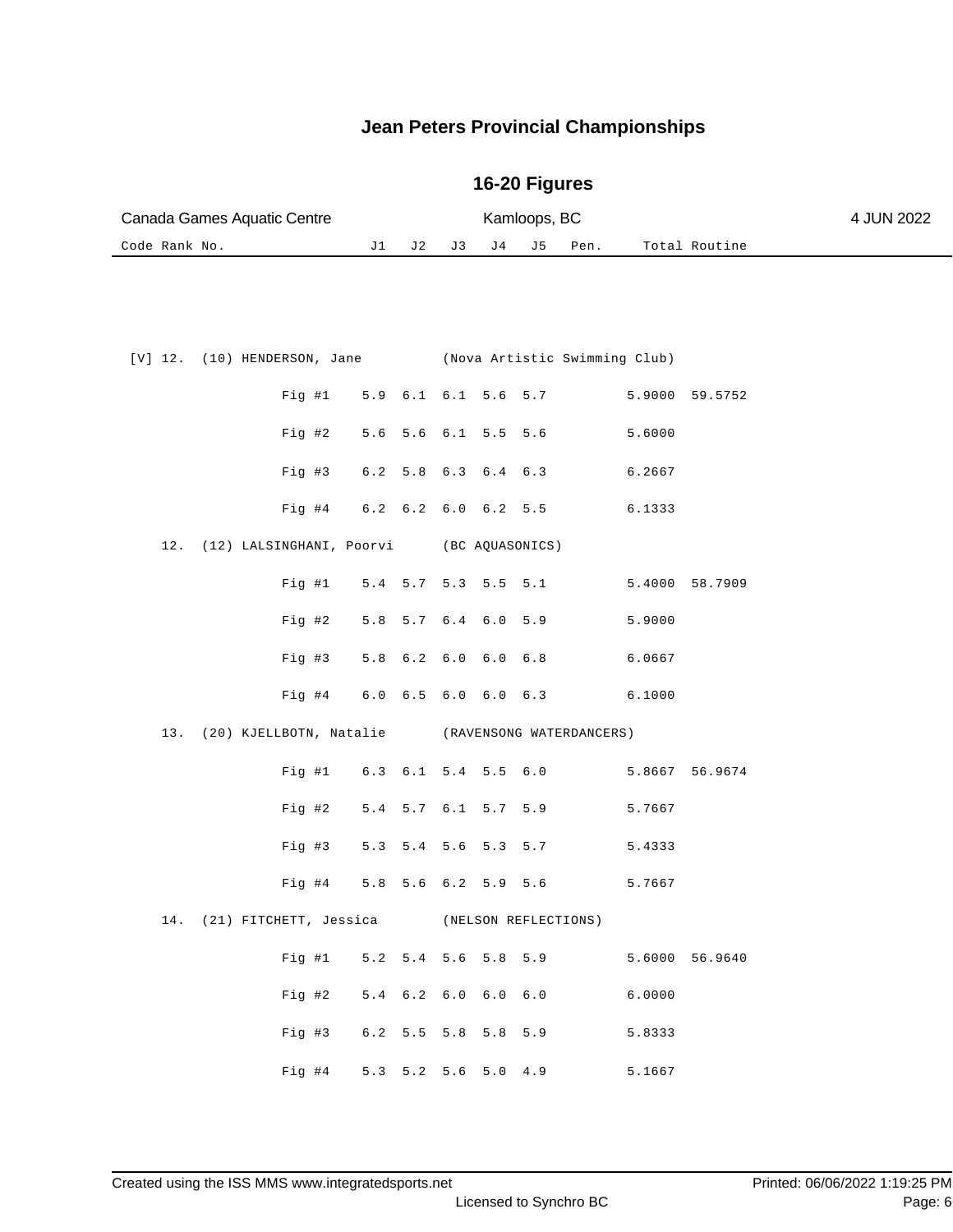| Canada Games Aquatic Centre |  | Kamloops, BC |  | 4 JUN 2022          |               |  |
|-----------------------------|--|--------------|--|---------------------|---------------|--|
| Code Rank No.               |  |              |  | J1 J2 J3 J4 J5 Pen. | Total Routine |  |

|  | [V] 12. (10) HENDERSON, Jane (Nova Artistic Swimming Club) |  |  |                                           |        |                |
|--|------------------------------------------------------------|--|--|-------------------------------------------|--------|----------------|
|  |                                                            |  |  | Fig #1 5.9 6.1 6.1 5.6 5.7 5.9000 59.5752 |        |                |
|  |                                                            |  |  | Fig #2 5.6 5.6 6.1 5.5 5.6 5.6000         |        |                |
|  |                                                            |  |  | Fig #3 6.2 5.8 6.3 6.4 6.3 6.2667         |        |                |
|  | Fig #4 $6.2$ $6.2$ $6.0$ $6.2$ $5.5$                       |  |  |                                           | 6.1333 |                |
|  | 12. (12) LALSINGHANI, Poorvi (BC AQUASONICS)               |  |  |                                           |        |                |
|  |                                                            |  |  | Fig #1 5.4 5.7 5.3 5.5 5.1 5.4000 58.7909 |        |                |
|  |                                                            |  |  | Fig #2 5.8 5.7 6.4 6.0 5.9 5.9000         |        |                |
|  |                                                            |  |  | Fig #3 5.8 6.2 6.0 6.0 6.8 6.0667         |        |                |
|  |                                                            |  |  | Fig #4 6.0 6.5 6.0 6.0 6.3 6.1000         |        |                |
|  |                                                            |  |  |                                           |        |                |
|  | 13. (20) KJELLBOTN, Natalie (RAVENSONG WATERDANCERS)       |  |  |                                           |        |                |
|  |                                                            |  |  | Fig #1 6.3 6.1 5.4 5.5 6.0 5.8667 56.9674 |        |                |
|  |                                                            |  |  | Fig #2 $5.4$ 5.7 6.1 5.7 5.9              | 5.7667 |                |
|  |                                                            |  |  | Fig #3 $5.3$ 5.4 5.6 5.3 5.7              | 5.4333 |                |
|  |                                                            |  |  | Fig #4 5.8 5.6 6.2 5.9 5.6 5.7667         |        |                |
|  | 14. (21) FITCHETT, Jessica (NELSON REFLECTIONS)            |  |  |                                           |        |                |
|  |                                                            |  |  | Fig #1 $5.2$ 5.4 5.6 5.8 5.9              |        | 5.6000 56.9640 |
|  | Fig #2 $5.4$ 6.2 6.0 6.0 6.0                               |  |  | 6.0000                                    |        |                |
|  |                                                            |  |  | Fig #3 6.2 5.5 5.8 5.8 5.9                | 5.8333 |                |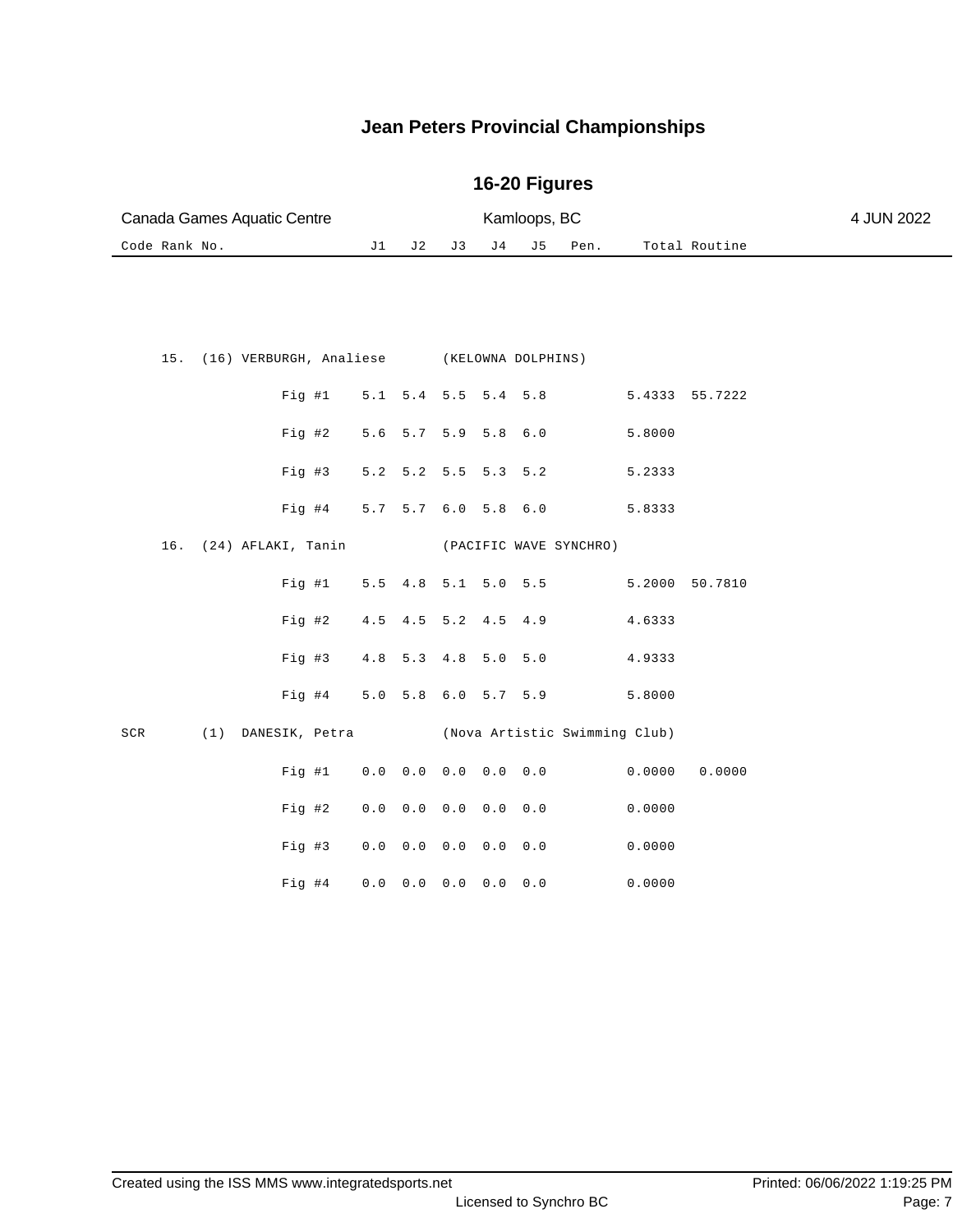| Canada Games Aquatic Centre |    |     |  |          |  |      |               | 4 JUN 2022 |
|-----------------------------|----|-----|--|----------|--|------|---------------|------------|
| Code Rank No.               | J1 | J 2 |  | J3 J4 J5 |  | Pen. | Total Routine |            |
|                             |    |     |  |          |  |      |               |            |
|                             |    |     |  |          |  |      |               |            |

|  |  |                            |  |  | 15. (16) VERBURGH, Analiese (KELOWNA DOLPHINS)       |                |  |
|--|--|----------------------------|--|--|------------------------------------------------------|----------------|--|
|  |  |                            |  |  | Fig #1 5.1 5.4 5.5 5.4 5.8 5.4333 55.7222            |                |  |
|  |  |                            |  |  | Fig #2 5.6 5.7 5.9 5.8 6.0 5.8000                    |                |  |
|  |  |                            |  |  | Fig #3 5.2 5.2 5.5 5.3 5.2 5.2333                    |                |  |
|  |  |                            |  |  | Fig #4 5.7 5.7 6.0 5.8 6.0 5.8333                    |                |  |
|  |  |                            |  |  | 16. (24) AFLAKI, Tanin (PACIFIC WAVE SYNCHRO)        |                |  |
|  |  |                            |  |  | Fig #1 $5.5$ 4.8 5.1 5.0 5.5                         | 5.2000 50.7810 |  |
|  |  |                            |  |  | Fig #2 4.5 4.5 5.2 4.5 4.9 4.6333                    |                |  |
|  |  |                            |  |  | Fig #3 4.8 5.3 4.8 5.0 5.0 4.9333                    |                |  |
|  |  |                            |  |  | Fig #4 5.0 5.8 6.0 5.7 5.9 5.8000                    |                |  |
|  |  |                            |  |  | SCR (1) DANESIK, Petra (Nova Artistic Swimming Club) |                |  |
|  |  |                            |  |  | Fig #1 0.0 0.0 0.0 0.0 0.0 0.0000                    | 0.0000         |  |
|  |  | Fig #2 0.0 0.0 0.0 0.0 0.0 |  |  | 0.0000                                               |                |  |
|  |  |                            |  |  | Fig #3 0.0 0.0 0.0 0.0 0.0 0.0000                    |                |  |
|  |  |                            |  |  | Fig #4 0.0 0.0 0.0 0.0 0.0 0.0000                    |                |  |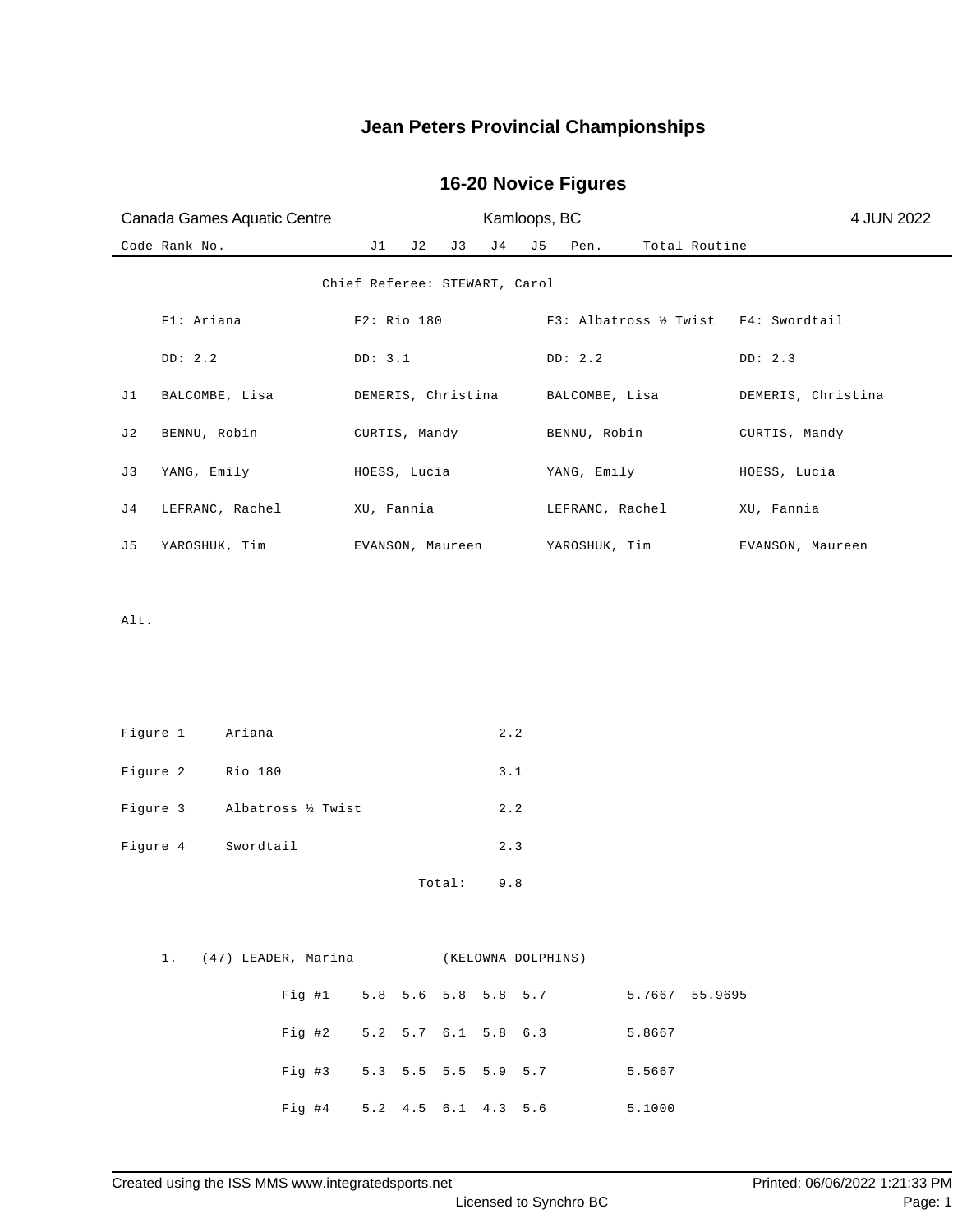## **16-20 Novice Figures**

| Canada Games Aquatic Centre     | Kamloops, BC                              | 4 JUN 2022                              |                    |
|---------------------------------|-------------------------------------------|-----------------------------------------|--------------------|
| Code Rank No.                   | J1<br>J4<br>J 2<br>J 3                    | J <sub>5</sub><br>Total Routine<br>Pen. |                    |
|                                 | Chief Referee: STEWART, Carol             |                                         |                    |
| Fl: Ariana                      | F2: Rio 180                               | F3: Albatross ½ Twist F4: Swordtail     |                    |
| DD: 2.2                         | DD: 3.1                                   | DD: 2.2                                 | DD: 2.3            |
| J1<br>BALCOMBE, Lisa            | DEMERIS, Christina                        | BALCOMBE, Lisa                          | DEMERIS, Christina |
| J2<br>BENNU, Robin              | CURTIS, Mandy                             | BENNU, Robin                            | CURTIS, Mandy      |
| YANG, Emily<br>J3               | HOESS, Lucia                              | YANG, Emily                             | HOESS, Lucia       |
| J 4<br>LEFRANC, Rachel          | XU, Fannia                                | LEFRANC, Rachel                         | XU, Fannia         |
| J5<br>YAROSHUK, Tim             | EVANSON, Maureen                          | YAROSHUK, Tim                           | EVANSON, Maureen   |
|                                 |                                           |                                         |                    |
| Alt.                            |                                           |                                         |                    |
|                                 |                                           |                                         |                    |
|                                 |                                           |                                         |                    |
| Figure 1<br>Ariana              | 2.2                                       |                                         |                    |
| Figure 2<br>Rio 180             | 3.1                                       |                                         |                    |
| Figure 3<br>Albatross 1/2 Twist | 2.2                                       |                                         |                    |
| Figure 4<br>Swordtail           | 2.3                                       |                                         |                    |
|                                 | 9.8<br>Total:                             |                                         |                    |
|                                 |                                           |                                         |                    |
|                                 | 1. (47) LEADER, Marina (KELOWNA DOLPHINS) |                                         |                    |
|                                 | Fig #1 5.8 5.6 5.8 5.8 5.7 5.7667 55.9695 |                                         |                    |
|                                 | Fig #2 5.2 5.7 6.1 5.8 6.3                | 5.8667                                  |                    |
|                                 | Fig #3 5.3 5.5 5.5 5.9 5.7                | 5.5667                                  |                    |

Fig #4 5.2 4.5 6.1 4.3 5.6 5.1000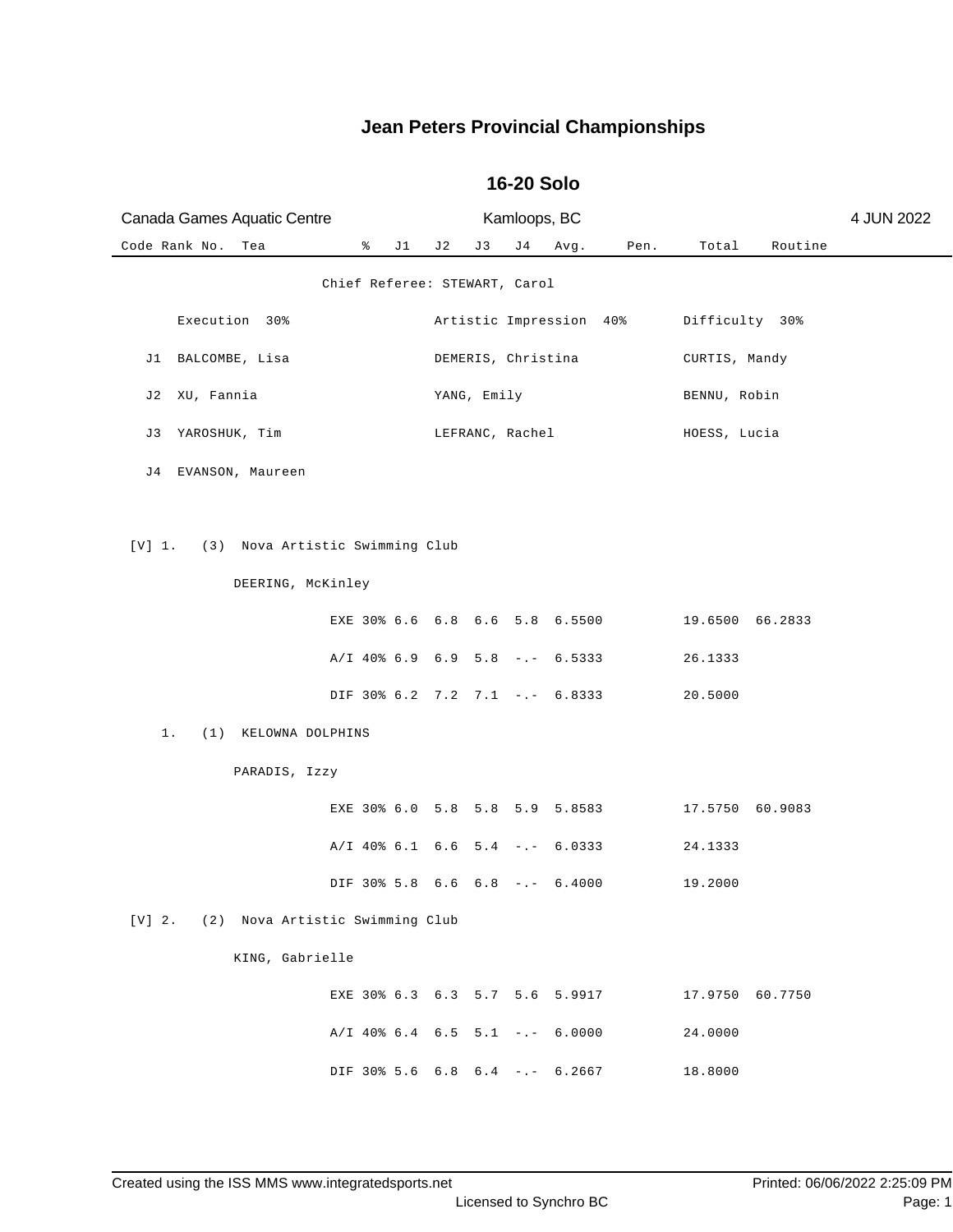| Canada Games Aquatic Centre                 |                               |     | Kamloops, BC |             |                    |                                  |      | 4 JUN 2022      |         |  |
|---------------------------------------------|-------------------------------|-----|--------------|-------------|--------------------|----------------------------------|------|-----------------|---------|--|
| Code Rank No.<br>Tea                        | ៖                             | J 1 | J 2          | J3          | J 4                | Avg.                             | Pen. | Total           | Routine |  |
|                                             | Chief Referee: STEWART, Carol |     |              |             |                    |                                  |      |                 |         |  |
| Execution 30%                               |                               |     |              |             |                    | Artistic Impression 40%          |      | Difficulty 30%  |         |  |
| BALCOMBE, Lisa<br>J1                        |                               |     |              |             | DEMERIS, Christina |                                  |      | CURTIS, Mandy   |         |  |
| XU, Fannia<br>J2                            |                               |     |              | YANG, Emily |                    |                                  |      | BENNU, Robin    |         |  |
| YAROSHUK, Tim<br>J 3                        |                               |     |              |             | LEFRANC, Rachel    |                                  |      | HOESS, Lucia    |         |  |
| J4 EVANSON, Maureen                         |                               |     |              |             |                    |                                  |      |                 |         |  |
|                                             |                               |     |              |             |                    |                                  |      |                 |         |  |
| (3) Nova Artistic Swimming Club<br>[V] 1.   |                               |     |              |             |                    |                                  |      |                 |         |  |
| DEERING, McKinley                           |                               |     |              |             |                    |                                  |      |                 |         |  |
|                                             |                               |     |              |             |                    | EXE 30% 6.6 6.8 6.6 5.8 6.5500   |      | 19.6500 66.2833 |         |  |
|                                             |                               |     |              |             |                    | A/I 40% 6.9 6.9 5.8 -.- 6.5333   |      | 26.1333         |         |  |
|                                             |                               |     |              |             |                    | DIF 30% 6.2 7.2 7.1 -.- 6.8333   |      | 20.5000         |         |  |
| 1.<br>(1) KELOWNA DOLPHINS                  |                               |     |              |             |                    |                                  |      |                 |         |  |
| PARADIS, Izzy                               |                               |     |              |             |                    |                                  |      |                 |         |  |
|                                             |                               |     |              |             |                    | EXE 30% 6.0 5.8 5.8 5.9 5.8583   |      | 17.5750 60.9083 |         |  |
|                                             |                               |     |              |             |                    | A/I 40% 6.1 6.6 5.4 -.- 6.0333   |      | 24.1333         |         |  |
|                                             |                               |     |              |             |                    | DIF 30% 5.8 6.6 6.8 -.- 6.4000   |      | 19.2000         |         |  |
| $[V]$ 2.<br>(2) Nova Artistic Swimming Club |                               |     |              |             |                    |                                  |      |                 |         |  |
| KING, Gabrielle                             |                               |     |              |             |                    |                                  |      |                 |         |  |
|                                             |                               |     |              |             |                    | EXE 30% 6.3 6.3 5.7 5.6 5.9917   |      | 17.9750         | 60.7750 |  |
|                                             |                               |     |              |             |                    | $A/I$ 40% 6.4 6.5 5.1 -.- 6.0000 |      | 24.0000         |         |  |
|                                             |                               |     |              |             |                    | DIF 30% 5.6 6.8 6.4 -.- 6.2667   |      | 18.8000         |         |  |

#### **16-20 Solo**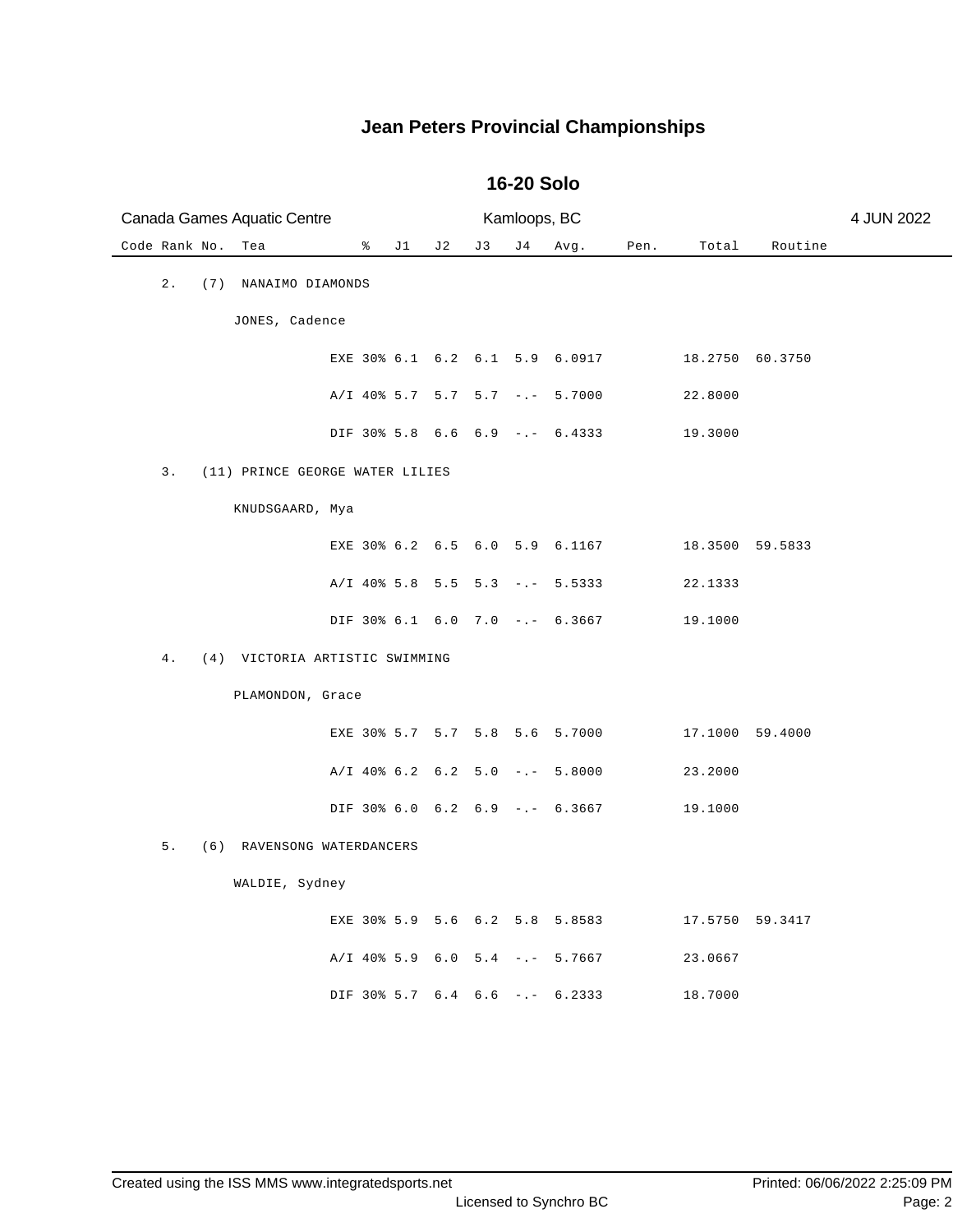| Canada Games Aquatic Centre           |                                  |     |     | Kamloops, BC |      |      |                 |                 | 4 JUN 2022 |
|---------------------------------------|----------------------------------|-----|-----|--------------|------|------|-----------------|-----------------|------------|
| Code Rank No.<br>Tea                  | န့<br>J1                         | J 2 | J 3 | J 4          | Avg. | Pen. | Total           | Routine         |            |
| $2$ .<br>(7) NANAIMO DIAMONDS         |                                  |     |     |              |      |      |                 |                 |            |
| JONES, Cadence                        |                                  |     |     |              |      |      |                 |                 |            |
|                                       | EXE 30% 6.1 6.2 6.1 5.9 6.0917   |     |     |              |      |      | 18.2750 60.3750 |                 |            |
|                                       | $A/I$ 40% 5.7 5.7 5.7 -.- 5.7000 |     |     |              |      |      | 22.8000         |                 |            |
|                                       | DIF 30% 5.8 6.6 6.9 -.- 6.4333   |     |     |              |      |      | 19.3000         |                 |            |
| 3.<br>(11) PRINCE GEORGE WATER LILIES |                                  |     |     |              |      |      |                 |                 |            |
| KNUDSGAARD, Mya                       |                                  |     |     |              |      |      |                 |                 |            |
|                                       | EXE 30% 6.2 6.5 6.0 5.9 6.1167   |     |     |              |      |      |                 | 18.3500 59.5833 |            |
|                                       | $A/I$ 40% 5.8 5.5 5.3 -.- 5.5333 |     |     |              |      |      | 22.1333         |                 |            |
|                                       | DIF 30% 6.1 6.0 7.0 -.- 6.3667   |     |     |              |      |      | 19.1000         |                 |            |
| 4.<br>(4) VICTORIA ARTISTIC SWIMMING  |                                  |     |     |              |      |      |                 |                 |            |
| PLAMONDON, Grace                      |                                  |     |     |              |      |      |                 |                 |            |
|                                       | EXE 30% 5.7 5.7 5.8 5.6 5.7000   |     |     |              |      |      | 17.1000 59.4000 |                 |            |
|                                       | $A/I$ 40% 6.2 6.2 5.0 -.- 5.8000 |     |     |              |      |      | 23.2000         |                 |            |
|                                       | DIF 30% 6.0 6.2 6.9 -.- 6.3667   |     |     |              |      |      | 19.1000         |                 |            |
| 5.<br>(6) RAVENSONG WATERDANCERS      |                                  |     |     |              |      |      |                 |                 |            |
| WALDIE, Sydney                        |                                  |     |     |              |      |      |                 |                 |            |
|                                       | EXE 30% 5.9 5.6 6.2 5.8 5.8583   |     |     |              |      |      |                 | 17.5750 59.3417 |            |
|                                       | $A/I$ 40% 5.9 6.0 5.4 -.- 5.7667 |     |     |              |      |      | 23.0667         |                 |            |
|                                       | DIF 30% 5.7 6.4 6.6 -.- 6.2333   |     |     |              |      |      | 18.7000         |                 |            |
|                                       |                                  |     |     |              |      |      |                 |                 |            |

#### **16-20 Solo**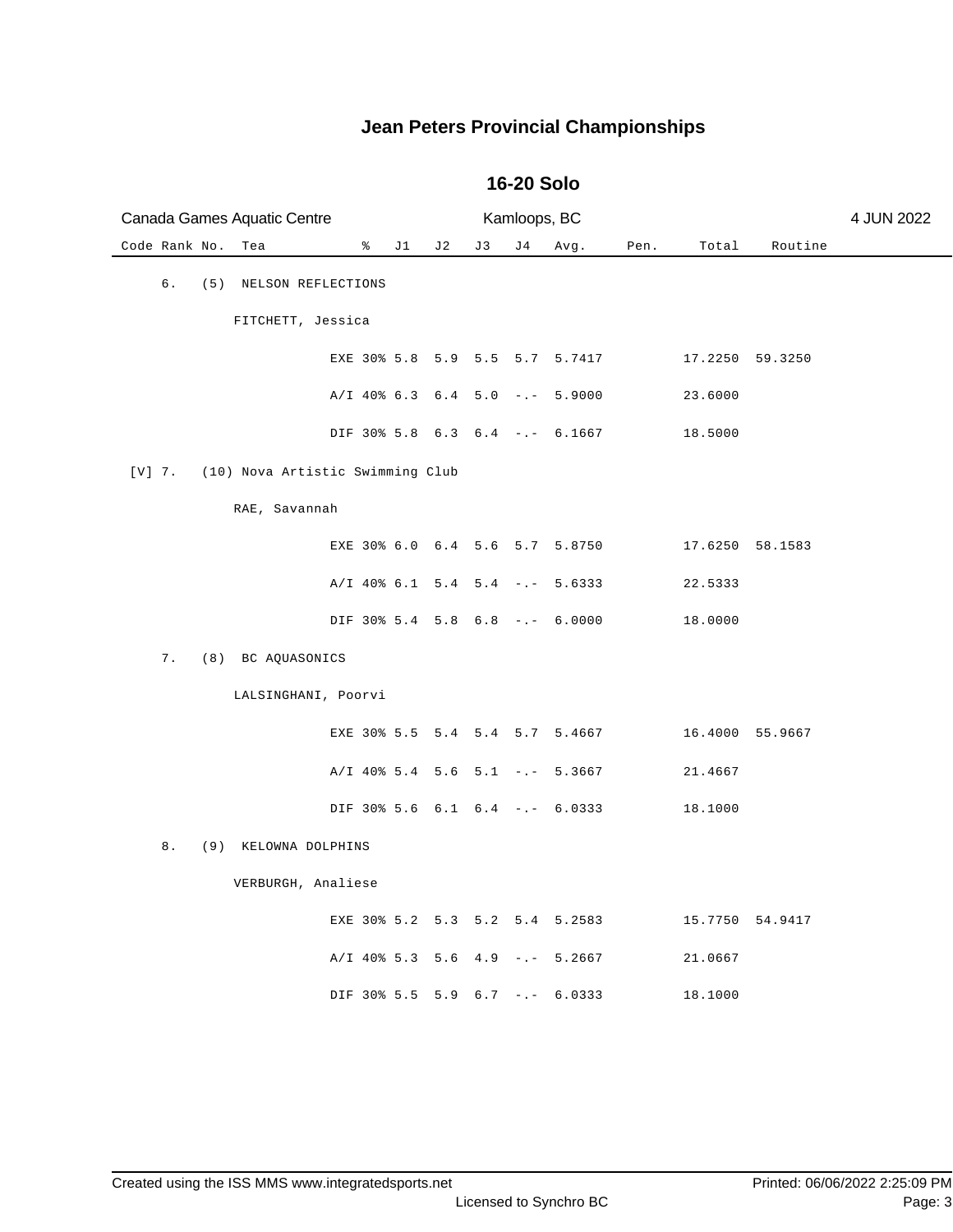| Canada Games Aquatic Centre                  |                                  |     |    | Kamloops, BC |      |      |                 | 4 JUN 2022      |  |  |
|----------------------------------------------|----------------------------------|-----|----|--------------|------|------|-----------------|-----------------|--|--|
| Code Rank No.<br>Tea                         | ိ<br>J1                          | J 2 | J3 | J 4          | Avg. | Pen. | Total           | Routine         |  |  |
| б.<br>(5)<br>NELSON REFLECTIONS              |                                  |     |    |              |      |      |                 |                 |  |  |
|                                              | FITCHETT, Jessica                |     |    |              |      |      |                 |                 |  |  |
|                                              | EXE 30% 5.8 5.9 5.5 5.7 5.7417   |     |    |              |      |      | 17.2250 59.3250 |                 |  |  |
|                                              | A/I 40% 6.3 6.4 5.0 -.- 5.9000   |     |    |              |      |      | 23.6000         |                 |  |  |
|                                              | DIF 30% 5.8 6.3 6.4 -.- 6.1667   |     |    |              |      |      | 18.5000         |                 |  |  |
| $[V]$ 7.<br>(10) Nova Artistic Swimming Club |                                  |     |    |              |      |      |                 |                 |  |  |
| RAE, Savannah                                |                                  |     |    |              |      |      |                 |                 |  |  |
|                                              | EXE 30% 6.0 6.4 5.6 5.7 5.8750   |     |    |              |      |      |                 | 17.6250 58.1583 |  |  |
|                                              | $A/I$ 40% 6.1 5.4 5.4 -.- 5.6333 |     |    |              |      |      | 22.5333         |                 |  |  |
|                                              | DIF 30% 5.4 5.8 6.8 -.- 6.0000   |     |    |              |      |      | 18.0000         |                 |  |  |
| 7.<br>(8) BC AQUASONICS                      |                                  |     |    |              |      |      |                 |                 |  |  |
| LALSINGHANI, Poorvi                          |                                  |     |    |              |      |      |                 |                 |  |  |
|                                              | EXE 30% 5.5 5.4 5.4 5.7 5.4667   |     |    |              |      |      | 16.4000 55.9667 |                 |  |  |
|                                              | $A/I$ 40% 5.4 5.6 5.1 -.- 5.3667 |     |    |              |      |      | 21.4667         |                 |  |  |
|                                              | DIF 30% 5.6 6.1 6.4 -.- 6.0333   |     |    |              |      |      | 18.1000         |                 |  |  |
| 8.<br>(9)<br>KELOWNA DOLPHINS                |                                  |     |    |              |      |      |                 |                 |  |  |
| VERBURGH, Analiese                           |                                  |     |    |              |      |      |                 |                 |  |  |
|                                              | EXE 30% 5.2 5.3 5.2 5.4 5.2583   |     |    |              |      |      |                 | 15.7750 54.9417 |  |  |
|                                              | $A/I$ 40% 5.3 5.6 4.9 -.- 5.2667 |     |    |              |      |      | 21.0667         |                 |  |  |
|                                              | DIF 30% 5.5 5.9 6.7 -.- 6.0333   |     |    |              |      |      | 18.1000         |                 |  |  |
|                                              |                                  |     |    |              |      |      |                 |                 |  |  |

#### **16-20 Solo**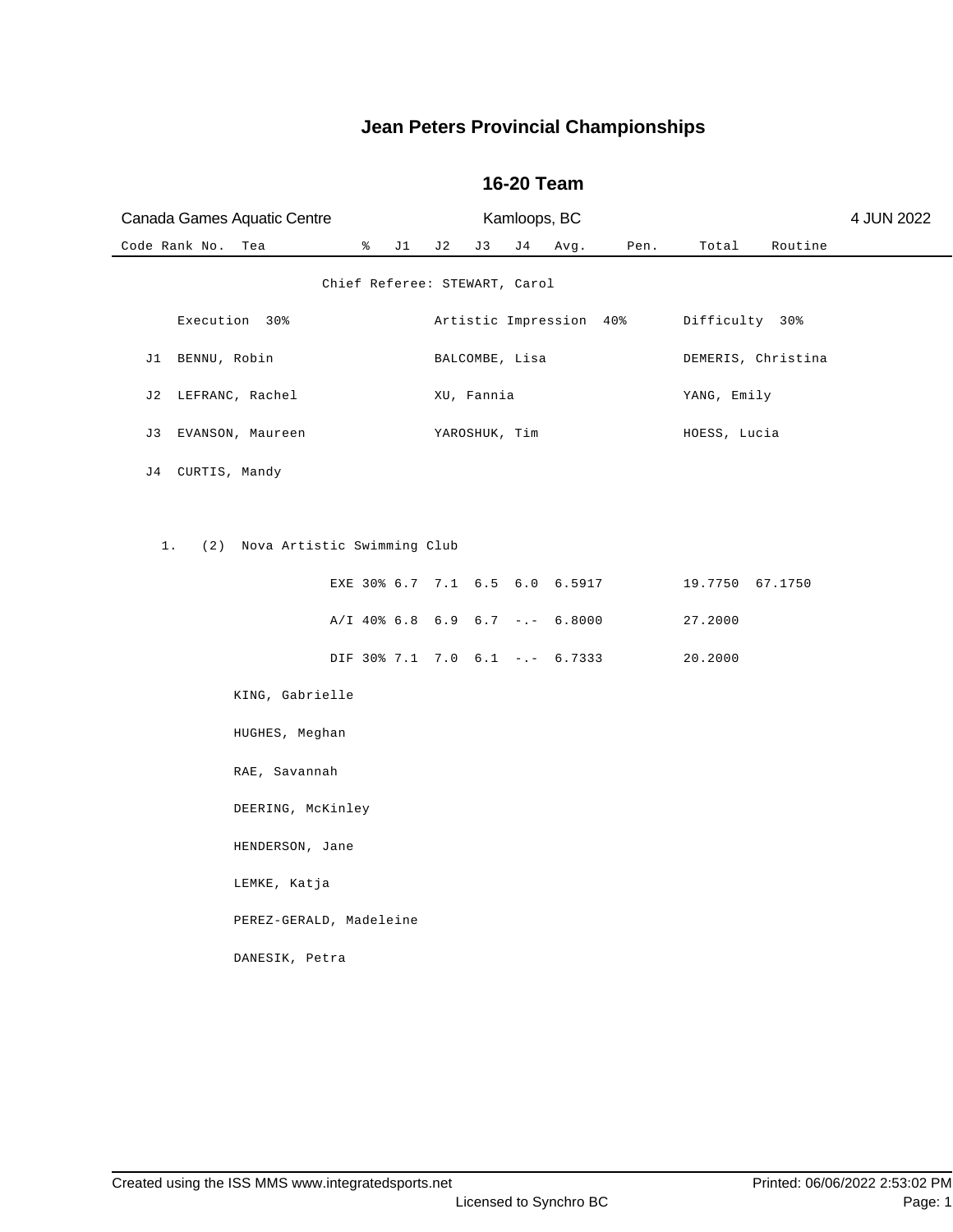| Canada Games Aquatic Centre           |                         |                                        | Kamloops, BC |                |    |      |                         | 4 JUN 2022      |                    |  |
|---------------------------------------|-------------------------|----------------------------------------|--------------|----------------|----|------|-------------------------|-----------------|--------------------|--|
| Code Rank No.                         | Tea                     | % J1 J2                                |              | J 3            | J4 | Avg. | Pen.                    | Total           | Routine            |  |
| Chief Referee: STEWART, Carol         |                         |                                        |              |                |    |      |                         |                 |                    |  |
|                                       | Execution 30%           |                                        |              |                |    |      | Artistic Impression 40% | Difficulty 30%  |                    |  |
| J1 BENNU, Robin                       |                         |                                        |              | BALCOMBE, Lisa |    |      |                         |                 | DEMERIS, Christina |  |
| J2 LEFRANC, Rachel                    |                         |                                        |              | XU, Fannia     |    |      |                         | YANG, Emily     |                    |  |
| J3 EVANSON, Maureen                   |                         |                                        |              | YAROSHUK, Tim  |    |      |                         | HOESS, Lucia    |                    |  |
| J4 CURTIS, Mandy                      |                         |                                        |              |                |    |      |                         |                 |                    |  |
|                                       |                         |                                        |              |                |    |      |                         |                 |                    |  |
| 1.<br>(2) Nova Artistic Swimming Club |                         |                                        |              |                |    |      |                         |                 |                    |  |
|                                       |                         | EXE 30% 6.7 7.1 6.5 6.0 6.5917         |              |                |    |      |                         | 19.7750 67.1750 |                    |  |
|                                       |                         | $A/I$ 40% 6.8 6.9 6.7 -.- 6.8000       |              |                |    |      |                         | 27.2000         |                    |  |
|                                       |                         | DIF 30% 7.1 7.0 6.1 -.- 6.7333 20.2000 |              |                |    |      |                         |                 |                    |  |
|                                       | KING, Gabrielle         |                                        |              |                |    |      |                         |                 |                    |  |
|                                       | HUGHES, Meghan          |                                        |              |                |    |      |                         |                 |                    |  |
|                                       | RAE, Savannah           |                                        |              |                |    |      |                         |                 |                    |  |
|                                       | DEERING, McKinley       |                                        |              |                |    |      |                         |                 |                    |  |
|                                       | HENDERSON, Jane         |                                        |              |                |    |      |                         |                 |                    |  |
|                                       | LEMKE, Katja            |                                        |              |                |    |      |                         |                 |                    |  |
|                                       | PEREZ-GERALD, Madeleine |                                        |              |                |    |      |                         |                 |                    |  |
|                                       | DANESIK, Petra          |                                        |              |                |    |      |                         |                 |                    |  |

### **16-20 Team**